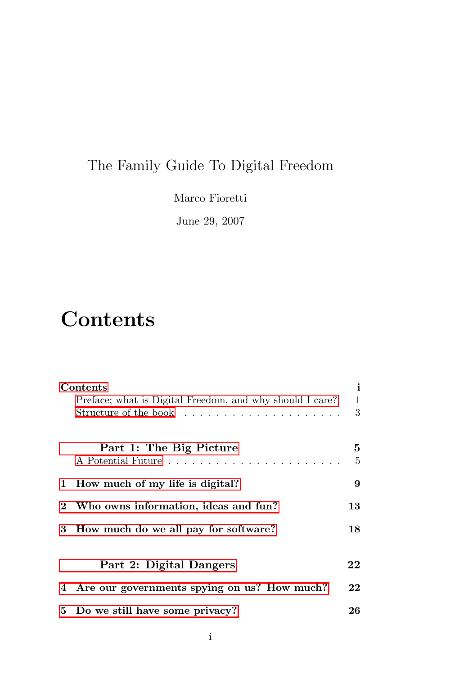## The Family Guide To Digital Freedom

Marco Fioretti

June 29, 2007

# **Contents**

<span id="page-0-0"></span>

| Contents |                                                             |    |
|----------|-------------------------------------------------------------|----|
|          | Preface; what is Digital Freedom, and why should I care?    | 1  |
|          | Structure of the book $\dots \dots \dots \dots \dots \dots$ | 3  |
|          |                                                             |    |
|          | Part 1: The Big Picture                                     | 5  |
|          |                                                             | 5  |
| 1        | How much of my life is digital?                             | 9  |
|          |                                                             |    |
|          | Who owns information, ideas and fun?                        | 13 |
| 3        | How much do we all pay for software?                        | 18 |
|          |                                                             |    |
|          |                                                             |    |
|          | Part 2: Digital Dangers                                     | 22 |
|          | 4 Are our governments spying on us? How much?               | 22 |
|          | 5 Do we still have some privacy?                            | 26 |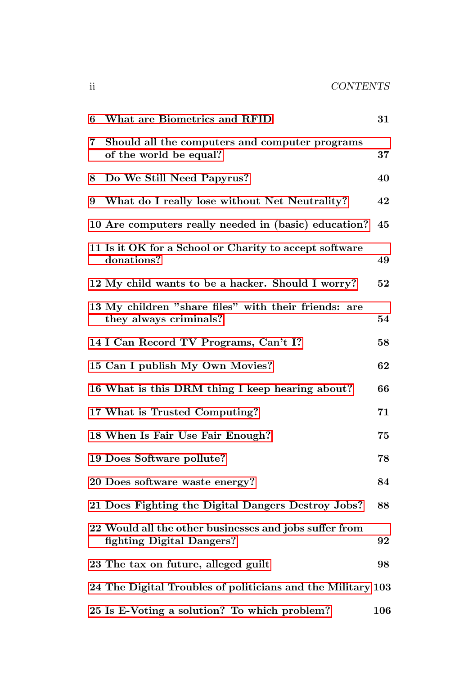| 6 | What are Biometrics and RFID                                                        | 31  |
|---|-------------------------------------------------------------------------------------|-----|
| 7 | Should all the computers and computer programs<br>of the world be equal?            | 37  |
| 8 | Do We Still Need Papyrus?                                                           | 40  |
| 9 | What do I really lose without Net Neutrality?                                       | 42  |
|   | 10 Are computers really needed in (basic) education?                                | 45  |
|   | 11 Is it OK for a School or Charity to accept software<br>donations?                | 49  |
|   | 12 My child wants to be a hacker. Should I worry?                                   | 52  |
|   | 13 My children "share files" with their friends: are<br>they always criminals?      | 54  |
|   | 14 I Can Record TV Programs, Can't I?                                               | 58  |
|   | 15 Can I publish My Own Movies?                                                     | 62  |
|   | 16 What is this DRM thing I keep hearing about?                                     | 66  |
|   | 17 What is Trusted Computing?                                                       | 71  |
|   | 18 When Is Fair Use Fair Enough?                                                    | 75  |
|   | 19 Does Software pollute?                                                           | 78  |
|   | 20 Does software waste energy?                                                      | 84  |
|   | 21 Does Fighting the Digital Dangers Destroy Jobs?                                  | 88  |
|   | 22 Would all the other businesses and jobs suffer from<br>fighting Digital Dangers? | 92  |
|   | 23 The tax on future, alleged guilt                                                 | 98  |
|   | 24 The Digital Troubles of politicians and the Military 103                         |     |
|   | 25 Is E-Voting a solution? To which problem?                                        | 106 |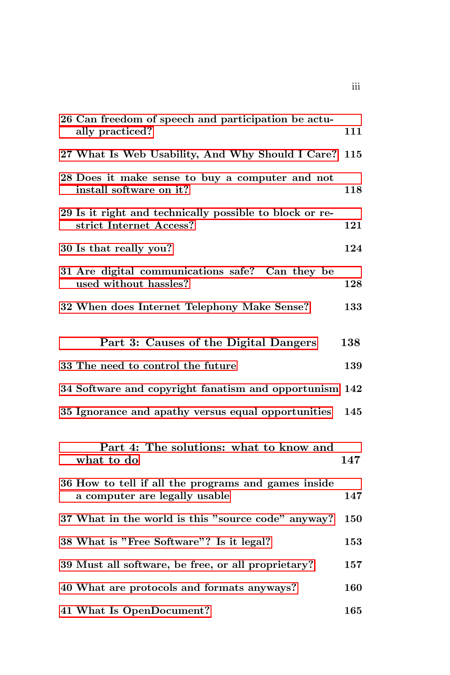| 26 Can freedom of speech and participation be actu-<br>ally practiced?               | 111 |
|--------------------------------------------------------------------------------------|-----|
| 27 What Is Web Usability, And Why Should I Care?                                     | 115 |
| 28 Does it make sense to buy a computer and not<br>install software on it?           | 118 |
| 29 Is it right and technically possible to block or re-<br>strict Internet Access?   | 121 |
| 30 Is that really you?                                                               | 124 |
| 31 Are digital communications safe? Can they be<br>used without hassles?             | 128 |
| 32 When does Internet Telephony Make Sense?                                          | 133 |
| Part 3: Causes of the Digital Dangers                                                | 138 |
| 33 The need to control the future                                                    | 139 |
| 34 Software and copyright fanatism and opportunism 142                               |     |
| 35 Ignorance and apathy versus equal opportunities                                   | 145 |
| Part 4: The solutions: what to know and<br>what to do                                | 147 |
| 36 How to tell if all the programs and games inside<br>a computer are legally usable | 147 |
| 37 What in the world is this "source code" anyway?                                   | 150 |
| 38 What is "Free Software"? Is it legal?                                             | 153 |
| 39 Must all software, be free, or all proprietary?                                   | 157 |
| 40 What are protocols and formats anyways?                                           | 160 |
| 41 What Is OpenDocument?                                                             | 165 |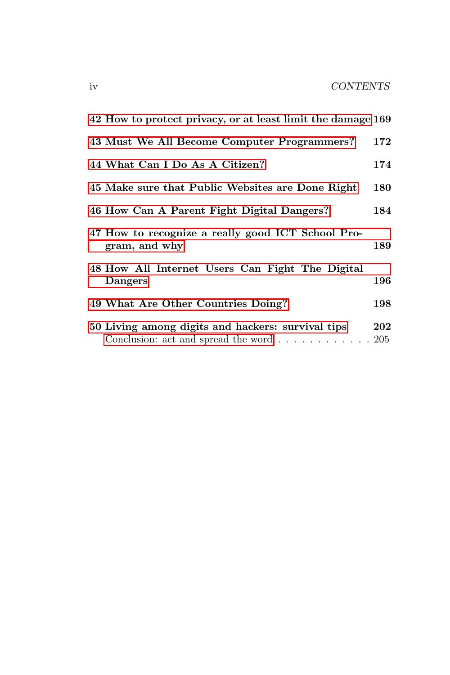| 42 How to protect privacy, or at least limit the damage 169                                                                |     |
|----------------------------------------------------------------------------------------------------------------------------|-----|
| 43 Must We All Become Computer Programmers?                                                                                | 172 |
| 44 What Can I Do As A Citizen?                                                                                             | 174 |
| 45 Make sure that Public Websites are Done Right                                                                           | 180 |
| 46 How Can A Parent Fight Digital Dangers?                                                                                 | 184 |
| 47 How to recognize a really good ICT School Pro-<br>gram, and why                                                         | 189 |
| 48 How All Internet Users Can Fight The Digital<br>Dangers                                                                 | 196 |
| 49 What Are Other Countries Doing?                                                                                         | 198 |
| 50 Living among digits and hackers: survival tips<br>Conclusion: act and spread the word $\ldots \ldots \ldots \ldots 205$ | 202 |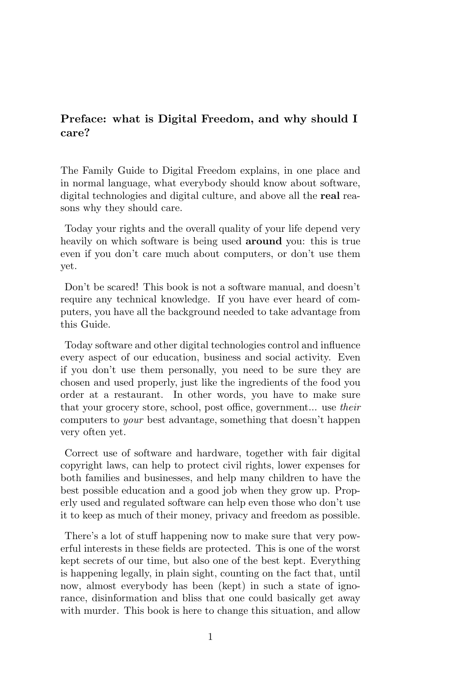### Preface: what is Digital Freedom, and why should I care?

<span id="page-4-0"></span>The Family Guide to Digital Freedom explains, in one place and in normal language, what everybody should know about software, digital technologies and digital culture, and above all the real reasons why they should care.

Today your rights and the overall quality of your life depend very heavily on which software is being used around you: this is true even if you don't care much about computers, or don't use them yet.

Don't be scared! This book is not a software manual, and doesn't require any technical knowledge. If you have ever heard of computers, you have all the background needed to take advantage from this Guide.

Today software and other digital technologies control and influence every aspect of our education, business and social activity. Even if you don't use them personally, you need to be sure they are chosen and used properly, just like the ingredients of the food you order at a restaurant. In other words, you have to make sure that your grocery store, school, post office, government... use their computers to your best advantage, something that doesn't happen very often yet.

Correct use of software and hardware, together with fair digital copyright laws, can help to protect civil rights, lower expenses for both families and businesses, and help many children to have the best possible education and a good job when they grow up. Properly used and regulated software can help even those who don't use it to keep as much of their money, privacy and freedom as possible.

There's a lot of stuff happening now to make sure that very powerful interests in these fields are protected. This is one of the worst kept secrets of our time, but also one of the best kept. Everything is happening legally, in plain sight, counting on the fact that, until now, almost everybody has been (kept) in such a state of ignorance, disinformation and bliss that one could basically get away with murder. This book is here to change this situation, and allow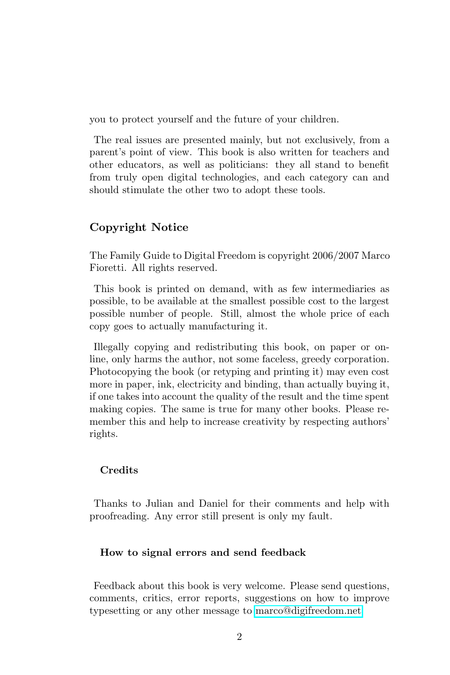you to protect yourself and the future of your children.

The real issues are presented mainly, but not exclusively, from a parent's point of view. This book is also written for teachers and other educators, as well as politicians: they all stand to benefit from truly open digital technologies, and each category can and should stimulate the other two to adopt these tools.

### Copyright Notice

The Family Guide to Digital Freedom is copyright 2006/2007 Marco Fioretti. All rights reserved.

This book is printed on demand, with as few intermediaries as possible, to be available at the smallest possible cost to the largest possible number of people. Still, almost the whole price of each copy goes to actually manufacturing it.

Illegally copying and redistributing this book, on paper or online, only harms the author, not some faceless, greedy corporation. Photocopying the book (or retyping and printing it) may even cost more in paper, ink, electricity and binding, than actually buying it, if one takes into account the quality of the result and the time spent making copies. The same is true for many other books. Please remember this and help to increase creativity by respecting authors' rights.

### Credits

Thanks to Julian and Daniel for their comments and help with proofreading. Any error still present is only my fault.

#### How to signal errors and send feedback

Feedback about this book is very welcome. Please send questions, comments, critics, error reports, suggestions on how to improve typesetting or any other message to [marco@digifreedom.net](mailto:marco@digifreedom.net)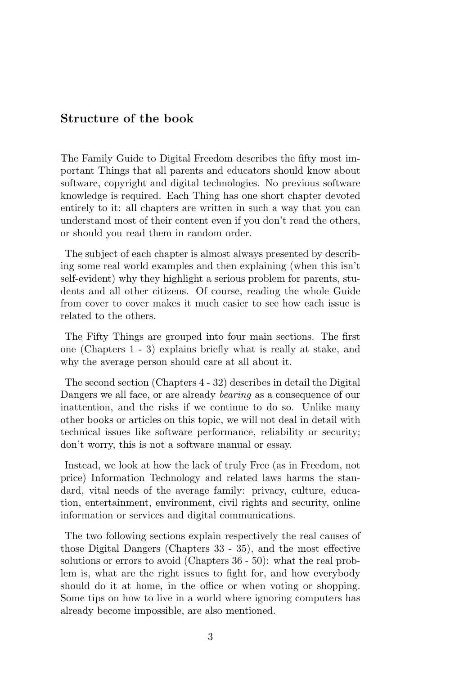### Structure of the book

<span id="page-6-0"></span>The Family Guide to Digital Freedom describes the fifty most important Things that all parents and educators should know about software, copyright and digital technologies. No previous software knowledge is required. Each Thing has one short chapter devoted entirely to it: all chapters are written in such a way that you can understand most of their content even if you don't read the others, or should you read them in random order.

The subject of each chapter is almost always presented by describing some real world examples and then explaining (when this isn't self-evident) why they highlight a serious problem for parents, students and all other citizens. Of course, reading the whole Guide from cover to cover makes it much easier to see how each issue is related to the others.

The Fifty Things are grouped into four main sections. The first one (Chapters 1 - 3) explains briefly what is really at stake, and why the average person should care at all about it.

The second section (Chapters 4 - 32) describes in detail the Digital Dangers we all face, or are already *bearing* as a consequence of our inattention, and the risks if we continue to do so. Unlike many other books or articles on this topic, we will not deal in detail with technical issues like software performance, reliability or security; don't worry, this is not a software manual or essay.

Instead, we look at how the lack of truly Free (as in Freedom, not price) Information Technology and related laws harms the standard, vital needs of the average family: privacy, culture, education, entertainment, environment, civil rights and security, online information or services and digital communications.

The two following sections explain respectively the real causes of those Digital Dangers (Chapters 33 - 35), and the most effective solutions or errors to avoid (Chapters 36 - 50): what the real problem is, what are the right issues to fight for, and how everybody should do it at home, in the office or when voting or shopping. Some tips on how to live in a world where ignoring computers has already become impossible, are also mentioned.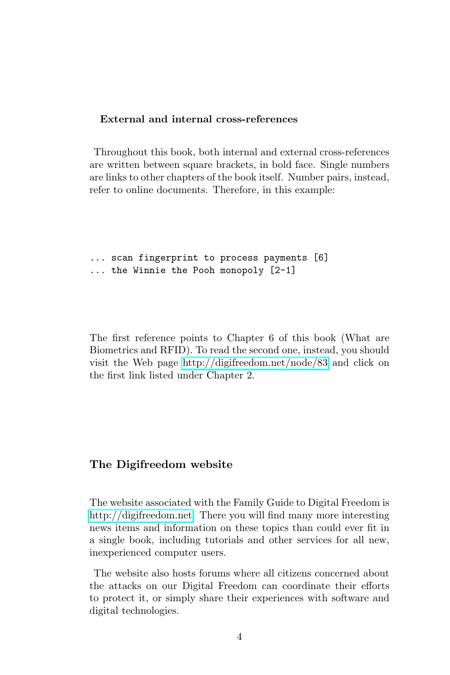### External and internal cross-references

Throughout this book, both internal and external cross-references are written between square brackets, in bold face. Single numbers are links to other chapters of the book itself. Number pairs, instead, refer to online documents. Therefore, in this example:

... scan fingerprint to process payments [6] ... the Winnie the Pooh monopoly [2-1]

The first reference points to Chapter 6 of this book (What are Biometrics and RFID). To read the second one, instead, you should visit the Web page<http://digifreedom.net/node/83> and click on the first link listed under Chapter 2.

### The Digifreedom website

<span id="page-7-0"></span>The website associated with the Family Guide to Digital Freedom is [http://digifreedom.net.](http://digifreedom.net) There you will find many more interesting news items and information on these topics than could ever fit in a single book, including tutorials and other services for all new, inexperienced computer users.

The website also hosts forums where all citizens concerned about the attacks on our Digital Freedom can coordinate their efforts to protect it, or simply share their experiences with software and digital technologies.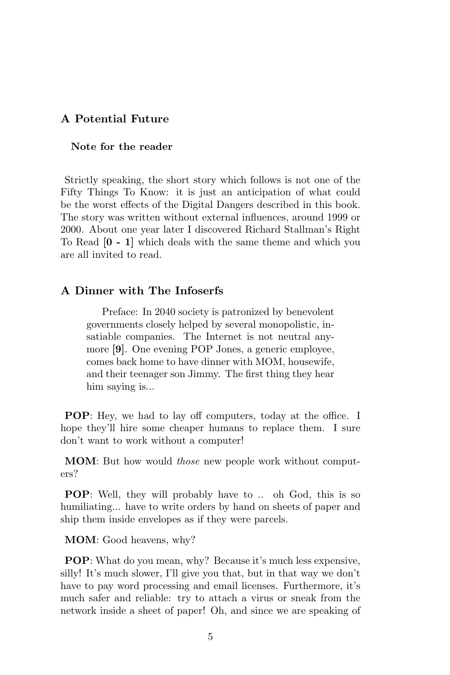### <span id="page-8-0"></span>A Potential Future

### Note for the reader

Strictly speaking, the short story which follows is not one of the Fifty Things To Know: it is just an anticipation of what could be the worst effects of the Digital Dangers described in this book. The story was written without external influences, around 1999 or 2000. About one year later I discovered Richard Stallman's Right To Read [0 - 1] which deals with the same theme and which you are all invited to read.

### A Dinner with The Infoserfs

Preface: In 2040 society is patronized by benevolent governments closely helped by several monopolistic, insatiable companies. The Internet is not neutral anymore [9]. One evening POP Jones, a generic employee, comes back home to have dinner with MOM, housewife, and their teenager son Jimmy. The first thing they hear him saying is...

POP: Hey, we had to lay off computers, today at the office. I hope they'll hire some cheaper humans to replace them. I sure don't want to work without a computer!

**MOM**: But how would *those* new people work without computers?

POP: Well, they will probably have to .. oh God, this is so humiliating... have to write orders by hand on sheets of paper and ship them inside envelopes as if they were parcels.

MOM: Good heavens, why?

POP: What do you mean, why? Because it's much less expensive, silly! It's much slower, I'll give you that, but in that way we don't have to pay word processing and email licenses. Furthermore, it's much safer and reliable: try to attach a virus or sneak from the network inside a sheet of paper! Oh, and since we are speaking of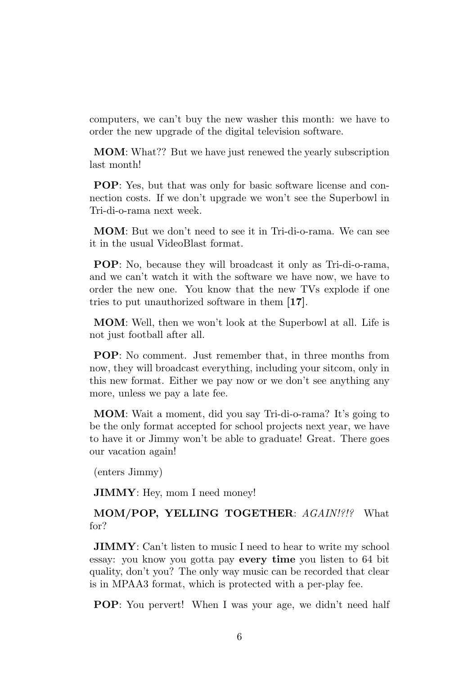computers, we can't buy the new washer this month: we have to order the new upgrade of the digital television software.

MOM: What?? But we have just renewed the yearly subscription last month!

POP: Yes, but that was only for basic software license and connection costs. If we don't upgrade we won't see the Superbowl in Tri-di-o-rama next week.

MOM: But we don't need to see it in Tri-di-o-rama. We can see it in the usual VideoBlast format.

POP: No, because they will broadcast it only as Tri-di-o-rama, and we can't watch it with the software we have now, we have to order the new one. You know that the new TVs explode if one tries to put unauthorized software in them [17].

MOM: Well, then we won't look at the Superbowl at all. Life is not just football after all.

POP: No comment. Just remember that, in three months from now, they will broadcast everything, including your sitcom, only in this new format. Either we pay now or we don't see anything any more, unless we pay a late fee.

MOM: Wait a moment, did you say Tri-di-o-rama? It's going to be the only format accepted for school projects next year, we have to have it or Jimmy won't be able to graduate! Great. There goes our vacation again!

(enters Jimmy)

JIMMY: Hey, mom I need money!

MOM/POP, YELLING TOGETHER: AGAIN!?!? What for?

JIMMY: Can't listen to music I need to hear to write my school essay: you know you gotta pay every time you listen to 64 bit quality, don't you? The only way music can be recorded that clear is in MPAA3 format, which is protected with a per-play fee.

POP: You pervert! When I was your age, we didn't need half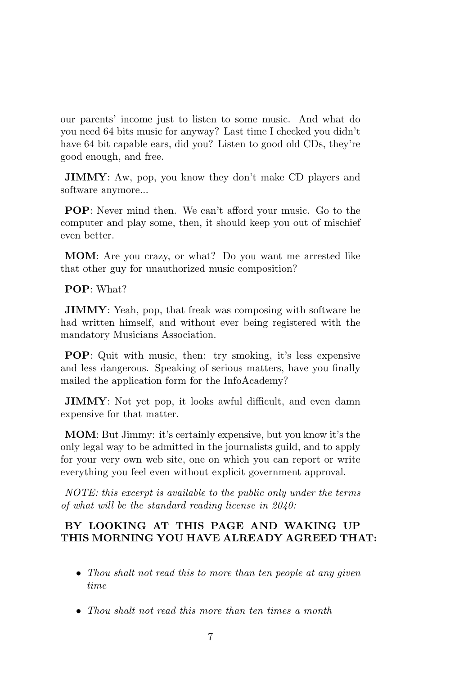our parents' income just to listen to some music. And what do you need 64 bits music for anyway? Last time I checked you didn't have 64 bit capable ears, did you? Listen to good old CDs, they're good enough, and free.

JIMMY: Aw, pop, you know they don't make CD players and software anymore...

POP: Never mind then. We can't afford your music. Go to the computer and play some, then, it should keep you out of mischief even better.

MOM: Are you crazy, or what? Do you want me arrested like that other guy for unauthorized music composition?

POP: What?

JIMMY: Yeah, pop, that freak was composing with software he had written himself, and without ever being registered with the mandatory Musicians Association.

POP: Quit with music, then: try smoking, it's less expensive and less dangerous. Speaking of serious matters, have you finally mailed the application form for the InfoAcademy?

JIMMY: Not yet pop, it looks awful difficult, and even damn expensive for that matter.

MOM: But Jimmy: it's certainly expensive, but you know it's the only legal way to be admitted in the journalists guild, and to apply for your very own web site, one on which you can report or write everything you feel even without explicit government approval.

NOTE: this excerpt is available to the public only under the terms of what will be the standard reading license in 2040:

### BY LOOKING AT THIS PAGE AND WAKING UP THIS MORNING YOU HAVE ALREADY AGREED THAT:

- Thou shalt not read this to more than ten people at any given time
- Thou shalt not read this more than ten times a month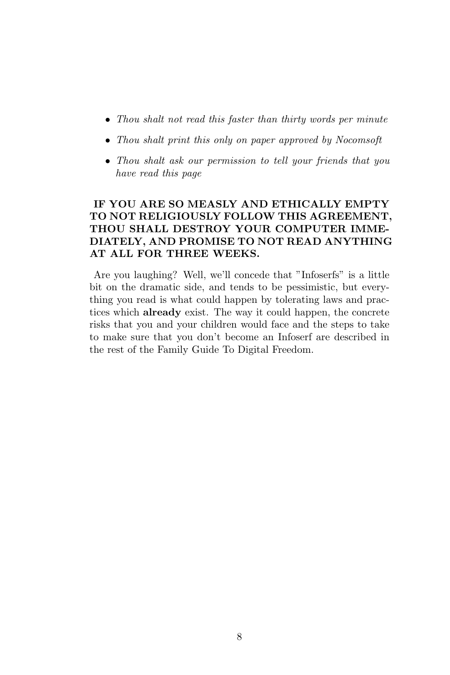- Thou shalt not read this faster than thirty words per minute
- Thou shalt print this only on paper approved by Nocomsoft
- Thou shalt ask our permission to tell your friends that you have read this page

### IF YOU ARE SO MEASLY AND ETHICALLY EMPTY TO NOT RELIGIOUSLY FOLLOW THIS AGREEMENT, THOU SHALL DESTROY YOUR COMPUTER IMME-DIATELY, AND PROMISE TO NOT READ ANYTHING AT ALL FOR THREE WEEKS.

Are you laughing? Well, we'll concede that "Infoserfs" is a little bit on the dramatic side, and tends to be pessimistic, but everything you read is what could happen by tolerating laws and practices which already exist. The way it could happen, the concrete risks that you and your children would face and the steps to take to make sure that you don't become an Infoserf are described in the rest of the Family Guide To Digital Freedom.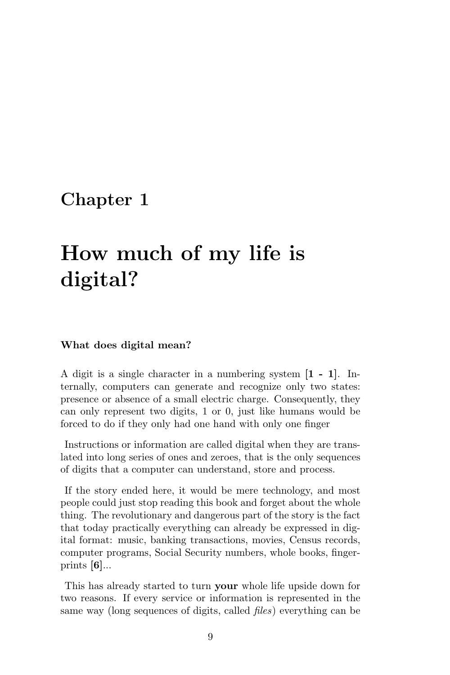## <span id="page-12-0"></span>Chapter 1

# How much of my life is digital?

#### What does digital mean?

A digit is a single character in a numbering system [1 - 1]. Internally, computers can generate and recognize only two states: presence or absence of a small electric charge. Consequently, they can only represent two digits, 1 or 0, just like humans would be forced to do if they only had one hand with only one finger

Instructions or information are called digital when they are translated into long series of ones and zeroes, that is the only sequences of digits that a computer can understand, store and process.

If the story ended here, it would be mere technology, and most people could just stop reading this book and forget about the whole thing. The revolutionary and dangerous part of the story is the fact that today practically everything can already be expressed in digital format: music, banking transactions, movies, Census records, computer programs, Social Security numbers, whole books, fingerprints  $[6]...$ 

This has already started to turn **your** whole life upside down for two reasons. If every service or information is represented in the same way (long sequences of digits, called files) everything can be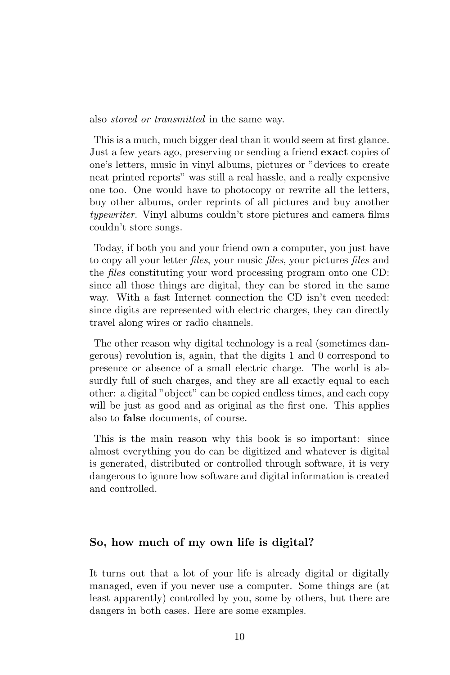also stored or transmitted in the same way.

This is a much, much bigger deal than it would seem at first glance. Just a few years ago, preserving or sending a friend exact copies of one's letters, music in vinyl albums, pictures or "devices to create neat printed reports" was still a real hassle, and a really expensive one too. One would have to photocopy or rewrite all the letters, buy other albums, order reprints of all pictures and buy another typewriter. Vinyl albums couldn't store pictures and camera films couldn't store songs.

Today, if both you and your friend own a computer, you just have to copy all your letter files, your music files, your pictures files and the files constituting your word processing program onto one CD: since all those things are digital, they can be stored in the same way. With a fast Internet connection the CD isn't even needed: since digits are represented with electric charges, they can directly travel along wires or radio channels.

The other reason why digital technology is a real (sometimes dangerous) revolution is, again, that the digits 1 and 0 correspond to presence or absence of a small electric charge. The world is absurdly full of such charges, and they are all exactly equal to each other: a digital "object" can be copied endless times, and each copy will be just as good and as original as the first one. This applies also to false documents, of course.

This is the main reason why this book is so important: since almost everything you do can be digitized and whatever is digital is generated, distributed or controlled through software, it is very dangerous to ignore how software and digital information is created and controlled.

### So, how much of my own life is digital?

It turns out that a lot of your life is already digital or digitally managed, even if you never use a computer. Some things are (at least apparently) controlled by you, some by others, but there are dangers in both cases. Here are some examples.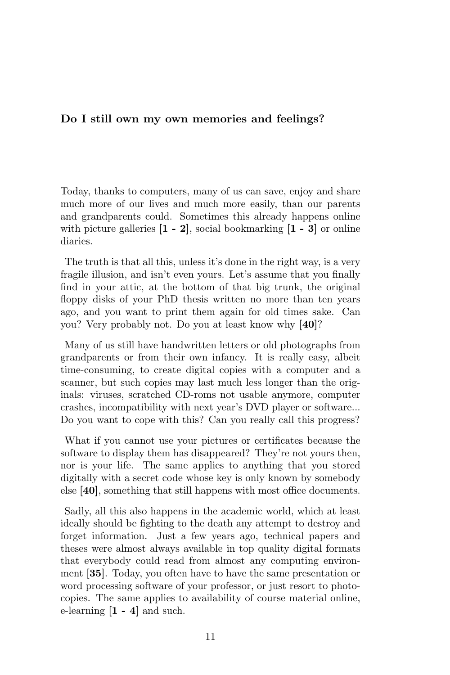### Do I still own my own memories and feelings?

Today, thanks to computers, many of us can save, enjoy and share much more of our lives and much more easily, than our parents and grandparents could. Sometimes this already happens online with picture galleries  $[1 - 2]$ , social bookmarking  $[1 - 3]$  or online diaries.

The truth is that all this, unless it's done in the right way, is a very fragile illusion, and isn't even yours. Let's assume that you finally find in your attic, at the bottom of that big trunk, the original floppy disks of your PhD thesis written no more than ten years ago, and you want to print them again for old times sake. Can you? Very probably not. Do you at least know why [40]?

Many of us still have handwritten letters or old photographs from grandparents or from their own infancy. It is really easy, albeit time-consuming, to create digital copies with a computer and a scanner, but such copies may last much less longer than the originals: viruses, scratched CD-roms not usable anymore, computer crashes, incompatibility with next year's DVD player or software... Do you want to cope with this? Can you really call this progress?

What if you cannot use your pictures or certificates because the software to display them has disappeared? They're not yours then, nor is your life. The same applies to anything that you stored digitally with a secret code whose key is only known by somebody else [40], something that still happens with most office documents.

Sadly, all this also happens in the academic world, which at least ideally should be fighting to the death any attempt to destroy and forget information. Just a few years ago, technical papers and theses were almost always available in top quality digital formats that everybody could read from almost any computing environment [35]. Today, you often have to have the same presentation or word processing software of your professor, or just resort to photocopies. The same applies to availability of course material online, e-learning  $[1 - 4]$  and such.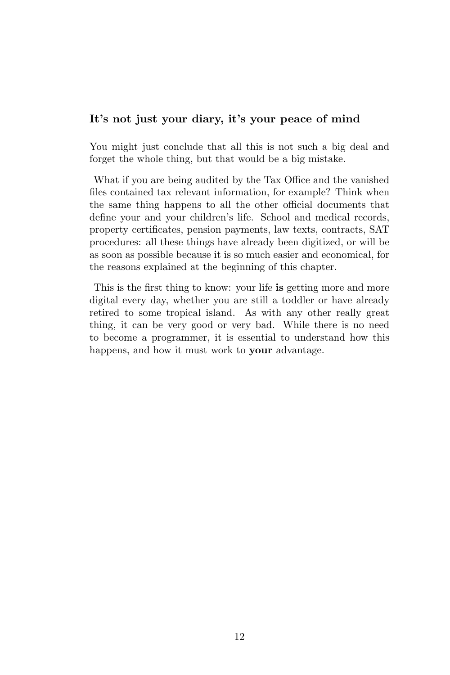### It's not just your diary, it's your peace of mind

You might just conclude that all this is not such a big deal and forget the whole thing, but that would be a big mistake.

What if you are being audited by the Tax Office and the vanished files contained tax relevant information, for example? Think when the same thing happens to all the other official documents that define your and your children's life. School and medical records, property certificates, pension payments, law texts, contracts, SAT procedures: all these things have already been digitized, or will be as soon as possible because it is so much easier and economical, for the reasons explained at the beginning of this chapter.

This is the first thing to know: your life is getting more and more digital every day, whether you are still a toddler or have already retired to some tropical island. As with any other really great thing, it can be very good or very bad. While there is no need to become a programmer, it is essential to understand how this happens, and how it must work to **your** advantage.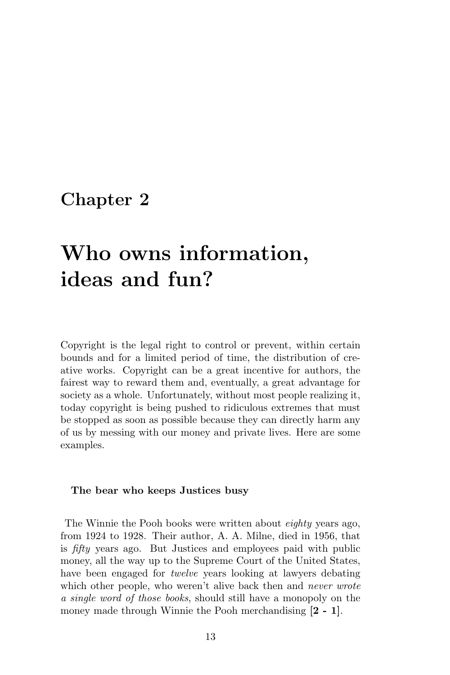## <span id="page-16-0"></span>Chapter 2

# Who owns information, ideas and fun?

Copyright is the legal right to control or prevent, within certain bounds and for a limited period of time, the distribution of creative works. Copyright can be a great incentive for authors, the fairest way to reward them and, eventually, a great advantage for society as a whole. Unfortunately, without most people realizing it, today copyright is being pushed to ridiculous extremes that must be stopped as soon as possible because they can directly harm any of us by messing with our money and private lives. Here are some examples.

#### The bear who keeps Justices busy

The Winnie the Pooh books were written about *eighty* years ago, from 1924 to 1928. Their author, A. A. Milne, died in 1956, that is fifty years ago. But Justices and employees paid with public money, all the way up to the Supreme Court of the United States, have been engaged for *twelve* years looking at lawyers debating which other people, who weren't alive back then and *never wrote* a single word of those books, should still have a monopoly on the money made through Winnie the Pooh merchandising  $[2 - 1]$ .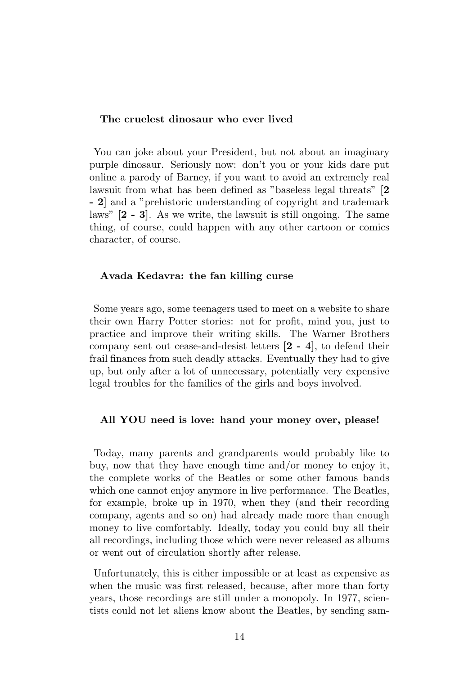### The cruelest dinosaur who ever lived

You can joke about your President, but not about an imaginary purple dinosaur. Seriously now: don't you or your kids dare put online a parody of Barney, if you want to avoid an extremely real lawsuit from what has been defined as "baseless legal threats" [2 - 2] and a "prehistoric understanding of copyright and trademark laws" [2 - 3]. As we write, the lawsuit is still ongoing. The same thing, of course, could happen with any other cartoon or comics character, of course.

### Avada Kedavra: the fan killing curse

Some years ago, some teenagers used to meet on a website to share their own Harry Potter stories: not for profit, mind you, just to practice and improve their writing skills. The Warner Brothers company sent out cease-and-desist letters [2 - 4], to defend their frail finances from such deadly attacks. Eventually they had to give up, but only after a lot of unnecessary, potentially very expensive legal troubles for the families of the girls and boys involved.

### All YOU need is love: hand your money over, please!

Today, many parents and grandparents would probably like to buy, now that they have enough time and/or money to enjoy it, the complete works of the Beatles or some other famous bands which one cannot enjoy anymore in live performance. The Beatles, for example, broke up in 1970, when they (and their recording company, agents and so on) had already made more than enough money to live comfortably. Ideally, today you could buy all their all recordings, including those which were never released as albums or went out of circulation shortly after release.

Unfortunately, this is either impossible or at least as expensive as when the music was first released, because, after more than forty years, those recordings are still under a monopoly. In 1977, scientists could not let aliens know about the Beatles, by sending sam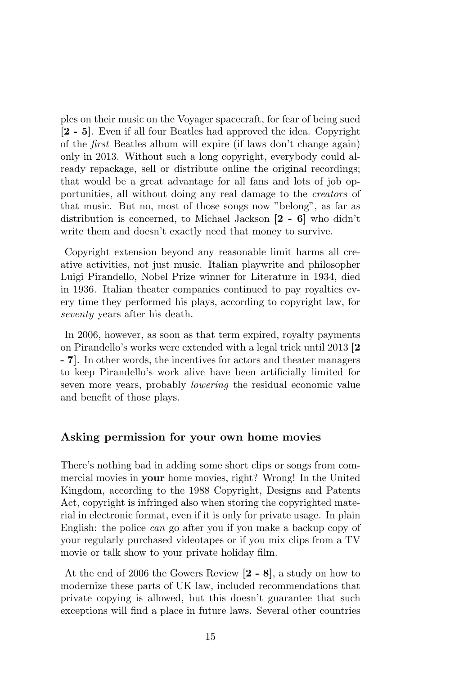ples on their music on the Voyager spacecraft, for fear of being sued [2 - 5]. Even if all four Beatles had approved the idea. Copyright of the first Beatles album will expire (if laws don't change again) only in 2013. Without such a long copyright, everybody could already repackage, sell or distribute online the original recordings; that would be a great advantage for all fans and lots of job opportunities, all without doing any real damage to the creators of that music. But no, most of those songs now "belong", as far as distribution is concerned, to Michael Jackson [2 - 6] who didn't write them and doesn't exactly need that money to survive.

Copyright extension beyond any reasonable limit harms all creative activities, not just music. Italian playwrite and philosopher Luigi Pirandello, Nobel Prize winner for Literature in 1934, died in 1936. Italian theater companies continued to pay royalties every time they performed his plays, according to copyright law, for seventy years after his death.

In 2006, however, as soon as that term expired, royalty payments on Pirandello's works were extended with a legal trick until 2013 [2 - 7]. In other words, the incentives for actors and theater managers to keep Pirandello's work alive have been artificially limited for seven more years, probably lowering the residual economic value and benefit of those plays.

### Asking permission for your own home movies

There's nothing bad in adding some short clips or songs from commercial movies in your home movies, right? Wrong! In the United Kingdom, according to the 1988 Copyright, Designs and Patents Act, copyright is infringed also when storing the copyrighted material in electronic format, even if it is only for private usage. In plain English: the police can go after you if you make a backup copy of your regularly purchased videotapes or if you mix clips from a TV movie or talk show to your private holiday film.

At the end of 2006 the Gowers Review [2 - 8], a study on how to modernize these parts of UK law, included recommendations that private copying is allowed, but this doesn't guarantee that such exceptions will find a place in future laws. Several other countries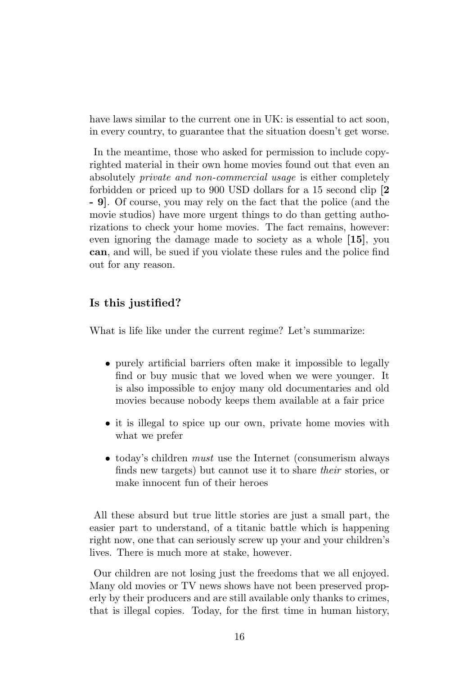have laws similar to the current one in UK: is essential to act soon. in every country, to guarantee that the situation doesn't get worse.

In the meantime, those who asked for permission to include copyrighted material in their own home movies found out that even an absolutely private and non-commercial usage is either completely forbidden or priced up to 900 USD dollars for a 15 second clip [2 - 9]. Of course, you may rely on the fact that the police (and the movie studios) have more urgent things to do than getting authorizations to check your home movies. The fact remains, however: even ignoring the damage made to society as a whole [15], you can, and will, be sued if you violate these rules and the police find out for any reason.

### Is this justified?

What is life like under the current regime? Let's summarize:

- purely artificial barriers often make it impossible to legally find or buy music that we loved when we were younger. It is also impossible to enjoy many old documentaries and old movies because nobody keeps them available at a fair price
- it is illegal to spice up our own, private home movies with what we prefer
- today's children *must* use the Internet (consumerism always) finds new targets) but cannot use it to share their stories, or make innocent fun of their heroes

All these absurd but true little stories are just a small part, the easier part to understand, of a titanic battle which is happening right now, one that can seriously screw up your and your children's lives. There is much more at stake, however.

Our children are not losing just the freedoms that we all enjoyed. Many old movies or TV news shows have not been preserved properly by their producers and are still available only thanks to crimes, that is illegal copies. Today, for the first time in human history,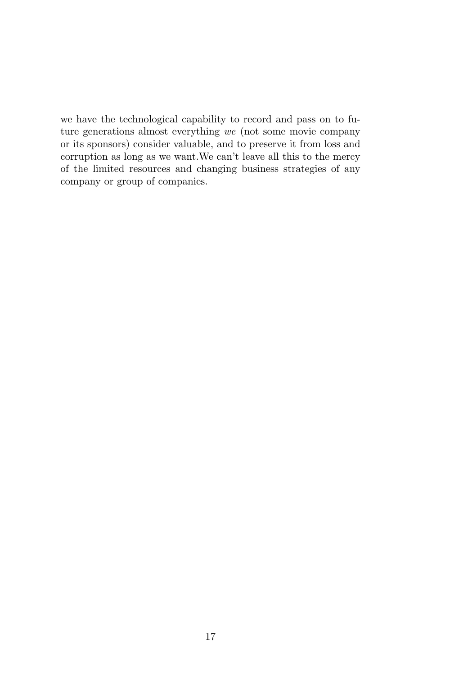we have the technological capability to record and pass on to future generations almost everything we (not some movie company or its sponsors) consider valuable, and to preserve it from loss and corruption as long as we want.We can't leave all this to the mercy of the limited resources and changing business strategies of any company or group of companies.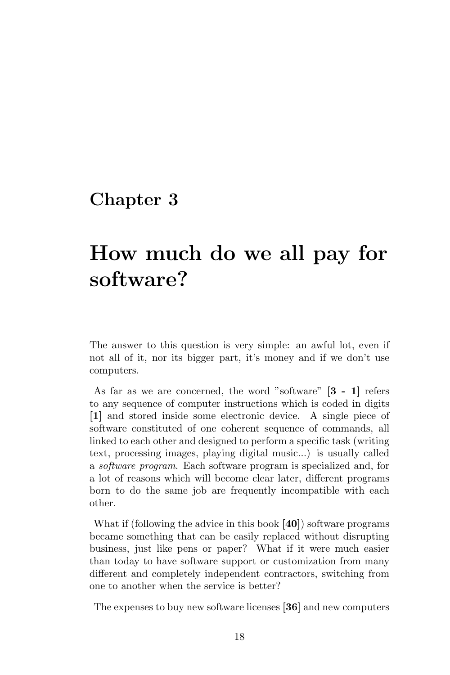### <span id="page-21-0"></span>Chapter 3

# How much do we all pay for software?

The answer to this question is very simple: an awful lot, even if not all of it, nor its bigger part, it's money and if we don't use computers.

As far as we are concerned, the word "software" [3 - 1] refers to any sequence of computer instructions which is coded in digits [1] and stored inside some electronic device. A single piece of software constituted of one coherent sequence of commands, all linked to each other and designed to perform a specific task (writing text, processing images, playing digital music...) is usually called a software program. Each software program is specialized and, for a lot of reasons which will become clear later, different programs born to do the same job are frequently incompatible with each other.

What if (following the advice in this book [40]) software programs became something that can be easily replaced without disrupting business, just like pens or paper? What if it were much easier than today to have software support or customization from many different and completely independent contractors, switching from one to another when the service is better?

The expenses to buy new software licenses [36] and new computers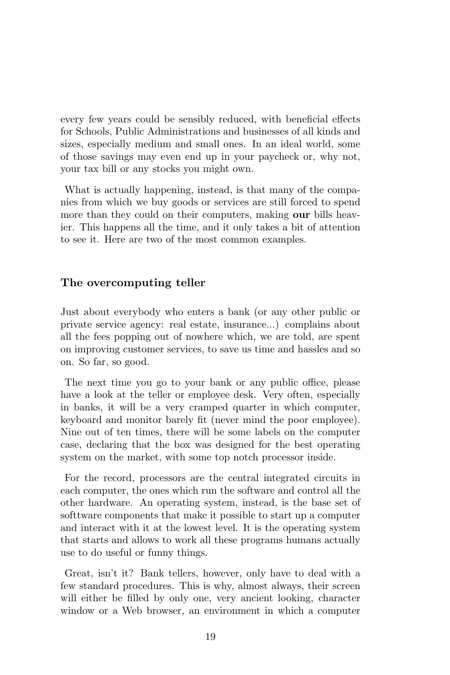every few years could be sensibly reduced, with beneficial effects for Schools, Public Administrations and businesses of all kinds and sizes, especially medium and small ones. In an ideal world, some of those savings may even end up in your paycheck or, why not, your tax bill or any stocks you might own.

What is actually happening, instead, is that many of the companies from which we buy goods or services are still forced to spend more than they could on their computers, making our bills heavier. This happens all the time, and it only takes a bit of attention to see it. Here are two of the most common examples.

### The overcomputing teller

Just about everybody who enters a bank (or any other public or private service agency: real estate, insurance...) complains about all the fees popping out of nowhere which, we are told, are spent on improving customer services, to save us time and hassles and so on. So far, so good.

The next time you go to your bank or any public office, please have a look at the teller or employee desk. Very often, especially in banks, it will be a very cramped quarter in which computer, keyboard and monitor barely fit (never mind the poor employee). Nine out of ten times, there will be some labels on the computer case, declaring that the box was designed for the best operating system on the market, with some top notch processor inside.

For the record, processors are the central integrated circuits in each computer, the ones which run the software and control all the other hardware. An operating system, instead, is the base set of softtware components that make it possible to start up a computer and interact with it at the lowest level. It is the operating system that starts and allows to work all these programs humans actually use to do useful or funny things.

Great, isn't it? Bank tellers, however, only have to deal with a few standard procedures. This is why, almost always, their screen will either be filled by only one, very ancient looking, character window or a Web browser, an environment in which a computer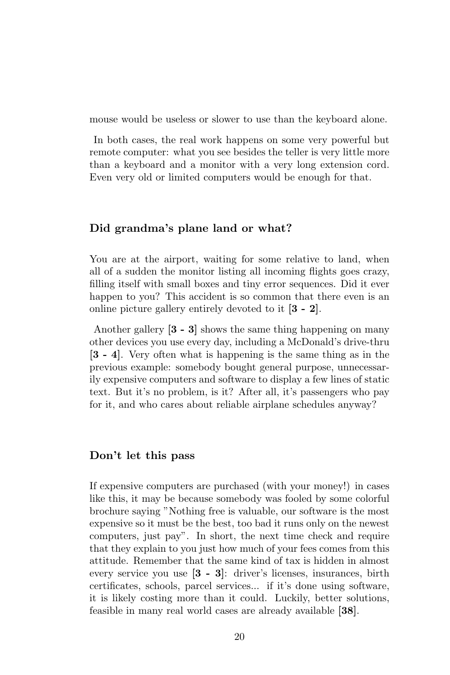mouse would be useless or slower to use than the keyboard alone.

In both cases, the real work happens on some very powerful but remote computer: what you see besides the teller is very little more than a keyboard and a monitor with a very long extension cord. Even very old or limited computers would be enough for that.

### Did grandma's plane land or what?

You are at the airport, waiting for some relative to land, when all of a sudden the monitor listing all incoming flights goes crazy, filling itself with small boxes and tiny error sequences. Did it ever happen to you? This accident is so common that there even is an online picture gallery entirely devoted to it [3 - 2].

Another gallery [3 - 3] shows the same thing happening on many other devices you use every day, including a McDonald's drive-thru [3 - 4]. Very often what is happening is the same thing as in the previous example: somebody bought general purpose, unnecessarily expensive computers and software to display a few lines of static text. But it's no problem, is it? After all, it's passengers who pay for it, and who cares about reliable airplane schedules anyway?

### Don't let this pass

If expensive computers are purchased (with your money!) in cases like this, it may be because somebody was fooled by some colorful brochure saying "Nothing free is valuable, our software is the most expensive so it must be the best, too bad it runs only on the newest computers, just pay". In short, the next time check and require that they explain to you just how much of your fees comes from this attitude. Remember that the same kind of tax is hidden in almost every service you use [3 - 3]: driver's licenses, insurances, birth certificates, schools, parcel services... if it's done using software, it is likely costing more than it could. Luckily, better solutions, feasible in many real world cases are already available [38].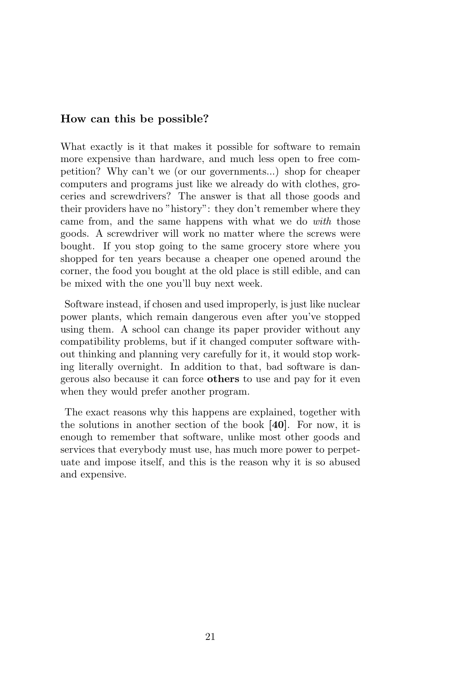### How can this be possible?

<span id="page-24-0"></span>What exactly is it that makes it possible for software to remain more expensive than hardware, and much less open to free competition? Why can't we (or our governments...) shop for cheaper computers and programs just like we already do with clothes, groceries and screwdrivers? The answer is that all those goods and their providers have no "history": they don't remember where they came from, and the same happens with what we do with those goods. A screwdriver will work no matter where the screws were bought. If you stop going to the same grocery store where you shopped for ten years because a cheaper one opened around the corner, the food you bought at the old place is still edible, and can be mixed with the one you'll buy next week.

Software instead, if chosen and used improperly, is just like nuclear power plants, which remain dangerous even after you've stopped using them. A school can change its paper provider without any compatibility problems, but if it changed computer software without thinking and planning very carefully for it, it would stop working literally overnight. In addition to that, bad software is dangerous also because it can force others to use and pay for it even when they would prefer another program.

The exact reasons why this happens are explained, together with the solutions in another section of the book [40]. For now, it is enough to remember that software, unlike most other goods and services that everybody must use, has much more power to perpetuate and impose itself, and this is the reason why it is so abused and expensive.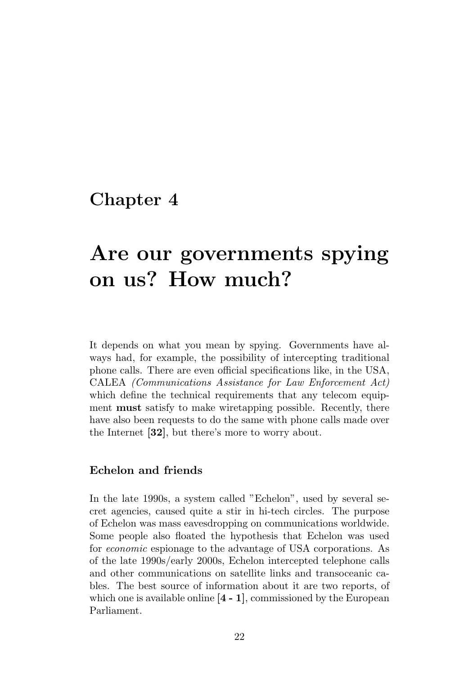### <span id="page-25-0"></span>Chapter 4

## Are our governments spying on us? How much?

It depends on what you mean by spying. Governments have always had, for example, the possibility of intercepting traditional phone calls. There are even official specifications like, in the USA, CALEA (Communications Assistance for Law Enforcement Act) which define the technical requirements that any telecom equipment must satisfy to make wiretapping possible. Recently, there have also been requests to do the same with phone calls made over the Internet [32], but there's more to worry about.

### Echelon and friends

In the late 1990s, a system called "Echelon", used by several secret agencies, caused quite a stir in hi-tech circles. The purpose of Echelon was mass eavesdropping on communications worldwide. Some people also floated the hypothesis that Echelon was used for economic espionage to the advantage of USA corporations. As of the late 1990s/early 2000s, Echelon intercepted telephone calls and other communications on satellite links and transoceanic cables. The best source of information about it are two reports, of which one is available online  $[4 - 1]$ , commissioned by the European Parliament.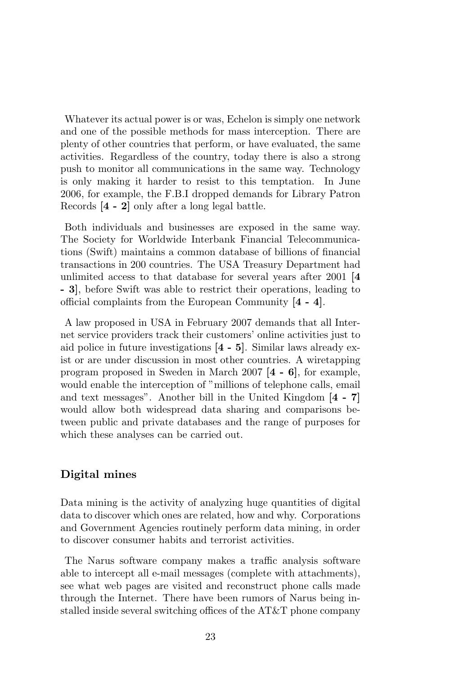Whatever its actual power is or was, Echelon is simply one network and one of the possible methods for mass interception. There are plenty of other countries that perform, or have evaluated, the same activities. Regardless of the country, today there is also a strong push to monitor all communications in the same way. Technology is only making it harder to resist to this temptation. In June 2006, for example, the F.B.I dropped demands for Library Patron Records [4 - 2] only after a long legal battle.

Both individuals and businesses are exposed in the same way. The Society for Worldwide Interbank Financial Telecommunications (Swift) maintains a common database of billions of financial transactions in 200 countries. The USA Treasury Department had unlimited access to that database for several years after 2001 [4 - 3], before Swift was able to restrict their operations, leading to official complaints from the European Community [4 - 4].

A law proposed in USA in February 2007 demands that all Internet service providers track their customers' online activities just to aid police in future investigations [4 - 5]. Similar laws already exist or are under discussion in most other countries. A wiretapping program proposed in Sweden in March 2007 [4 - 6], for example, would enable the interception of "millions of telephone calls, email and text messages". Another bill in the United Kingdom [4 - 7] would allow both widespread data sharing and comparisons between public and private databases and the range of purposes for which these analyses can be carried out.

### Digital mines

Data mining is the activity of analyzing huge quantities of digital data to discover which ones are related, how and why. Corporations and Government Agencies routinely perform data mining, in order to discover consumer habits and terrorist activities.

The Narus software company makes a traffic analysis software able to intercept all e-mail messages (complete with attachments), see what web pages are visited and reconstruct phone calls made through the Internet. There have been rumors of Narus being installed inside several switching offices of the AT&T phone company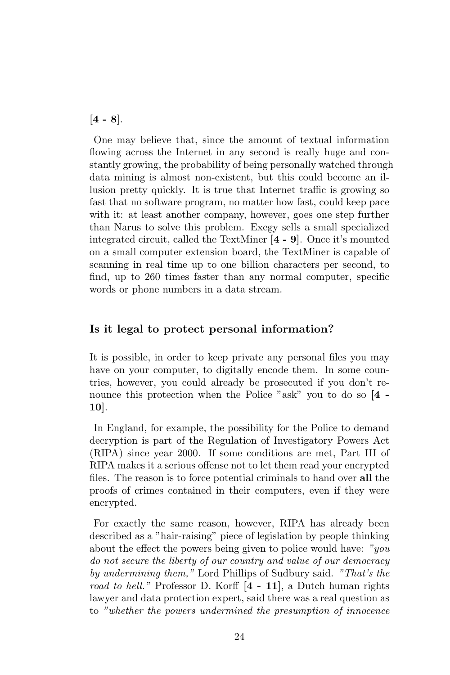$[4 - 8]$ .

One may believe that, since the amount of textual information flowing across the Internet in any second is really huge and constantly growing, the probability of being personally watched through data mining is almost non-existent, but this could become an illusion pretty quickly. It is true that Internet traffic is growing so fast that no software program, no matter how fast, could keep pace with it: at least another company, however, goes one step further than Narus to solve this problem. Exegy sells a small specialized integrated circuit, called the TextMiner [4 - 9]. Once it's mounted on a small computer extension board, the TextMiner is capable of scanning in real time up to one billion characters per second, to find, up to 260 times faster than any normal computer, specific words or phone numbers in a data stream.

### Is it legal to protect personal information?

It is possible, in order to keep private any personal files you may have on your computer, to digitally encode them. In some countries, however, you could already be prosecuted if you don't renounce this protection when the Police "ask" you to do so [4 - 10].

In England, for example, the possibility for the Police to demand decryption is part of the Regulation of Investigatory Powers Act (RIPA) since year 2000. If some conditions are met, Part III of RIPA makes it a serious offense not to let them read your encrypted files. The reason is to force potential criminals to hand over all the proofs of crimes contained in their computers, even if they were encrypted.

For exactly the same reason, however, RIPA has already been described as a "hair-raising" piece of legislation by people thinking about the effect the powers being given to police would have:  $"you$ do not secure the liberty of our country and value of our democracy by undermining them," Lord Phillips of Sudbury said. "That's the road to hell." Professor D. Korff  $[4 - 11]$ , a Dutch human rights lawyer and data protection expert, said there was a real question as to "whether the powers undermined the presumption of innocence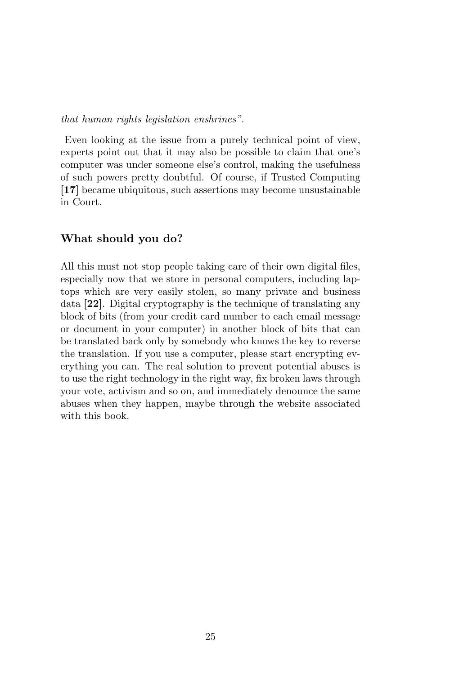### that human rights legislation enshrines".

Even looking at the issue from a purely technical point of view, experts point out that it may also be possible to claim that one's computer was under someone else's control, making the usefulness of such powers pretty doubtful. Of course, if Trusted Computing [17] became ubiquitous, such assertions may become unsustainable in Court.

### What should you do?

All this must not stop people taking care of their own digital files, especially now that we store in personal computers, including laptops which are very easily stolen, so many private and business data [22]. Digital cryptography is the technique of translating any block of bits (from your credit card number to each email message or document in your computer) in another block of bits that can be translated back only by somebody who knows the key to reverse the translation. If you use a computer, please start encrypting everything you can. The real solution to prevent potential abuses is to use the right technology in the right way, fix broken laws through your vote, activism and so on, and immediately denounce the same abuses when they happen, maybe through the website associated with this book.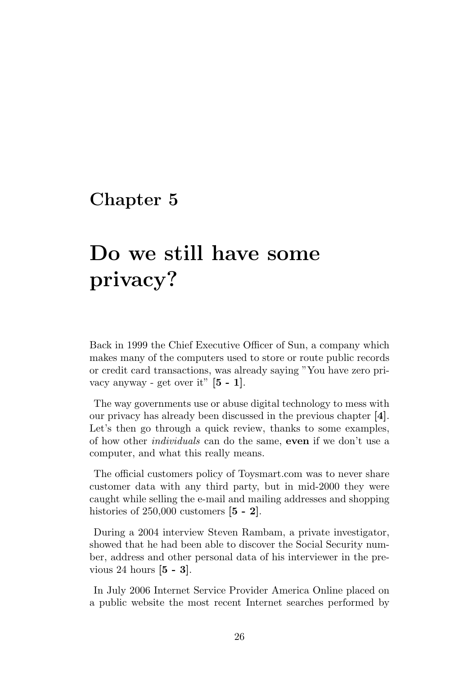### <span id="page-29-0"></span>Chapter 5

# Do we still have some privacy?

Back in 1999 the Chief Executive Officer of Sun, a company which makes many of the computers used to store or route public records or credit card transactions, was already saying "You have zero privacy anyway - get over it"  $[5 - 1]$ .

The way governments use or abuse digital technology to mess with our privacy has already been discussed in the previous chapter [4]. Let's then go through a quick review, thanks to some examples, of how other *individuals* can do the same, **even** if we don't use a computer, and what this really means.

The official customers policy of Toysmart.com was to never share customer data with any third party, but in mid-2000 they were caught while selling the e-mail and mailing addresses and shopping histories of  $250,000$  customers  $[5 - 2]$ .

During a 2004 interview Steven Rambam, a private investigator, showed that he had been able to discover the Social Security number, address and other personal data of his interviewer in the previous 24 hours [5 - 3].

In July 2006 Internet Service Provider America Online placed on a public website the most recent Internet searches performed by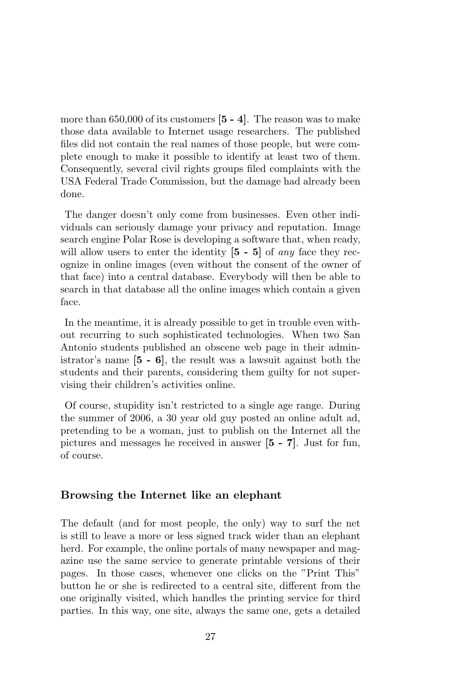more than  $650,000$  of its customers  $[5 - 4]$ . The reason was to make those data available to Internet usage researchers. The published files did not contain the real names of those people, but were complete enough to make it possible to identify at least two of them. Consequently, several civil rights groups filed complaints with the USA Federal Trade Commission, but the damage had already been done.

The danger doesn't only come from businesses. Even other individuals can seriously damage your privacy and reputation. Image search engine Polar Rose is developing a software that, when ready, will allow users to enter the identity  $[5 - 5]$  of any face they recognize in online images (even without the consent of the owner of that face) into a central database. Everybody will then be able to search in that database all the online images which contain a given face.

In the meantime, it is already possible to get in trouble even without recurring to such sophisticated technologies. When two San Antonio students published an obscene web page in their administrator's name [5 - 6], the result was a lawsuit against both the students and their parents, considering them guilty for not supervising their children's activities online.

Of course, stupidity isn't restricted to a single age range. During the summer of 2006, a 30 year old guy posted an online adult ad, pretending to be a woman, just to publish on the Internet all the pictures and messages he received in answer [5 - 7]. Just for fun, of course.

### Browsing the Internet like an elephant

The default (and for most people, the only) way to surf the net is still to leave a more or less signed track wider than an elephant herd. For example, the online portals of many newspaper and magazine use the same service to generate printable versions of their pages. In those cases, whenever one clicks on the "Print This" button he or she is redirected to a central site, different from the one originally visited, which handles the printing service for third parties. In this way, one site, always the same one, gets a detailed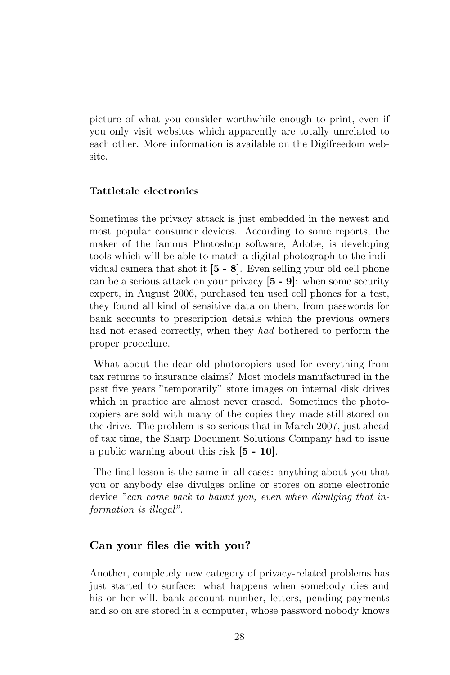picture of what you consider worthwhile enough to print, even if you only visit websites which apparently are totally unrelated to each other. More information is available on the Digifreedom website.

### Tattletale electronics

Sometimes the privacy attack is just embedded in the newest and most popular consumer devices. According to some reports, the maker of the famous Photoshop software, Adobe, is developing tools which will be able to match a digital photograph to the individual camera that shot it [5 - 8]. Even selling your old cell phone can be a serious attack on your privacy  $[5 - 9]$ : when some security expert, in August 2006, purchased ten used cell phones for a test, they found all kind of sensitive data on them, from passwords for bank accounts to prescription details which the previous owners had not erased correctly, when they had bothered to perform the proper procedure.

What about the dear old photocopiers used for everything from tax returns to insurance claims? Most models manufactured in the past five years "temporarily" store images on internal disk drives which in practice are almost never erased. Sometimes the photocopiers are sold with many of the copies they made still stored on the drive. The problem is so serious that in March 2007, just ahead of tax time, the Sharp Document Solutions Company had to issue a public warning about this risk [5 - 10].

The final lesson is the same in all cases: anything about you that you or anybody else divulges online or stores on some electronic device "can come back to haunt you, even when divulging that information is illegal".

### Can your files die with you?

Another, completely new category of privacy-related problems has just started to surface: what happens when somebody dies and his or her will, bank account number, letters, pending payments and so on are stored in a computer, whose password nobody knows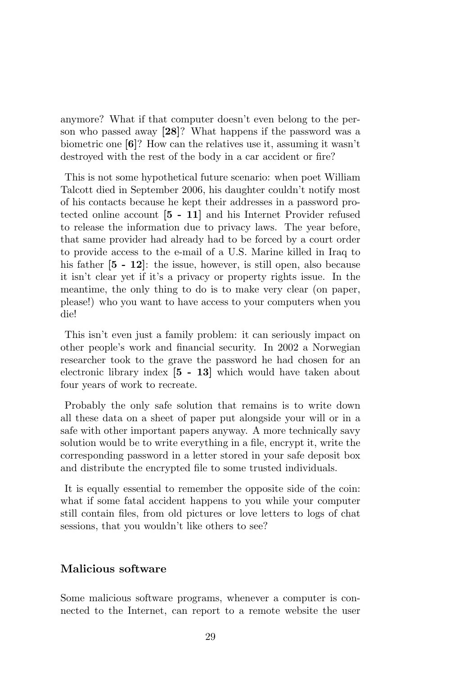anymore? What if that computer doesn't even belong to the person who passed away [28]? What happens if the password was a biometric one [6]? How can the relatives use it, assuming it wasn't destroyed with the rest of the body in a car accident or fire?

This is not some hypothetical future scenario: when poet William Talcott died in September 2006, his daughter couldn't notify most of his contacts because he kept their addresses in a password protected online account [5 - 11] and his Internet Provider refused to release the information due to privacy laws. The year before, that same provider had already had to be forced by a court order to provide access to the e-mail of a U.S. Marine killed in Iraq to his father  $[5 - 12]$ : the issue, however, is still open, also because it isn't clear yet if it's a privacy or property rights issue. In the meantime, the only thing to do is to make very clear (on paper, please!) who you want to have access to your computers when you die!

This isn't even just a family problem: it can seriously impact on other people's work and financial security. In 2002 a Norwegian researcher took to the grave the password he had chosen for an electronic library index [5 - 13] which would have taken about four years of work to recreate.

Probably the only safe solution that remains is to write down all these data on a sheet of paper put alongside your will or in a safe with other important papers anyway. A more technically savy solution would be to write everything in a file, encrypt it, write the corresponding password in a letter stored in your safe deposit box and distribute the encrypted file to some trusted individuals.

It is equally essential to remember the opposite side of the coin: what if some fatal accident happens to you while your computer still contain files, from old pictures or love letters to logs of chat sessions, that you wouldn't like others to see?

### Malicious software

Some malicious software programs, whenever a computer is connected to the Internet, can report to a remote website the user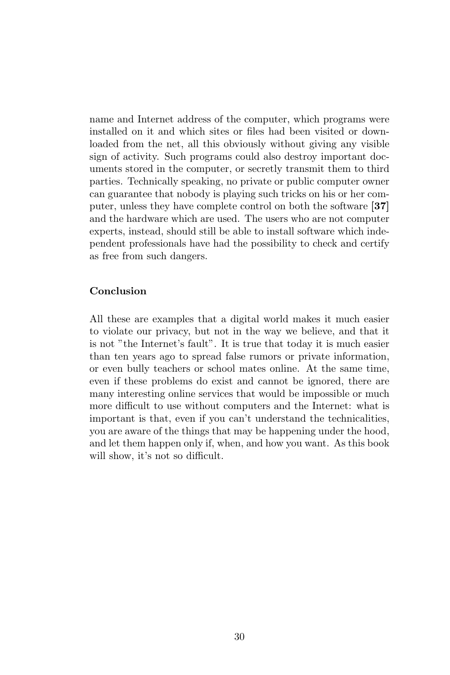name and Internet address of the computer, which programs were installed on it and which sites or files had been visited or downloaded from the net, all this obviously without giving any visible sign of activity. Such programs could also destroy important documents stored in the computer, or secretly transmit them to third parties. Technically speaking, no private or public computer owner can guarantee that nobody is playing such tricks on his or her computer, unless they have complete control on both the software [37] and the hardware which are used. The users who are not computer experts, instead, should still be able to install software which independent professionals have had the possibility to check and certify as free from such dangers.

### Conclusion

All these are examples that a digital world makes it much easier to violate our privacy, but not in the way we believe, and that it is not "the Internet's fault". It is true that today it is much easier than ten years ago to spread false rumors or private information, or even bully teachers or school mates online. At the same time, even if these problems do exist and cannot be ignored, there are many interesting online services that would be impossible or much more difficult to use without computers and the Internet: what is important is that, even if you can't understand the technicalities, you are aware of the things that may be happening under the hood, and let them happen only if, when, and how you want. As this book will show, it's not so difficult.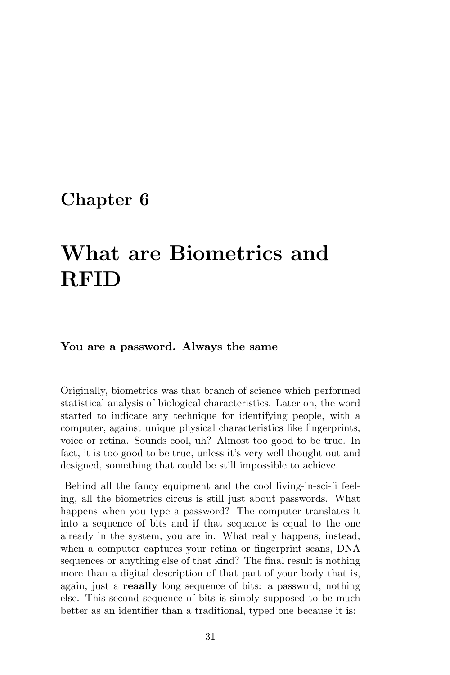## <span id="page-34-0"></span>Chapter 6

# What are Biometrics and RFID

### You are a password. Always the same

Originally, biometrics was that branch of science which performed statistical analysis of biological characteristics. Later on, the word started to indicate any technique for identifying people, with a computer, against unique physical characteristics like fingerprints, voice or retina. Sounds cool, uh? Almost too good to be true. In fact, it is too good to be true, unless it's very well thought out and designed, something that could be still impossible to achieve.

Behind all the fancy equipment and the cool living-in-sci-fi feeling, all the biometrics circus is still just about passwords. What happens when you type a password? The computer translates it into a sequence of bits and if that sequence is equal to the one already in the system, you are in. What really happens, instead, when a computer captures your retina or fingerprint scans, DNA sequences or anything else of that kind? The final result is nothing more than a digital description of that part of your body that is, again, just a reaally long sequence of bits: a password, nothing else. This second sequence of bits is simply supposed to be much better as an identifier than a traditional, typed one because it is: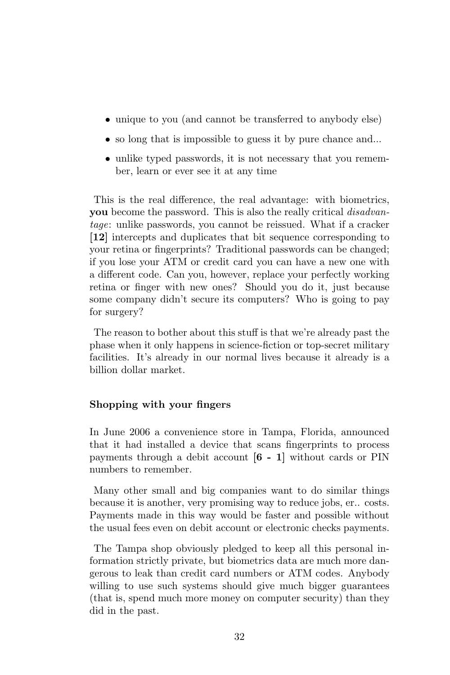- unique to you (and cannot be transferred to anybody else)
- so long that is impossible to guess it by pure chance and...
- unlike typed passwords, it is not necessary that you remember, learn or ever see it at any time

This is the real difference, the real advantage: with biometrics, you become the password. This is also the really critical disadvantage: unlike passwords, you cannot be reissued. What if a cracker [12] intercepts and duplicates that bit sequence corresponding to your retina or fingerprints? Traditional passwords can be changed; if you lose your ATM or credit card you can have a new one with a different code. Can you, however, replace your perfectly working retina or finger with new ones? Should you do it, just because some company didn't secure its computers? Who is going to pay for surgery?

The reason to bother about this stuff is that we're already past the phase when it only happens in science-fiction or top-secret military facilities. It's already in our normal lives because it already is a billion dollar market.

### Shopping with your fingers

In June 2006 a convenience store in Tampa, Florida, announced that it had installed a device that scans fingerprints to process payments through a debit account [6 - 1] without cards or PIN numbers to remember.

Many other small and big companies want to do similar things because it is another, very promising way to reduce jobs, er.. costs. Payments made in this way would be faster and possible without the usual fees even on debit account or electronic checks payments.

The Tampa shop obviously pledged to keep all this personal information strictly private, but biometrics data are much more dangerous to leak than credit card numbers or ATM codes. Anybody willing to use such systems should give much bigger guarantees (that is, spend much more money on computer security) than they did in the past.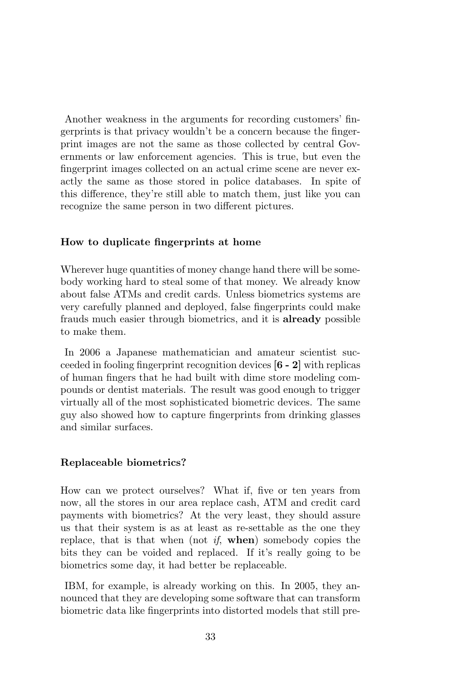Another weakness in the arguments for recording customers' fingerprints is that privacy wouldn't be a concern because the fingerprint images are not the same as those collected by central Governments or law enforcement agencies. This is true, but even the fingerprint images collected on an actual crime scene are never exactly the same as those stored in police databases. In spite of this difference, they're still able to match them, just like you can recognize the same person in two different pictures.

#### How to duplicate fingerprints at home

Wherever huge quantities of money change hand there will be somebody working hard to steal some of that money. We already know about false ATMs and credit cards. Unless biometrics systems are very carefully planned and deployed, false fingerprints could make frauds much easier through biometrics, and it is already possible to make them.

In 2006 a Japanese mathematician and amateur scientist succeeded in fooling fingerprint recognition devices [6 - 2] with replicas of human fingers that he had built with dime store modeling compounds or dentist materials. The result was good enough to trigger virtually all of the most sophisticated biometric devices. The same guy also showed how to capture fingerprints from drinking glasses and similar surfaces.

#### Replaceable biometrics?

How can we protect ourselves? What if, five or ten years from now, all the stores in our area replace cash, ATM and credit card payments with biometrics? At the very least, they should assure us that their system is as at least as re-settable as the one they replace, that is that when (not  $if$ , when) somebody copies the bits they can be voided and replaced. If it's really going to be biometrics some day, it had better be replaceable.

IBM, for example, is already working on this. In 2005, they announced that they are developing some software that can transform biometric data like fingerprints into distorted models that still pre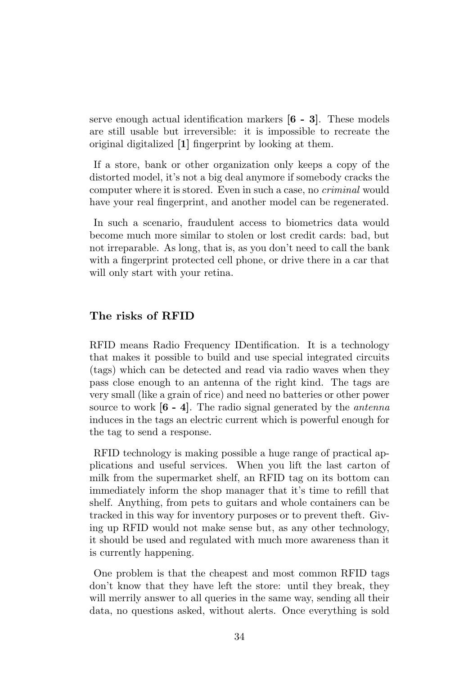serve enough actual identification markers [6 - 3]. These models are still usable but irreversible: it is impossible to recreate the original digitalized [1] fingerprint by looking at them.

If a store, bank or other organization only keeps a copy of the distorted model, it's not a big deal anymore if somebody cracks the computer where it is stored. Even in such a case, no criminal would have your real fingerprint, and another model can be regenerated.

In such a scenario, fraudulent access to biometrics data would become much more similar to stolen or lost credit cards: bad, but not irreparable. As long, that is, as you don't need to call the bank with a fingerprint protected cell phone, or drive there in a car that will only start with your retina.

### The risks of RFID

RFID means Radio Frequency IDentification. It is a technology that makes it possible to build and use special integrated circuits (tags) which can be detected and read via radio waves when they pass close enough to an antenna of the right kind. The tags are very small (like a grain of rice) and need no batteries or other power source to work  $[6 - 4]$ . The radio signal generated by the *antenna* induces in the tags an electric current which is powerful enough for the tag to send a response.

RFID technology is making possible a huge range of practical applications and useful services. When you lift the last carton of milk from the supermarket shelf, an RFID tag on its bottom can immediately inform the shop manager that it's time to refill that shelf. Anything, from pets to guitars and whole containers can be tracked in this way for inventory purposes or to prevent theft. Giving up RFID would not make sense but, as any other technology, it should be used and regulated with much more awareness than it is currently happening.

One problem is that the cheapest and most common RFID tags don't know that they have left the store: until they break, they will merrily answer to all queries in the same way, sending all their data, no questions asked, without alerts. Once everything is sold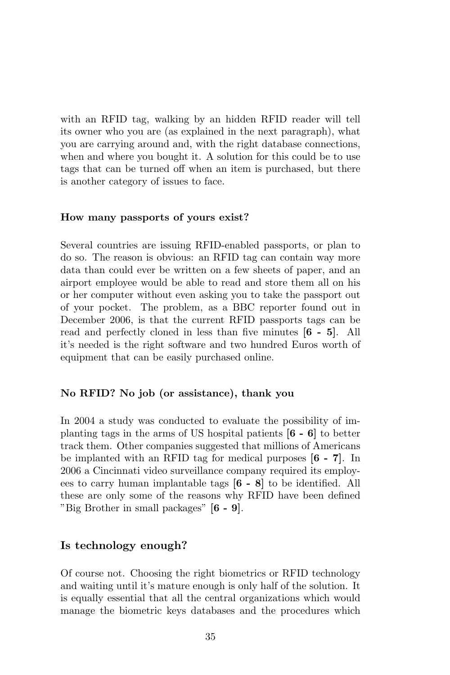with an RFID tag, walking by an hidden RFID reader will tell its owner who you are (as explained in the next paragraph), what you are carrying around and, with the right database connections, when and where you bought it. A solution for this could be to use tags that can be turned off when an item is purchased, but there is another category of issues to face.

#### How many passports of yours exist?

Several countries are issuing RFID-enabled passports, or plan to do so. The reason is obvious: an RFID tag can contain way more data than could ever be written on a few sheets of paper, and an airport employee would be able to read and store them all on his or her computer without even asking you to take the passport out of your pocket. The problem, as a BBC reporter found out in December 2006, is that the current RFID passports tags can be read and perfectly cloned in less than five minutes [6 - 5]. All it's needed is the right software and two hundred Euros worth of equipment that can be easily purchased online.

#### No RFID? No job (or assistance), thank you

In 2004 a study was conducted to evaluate the possibility of implanting tags in the arms of US hospital patients [6 - 6] to better track them. Other companies suggested that millions of Americans be implanted with an RFID tag for medical purposes [6 - 7]. In 2006 a Cincinnati video surveillance company required its employees to carry human implantable tags [6 - 8] to be identified. All these are only some of the reasons why RFID have been defined "Big Brother in small packages" [6 - 9].

### Is technology enough?

Of course not. Choosing the right biometrics or RFID technology and waiting until it's mature enough is only half of the solution. It is equally essential that all the central organizations which would manage the biometric keys databases and the procedures which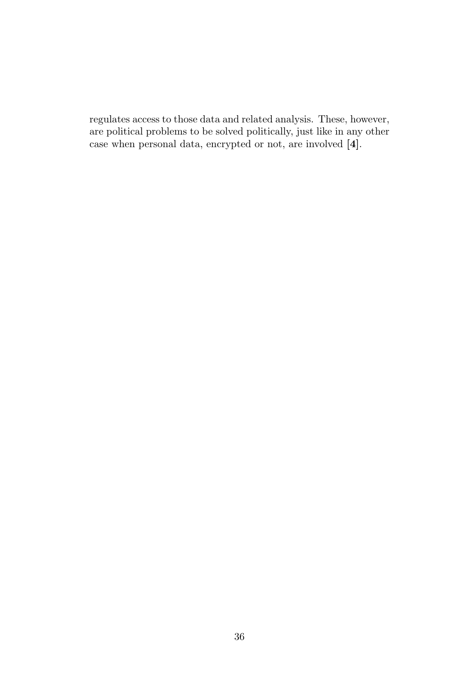regulates access to those data and related analysis. These, however, are political problems to be solved politically, just like in any other case when personal data, encrypted or not, are involved [4].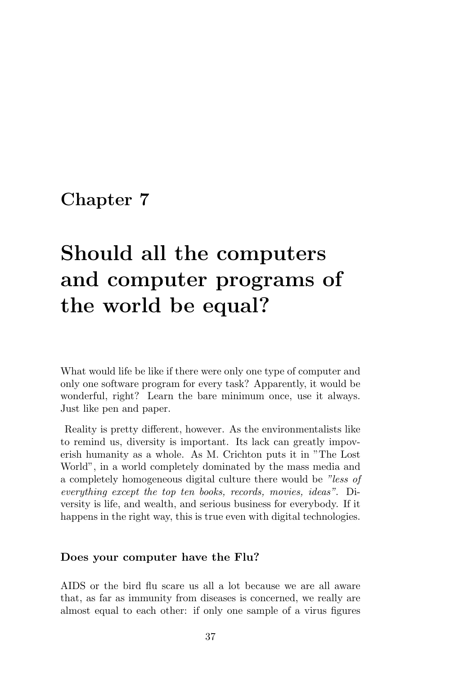# Should all the computers and computer programs of the world be equal?

What would life be like if there were only one type of computer and only one software program for every task? Apparently, it would be wonderful, right? Learn the bare minimum once, use it always. Just like pen and paper.

Reality is pretty different, however. As the environmentalists like to remind us, diversity is important. Its lack can greatly impoverish humanity as a whole. As M. Crichton puts it in "The Lost World", in a world completely dominated by the mass media and a completely homogeneous digital culture there would be "less of everything except the top ten books, records, movies, ideas". Diversity is life, and wealth, and serious business for everybody. If it happens in the right way, this is true even with digital technologies.

#### Does your computer have the Flu?

AIDS or the bird flu scare us all a lot because we are all aware that, as far as immunity from diseases is concerned, we really are almost equal to each other: if only one sample of a virus figures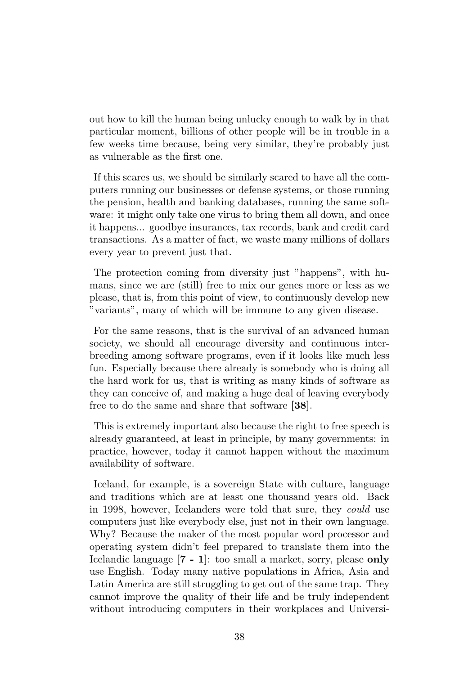out how to kill the human being unlucky enough to walk by in that particular moment, billions of other people will be in trouble in a few weeks time because, being very similar, they're probably just as vulnerable as the first one.

If this scares us, we should be similarly scared to have all the computers running our businesses or defense systems, or those running the pension, health and banking databases, running the same software: it might only take one virus to bring them all down, and once it happens... goodbye insurances, tax records, bank and credit card transactions. As a matter of fact, we waste many millions of dollars every year to prevent just that.

The protection coming from diversity just "happens", with humans, since we are (still) free to mix our genes more or less as we please, that is, from this point of view, to continuously develop new "variants", many of which will be immune to any given disease.

For the same reasons, that is the survival of an advanced human society, we should all encourage diversity and continuous interbreeding among software programs, even if it looks like much less fun. Especially because there already is somebody who is doing all the hard work for us, that is writing as many kinds of software as they can conceive of, and making a huge deal of leaving everybody free to do the same and share that software [38].

This is extremely important also because the right to free speech is already guaranteed, at least in principle, by many governments: in practice, however, today it cannot happen without the maximum availability of software.

Iceland, for example, is a sovereign State with culture, language and traditions which are at least one thousand years old. Back in 1998, however, Icelanders were told that sure, they could use computers just like everybody else, just not in their own language. Why? Because the maker of the most popular word processor and operating system didn't feel prepared to translate them into the Icelandic language [7 - 1]: too small a market, sorry, please only use English. Today many native populations in Africa, Asia and Latin America are still struggling to get out of the same trap. They cannot improve the quality of their life and be truly independent without introducing computers in their workplaces and Universi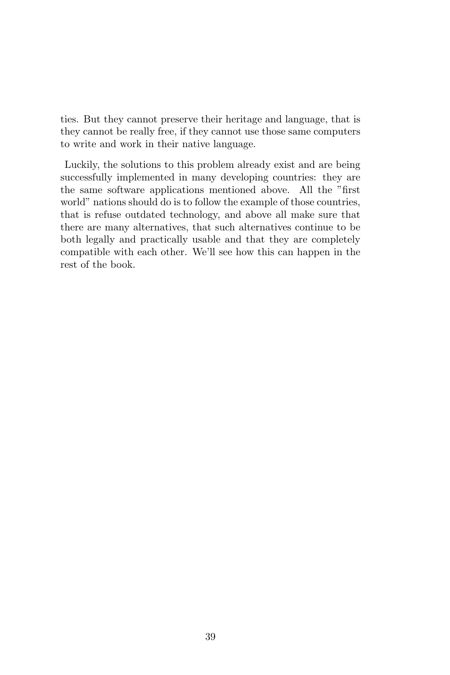ties. But they cannot preserve their heritage and language, that is they cannot be really free, if they cannot use those same computers to write and work in their native language.

Luckily, the solutions to this problem already exist and are being successfully implemented in many developing countries: they are the same software applications mentioned above. All the "first world" nations should do is to follow the example of those countries, that is refuse outdated technology, and above all make sure that there are many alternatives, that such alternatives continue to be both legally and practically usable and that they are completely compatible with each other. We'll see how this can happen in the rest of the book.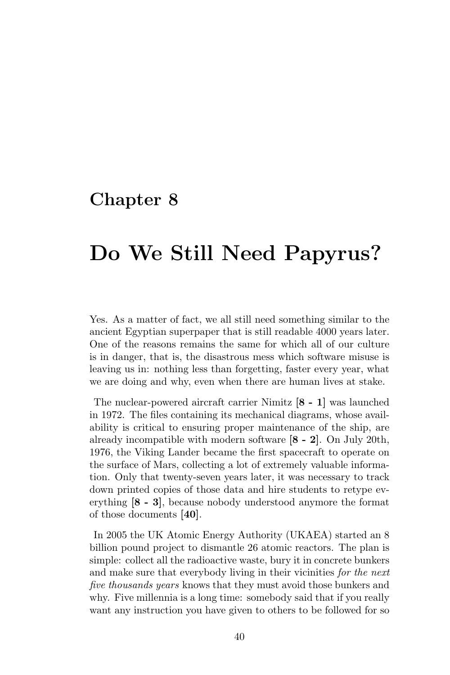# Do We Still Need Papyrus?

Yes. As a matter of fact, we all still need something similar to the ancient Egyptian superpaper that is still readable 4000 years later. One of the reasons remains the same for which all of our culture is in danger, that is, the disastrous mess which software misuse is leaving us in: nothing less than forgetting, faster every year, what we are doing and why, even when there are human lives at stake.

The nuclear-powered aircraft carrier Nimitz [8 - 1] was launched in 1972. The files containing its mechanical diagrams, whose availability is critical to ensuring proper maintenance of the ship, are already incompatible with modern software [8 - 2]. On July 20th, 1976, the Viking Lander became the first spacecraft to operate on the surface of Mars, collecting a lot of extremely valuable information. Only that twenty-seven years later, it was necessary to track down printed copies of those data and hire students to retype everything [8 - 3], because nobody understood anymore the format of those documents [40].

In 2005 the UK Atomic Energy Authority (UKAEA) started an 8 billion pound project to dismantle 26 atomic reactors. The plan is simple: collect all the radioactive waste, bury it in concrete bunkers and make sure that everybody living in their vicinities for the next five thousands years knows that they must avoid those bunkers and why. Five millennia is a long time: somebody said that if you really want any instruction you have given to others to be followed for so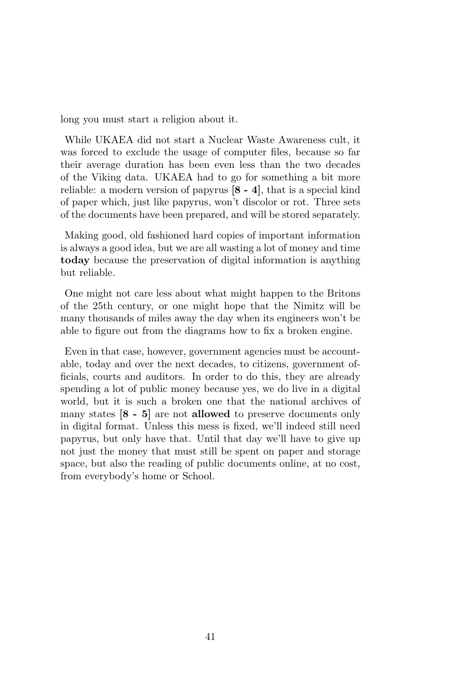long you must start a religion about it.

While UKAEA did not start a Nuclear Waste Awareness cult, it was forced to exclude the usage of computer files, because so far their average duration has been even less than the two decades of the Viking data. UKAEA had to go for something a bit more reliable: a modern version of papyrus [8 - 4], that is a special kind of paper which, just like papyrus, won't discolor or rot. Three sets of the documents have been prepared, and will be stored separately.

Making good, old fashioned hard copies of important information is always a good idea, but we are all wasting a lot of money and time today because the preservation of digital information is anything but reliable.

One might not care less about what might happen to the Britons of the 25th century, or one might hope that the Nimitz will be many thousands of miles away the day when its engineers won't be able to figure out from the diagrams how to fix a broken engine.

Even in that case, however, government agencies must be accountable, today and over the next decades, to citizens, government officials, courts and auditors. In order to do this, they are already spending a lot of public money because yes, we do live in a digital world, but it is such a broken one that the national archives of many states [8 - 5] are not allowed to preserve documents only in digital format. Unless this mess is fixed, we'll indeed still need papyrus, but only have that. Until that day we'll have to give up not just the money that must still be spent on paper and storage space, but also the reading of public documents online, at no cost, from everybody's home or School.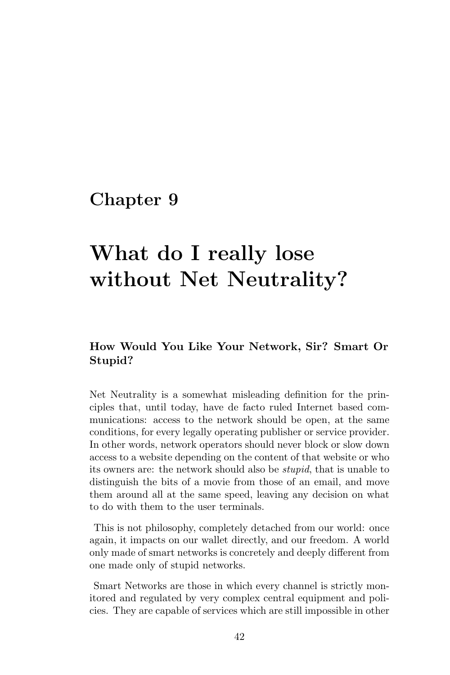# What do I really lose without Net Neutrality?

### How Would You Like Your Network, Sir? Smart Or Stupid?

Net Neutrality is a somewhat misleading definition for the principles that, until today, have de facto ruled Internet based communications: access to the network should be open, at the same conditions, for every legally operating publisher or service provider. In other words, network operators should never block or slow down access to a website depending on the content of that website or who its owners are: the network should also be stupid, that is unable to distinguish the bits of a movie from those of an email, and move them around all at the same speed, leaving any decision on what to do with them to the user terminals.

This is not philosophy, completely detached from our world: once again, it impacts on our wallet directly, and our freedom. A world only made of smart networks is concretely and deeply different from one made only of stupid networks.

Smart Networks are those in which every channel is strictly monitored and regulated by very complex central equipment and policies. They are capable of services which are still impossible in other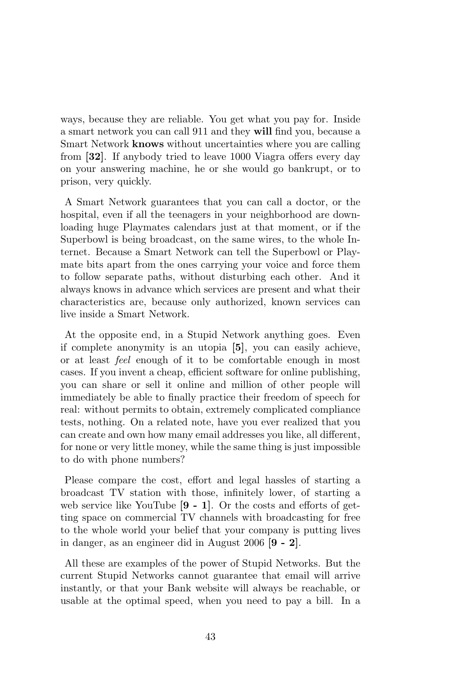ways, because they are reliable. You get what you pay for. Inside a smart network you can call 911 and they will find you, because a Smart Network knows without uncertainties where you are calling from [32]. If anybody tried to leave 1000 Viagra offers every day on your answering machine, he or she would go bankrupt, or to prison, very quickly.

A Smart Network guarantees that you can call a doctor, or the hospital, even if all the teenagers in your neighborhood are downloading huge Playmates calendars just at that moment, or if the Superbowl is being broadcast, on the same wires, to the whole Internet. Because a Smart Network can tell the Superbowl or Playmate bits apart from the ones carrying your voice and force them to follow separate paths, without disturbing each other. And it always knows in advance which services are present and what their characteristics are, because only authorized, known services can live inside a Smart Network.

At the opposite end, in a Stupid Network anything goes. Even if complete anonymity is an utopia [5], you can easily achieve, or at least feel enough of it to be comfortable enough in most cases. If you invent a cheap, efficient software for online publishing, you can share or sell it online and million of other people will immediately be able to finally practice their freedom of speech for real: without permits to obtain, extremely complicated compliance tests, nothing. On a related note, have you ever realized that you can create and own how many email addresses you like, all different, for none or very little money, while the same thing is just impossible to do with phone numbers?

Please compare the cost, effort and legal hassles of starting a broadcast TV station with those, infinitely lower, of starting a web service like YouTube [9 - 1]. Or the costs and efforts of getting space on commercial TV channels with broadcasting for free to the whole world your belief that your company is putting lives in danger, as an engineer did in August 2006 [9 - 2].

All these are examples of the power of Stupid Networks. But the current Stupid Networks cannot guarantee that email will arrive instantly, or that your Bank website will always be reachable, or usable at the optimal speed, when you need to pay a bill. In a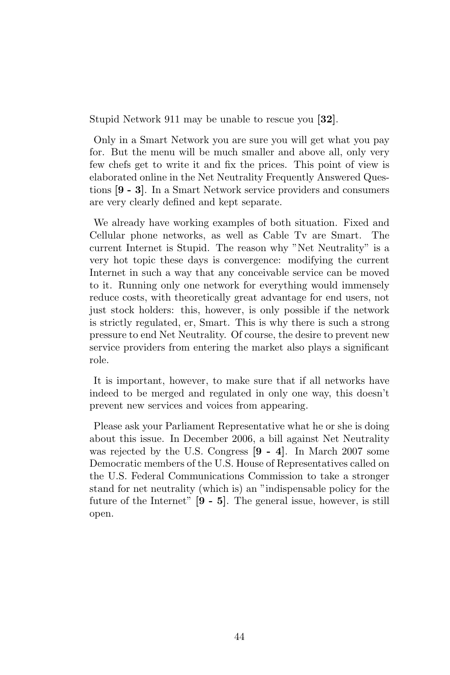Stupid Network 911 may be unable to rescue you [32].

Only in a Smart Network you are sure you will get what you pay for. But the menu will be much smaller and above all, only very few chefs get to write it and fix the prices. This point of view is elaborated online in the Net Neutrality Frequently Answered Questions [9 - 3]. In a Smart Network service providers and consumers are very clearly defined and kept separate.

We already have working examples of both situation. Fixed and Cellular phone networks, as well as Cable Tv are Smart. The current Internet is Stupid. The reason why "Net Neutrality" is a very hot topic these days is convergence: modifying the current Internet in such a way that any conceivable service can be moved to it. Running only one network for everything would immensely reduce costs, with theoretically great advantage for end users, not just stock holders: this, however, is only possible if the network is strictly regulated, er, Smart. This is why there is such a strong pressure to end Net Neutrality. Of course, the desire to prevent new service providers from entering the market also plays a significant role.

It is important, however, to make sure that if all networks have indeed to be merged and regulated in only one way, this doesn't prevent new services and voices from appearing.

Please ask your Parliament Representative what he or she is doing about this issue. In December 2006, a bill against Net Neutrality was rejected by the U.S. Congress [9 - 4]. In March 2007 some Democratic members of the U.S. House of Representatives called on the U.S. Federal Communications Commission to take a stronger stand for net neutrality (which is) an "indispensable policy for the future of the Internet" [9 - 5]. The general issue, however, is still open.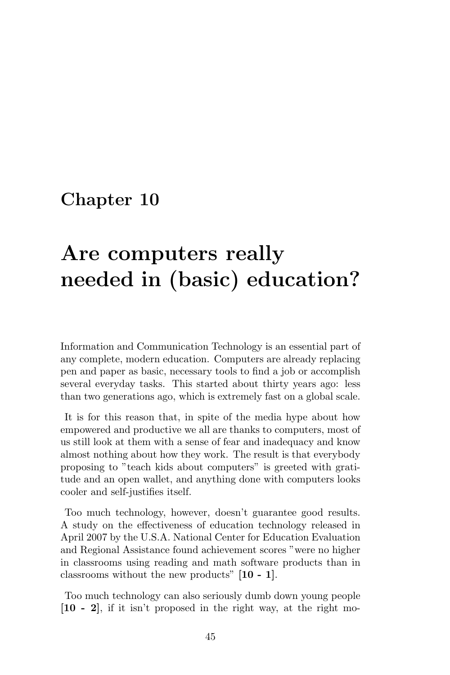# Are computers really needed in (basic) education?

Information and Communication Technology is an essential part of any complete, modern education. Computers are already replacing pen and paper as basic, necessary tools to find a job or accomplish several everyday tasks. This started about thirty years ago: less than two generations ago, which is extremely fast on a global scale.

It is for this reason that, in spite of the media hype about how empowered and productive we all are thanks to computers, most of us still look at them with a sense of fear and inadequacy and know almost nothing about how they work. The result is that everybody proposing to "teach kids about computers" is greeted with gratitude and an open wallet, and anything done with computers looks cooler and self-justifies itself.

Too much technology, however, doesn't guarantee good results. A study on the effectiveness of education technology released in April 2007 by the U.S.A. National Center for Education Evaluation and Regional Assistance found achievement scores "were no higher in classrooms using reading and math software products than in classrooms without the new products" [10 - 1].

Too much technology can also seriously dumb down young people [10 - 2], if it isn't proposed in the right way, at the right mo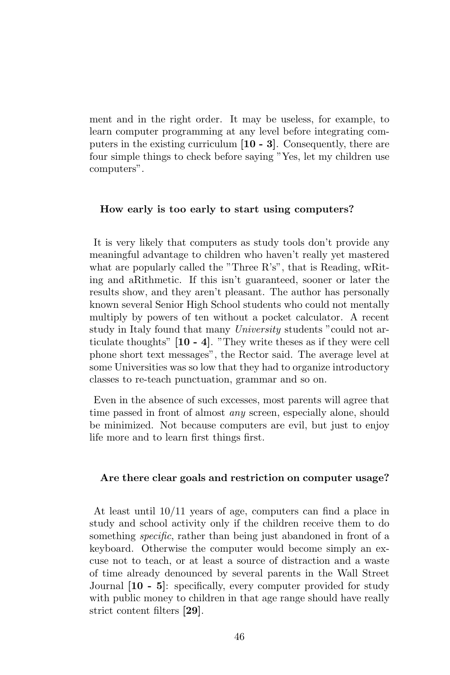ment and in the right order. It may be useless, for example, to learn computer programming at any level before integrating computers in the existing curriculum [10 - 3]. Consequently, there are four simple things to check before saying "Yes, let my children use computers".

#### How early is too early to start using computers?

It is very likely that computers as study tools don't provide any meaningful advantage to children who haven't really yet mastered what are popularly called the "Three R's", that is Reading, wRiting and aRithmetic. If this isn't guaranteed, sooner or later the results show, and they aren't pleasant. The author has personally known several Senior High School students who could not mentally multiply by powers of ten without a pocket calculator. A recent study in Italy found that many University students "could not articulate thoughts" [10 - 4]. "They write theses as if they were cell phone short text messages", the Rector said. The average level at some Universities was so low that they had to organize introductory classes to re-teach punctuation, grammar and so on.

Even in the absence of such excesses, most parents will agree that time passed in front of almost *any* screen, especially alone, should be minimized. Not because computers are evil, but just to enjoy life more and to learn first things first.

#### Are there clear goals and restriction on computer usage?

At least until 10/11 years of age, computers can find a place in study and school activity only if the children receive them to do something *specific*, rather than being just abandoned in front of a keyboard. Otherwise the computer would become simply an excuse not to teach, or at least a source of distraction and a waste of time already denounced by several parents in the Wall Street Journal [10 - 5]: specifically, every computer provided for study with public money to children in that age range should have really strict content filters [29].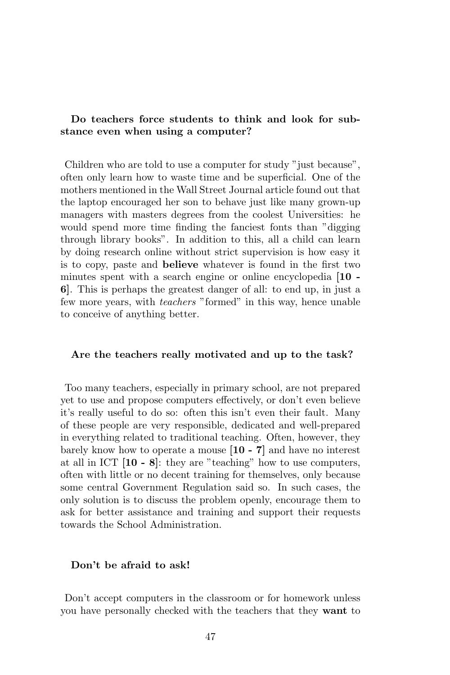### Do teachers force students to think and look for substance even when using a computer?

Children who are told to use a computer for study "just because", often only learn how to waste time and be superficial. One of the mothers mentioned in the Wall Street Journal article found out that the laptop encouraged her son to behave just like many grown-up managers with masters degrees from the coolest Universities: he would spend more time finding the fanciest fonts than "digging through library books". In addition to this, all a child can learn by doing research online without strict supervision is how easy it is to copy, paste and believe whatever is found in the first two minutes spent with a search engine or online encyclopedia [10 - 6]. This is perhaps the greatest danger of all: to end up, in just a few more years, with teachers "formed" in this way, hence unable to conceive of anything better.

#### Are the teachers really motivated and up to the task?

Too many teachers, especially in primary school, are not prepared yet to use and propose computers effectively, or don't even believe it's really useful to do so: often this isn't even their fault. Many of these people are very responsible, dedicated and well-prepared in everything related to traditional teaching. Often, however, they barely know how to operate a mouse [10 - 7] and have no interest at all in ICT [10 - 8]: they are "teaching" how to use computers, often with little or no decent training for themselves, only because some central Government Regulation said so. In such cases, the only solution is to discuss the problem openly, encourage them to ask for better assistance and training and support their requests towards the School Administration.

#### Don't be afraid to ask!

Don't accept computers in the classroom or for homework unless you have personally checked with the teachers that they want to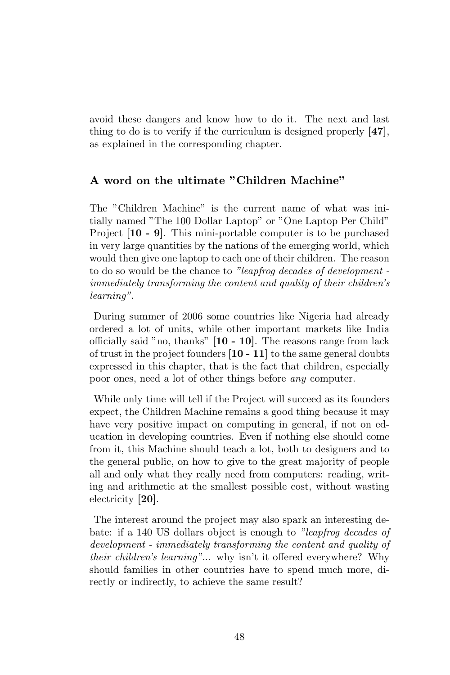avoid these dangers and know how to do it. The next and last thing to do is to verify if the curriculum is designed properly [47], as explained in the corresponding chapter.

### A word on the ultimate "Children Machine"

The "Children Machine" is the current name of what was initially named "The 100 Dollar Laptop" or "One Laptop Per Child" Project [10 - 9]. This mini-portable computer is to be purchased in very large quantities by the nations of the emerging world, which would then give one laptop to each one of their children. The reason to do so would be the chance to "leapfrog decades of development immediately transforming the content and quality of their children's learning".

During summer of 2006 some countries like Nigeria had already ordered a lot of units, while other important markets like India officially said "no, thanks" [10 - 10]. The reasons range from lack of trust in the project founders [10 - 11] to the same general doubts expressed in this chapter, that is the fact that children, especially poor ones, need a lot of other things before any computer.

While only time will tell if the Project will succeed as its founders expect, the Children Machine remains a good thing because it may have very positive impact on computing in general, if not on education in developing countries. Even if nothing else should come from it, this Machine should teach a lot, both to designers and to the general public, on how to give to the great majority of people all and only what they really need from computers: reading, writing and arithmetic at the smallest possible cost, without wasting electricity [20].

The interest around the project may also spark an interesting debate: if a 140 US dollars object is enough to "leapfrog decades of development - immediately transforming the content and quality of their children's learning"... why isn't it offered everywhere? Why should families in other countries have to spend much more, directly or indirectly, to achieve the same result?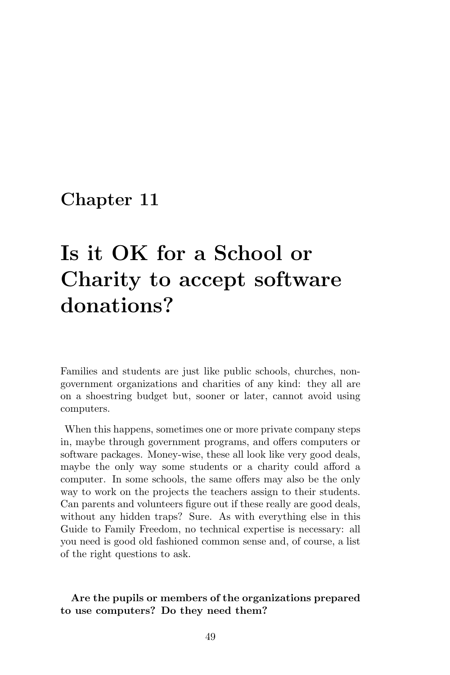# Is it OK for a School or Charity to accept software donations?

Families and students are just like public schools, churches, nongovernment organizations and charities of any kind: they all are on a shoestring budget but, sooner or later, cannot avoid using computers.

When this happens, sometimes one or more private company steps in, maybe through government programs, and offers computers or software packages. Money-wise, these all look like very good deals, maybe the only way some students or a charity could afford a computer. In some schools, the same offers may also be the only way to work on the projects the teachers assign to their students. Can parents and volunteers figure out if these really are good deals, without any hidden traps? Sure. As with everything else in this Guide to Family Freedom, no technical expertise is necessary: all you need is good old fashioned common sense and, of course, a list of the right questions to ask.

### Are the pupils or members of the organizations prepared to use computers? Do they need them?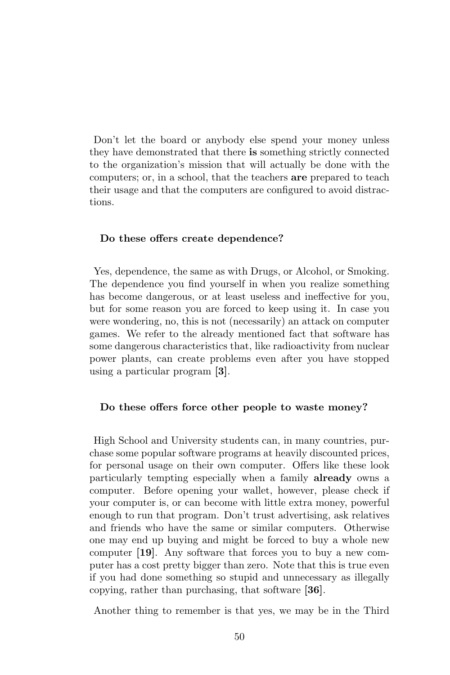Don't let the board or anybody else spend your money unless they have demonstrated that there is something strictly connected to the organization's mission that will actually be done with the computers; or, in a school, that the teachers are prepared to teach their usage and that the computers are configured to avoid distractions.

#### Do these offers create dependence?

Yes, dependence, the same as with Drugs, or Alcohol, or Smoking. The dependence you find yourself in when you realize something has become dangerous, or at least useless and ineffective for you, but for some reason you are forced to keep using it. In case you were wondering, no, this is not (necessarily) an attack on computer games. We refer to the already mentioned fact that software has some dangerous characteristics that, like radioactivity from nuclear power plants, can create problems even after you have stopped using a particular program [3].

#### Do these offers force other people to waste money?

High School and University students can, in many countries, purchase some popular software programs at heavily discounted prices, for personal usage on their own computer. Offers like these look particularly tempting especially when a family already owns a computer. Before opening your wallet, however, please check if your computer is, or can become with little extra money, powerful enough to run that program. Don't trust advertising, ask relatives and friends who have the same or similar computers. Otherwise one may end up buying and might be forced to buy a whole new computer [19]. Any software that forces you to buy a new computer has a cost pretty bigger than zero. Note that this is true even if you had done something so stupid and unnecessary as illegally copying, rather than purchasing, that software [36].

Another thing to remember is that yes, we may be in the Third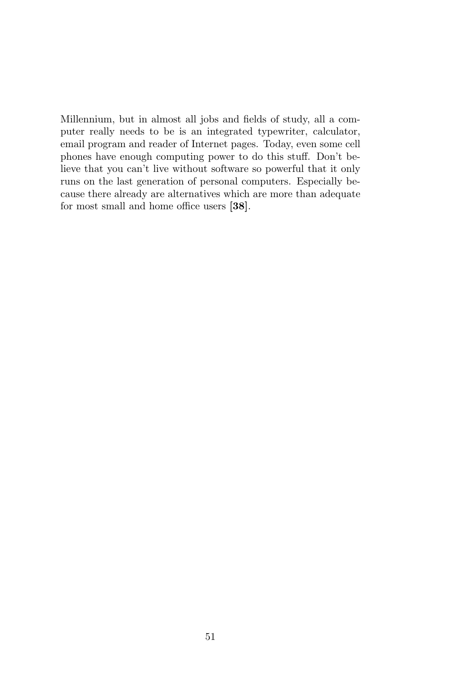Millennium, but in almost all jobs and fields of study, all a computer really needs to be is an integrated typewriter, calculator, email program and reader of Internet pages. Today, even some cell phones have enough computing power to do this stuff. Don't believe that you can't live without software so powerful that it only runs on the last generation of personal computers. Especially because there already are alternatives which are more than adequate for most small and home office users [38].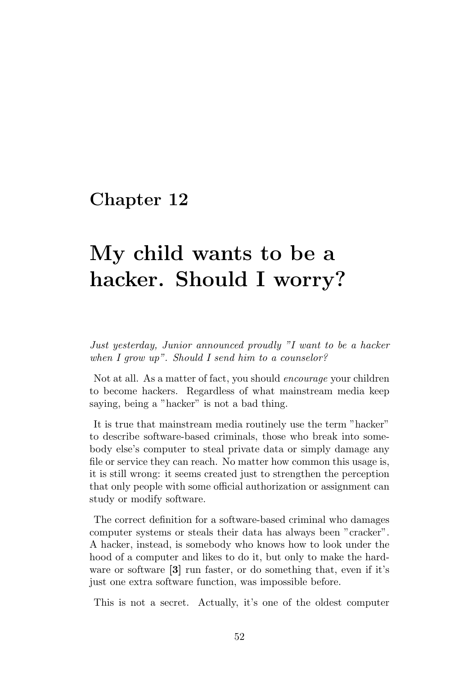# My child wants to be a hacker. Should I worry?

Just yesterday, Junior announced proudly "I want to be a hacker when I grow up". Should I send him to a counselor?

Not at all. As a matter of fact, you should encourage your children to become hackers. Regardless of what mainstream media keep saying, being a "hacker" is not a bad thing.

It is true that mainstream media routinely use the term "hacker" to describe software-based criminals, those who break into somebody else's computer to steal private data or simply damage any file or service they can reach. No matter how common this usage is, it is still wrong: it seems created just to strengthen the perception that only people with some official authorization or assignment can study or modify software.

The correct definition for a software-based criminal who damages computer systems or steals their data has always been "cracker". A hacker, instead, is somebody who knows how to look under the hood of a computer and likes to do it, but only to make the hardware or software [3] run faster, or do something that, even if it's just one extra software function, was impossible before.

This is not a secret. Actually, it's one of the oldest computer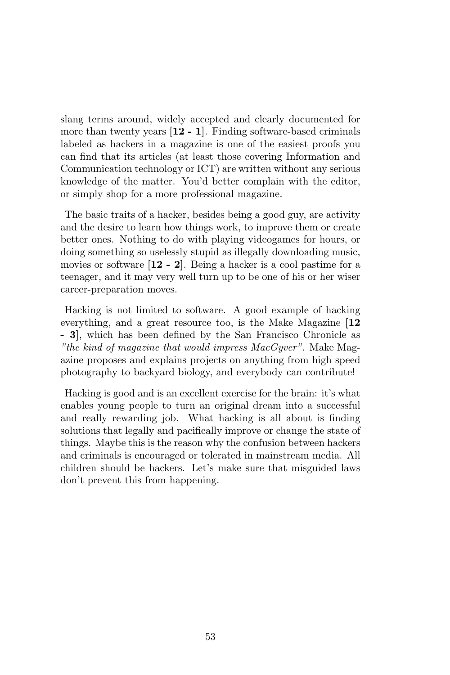slang terms around, widely accepted and clearly documented for more than twenty years  $[12 - 1]$ . Finding software-based criminals labeled as hackers in a magazine is one of the easiest proofs you can find that its articles (at least those covering Information and Communication technology or ICT) are written without any serious knowledge of the matter. You'd better complain with the editor, or simply shop for a more professional magazine.

The basic traits of a hacker, besides being a good guy, are activity and the desire to learn how things work, to improve them or create better ones. Nothing to do with playing videogames for hours, or doing something so uselessly stupid as illegally downloading music, movies or software [12 - 2]. Being a hacker is a cool pastime for a teenager, and it may very well turn up to be one of his or her wiser career-preparation moves.

Hacking is not limited to software. A good example of hacking everything, and a great resource too, is the Make Magazine [12] - 3], which has been defined by the San Francisco Chronicle as "the kind of magazine that would impress MacGyver". Make Magazine proposes and explains projects on anything from high speed photography to backyard biology, and everybody can contribute!

Hacking is good and is an excellent exercise for the brain: it's what enables young people to turn an original dream into a successful and really rewarding job. What hacking is all about is finding solutions that legally and pacifically improve or change the state of things. Maybe this is the reason why the confusion between hackers and criminals is encouraged or tolerated in mainstream media. All children should be hackers. Let's make sure that misguided laws don't prevent this from happening.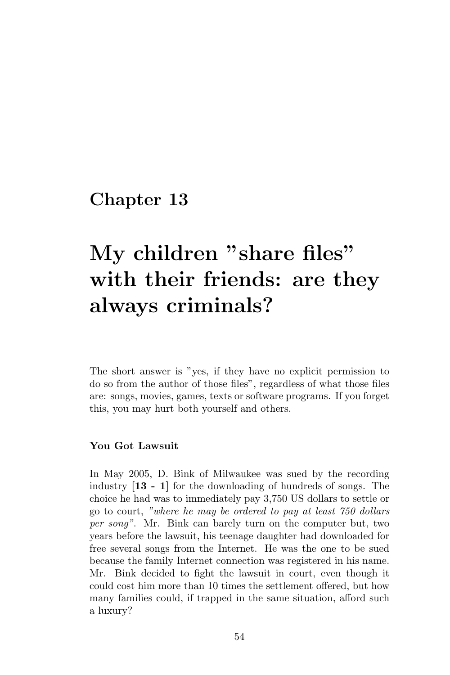# My children "share files" with their friends: are they always criminals?

The short answer is "yes, if they have no explicit permission to do so from the author of those files", regardless of what those files are: songs, movies, games, texts or software programs. If you forget this, you may hurt both yourself and others.

#### You Got Lawsuit

In May 2005, D. Bink of Milwaukee was sued by the recording industry [13 - 1] for the downloading of hundreds of songs. The choice he had was to immediately pay 3,750 US dollars to settle or go to court, "where he may be ordered to pay at least 750 dollars per song". Mr. Bink can barely turn on the computer but, two years before the lawsuit, his teenage daughter had downloaded for free several songs from the Internet. He was the one to be sued because the family Internet connection was registered in his name. Mr. Bink decided to fight the lawsuit in court, even though it could cost him more than 10 times the settlement offered, but how many families could, if trapped in the same situation, afford such a luxury?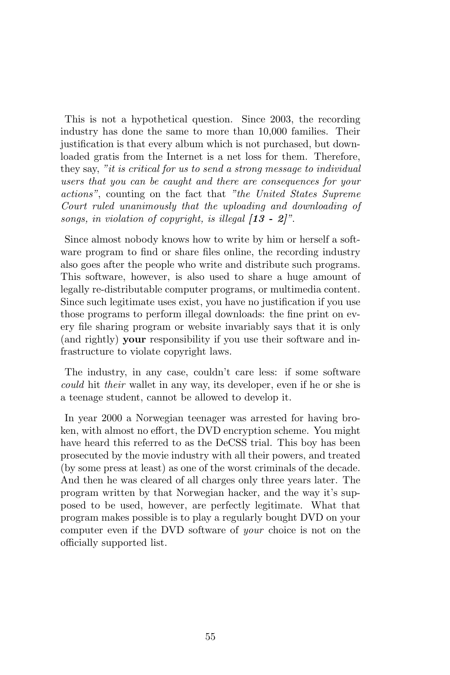This is not a hypothetical question. Since 2003, the recording industry has done the same to more than 10,000 families. Their justification is that every album which is not purchased, but downloaded gratis from the Internet is a net loss for them. Therefore, they say, "it is critical for us to send a strong message to individual users that you can be caught and there are consequences for your actions", counting on the fact that "the United States Supreme Court ruled unanimously that the uploading and downloading of songs, in violation of copyright, is illegal  $[13 - 2]$ ".

Since almost nobody knows how to write by him or herself a software program to find or share files online, the recording industry also goes after the people who write and distribute such programs. This software, however, is also used to share a huge amount of legally re-distributable computer programs, or multimedia content. Since such legitimate uses exist, you have no justification if you use those programs to perform illegal downloads: the fine print on every file sharing program or website invariably says that it is only (and rightly) your responsibility if you use their software and infrastructure to violate copyright laws.

The industry, in any case, couldn't care less: if some software could hit their wallet in any way, its developer, even if he or she is a teenage student, cannot be allowed to develop it.

In year 2000 a Norwegian teenager was arrested for having broken, with almost no effort, the DVD encryption scheme. You might have heard this referred to as the DeCSS trial. This boy has been prosecuted by the movie industry with all their powers, and treated (by some press at least) as one of the worst criminals of the decade. And then he was cleared of all charges only three years later. The program written by that Norwegian hacker, and the way it's supposed to be used, however, are perfectly legitimate. What that program makes possible is to play a regularly bought DVD on your computer even if the DVD software of your choice is not on the officially supported list.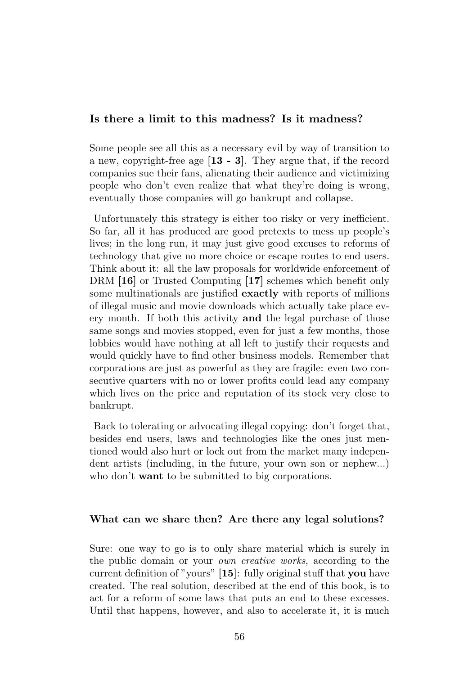### Is there a limit to this madness? Is it madness?

Some people see all this as a necessary evil by way of transition to a new, copyright-free age [13 - 3]. They argue that, if the record companies sue their fans, alienating their audience and victimizing people who don't even realize that what they're doing is wrong, eventually those companies will go bankrupt and collapse.

Unfortunately this strategy is either too risky or very inefficient. So far, all it has produced are good pretexts to mess up people's lives; in the long run, it may just give good excuses to reforms of technology that give no more choice or escape routes to end users. Think about it: all the law proposals for worldwide enforcement of DRM [16] or Trusted Computing [17] schemes which benefit only some multinationals are justified exactly with reports of millions of illegal music and movie downloads which actually take place every month. If both this activity and the legal purchase of those same songs and movies stopped, even for just a few months, those lobbies would have nothing at all left to justify their requests and would quickly have to find other business models. Remember that corporations are just as powerful as they are fragile: even two consecutive quarters with no or lower profits could lead any company which lives on the price and reputation of its stock very close to bankrupt.

Back to tolerating or advocating illegal copying: don't forget that, besides end users, laws and technologies like the ones just mentioned would also hurt or lock out from the market many independent artists (including, in the future, your own son or nephew...) who don't **want** to be submitted to big corporations.

#### What can we share then? Are there any legal solutions?

Sure: one way to go is to only share material which is surely in the public domain or your own creative works, according to the current definition of "yours" [15]: fully original stuff that you have created. The real solution, described at the end of this book, is to act for a reform of some laws that puts an end to these excesses. Until that happens, however, and also to accelerate it, it is much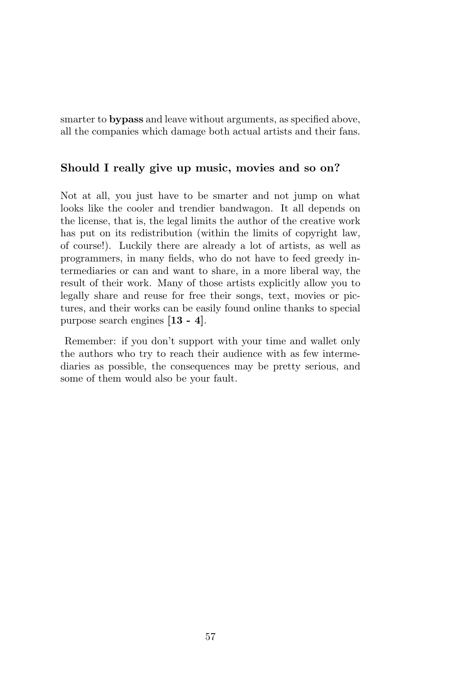smarter to bypass and leave without arguments, as specified above, all the companies which damage both actual artists and their fans.

### Should I really give up music, movies and so on?

Not at all, you just have to be smarter and not jump on what looks like the cooler and trendier bandwagon. It all depends on the license, that is, the legal limits the author of the creative work has put on its redistribution (within the limits of copyright law, of course!). Luckily there are already a lot of artists, as well as programmers, in many fields, who do not have to feed greedy intermediaries or can and want to share, in a more liberal way, the result of their work. Many of those artists explicitly allow you to legally share and reuse for free their songs, text, movies or pictures, and their works can be easily found online thanks to special purpose search engines [13 - 4].

Remember: if you don't support with your time and wallet only the authors who try to reach their audience with as few intermediaries as possible, the consequences may be pretty serious, and some of them would also be your fault.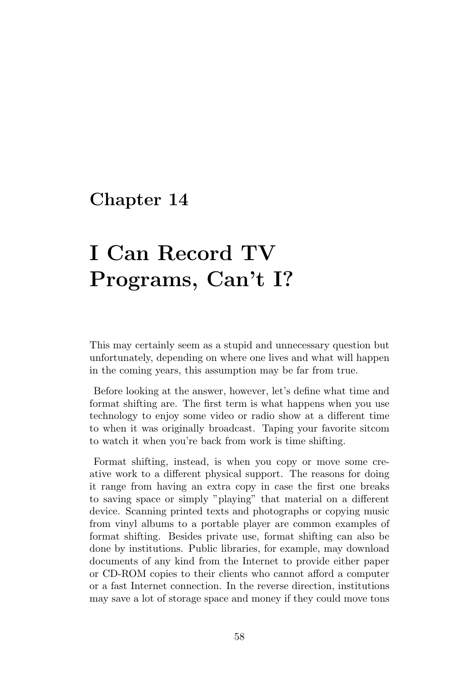# I Can Record TV Programs, Can't I?

This may certainly seem as a stupid and unnecessary question but unfortunately, depending on where one lives and what will happen in the coming years, this assumption may be far from true.

Before looking at the answer, however, let's define what time and format shifting are. The first term is what happens when you use technology to enjoy some video or radio show at a different time to when it was originally broadcast. Taping your favorite sitcom to watch it when you're back from work is time shifting.

Format shifting, instead, is when you copy or move some creative work to a different physical support. The reasons for doing it range from having an extra copy in case the first one breaks to saving space or simply "playing" that material on a different device. Scanning printed texts and photographs or copying music from vinyl albums to a portable player are common examples of format shifting. Besides private use, format shifting can also be done by institutions. Public libraries, for example, may download documents of any kind from the Internet to provide either paper or CD-ROM copies to their clients who cannot afford a computer or a fast Internet connection. In the reverse direction, institutions may save a lot of storage space and money if they could move tons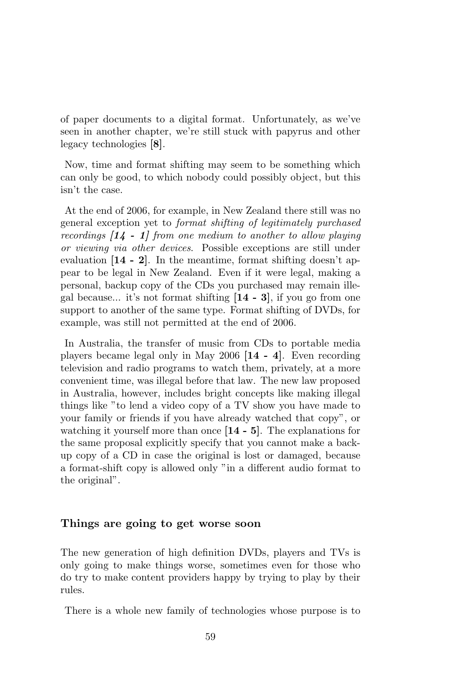of paper documents to a digital format. Unfortunately, as we've seen in another chapter, we're still stuck with papyrus and other legacy technologies [8].

Now, time and format shifting may seem to be something which can only be good, to which nobody could possibly object, but this isn't the case.

At the end of 2006, for example, in New Zealand there still was no general exception yet to format shifting of legitimately purchased recordings  $\begin{bmatrix} 14 & -1 \end{bmatrix}$  from one medium to another to allow playing or viewing via other devices. Possible exceptions are still under evaluation [14 - 2]. In the meantime, format shifting doesn't appear to be legal in New Zealand. Even if it were legal, making a personal, backup copy of the CDs you purchased may remain illegal because... it's not format shifting [14 - 3], if you go from one support to another of the same type. Format shifting of DVDs, for example, was still not permitted at the end of 2006.

In Australia, the transfer of music from CDs to portable media players became legal only in May 2006 [14 - 4]. Even recording television and radio programs to watch them, privately, at a more convenient time, was illegal before that law. The new law proposed in Australia, however, includes bright concepts like making illegal things like "to lend a video copy of a TV show you have made to your family or friends if you have already watched that copy", or watching it yourself more than once [14 - 5]. The explanations for the same proposal explicitly specify that you cannot make a backup copy of a CD in case the original is lost or damaged, because a format-shift copy is allowed only "in a different audio format to the original".

#### Things are going to get worse soon

The new generation of high definition DVDs, players and TVs is only going to make things worse, sometimes even for those who do try to make content providers happy by trying to play by their rules.

There is a whole new family of technologies whose purpose is to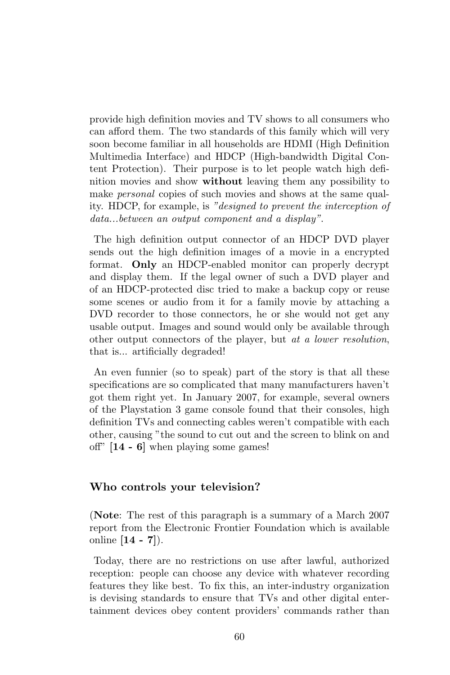provide high definition movies and TV shows to all consumers who can afford them. The two standards of this family which will very soon become familiar in all households are HDMI (High Definition Multimedia Interface) and HDCP (High-bandwidth Digital Content Protection). Their purpose is to let people watch high definition movies and show without leaving them any possibility to make *personal* copies of such movies and shows at the same quality. HDCP, for example, is "designed to prevent the interception of data...between an output component and a display".

The high definition output connector of an HDCP DVD player sends out the high definition images of a movie in a encrypted format. Only an HDCP-enabled monitor can properly decrypt and display them. If the legal owner of such a DVD player and of an HDCP-protected disc tried to make a backup copy or reuse some scenes or audio from it for a family movie by attaching a DVD recorder to those connectors, he or she would not get any usable output. Images and sound would only be available through other output connectors of the player, but at a lower resolution, that is... artificially degraded!

An even funnier (so to speak) part of the story is that all these specifications are so complicated that many manufacturers haven't got them right yet. In January 2007, for example, several owners of the Playstation 3 game console found that their consoles, high definition TVs and connecting cables weren't compatible with each other, causing "the sound to cut out and the screen to blink on and off" [14 - 6] when playing some games!

#### Who controls your television?

(Note: The rest of this paragraph is a summary of a March 2007 report from the Electronic Frontier Foundation which is available online  $[14 - 7]$ .

Today, there are no restrictions on use after lawful, authorized reception: people can choose any device with whatever recording features they like best. To fix this, an inter-industry organization is devising standards to ensure that TVs and other digital entertainment devices obey content providers' commands rather than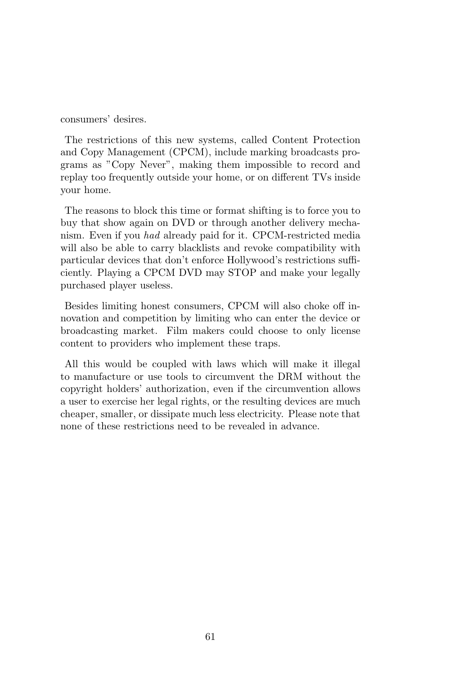consumers' desires.

The restrictions of this new systems, called Content Protection and Copy Management (CPCM), include marking broadcasts programs as "Copy Never", making them impossible to record and replay too frequently outside your home, or on different TVs inside your home.

The reasons to block this time or format shifting is to force you to buy that show again on DVD or through another delivery mechanism. Even if you had already paid for it. CPCM-restricted media will also be able to carry blacklists and revoke compatibility with particular devices that don't enforce Hollywood's restrictions sufficiently. Playing a CPCM DVD may STOP and make your legally purchased player useless.

Besides limiting honest consumers, CPCM will also choke off innovation and competition by limiting who can enter the device or broadcasting market. Film makers could choose to only license content to providers who implement these traps.

All this would be coupled with laws which will make it illegal to manufacture or use tools to circumvent the DRM without the copyright holders' authorization, even if the circumvention allows a user to exercise her legal rights, or the resulting devices are much cheaper, smaller, or dissipate much less electricity. Please note that none of these restrictions need to be revealed in advance.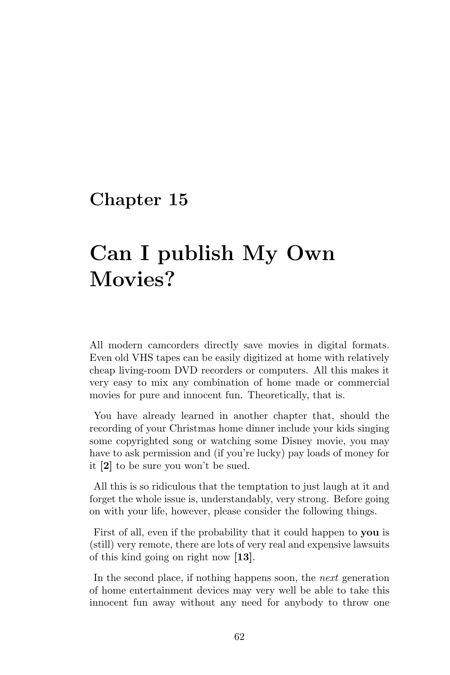# Can I publish My Own Movies?

All modern camcorders directly save movies in digital formats. Even old VHS tapes can be easily digitized at home with relatively cheap living-room DVD recorders or computers. All this makes it very easy to mix any combination of home made or commercial movies for pure and innocent fun. Theoretically, that is.

You have already learned in another chapter that, should the recording of your Christmas home dinner include your kids singing some copyrighted song or watching some Disney movie, you may have to ask permission and (if you're lucky) pay loads of money for it [2] to be sure you won't be sued.

All this is so ridiculous that the temptation to just laugh at it and forget the whole issue is, understandably, very strong. Before going on with your life, however, please consider the following things.

First of all, even if the probability that it could happen to you is (still) very remote, there are lots of very real and expensive lawsuits of this kind going on right now [13].

In the second place, if nothing happens soon, the next generation of home entertainment devices may very well be able to take this innocent fun away without any need for anybody to throw one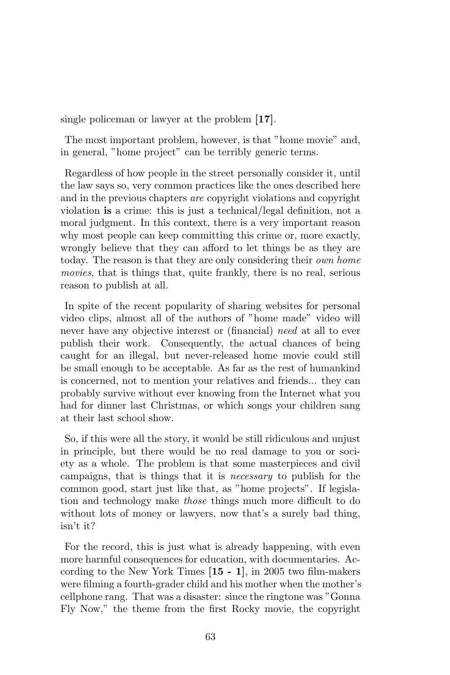single policeman or lawyer at the problem [17].

The most important problem, however, is that "home movie" and, in general, "home project" can be terribly generic terms.

Regardless of how people in the street personally consider it, until the law says so, very common practices like the ones described here and in the previous chapters are copyright violations and copyright violation is a crime: this is just a technical/legal definition, not a moral judgment. In this context, there is a very important reason why most people can keep committing this crime or, more exactly, wrongly believe that they can afford to let things be as they are today. The reason is that they are only considering their own home movies, that is things that, quite frankly, there is no real, serious reason to publish at all.

In spite of the recent popularity of sharing websites for personal video clips, almost all of the authors of "home made" video will never have any objective interest or (financial) need at all to ever publish their work. Consequently, the actual chances of being caught for an illegal, but never-released home movie could still be small enough to be acceptable. As far as the rest of humankind is concerned, not to mention your relatives and friends... they can probably survive without ever knowing from the Internet what you had for dinner last Christmas, or which songs your children sang at their last school show.

So, if this were all the story, it would be still ridiculous and unjust in principle, but there would be no real damage to you or society as a whole. The problem is that some masterpieces and civil campaigns, that is things that it is necessary to publish for the common good, start just like that, as "home projects". If legislation and technology make those things much more difficult to do without lots of money or lawyers, now that's a surely bad thing, isn't it?

For the record, this is just what is already happening, with even more harmful consequences for education, with documentaries. According to the New York Times [15 - 1], in 2005 two film-makers were filming a fourth-grader child and his mother when the mother's cellphone rang. That was a disaster: since the ringtone was "Gonna Fly Now," the theme from the first Rocky movie, the copyright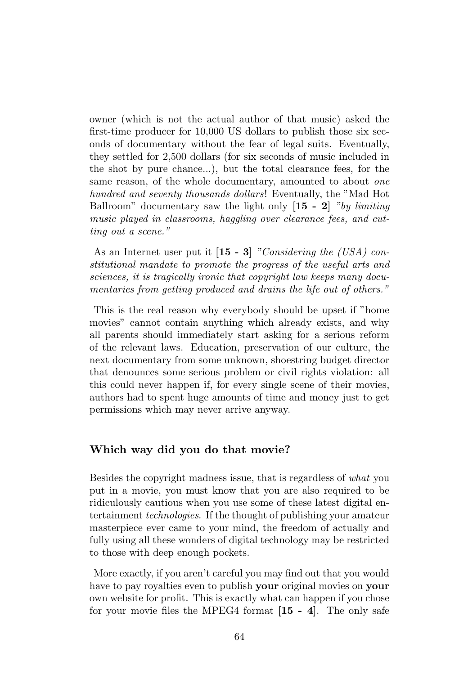owner (which is not the actual author of that music) asked the first-time producer for 10,000 US dollars to publish those six seconds of documentary without the fear of legal suits. Eventually, they settled for 2,500 dollars (for six seconds of music included in the shot by pure chance...), but the total clearance fees, for the same reason, of the whole documentary, amounted to about one hundred and seventy thousands dollars! Eventually, the "Mad Hot Ballroom" documentary saw the light only  $[15 - 2]$  "by limiting" music played in classrooms, haggling over clearance fees, and cutting out a scene."

As an Internet user put it  $[15 - 3]$  "Considering the (USA) constitutional mandate to promote the progress of the useful arts and sciences, it is tragically ironic that copyright law keeps many documentaries from getting produced and drains the life out of others."

This is the real reason why everybody should be upset if "home movies" cannot contain anything which already exists, and why all parents should immediately start asking for a serious reform of the relevant laws. Education, preservation of our culture, the next documentary from some unknown, shoestring budget director that denounces some serious problem or civil rights violation: all this could never happen if, for every single scene of their movies, authors had to spent huge amounts of time and money just to get permissions which may never arrive anyway.

#### Which way did you do that movie?

Besides the copyright madness issue, that is regardless of what you put in a movie, you must know that you are also required to be ridiculously cautious when you use some of these latest digital entertainment technologies. If the thought of publishing your amateur masterpiece ever came to your mind, the freedom of actually and fully using all these wonders of digital technology may be restricted to those with deep enough pockets.

More exactly, if you aren't careful you may find out that you would have to pay royalties even to publish your original movies on your own website for profit. This is exactly what can happen if you chose for your movie files the MPEG4 format  $[15 - 4]$ . The only safe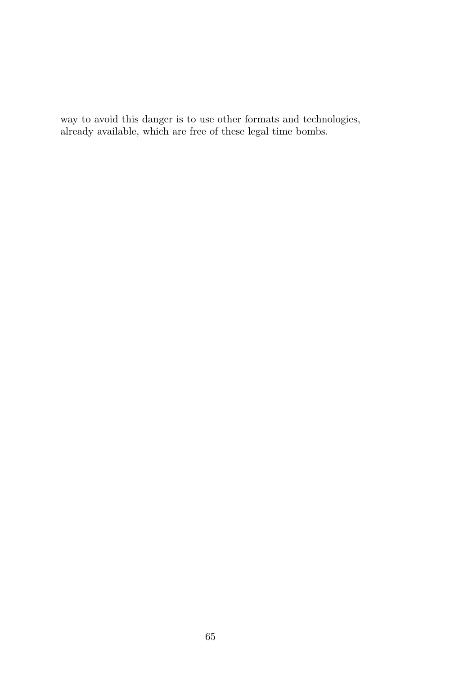way to avoid this danger is to use other formats and technologies, already available, which are free of these legal time bombs.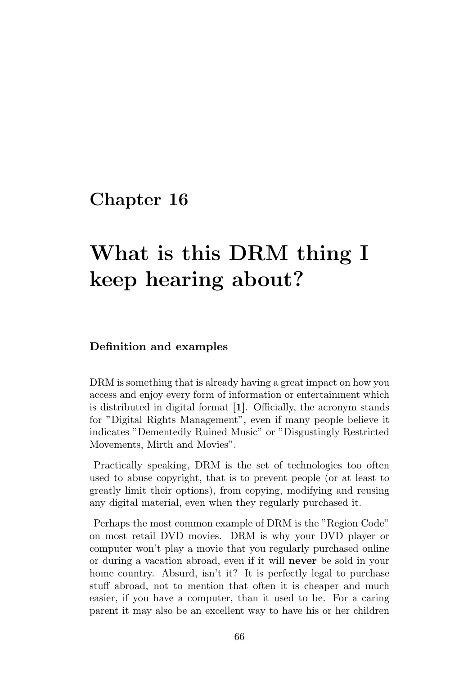# What is this DRM thing I keep hearing about?

#### Definition and examples

DRM is something that is already having a great impact on how you access and enjoy every form of information or entertainment which is distributed in digital format [1]. Officially, the acronym stands for "Digital Rights Management", even if many people believe it indicates "Dementedly Ruined Music" or "Disgustingly Restricted Movements, Mirth and Movies".

Practically speaking, DRM is the set of technologies too often used to abuse copyright, that is to prevent people (or at least to greatly limit their options), from copying, modifying and reusing any digital material, even when they regularly purchased it.

Perhaps the most common example of DRM is the "Region Code" on most retail DVD movies. DRM is why your DVD player or computer won't play a movie that you regularly purchased online or during a vacation abroad, even if it will never be sold in your home country. Absurd, isn't it? It is perfectly legal to purchase stuff abroad, not to mention that often it is cheaper and much easier, if you have a computer, than it used to be. For a caring parent it may also be an excellent way to have his or her children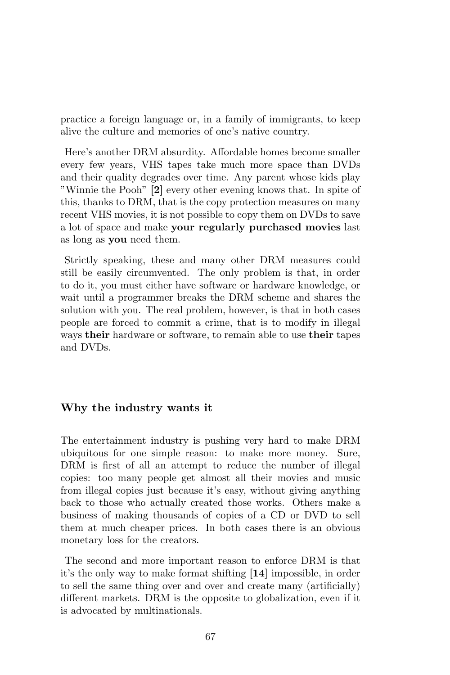practice a foreign language or, in a family of immigrants, to keep alive the culture and memories of one's native country.

Here's another DRM absurdity. Affordable homes become smaller every few years, VHS tapes take much more space than DVDs and their quality degrades over time. Any parent whose kids play "Winnie the Pooh" [2] every other evening knows that. In spite of this, thanks to DRM, that is the copy protection measures on many recent VHS movies, it is not possible to copy them on DVDs to save a lot of space and make your regularly purchased movies last as long as you need them.

Strictly speaking, these and many other DRM measures could still be easily circumvented. The only problem is that, in order to do it, you must either have software or hardware knowledge, or wait until a programmer breaks the DRM scheme and shares the solution with you. The real problem, however, is that in both cases people are forced to commit a crime, that is to modify in illegal ways their hardware or software, to remain able to use their tapes and DVDs.

### Why the industry wants it

The entertainment industry is pushing very hard to make DRM ubiquitous for one simple reason: to make more money. Sure, DRM is first of all an attempt to reduce the number of illegal copies: too many people get almost all their movies and music from illegal copies just because it's easy, without giving anything back to those who actually created those works. Others make a business of making thousands of copies of a CD or DVD to sell them at much cheaper prices. In both cases there is an obvious monetary loss for the creators.

The second and more important reason to enforce DRM is that it's the only way to make format shifting [14] impossible, in order to sell the same thing over and over and create many (artificially) different markets. DRM is the opposite to globalization, even if it is advocated by multinationals.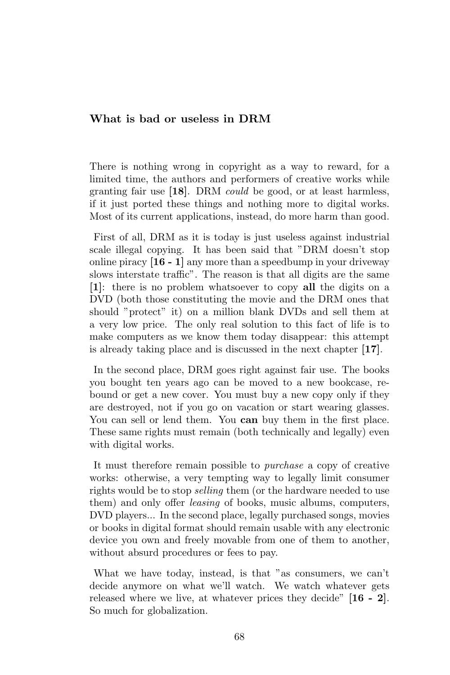### What is bad or useless in DRM

There is nothing wrong in copyright as a way to reward, for a limited time, the authors and performers of creative works while granting fair use [18]. DRM could be good, or at least harmless, if it just ported these things and nothing more to digital works. Most of its current applications, instead, do more harm than good.

First of all, DRM as it is today is just useless against industrial scale illegal copying. It has been said that "DRM doesn't stop online piracy [16 - 1] any more than a speedbump in your driveway slows interstate traffic". The reason is that all digits are the same [1]: there is no problem whatsoever to copy all the digits on a DVD (both those constituting the movie and the DRM ones that should "protect" it) on a million blank DVDs and sell them at a very low price. The only real solution to this fact of life is to make computers as we know them today disappear: this attempt is already taking place and is discussed in the next chapter [17].

In the second place, DRM goes right against fair use. The books you bought ten years ago can be moved to a new bookcase, rebound or get a new cover. You must buy a new copy only if they are destroyed, not if you go on vacation or start wearing glasses. You can sell or lend them. You can buy them in the first place. These same rights must remain (both technically and legally) even with digital works.

It must therefore remain possible to purchase a copy of creative works: otherwise, a very tempting way to legally limit consumer rights would be to stop selling them (or the hardware needed to use them) and only offer leasing of books, music albums, computers, DVD players... In the second place, legally purchased songs, movies or books in digital format should remain usable with any electronic device you own and freely movable from one of them to another, without absurd procedures or fees to pay.

What we have today, instead, is that "as consumers, we can't decide anymore on what we'll watch. We watch whatever gets released where we live, at whatever prices they decide" [16 - 2]. So much for globalization.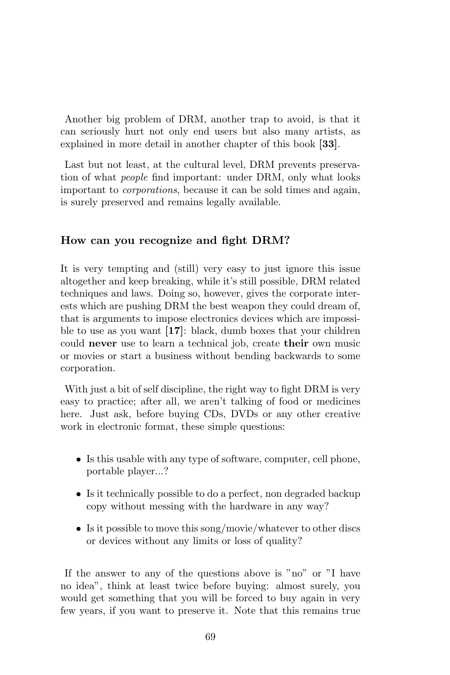Another big problem of DRM, another trap to avoid, is that it can seriously hurt not only end users but also many artists, as explained in more detail in another chapter of this book [33].

Last but not least, at the cultural level, DRM prevents preservation of what people find important: under DRM, only what looks important to corporations, because it can be sold times and again, is surely preserved and remains legally available.

### How can you recognize and fight DRM?

It is very tempting and (still) very easy to just ignore this issue altogether and keep breaking, while it's still possible, DRM related techniques and laws. Doing so, however, gives the corporate interests which are pushing DRM the best weapon they could dream of, that is arguments to impose electronics devices which are impossible to use as you want [17]: black, dumb boxes that your children could never use to learn a technical job, create their own music or movies or start a business without bending backwards to some corporation.

With just a bit of self discipline, the right way to fight DRM is very easy to practice; after all, we aren't talking of food or medicines here. Just ask, before buying CDs, DVDs or any other creative work in electronic format, these simple questions:

- Is this usable with any type of software, computer, cell phone, portable player...?
- Is it technically possible to do a perfect, non degraded backup copy without messing with the hardware in any way?
- Is it possible to move this song/movie/whatever to other discs or devices without any limits or loss of quality?

If the answer to any of the questions above is "no" or "I have no idea", think at least twice before buying: almost surely, you would get something that you will be forced to buy again in very few years, if you want to preserve it. Note that this remains true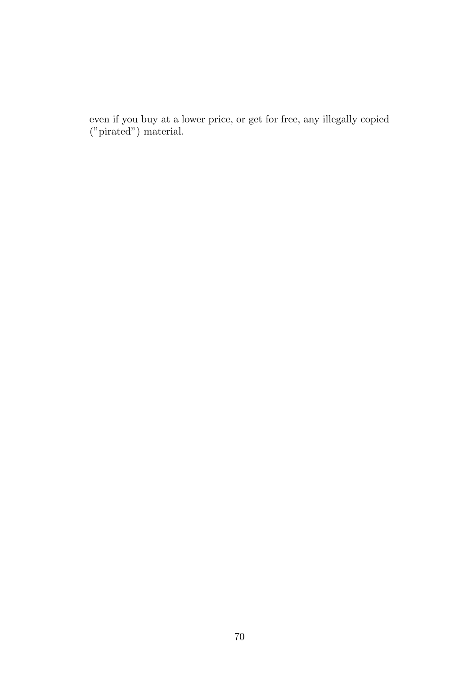even if you buy at a lower price, or get for free, any illegally copied ("pirated") material.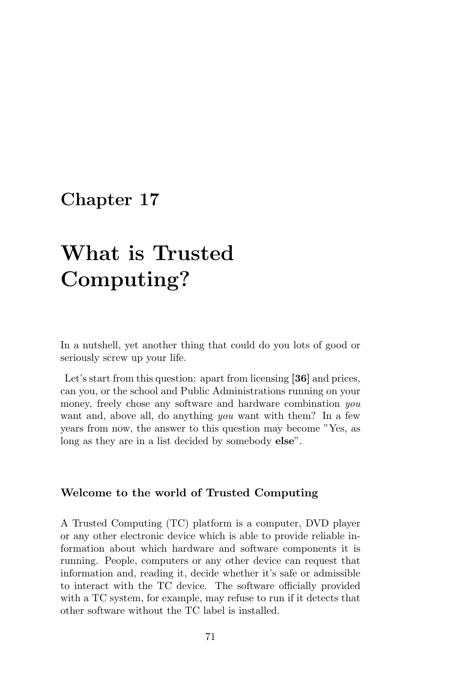# What is Trusted Computing?

In a nutshell, yet another thing that could do you lots of good or seriously screw up your life.

Let's start from this question: apart from licensing [36] and prices, can you, or the school and Public Administrations running on your money, freely chose any software and hardware combination you want and, above all, do anything you want with them? In a few years from now, the answer to this question may become "Yes, as long as they are in a list decided by somebody **else**".

### Welcome to the world of Trusted Computing

A Trusted Computing (TC) platform is a computer, DVD player or any other electronic device which is able to provide reliable information about which hardware and software components it is running. People, computers or any other device can request that information and, reading it, decide whether it's safe or admissible to interact with the TC device. The software officially provided with a TC system, for example, may refuse to run if it detects that other software without the TC label is installed.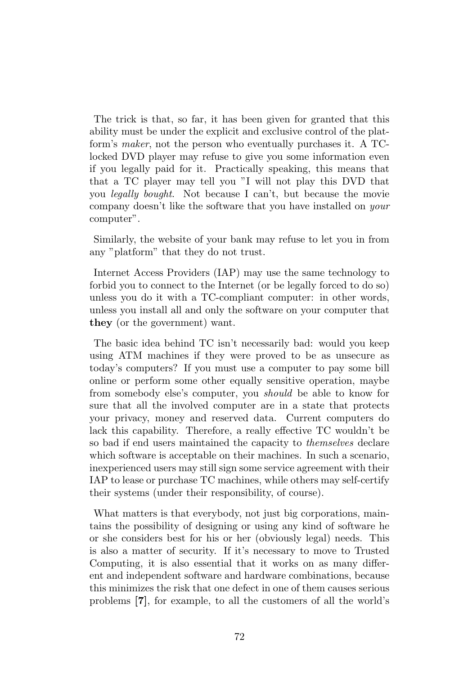The trick is that, so far, it has been given for granted that this ability must be under the explicit and exclusive control of the platform's maker, not the person who eventually purchases it. A TClocked DVD player may refuse to give you some information even if you legally paid for it. Practically speaking, this means that that a TC player may tell you "I will not play this DVD that you legally bought. Not because I can't, but because the movie company doesn't like the software that you have installed on your computer".

Similarly, the website of your bank may refuse to let you in from any "platform" that they do not trust.

Internet Access Providers (IAP) may use the same technology to forbid you to connect to the Internet (or be legally forced to do so) unless you do it with a TC-compliant computer: in other words, unless you install all and only the software on your computer that they (or the government) want.

The basic idea behind TC isn't necessarily bad: would you keep using ATM machines if they were proved to be as unsecure as today's computers? If you must use a computer to pay some bill online or perform some other equally sensitive operation, maybe from somebody else's computer, you should be able to know for sure that all the involved computer are in a state that protects your privacy, money and reserved data. Current computers do lack this capability. Therefore, a really effective TC wouldn't be so bad if end users maintained the capacity to themselves declare which software is acceptable on their machines. In such a scenario, inexperienced users may still sign some service agreement with their IAP to lease or purchase TC machines, while others may self-certify their systems (under their responsibility, of course).

What matters is that everybody, not just big corporations, maintains the possibility of designing or using any kind of software he or she considers best for his or her (obviously legal) needs. This is also a matter of security. If it's necessary to move to Trusted Computing, it is also essential that it works on as many different and independent software and hardware combinations, because this minimizes the risk that one defect in one of them causes serious problems [7], for example, to all the customers of all the world's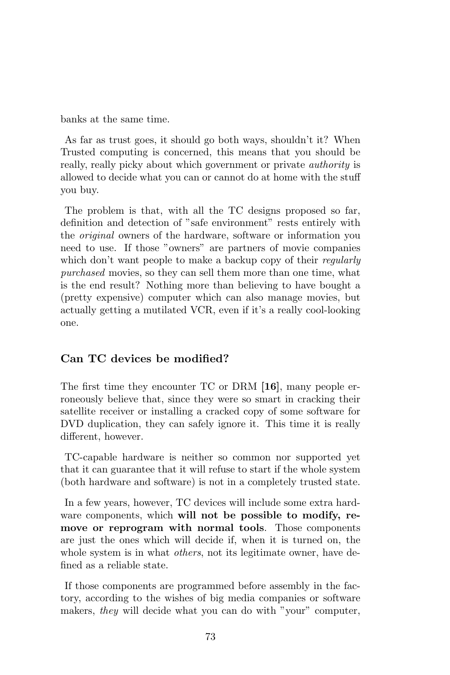banks at the same time.

As far as trust goes, it should go both ways, shouldn't it? When Trusted computing is concerned, this means that you should be really, really picky about which government or private authority is allowed to decide what you can or cannot do at home with the stuff you buy.

The problem is that, with all the TC designs proposed so far, definition and detection of "safe environment" rests entirely with the original owners of the hardware, software or information you need to use. If those "owners" are partners of movie companies which don't want people to make a backup copy of their *regularly* purchased movies, so they can sell them more than one time, what is the end result? Nothing more than believing to have bought a (pretty expensive) computer which can also manage movies, but actually getting a mutilated VCR, even if it's a really cool-looking one.

### Can TC devices be modified?

The first time they encounter TC or DRM [16], many people erroneously believe that, since they were so smart in cracking their satellite receiver or installing a cracked copy of some software for DVD duplication, they can safely ignore it. This time it is really different, however.

TC-capable hardware is neither so common nor supported yet that it can guarantee that it will refuse to start if the whole system (both hardware and software) is not in a completely trusted state.

In a few years, however, TC devices will include some extra hardware components, which will not be possible to modify, remove or reprogram with normal tools. Those components are just the ones which will decide if, when it is turned on, the whole system is in what *others*, not its legitimate owner, have defined as a reliable state.

If those components are programmed before assembly in the factory, according to the wishes of big media companies or software makers, they will decide what you can do with "your" computer,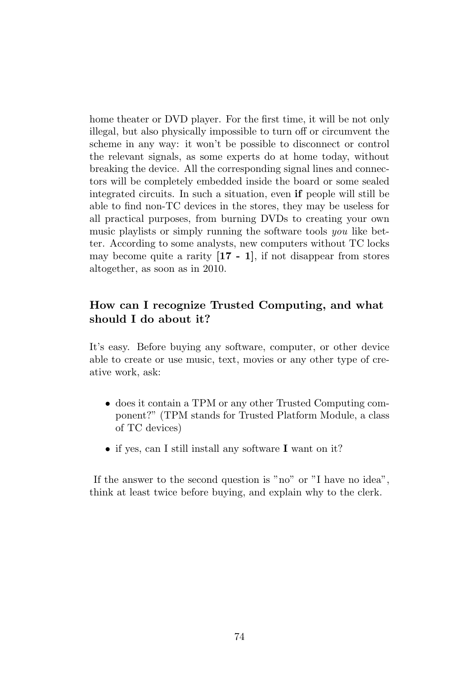home theater or DVD player. For the first time, it will be not only illegal, but also physically impossible to turn off or circumvent the scheme in any way: it won't be possible to disconnect or control the relevant signals, as some experts do at home today, without breaking the device. All the corresponding signal lines and connectors will be completely embedded inside the board or some sealed integrated circuits. In such a situation, even if people will still be able to find non-TC devices in the stores, they may be useless for all practical purposes, from burning DVDs to creating your own music playlists or simply running the software tools you like better. According to some analysts, new computers without TC locks may become quite a rarity  $[17 - 1]$ , if not disappear from stores altogether, as soon as in 2010.

## How can I recognize Trusted Computing, and what should I do about it?

It's easy. Before buying any software, computer, or other device able to create or use music, text, movies or any other type of creative work, ask:

- does it contain a TPM or any other Trusted Computing component?" (TPM stands for Trusted Platform Module, a class of TC devices)
- if yes, can I still install any software I want on it?

If the answer to the second question is "no" or "I have no idea", think at least twice before buying, and explain why to the clerk.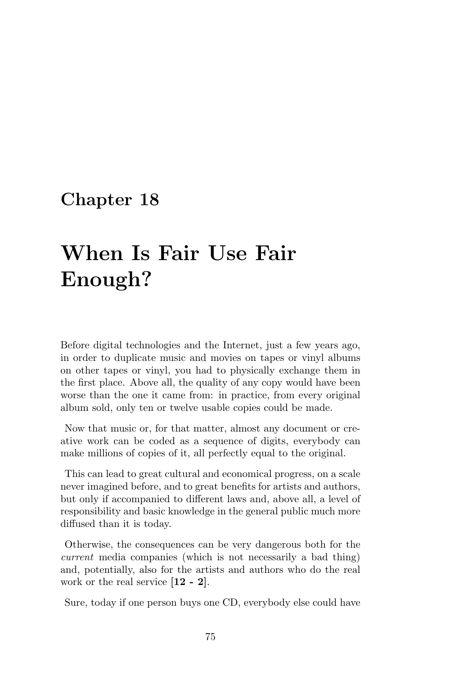# When Is Fair Use Fair Enough?

Before digital technologies and the Internet, just a few years ago, in order to duplicate music and movies on tapes or vinyl albums on other tapes or vinyl, you had to physically exchange them in the first place. Above all, the quality of any copy would have been worse than the one it came from: in practice, from every original album sold, only ten or twelve usable copies could be made.

Now that music or, for that matter, almost any document or creative work can be coded as a sequence of digits, everybody can make millions of copies of it, all perfectly equal to the original.

This can lead to great cultural and economical progress, on a scale never imagined before, and to great benefits for artists and authors, but only if accompanied to different laws and, above all, a level of responsibility and basic knowledge in the general public much more diffused than it is today.

Otherwise, the consequences can be very dangerous both for the current media companies (which is not necessarily a bad thing) and, potentially, also for the artists and authors who do the real work or the real service [12 - 2].

Sure, today if one person buys one CD, everybody else could have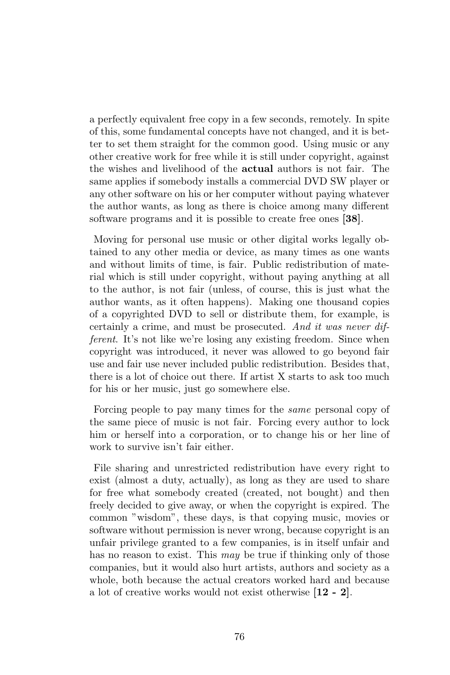a perfectly equivalent free copy in a few seconds, remotely. In spite of this, some fundamental concepts have not changed, and it is better to set them straight for the common good. Using music or any other creative work for free while it is still under copyright, against the wishes and livelihood of the actual authors is not fair. The same applies if somebody installs a commercial DVD SW player or any other software on his or her computer without paying whatever the author wants, as long as there is choice among many different software programs and it is possible to create free ones [38].

Moving for personal use music or other digital works legally obtained to any other media or device, as many times as one wants and without limits of time, is fair. Public redistribution of material which is still under copyright, without paying anything at all to the author, is not fair (unless, of course, this is just what the author wants, as it often happens). Making one thousand copies of a copyrighted DVD to sell or distribute them, for example, is certainly a crime, and must be prosecuted. And it was never different. It's not like we're losing any existing freedom. Since when copyright was introduced, it never was allowed to go beyond fair use and fair use never included public redistribution. Besides that, there is a lot of choice out there. If artist X starts to ask too much for his or her music, just go somewhere else.

Forcing people to pay many times for the same personal copy of the same piece of music is not fair. Forcing every author to lock him or herself into a corporation, or to change his or her line of work to survive isn't fair either.

File sharing and unrestricted redistribution have every right to exist (almost a duty, actually), as long as they are used to share for free what somebody created (created, not bought) and then freely decided to give away, or when the copyright is expired. The common "wisdom", these days, is that copying music, movies or software without permission is never wrong, because copyright is an unfair privilege granted to a few companies, is in itself unfair and has no reason to exist. This *may* be true if thinking only of those companies, but it would also hurt artists, authors and society as a whole, both because the actual creators worked hard and because a lot of creative works would not exist otherwise [12 - 2].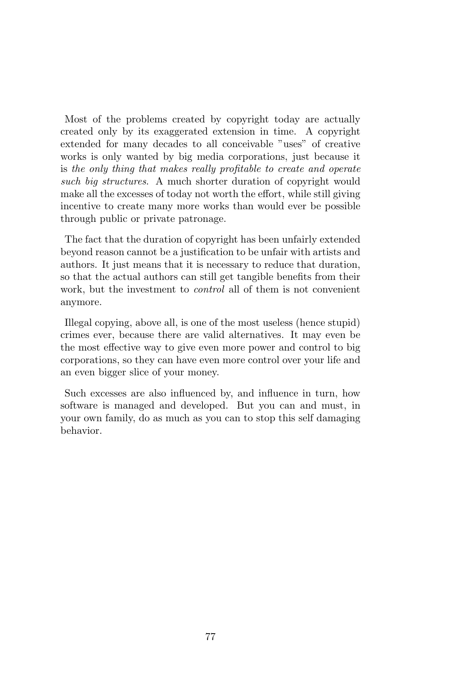Most of the problems created by copyright today are actually created only by its exaggerated extension in time. A copyright extended for many decades to all conceivable "uses" of creative works is only wanted by big media corporations, just because it is the only thing that makes really profitable to create and operate such big structures. A much shorter duration of copyright would make all the excesses of today not worth the effort, while still giving incentive to create many more works than would ever be possible through public or private patronage.

The fact that the duration of copyright has been unfairly extended beyond reason cannot be a justification to be unfair with artists and authors. It just means that it is necessary to reduce that duration, so that the actual authors can still get tangible benefits from their work, but the investment to *control* all of them is not convenient anymore.

Illegal copying, above all, is one of the most useless (hence stupid) crimes ever, because there are valid alternatives. It may even be the most effective way to give even more power and control to big corporations, so they can have even more control over your life and an even bigger slice of your money.

Such excesses are also influenced by, and influence in turn, how software is managed and developed. But you can and must, in your own family, do as much as you can to stop this self damaging behavior.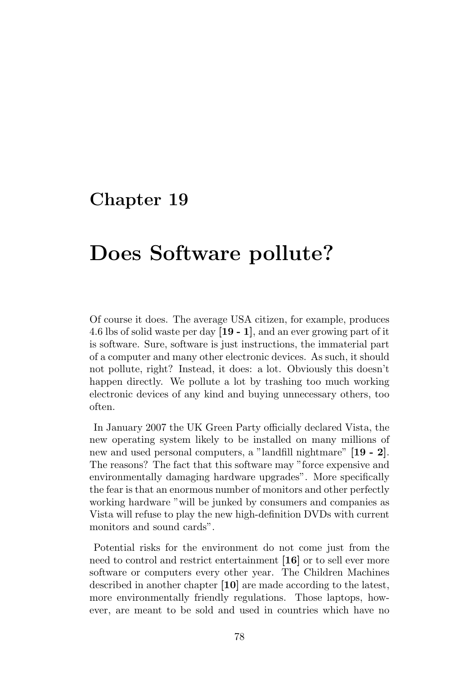# Does Software pollute?

Of course it does. The average USA citizen, for example, produces 4.6 lbs of solid waste per day [19 - 1], and an ever growing part of it is software. Sure, software is just instructions, the immaterial part of a computer and many other electronic devices. As such, it should not pollute, right? Instead, it does: a lot. Obviously this doesn't happen directly. We pollute a lot by trashing too much working electronic devices of any kind and buying unnecessary others, too often.

In January 2007 the UK Green Party officially declared Vista, the new operating system likely to be installed on many millions of new and used personal computers, a "landfill nightmare" [19 - 2]. The reasons? The fact that this software may "force expensive and environmentally damaging hardware upgrades". More specifically the fear is that an enormous number of monitors and other perfectly working hardware "will be junked by consumers and companies as Vista will refuse to play the new high-definition DVDs with current monitors and sound cards".

Potential risks for the environment do not come just from the need to control and restrict entertainment [16] or to sell ever more software or computers every other year. The Children Machines described in another chapter [10] are made according to the latest, more environmentally friendly regulations. Those laptops, however, are meant to be sold and used in countries which have no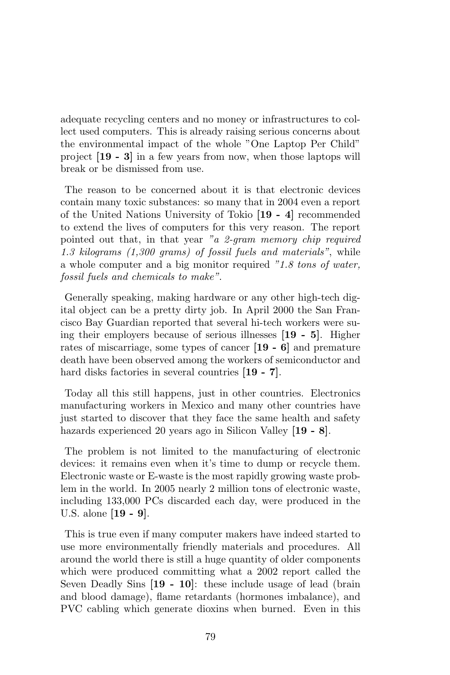adequate recycling centers and no money or infrastructures to collect used computers. This is already raising serious concerns about the environmental impact of the whole "One Laptop Per Child" project [19 - 3] in a few years from now, when those laptops will break or be dismissed from use.

The reason to be concerned about it is that electronic devices contain many toxic substances: so many that in 2004 even a report of the United Nations University of Tokio [19 - 4] recommended to extend the lives of computers for this very reason. The report pointed out that, in that year "a 2-gram memory chip required 1.3 kilograms (1,300 grams) of fossil fuels and materials", while a whole computer and a big monitor required "1.8 tons of water, fossil fuels and chemicals to make".

Generally speaking, making hardware or any other high-tech digital object can be a pretty dirty job. In April 2000 the San Francisco Bay Guardian reported that several hi-tech workers were suing their employers because of serious illnesses [19 - 5]. Higher rates of miscarriage, some types of cancer [19 - 6] and premature death have been observed among the workers of semiconductor and hard disks factories in several countries  $[19 - 7]$ .

Today all this still happens, just in other countries. Electronics manufacturing workers in Mexico and many other countries have just started to discover that they face the same health and safety hazards experienced 20 years ago in Silicon Valley [19 - 8].

The problem is not limited to the manufacturing of electronic devices: it remains even when it's time to dump or recycle them. Electronic waste or E-waste is the most rapidly growing waste problem in the world. In 2005 nearly 2 million tons of electronic waste, including 133,000 PCs discarded each day, were produced in the U.S. alone [19 - 9].

This is true even if many computer makers have indeed started to use more environmentally friendly materials and procedures. All around the world there is still a huge quantity of older components which were produced committing what a 2002 report called the Seven Deadly Sins [19 - 10]: these include usage of lead (brain and blood damage), flame retardants (hormones imbalance), and PVC cabling which generate dioxins when burned. Even in this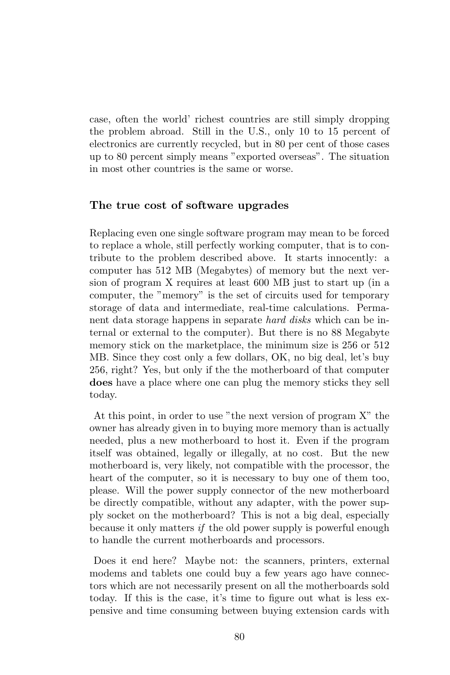case, often the world' richest countries are still simply dropping the problem abroad. Still in the U.S., only 10 to 15 percent of electronics are currently recycled, but in 80 per cent of those cases up to 80 percent simply means "exported overseas". The situation in most other countries is the same or worse.

### The true cost of software upgrades

Replacing even one single software program may mean to be forced to replace a whole, still perfectly working computer, that is to contribute to the problem described above. It starts innocently: a computer has 512 MB (Megabytes) of memory but the next version of program X requires at least 600 MB just to start up (in a computer, the "memory" is the set of circuits used for temporary storage of data and intermediate, real-time calculations. Permanent data storage happens in separate hard disks which can be internal or external to the computer). But there is no 88 Megabyte memory stick on the marketplace, the minimum size is 256 or 512 MB. Since they cost only a few dollars, OK, no big deal, let's buy 256, right? Yes, but only if the the motherboard of that computer does have a place where one can plug the memory sticks they sell today.

At this point, in order to use "the next version of program X" the owner has already given in to buying more memory than is actually needed, plus a new motherboard to host it. Even if the program itself was obtained, legally or illegally, at no cost. But the new motherboard is, very likely, not compatible with the processor, the heart of the computer, so it is necessary to buy one of them too, please. Will the power supply connector of the new motherboard be directly compatible, without any adapter, with the power supply socket on the motherboard? This is not a big deal, especially because it only matters if the old power supply is powerful enough to handle the current motherboards and processors.

Does it end here? Maybe not: the scanners, printers, external modems and tablets one could buy a few years ago have connectors which are not necessarily present on all the motherboards sold today. If this is the case, it's time to figure out what is less expensive and time consuming between buying extension cards with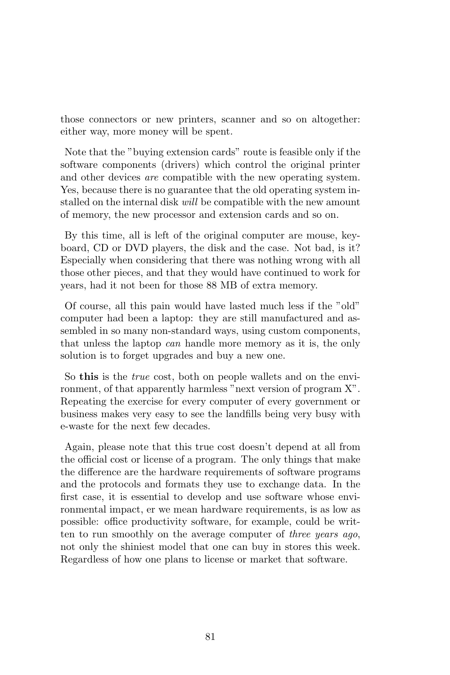those connectors or new printers, scanner and so on altogether: either way, more money will be spent.

Note that the "buying extension cards" route is feasible only if the software components (drivers) which control the original printer and other devices are compatible with the new operating system. Yes, because there is no guarantee that the old operating system installed on the internal disk will be compatible with the new amount of memory, the new processor and extension cards and so on.

By this time, all is left of the original computer are mouse, keyboard, CD or DVD players, the disk and the case. Not bad, is it? Especially when considering that there was nothing wrong with all those other pieces, and that they would have continued to work for years, had it not been for those 88 MB of extra memory.

Of course, all this pain would have lasted much less if the "old" computer had been a laptop: they are still manufactured and assembled in so many non-standard ways, using custom components, that unless the laptop can handle more memory as it is, the only solution is to forget upgrades and buy a new one.

So this is the true cost, both on people wallets and on the environment, of that apparently harmless "next version of program X". Repeating the exercise for every computer of every government or business makes very easy to see the landfills being very busy with e-waste for the next few decades.

Again, please note that this true cost doesn't depend at all from the official cost or license of a program. The only things that make the difference are the hardware requirements of software programs and the protocols and formats they use to exchange data. In the first case, it is essential to develop and use software whose environmental impact, er we mean hardware requirements, is as low as possible: office productivity software, for example, could be written to run smoothly on the average computer of three years ago, not only the shiniest model that one can buy in stores this week. Regardless of how one plans to license or market that software.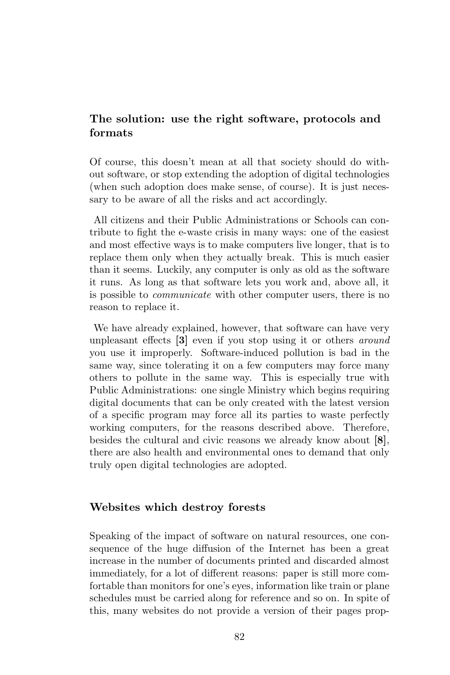## The solution: use the right software, protocols and formats

Of course, this doesn't mean at all that society should do without software, or stop extending the adoption of digital technologies (when such adoption does make sense, of course). It is just necessary to be aware of all the risks and act accordingly.

All citizens and their Public Administrations or Schools can contribute to fight the e-waste crisis in many ways: one of the easiest and most effective ways is to make computers live longer, that is to replace them only when they actually break. This is much easier than it seems. Luckily, any computer is only as old as the software it runs. As long as that software lets you work and, above all, it is possible to communicate with other computer users, there is no reason to replace it.

We have already explained, however, that software can have very unpleasant effects [3] even if you stop using it or others around you use it improperly. Software-induced pollution is bad in the same way, since tolerating it on a few computers may force many others to pollute in the same way. This is especially true with Public Administrations: one single Ministry which begins requiring digital documents that can be only created with the latest version of a specific program may force all its parties to waste perfectly working computers, for the reasons described above. Therefore, besides the cultural and civic reasons we already know about [8], there are also health and environmental ones to demand that only truly open digital technologies are adopted.

#### Websites which destroy forests

Speaking of the impact of software on natural resources, one consequence of the huge diffusion of the Internet has been a great increase in the number of documents printed and discarded almost immediately, for a lot of different reasons: paper is still more comfortable than monitors for one's eyes, information like train or plane schedules must be carried along for reference and so on. In spite of this, many websites do not provide a version of their pages prop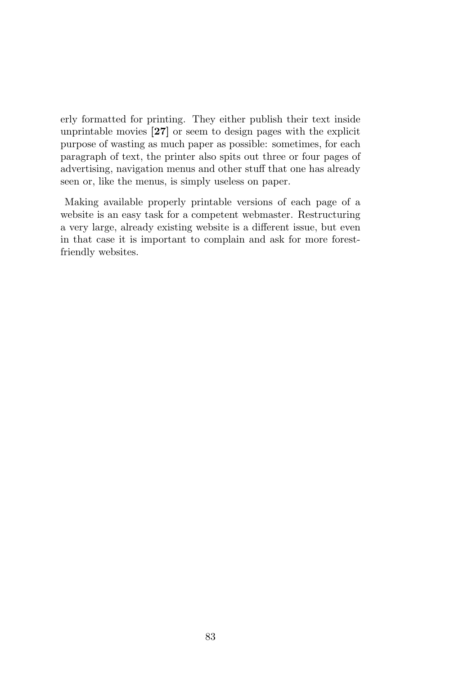erly formatted for printing. They either publish their text inside unprintable movies [27] or seem to design pages with the explicit purpose of wasting as much paper as possible: sometimes, for each paragraph of text, the printer also spits out three or four pages of advertising, navigation menus and other stuff that one has already seen or, like the menus, is simply useless on paper.

Making available properly printable versions of each page of a website is an easy task for a competent webmaster. Restructuring a very large, already existing website is a different issue, but even in that case it is important to complain and ask for more forestfriendly websites.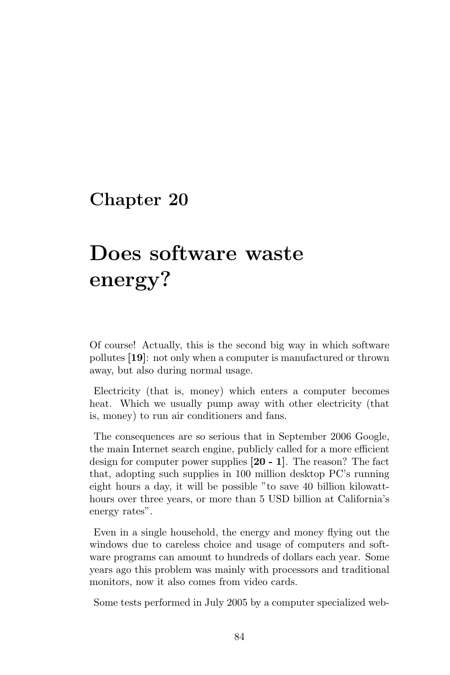# Does software waste energy?

Of course! Actually, this is the second big way in which software pollutes [19]: not only when a computer is manufactured or thrown away, but also during normal usage.

Electricity (that is, money) which enters a computer becomes heat. Which we usually pump away with other electricity (that is, money) to run air conditioners and fans.

The consequences are so serious that in September 2006 Google, the main Internet search engine, publicly called for a more efficient design for computer power supplies [20 - 1]. The reason? The fact that, adopting such supplies in 100 million desktop PC's running eight hours a day, it will be possible "to save 40 billion kilowatthours over three years, or more than 5 USD billion at California's energy rates".

Even in a single household, the energy and money flying out the windows due to careless choice and usage of computers and software programs can amount to hundreds of dollars each year. Some years ago this problem was mainly with processors and traditional monitors, now it also comes from video cards.

Some tests performed in July 2005 by a computer specialized web-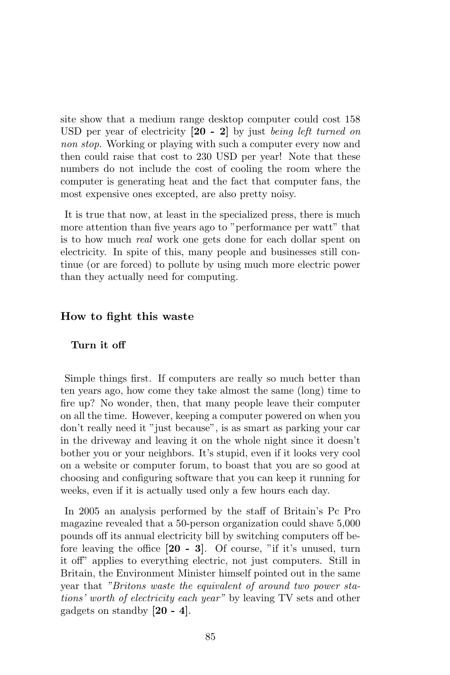site show that a medium range desktop computer could cost 158 USD per year of electricity  $[20 - 2]$  by just being left turned on non stop. Working or playing with such a computer every now and then could raise that cost to 230 USD per year! Note that these numbers do not include the cost of cooling the room where the computer is generating heat and the fact that computer fans, the most expensive ones excepted, are also pretty noisy.

It is true that now, at least in the specialized press, there is much more attention than five years ago to "performance per watt" that is to how much real work one gets done for each dollar spent on electricity. In spite of this, many people and businesses still continue (or are forced) to pollute by using much more electric power than they actually need for computing.

#### How to fight this waste

#### Turn it off

Simple things first. If computers are really so much better than ten years ago, how come they take almost the same (long) time to fire up? No wonder, then, that many people leave their computer on all the time. However, keeping a computer powered on when you don't really need it "just because", is as smart as parking your car in the driveway and leaving it on the whole night since it doesn't bother you or your neighbors. It's stupid, even if it looks very cool on a website or computer forum, to boast that you are so good at choosing and configuring software that you can keep it running for weeks, even if it is actually used only a few hours each day.

In 2005 an analysis performed by the staff of Britain's Pc Pro magazine revealed that a 50-person organization could shave 5,000 pounds off its annual electricity bill by switching computers off before leaving the office [20 - 3]. Of course, "if it's unused, turn it off" applies to everything electric, not just computers. Still in Britain, the Environment Minister himself pointed out in the same year that "Britons waste the equivalent of around two power stations' worth of electricity each year" by leaving TV sets and other gadgets on standby [20 - 4].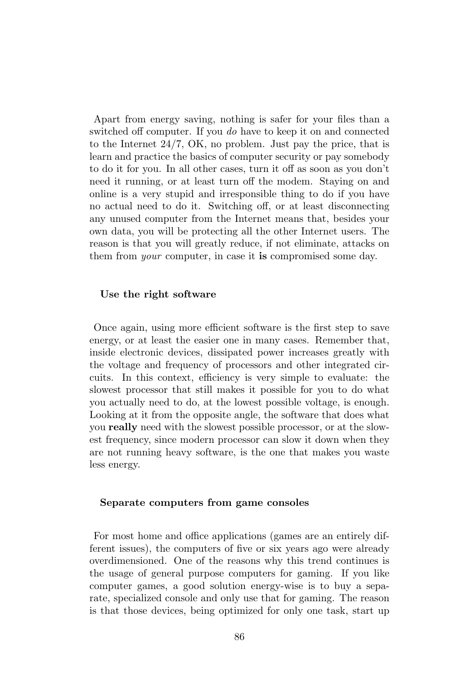Apart from energy saving, nothing is safer for your files than a switched off computer. If you do have to keep it on and connected to the Internet 24/7, OK, no problem. Just pay the price, that is learn and practice the basics of computer security or pay somebody to do it for you. In all other cases, turn it off as soon as you don't need it running, or at least turn off the modem. Staying on and online is a very stupid and irresponsible thing to do if you have no actual need to do it. Switching off, or at least disconnecting any unused computer from the Internet means that, besides your own data, you will be protecting all the other Internet users. The reason is that you will greatly reduce, if not eliminate, attacks on them from *your* computer, in case it is compromised some day.

#### Use the right software

Once again, using more efficient software is the first step to save energy, or at least the easier one in many cases. Remember that, inside electronic devices, dissipated power increases greatly with the voltage and frequency of processors and other integrated circuits. In this context, efficiency is very simple to evaluate: the slowest processor that still makes it possible for you to do what you actually need to do, at the lowest possible voltage, is enough. Looking at it from the opposite angle, the software that does what you really need with the slowest possible processor, or at the slowest frequency, since modern processor can slow it down when they are not running heavy software, is the one that makes you waste less energy.

#### Separate computers from game consoles

For most home and office applications (games are an entirely different issues), the computers of five or six years ago were already overdimensioned. One of the reasons why this trend continues is the usage of general purpose computers for gaming. If you like computer games, a good solution energy-wise is to buy a separate, specialized console and only use that for gaming. The reason is that those devices, being optimized for only one task, start up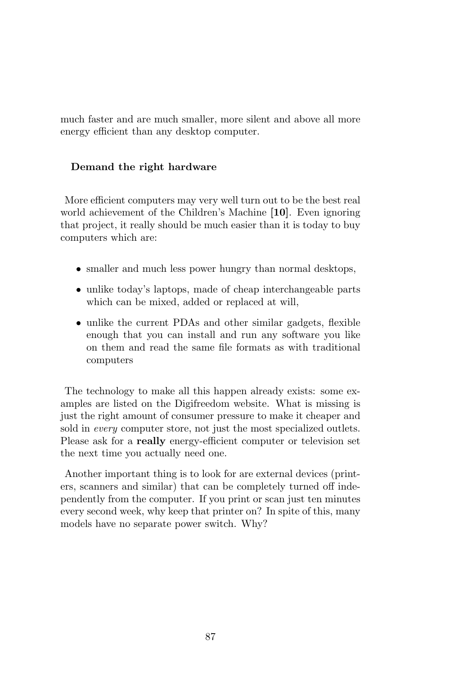much faster and are much smaller, more silent and above all more energy efficient than any desktop computer.

### Demand the right hardware

More efficient computers may very well turn out to be the best real world achievement of the Children's Machine [10]. Even ignoring that project, it really should be much easier than it is today to buy computers which are:

- smaller and much less power hungry than normal desktops,
- unlike today's laptops, made of cheap interchangeable parts which can be mixed, added or replaced at will,
- unlike the current PDAs and other similar gadgets, flexible enough that you can install and run any software you like on them and read the same file formats as with traditional computers

The technology to make all this happen already exists: some examples are listed on the Digifreedom website. What is missing is just the right amount of consumer pressure to make it cheaper and sold in *every* computer store, not just the most specialized outlets. Please ask for a really energy-efficient computer or television set the next time you actually need one.

Another important thing is to look for are external devices (printers, scanners and similar) that can be completely turned off independently from the computer. If you print or scan just ten minutes every second week, why keep that printer on? In spite of this, many models have no separate power switch. Why?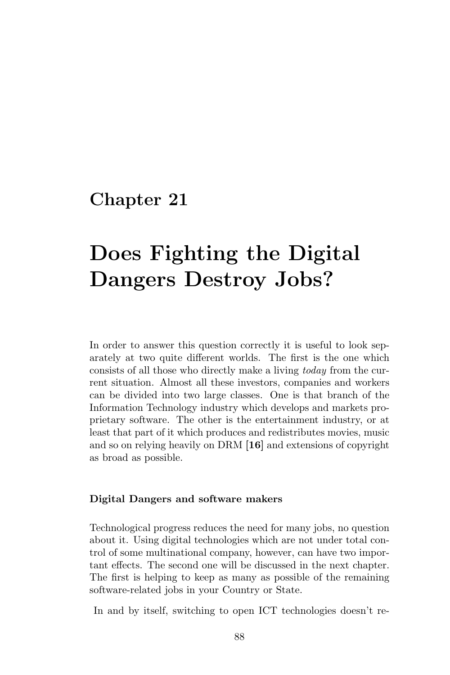# Does Fighting the Digital Dangers Destroy Jobs?

In order to answer this question correctly it is useful to look separately at two quite different worlds. The first is the one which consists of all those who directly make a living today from the current situation. Almost all these investors, companies and workers can be divided into two large classes. One is that branch of the Information Technology industry which develops and markets proprietary software. The other is the entertainment industry, or at least that part of it which produces and redistributes movies, music and so on relying heavily on DRM [16] and extensions of copyright as broad as possible.

#### Digital Dangers and software makers

Technological progress reduces the need for many jobs, no question about it. Using digital technologies which are not under total control of some multinational company, however, can have two important effects. The second one will be discussed in the next chapter. The first is helping to keep as many as possible of the remaining software-related jobs in your Country or State.

In and by itself, switching to open ICT technologies doesn't re-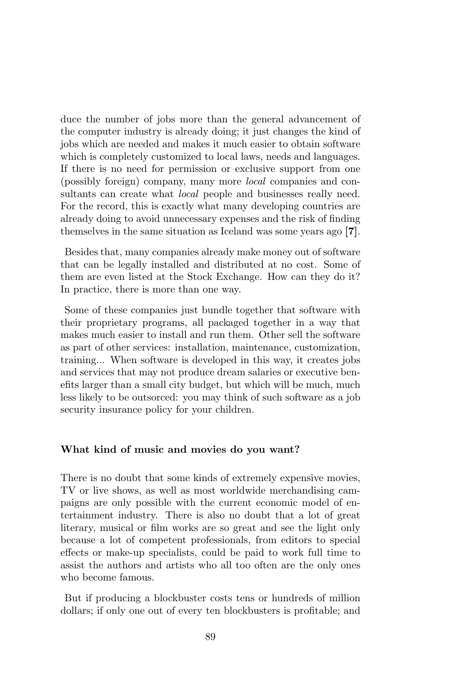duce the number of jobs more than the general advancement of the computer industry is already doing; it just changes the kind of jobs which are needed and makes it much easier to obtain software which is completely customized to local laws, needs and languages. If there is no need for permission or exclusive support from one (possibly foreign) company, many more local companies and consultants can create what *local* people and businesses really need. For the record, this is exactly what many developing countries are already doing to avoid unnecessary expenses and the risk of finding themselves in the same situation as Iceland was some years ago [7].

Besides that, many companies already make money out of software that can be legally installed and distributed at no cost. Some of them are even listed at the Stock Exchange. How can they do it? In practice, there is more than one way.

Some of these companies just bundle together that software with their proprietary programs, all packaged together in a way that makes much easier to install and run them. Other sell the software as part of other services: installation, maintenance, customization, training... When software is developed in this way, it creates jobs and services that may not produce dream salaries or executive benefits larger than a small city budget, but which will be much, much less likely to be outsorced: you may think of such software as a job security insurance policy for your children.

#### What kind of music and movies do you want?

There is no doubt that some kinds of extremely expensive movies, TV or live shows, as well as most worldwide merchandising campaigns are only possible with the current economic model of entertainment industry. There is also no doubt that a lot of great literary, musical or film works are so great and see the light only because a lot of competent professionals, from editors to special effects or make-up specialists, could be paid to work full time to assist the authors and artists who all too often are the only ones who become famous.

But if producing a blockbuster costs tens or hundreds of million dollars; if only one out of every ten blockbusters is profitable; and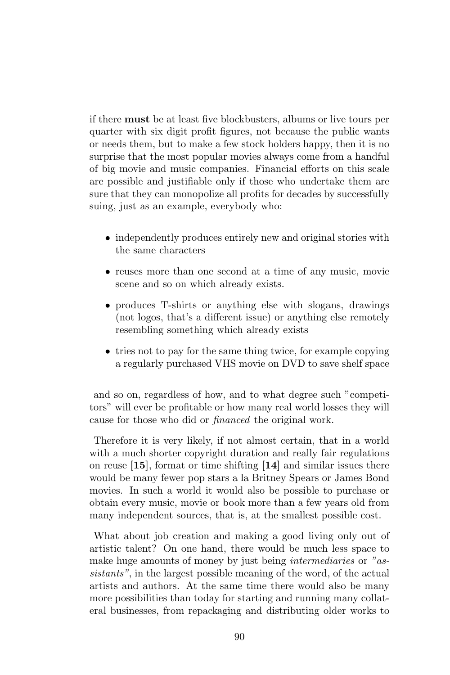if there must be at least five blockbusters, albums or live tours per quarter with six digit profit figures, not because the public wants or needs them, but to make a few stock holders happy, then it is no surprise that the most popular movies always come from a handful of big movie and music companies. Financial efforts on this scale are possible and justifiable only if those who undertake them are sure that they can monopolize all profits for decades by successfully suing, just as an example, everybody who:

- independently produces entirely new and original stories with the same characters
- reuses more than one second at a time of any music, movie scene and so on which already exists.
- produces T-shirts or anything else with slogans, drawings (not logos, that's a different issue) or anything else remotely resembling something which already exists
- tries not to pay for the same thing twice, for example copying a regularly purchased VHS movie on DVD to save shelf space

and so on, regardless of how, and to what degree such "competitors" will ever be profitable or how many real world losses they will cause for those who did or financed the original work.

Therefore it is very likely, if not almost certain, that in a world with a much shorter copyright duration and really fair regulations on reuse [15], format or time shifting [14] and similar issues there would be many fewer pop stars a la Britney Spears or James Bond movies. In such a world it would also be possible to purchase or obtain every music, movie or book more than a few years old from many independent sources, that is, at the smallest possible cost.

What about job creation and making a good living only out of artistic talent? On one hand, there would be much less space to make huge amounts of money by just being *intermediaries* or "assistants", in the largest possible meaning of the word, of the actual artists and authors. At the same time there would also be many more possibilities than today for starting and running many collateral businesses, from repackaging and distributing older works to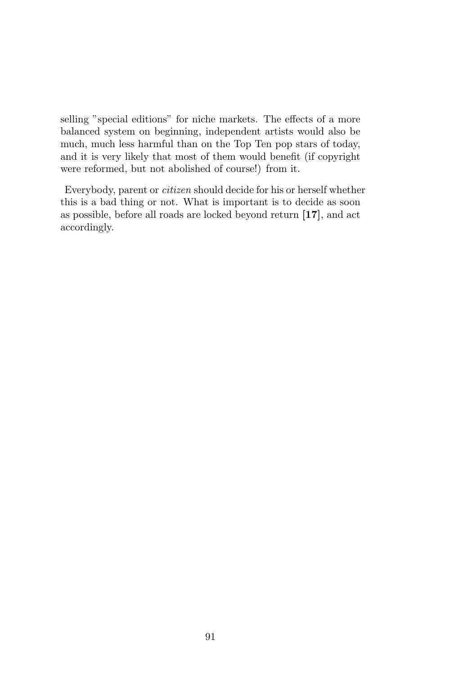selling "special editions" for niche markets. The effects of a more balanced system on beginning, independent artists would also be much, much less harmful than on the Top Ten pop stars of today, and it is very likely that most of them would benefit (if copyright were reformed, but not abolished of course!) from it.

Everybody, parent or citizen should decide for his or herself whether this is a bad thing or not. What is important is to decide as soon as possible, before all roads are locked beyond return [17], and act accordingly.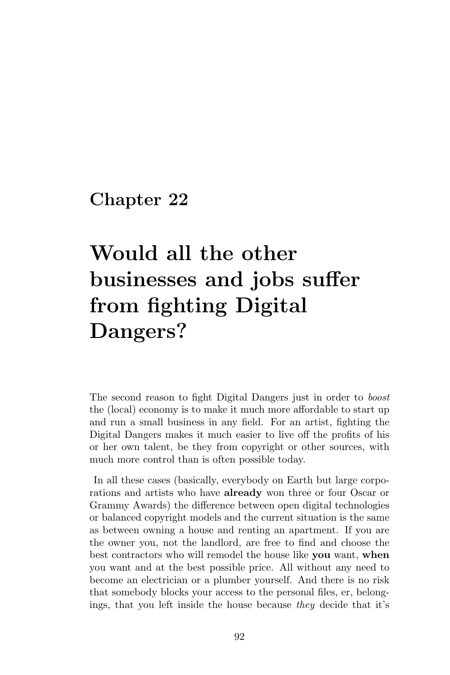# Would all the other businesses and jobs suffer from fighting Digital Dangers?

The second reason to fight Digital Dangers just in order to boost the (local) economy is to make it much more affordable to start up and run a small business in any field. For an artist, fighting the Digital Dangers makes it much easier to live off the profits of his or her own talent, be they from copyright or other sources, with much more control than is often possible today.

In all these cases (basically, everybody on Earth but large corporations and artists who have already won three or four Oscar or Grammy Awards) the difference between open digital technologies or balanced copyright models and the current situation is the same as between owning a house and renting an apartment. If you are the owner you, not the landlord, are free to find and choose the best contractors who will remodel the house like you want, when you want and at the best possible price. All without any need to become an electrician or a plumber yourself. And there is no risk that somebody blocks your access to the personal files, er, belongings, that you left inside the house because they decide that it's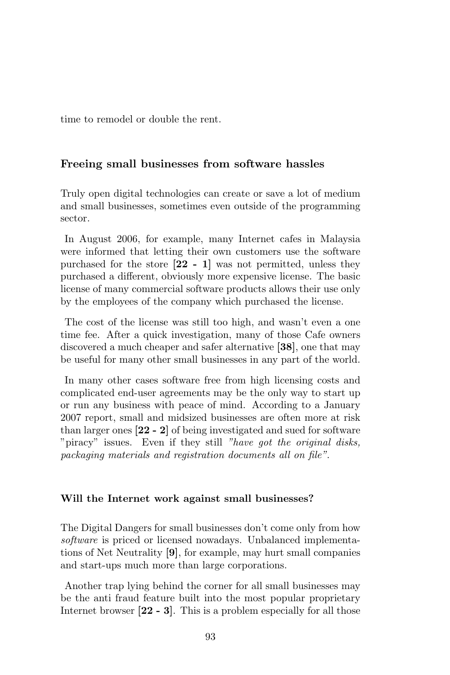time to remodel or double the rent.

### Freeing small businesses from software hassles

Truly open digital technologies can create or save a lot of medium and small businesses, sometimes even outside of the programming sector.

In August 2006, for example, many Internet cafes in Malaysia were informed that letting their own customers use the software purchased for the store  $[22 - 1]$  was not permitted, unless they purchased a different, obviously more expensive license. The basic license of many commercial software products allows their use only by the employees of the company which purchased the license.

The cost of the license was still too high, and wasn't even a one time fee. After a quick investigation, many of those Cafe owners discovered a much cheaper and safer alternative [38], one that may be useful for many other small businesses in any part of the world.

In many other cases software free from high licensing costs and complicated end-user agreements may be the only way to start up or run any business with peace of mind. According to a January 2007 report, small and midsized businesses are often more at risk than larger ones [22 - 2] of being investigated and sued for software "piracy" issues. Even if they still "have got the original disks, packaging materials and registration documents all on file".

#### Will the Internet work against small businesses?

The Digital Dangers for small businesses don't come only from how software is priced or licensed nowadays. Unbalanced implementations of Net Neutrality [9], for example, may hurt small companies and start-ups much more than large corporations.

Another trap lying behind the corner for all small businesses may be the anti fraud feature built into the most popular proprietary Internet browser [22 - 3]. This is a problem especially for all those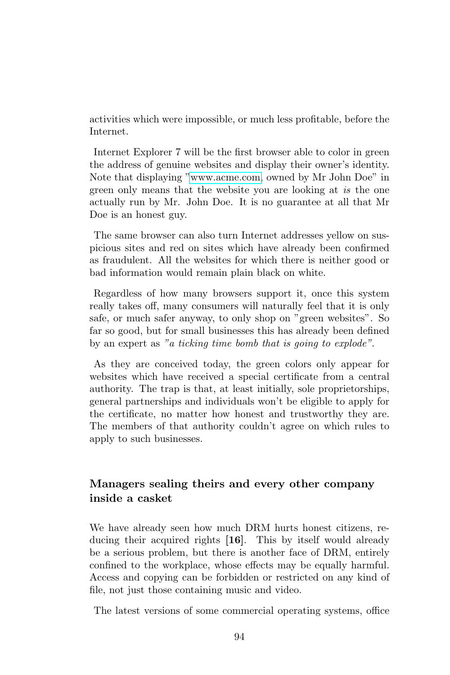activities which were impossible, or much less profitable, before the Internet.

Internet Explorer 7 will be the first browser able to color in green the address of genuine websites and display their owner's identity. Note that displaying ["www.acme.com,](file:www.acme.com) owned by Mr John Doe" in green only means that the website you are looking at is the one actually run by Mr. John Doe. It is no guarantee at all that Mr Doe is an honest guy.

The same browser can also turn Internet addresses yellow on suspicious sites and red on sites which have already been confirmed as fraudulent. All the websites for which there is neither good or bad information would remain plain black on white.

Regardless of how many browsers support it, once this system really takes off, many consumers will naturally feel that it is only safe, or much safer anyway, to only shop on "green websites". So far so good, but for small businesses this has already been defined by an expert as "a ticking time bomb that is going to explode".

As they are conceived today, the green colors only appear for websites which have received a special certificate from a central authority. The trap is that, at least initially, sole proprietorships, general partnerships and individuals won't be eligible to apply for the certificate, no matter how honest and trustworthy they are. The members of that authority couldn't agree on which rules to apply to such businesses.

## Managers sealing theirs and every other company inside a casket

We have already seen how much DRM hurts honest citizens, reducing their acquired rights [16]. This by itself would already be a serious problem, but there is another face of DRM, entirely confined to the workplace, whose effects may be equally harmful. Access and copying can be forbidden or restricted on any kind of file, not just those containing music and video.

The latest versions of some commercial operating systems, office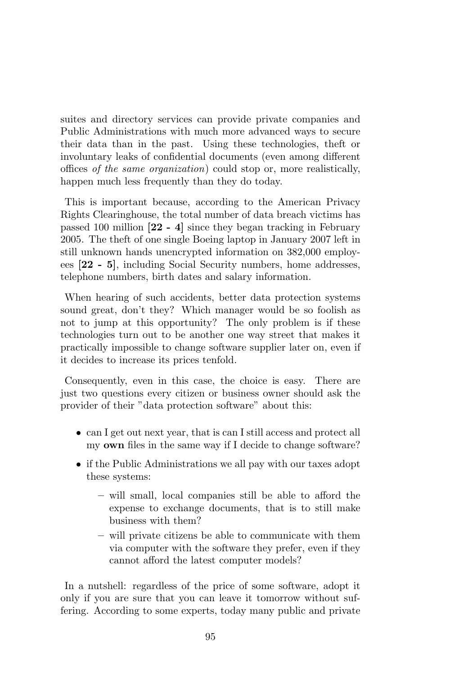suites and directory services can provide private companies and Public Administrations with much more advanced ways to secure their data than in the past. Using these technologies, theft or involuntary leaks of confidential documents (even among different offices of the same organization) could stop or, more realistically, happen much less frequently than they do today.

This is important because, according to the American Privacy Rights Clearinghouse, the total number of data breach victims has passed 100 million [22 - 4] since they began tracking in February 2005. The theft of one single Boeing laptop in January 2007 left in still unknown hands unencrypted information on 382,000 employees [22 - 5], including Social Security numbers, home addresses, telephone numbers, birth dates and salary information.

When hearing of such accidents, better data protection systems sound great, don't they? Which manager would be so foolish as not to jump at this opportunity? The only problem is if these technologies turn out to be another one way street that makes it practically impossible to change software supplier later on, even if it decides to increase its prices tenfold.

Consequently, even in this case, the choice is easy. There are just two questions every citizen or business owner should ask the provider of their "data protection software" about this:

- can I get out next year, that is can I still access and protect all my own files in the same way if I decide to change software?
- if the Public Administrations we all pay with our taxes adopt these systems:
	- will small, local companies still be able to afford the expense to exchange documents, that is to still make business with them?
	- will private citizens be able to communicate with them via computer with the software they prefer, even if they cannot afford the latest computer models?

In a nutshell: regardless of the price of some software, adopt it only if you are sure that you can leave it tomorrow without suffering. According to some experts, today many public and private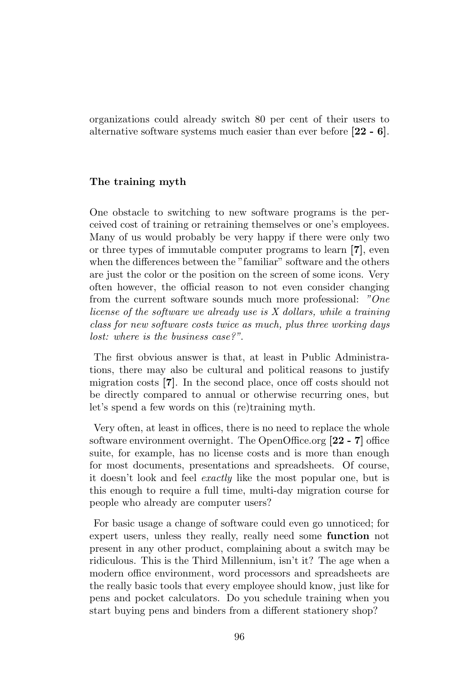organizations could already switch 80 per cent of their users to alternative software systems much easier than ever before [22 - 6].

#### The training myth

One obstacle to switching to new software programs is the perceived cost of training or retraining themselves or one's employees. Many of us would probably be very happy if there were only two or three types of immutable computer programs to learn [7], even when the differences between the "familiar" software and the others are just the color or the position on the screen of some icons. Very often however, the official reason to not even consider changing from the current software sounds much more professional: "One license of the software we already use is X dollars, while a training class for new software costs twice as much, plus three working days  $lost: where is the business case?$ "

The first obvious answer is that, at least in Public Administrations, there may also be cultural and political reasons to justify migration costs [7]. In the second place, once off costs should not be directly compared to annual or otherwise recurring ones, but let's spend a few words on this (re)training myth.

Very often, at least in offices, there is no need to replace the whole software environment overnight. The OpenOffice.org [22 - 7] office suite, for example, has no license costs and is more than enough for most documents, presentations and spreadsheets. Of course, it doesn't look and feel exactly like the most popular one, but is this enough to require a full time, multi-day migration course for people who already are computer users?

For basic usage a change of software could even go unnoticed; for expert users, unless they really, really need some function not present in any other product, complaining about a switch may be ridiculous. This is the Third Millennium, isn't it? The age when a modern office environment, word processors and spreadsheets are the really basic tools that every employee should know, just like for pens and pocket calculators. Do you schedule training when you start buying pens and binders from a different stationery shop?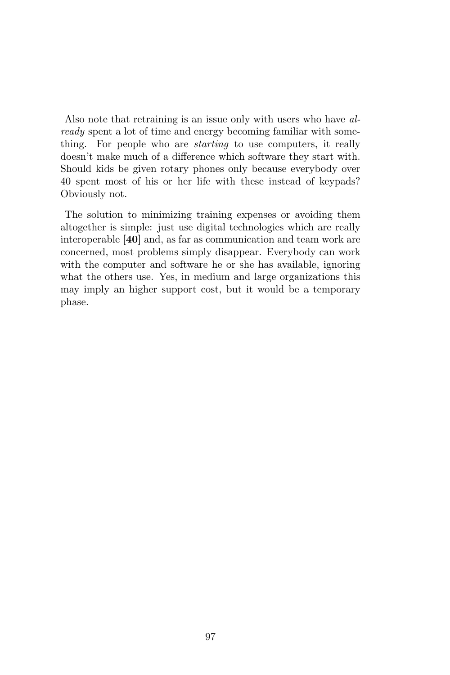Also note that retraining is an issue only with users who have already spent a lot of time and energy becoming familiar with something. For people who are *starting* to use computers, it really doesn't make much of a difference which software they start with. Should kids be given rotary phones only because everybody over 40 spent most of his or her life with these instead of keypads? Obviously not.

The solution to minimizing training expenses or avoiding them altogether is simple: just use digital technologies which are really interoperable [40] and, as far as communication and team work are concerned, most problems simply disappear. Everybody can work with the computer and software he or she has available, ignoring what the others use. Yes, in medium and large organizations this may imply an higher support cost, but it would be a temporary phase.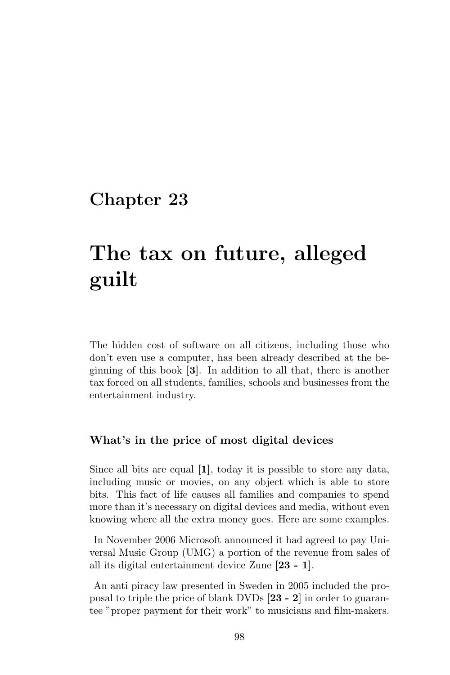# The tax on future, alleged guilt

The hidden cost of software on all citizens, including those who don't even use a computer, has been already described at the beginning of this book [3]. In addition to all that, there is another tax forced on all students, families, schools and businesses from the entertainment industry.

#### What's in the price of most digital devices

Since all bits are equal [1], today it is possible to store any data, including music or movies, on any object which is able to store bits. This fact of life causes all families and companies to spend more than it's necessary on digital devices and media, without even knowing where all the extra money goes. Here are some examples.

In November 2006 Microsoft announced it had agreed to pay Universal Music Group (UMG) a portion of the revenue from sales of all its digital entertainment device Zune [23 - 1].

An anti piracy law presented in Sweden in 2005 included the proposal to triple the price of blank DVDs [23 - 2] in order to guarantee "proper payment for their work" to musicians and film-makers.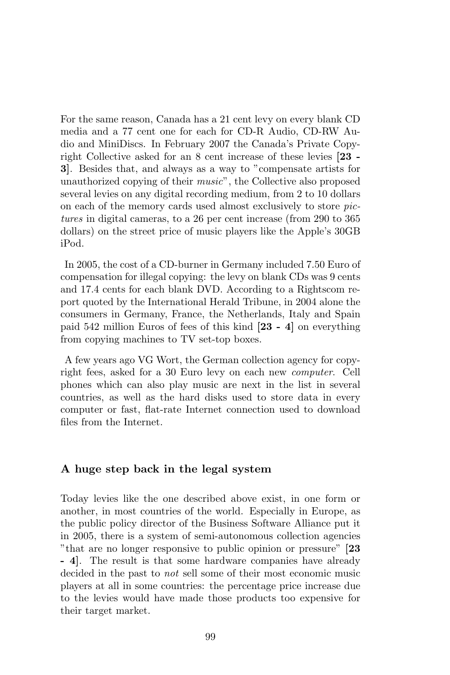For the same reason, Canada has a 21 cent levy on every blank CD media and a 77 cent one for each for CD-R Audio, CD-RW Audio and MiniDiscs. In February 2007 the Canada's Private Copyright Collective asked for an 8 cent increase of these levies [23 - 3]. Besides that, and always as a way to "compensate artists for unauthorized copying of their music", the Collective also proposed several levies on any digital recording medium, from 2 to 10 dollars on each of the memory cards used almost exclusively to store pictures in digital cameras, to a 26 per cent increase (from 290 to 365 dollars) on the street price of music players like the Apple's 30GB iPod.

In 2005, the cost of a CD-burner in Germany included 7.50 Euro of compensation for illegal copying: the levy on blank CDs was 9 cents and 17.4 cents for each blank DVD. According to a Rightscom report quoted by the International Herald Tribune, in 2004 alone the consumers in Germany, France, the Netherlands, Italy and Spain paid 542 million Euros of fees of this kind [23 - 4] on everything from copying machines to TV set-top boxes.

A few years ago VG Wort, the German collection agency for copyright fees, asked for a 30 Euro levy on each new computer. Cell phones which can also play music are next in the list in several countries, as well as the hard disks used to store data in every computer or fast, flat-rate Internet connection used to download files from the Internet.

### A huge step back in the legal system

Today levies like the one described above exist, in one form or another, in most countries of the world. Especially in Europe, as the public policy director of the Business Software Alliance put it in 2005, there is a system of semi-autonomous collection agencies "that are no longer responsive to public opinion or pressure" [23] - 4]. The result is that some hardware companies have already decided in the past to not sell some of their most economic music players at all in some countries: the percentage price increase due to the levies would have made those products too expensive for their target market.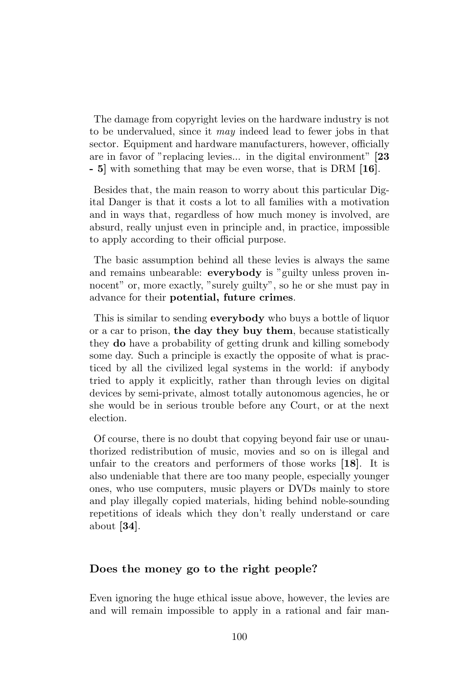The damage from copyright levies on the hardware industry is not to be undervalued, since it may indeed lead to fewer jobs in that sector. Equipment and hardware manufacturers, however, officially are in favor of "replacing levies... in the digital environment" [23 - 5] with something that may be even worse, that is DRM [16].

Besides that, the main reason to worry about this particular Digital Danger is that it costs a lot to all families with a motivation and in ways that, regardless of how much money is involved, are absurd, really unjust even in principle and, in practice, impossible to apply according to their official purpose.

The basic assumption behind all these levies is always the same and remains unbearable: everybody is "guilty unless proven innocent" or, more exactly, "surely guilty", so he or she must pay in advance for their potential, future crimes.

This is similar to sending **everybody** who buys a bottle of liquor or a car to prison, the day they buy them, because statistically they do have a probability of getting drunk and killing somebody some day. Such a principle is exactly the opposite of what is practiced by all the civilized legal systems in the world: if anybody tried to apply it explicitly, rather than through levies on digital devices by semi-private, almost totally autonomous agencies, he or she would be in serious trouble before any Court, or at the next election.

Of course, there is no doubt that copying beyond fair use or unauthorized redistribution of music, movies and so on is illegal and unfair to the creators and performers of those works [18]. It is also undeniable that there are too many people, especially younger ones, who use computers, music players or DVDs mainly to store and play illegally copied materials, hiding behind noble-sounding repetitions of ideals which they don't really understand or care about [34].

#### Does the money go to the right people?

Even ignoring the huge ethical issue above, however, the levies are and will remain impossible to apply in a rational and fair man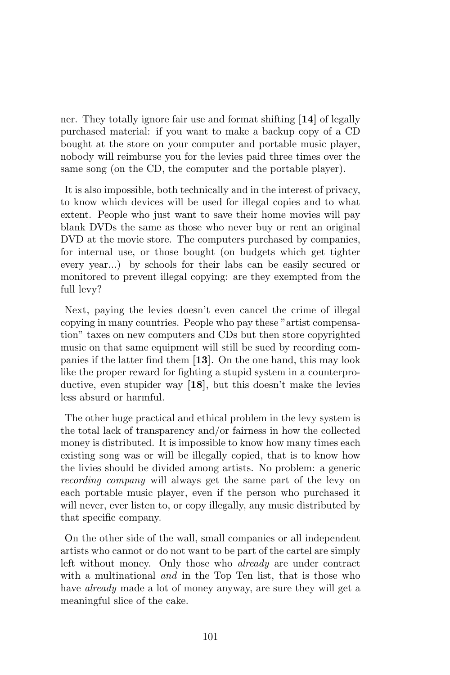ner. They totally ignore fair use and format shifting [14] of legally purchased material: if you want to make a backup copy of a CD bought at the store on your computer and portable music player, nobody will reimburse you for the levies paid three times over the same song (on the CD, the computer and the portable player).

It is also impossible, both technically and in the interest of privacy, to know which devices will be used for illegal copies and to what extent. People who just want to save their home movies will pay blank DVDs the same as those who never buy or rent an original DVD at the movie store. The computers purchased by companies, for internal use, or those bought (on budgets which get tighter every year...) by schools for their labs can be easily secured or monitored to prevent illegal copying: are they exempted from the full levy?

Next, paying the levies doesn't even cancel the crime of illegal copying in many countries. People who pay these "artist compensation" taxes on new computers and CDs but then store copyrighted music on that same equipment will still be sued by recording companies if the latter find them [13]. On the one hand, this may look like the proper reward for fighting a stupid system in a counterproductive, even stupider way [18], but this doesn't make the levies less absurd or harmful.

The other huge practical and ethical problem in the levy system is the total lack of transparency and/or fairness in how the collected money is distributed. It is impossible to know how many times each existing song was or will be illegally copied, that is to know how the livies should be divided among artists. No problem: a generic recording company will always get the same part of the levy on each portable music player, even if the person who purchased it will never, ever listen to, or copy illegally, any music distributed by that specific company.

On the other side of the wall, small companies or all independent artists who cannot or do not want to be part of the cartel are simply left without money. Only those who already are under contract with a multinational *and* in the Top Ten list, that is those who have *already* made a lot of money anyway, are sure they will get a meaningful slice of the cake.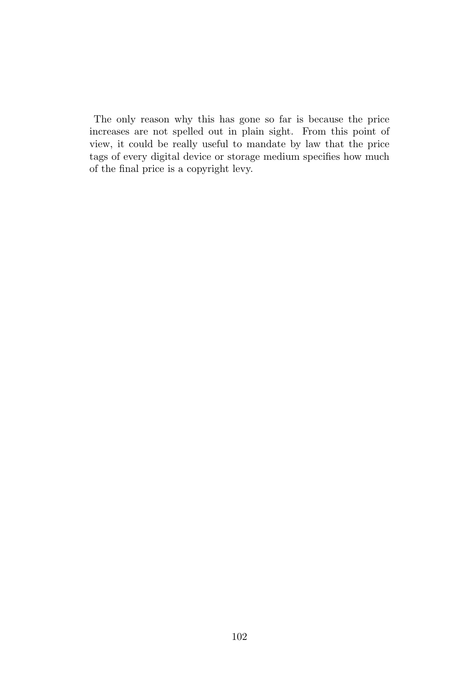The only reason why this has gone so far is because the price increases are not spelled out in plain sight. From this point of view, it could be really useful to mandate by law that the price tags of every digital device or storage medium specifies how much of the final price is a copyright levy.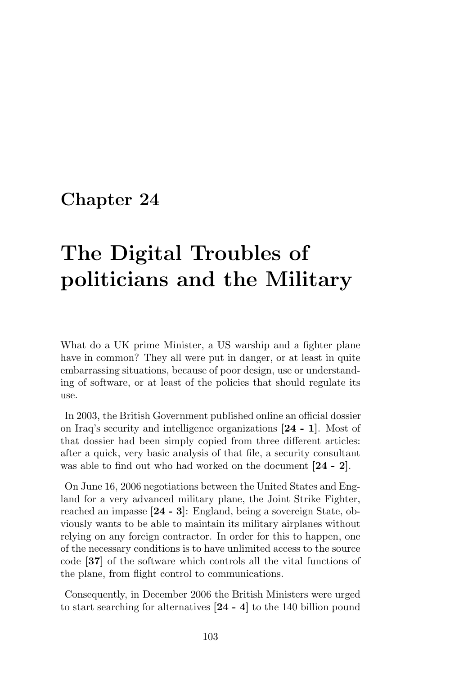# The Digital Troubles of politicians and the Military

What do a UK prime Minister, a US warship and a fighter plane have in common? They all were put in danger, or at least in quite embarrassing situations, because of poor design, use or understanding of software, or at least of the policies that should regulate its use.

In 2003, the British Government published online an official dossier on Iraq's security and intelligence organizations [24 - 1]. Most of that dossier had been simply copied from three different articles: after a quick, very basic analysis of that file, a security consultant was able to find out who had worked on the document [24 - 2].

On June 16, 2006 negotiations between the United States and England for a very advanced military plane, the Joint Strike Fighter, reached an impasse [24 - 3]: England, being a sovereign State, obviously wants to be able to maintain its military airplanes without relying on any foreign contractor. In order for this to happen, one of the necessary conditions is to have unlimited access to the source code [37] of the software which controls all the vital functions of the plane, from flight control to communications.

Consequently, in December 2006 the British Ministers were urged to start searching for alternatives [24 - 4] to the 140 billion pound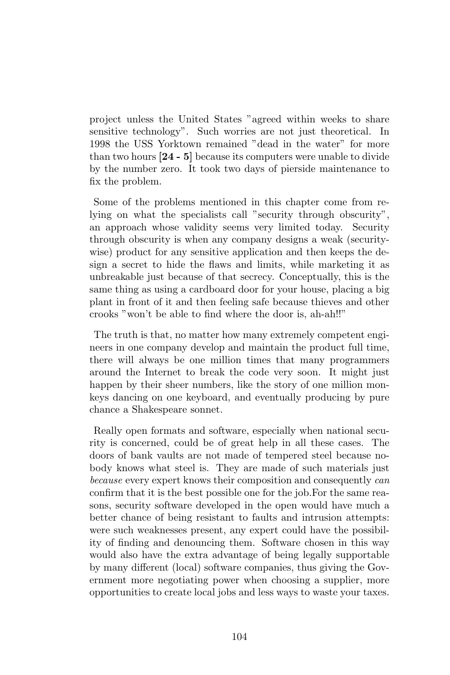project unless the United States "agreed within weeks to share sensitive technology". Such worries are not just theoretical. In 1998 the USS Yorktown remained "dead in the water" for more than two hours [24 - 5] because its computers were unable to divide by the number zero. It took two days of pierside maintenance to fix the problem.

Some of the problems mentioned in this chapter come from relying on what the specialists call "security through obscurity", an approach whose validity seems very limited today. Security through obscurity is when any company designs a weak (securitywise) product for any sensitive application and then keeps the design a secret to hide the flaws and limits, while marketing it as unbreakable just because of that secrecy. Conceptually, this is the same thing as using a cardboard door for your house, placing a big plant in front of it and then feeling safe because thieves and other crooks "won't be able to find where the door is, ah-ah!!"

The truth is that, no matter how many extremely competent engineers in one company develop and maintain the product full time, there will always be one million times that many programmers around the Internet to break the code very soon. It might just happen by their sheer numbers, like the story of one million monkeys dancing on one keyboard, and eventually producing by pure chance a Shakespeare sonnet.

Really open formats and software, especially when national security is concerned, could be of great help in all these cases. The doors of bank vaults are not made of tempered steel because nobody knows what steel is. They are made of such materials just because every expert knows their composition and consequently can confirm that it is the best possible one for the job.For the same reasons, security software developed in the open would have much a better chance of being resistant to faults and intrusion attempts: were such weaknesses present, any expert could have the possibility of finding and denouncing them. Software chosen in this way would also have the extra advantage of being legally supportable by many different (local) software companies, thus giving the Government more negotiating power when choosing a supplier, more opportunities to create local jobs and less ways to waste your taxes.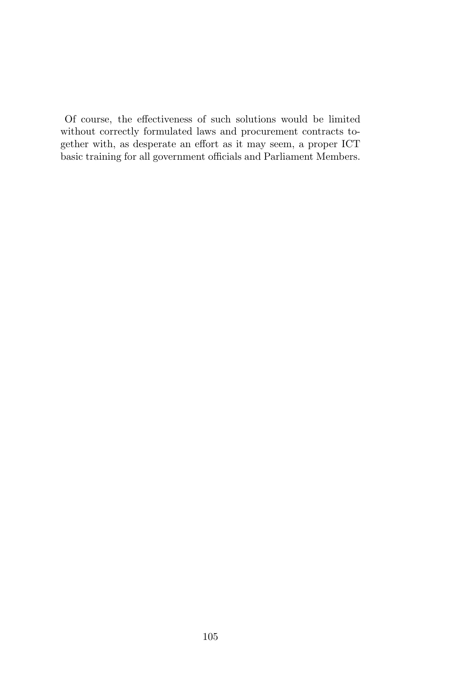Of course, the effectiveness of such solutions would be limited without correctly formulated laws and procurement contracts together with, as desperate an effort as it may seem, a proper ICT basic training for all government officials and Parliament Members.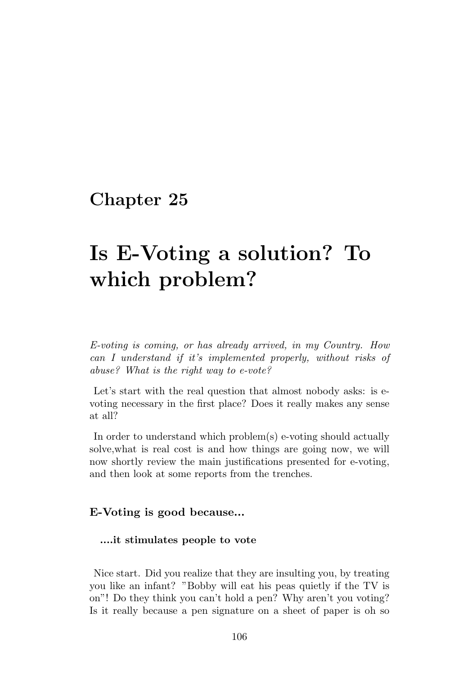# Is E-Voting a solution? To which problem?

E-voting is coming, or has already arrived, in my Country. How can I understand if it's implemented properly, without risks of abuse? What is the right way to e-vote?

Let's start with the real question that almost nobody asks: is evoting necessary in the first place? Does it really makes any sense at all?

In order to understand which problem(s) e-voting should actually solve,what is real cost is and how things are going now, we will now shortly review the main justifications presented for e-voting, and then look at some reports from the trenches.

## E-Voting is good because...

#### ....it stimulates people to vote

Nice start. Did you realize that they are insulting you, by treating you like an infant? "Bobby will eat his peas quietly if the TV is on"! Do they think you can't hold a pen? Why aren't you voting? Is it really because a pen signature on a sheet of paper is oh so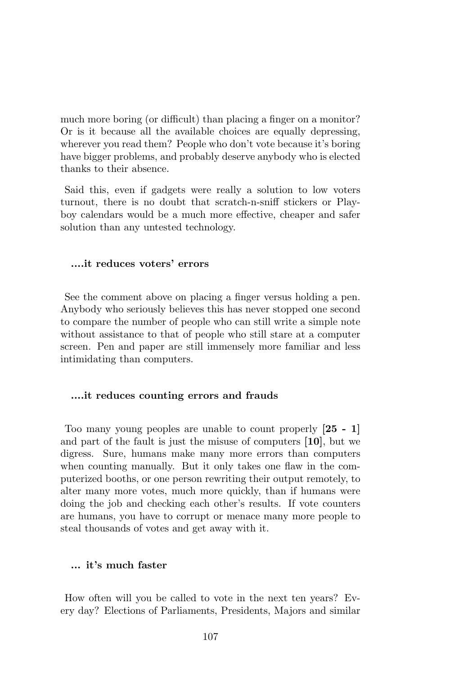much more boring (or difficult) than placing a finger on a monitor? Or is it because all the available choices are equally depressing, wherever you read them? People who don't vote because it's boring have bigger problems, and probably deserve anybody who is elected thanks to their absence.

Said this, even if gadgets were really a solution to low voters turnout, there is no doubt that scratch-n-sniff stickers or Playboy calendars would be a much more effective, cheaper and safer solution than any untested technology.

#### ....it reduces voters' errors

See the comment above on placing a finger versus holding a pen. Anybody who seriously believes this has never stopped one second to compare the number of people who can still write a simple note without assistance to that of people who still stare at a computer screen. Pen and paper are still immensely more familiar and less intimidating than computers.

#### ....it reduces counting errors and frauds

Too many young peoples are unable to count properly [25 - 1] and part of the fault is just the misuse of computers [10], but we digress. Sure, humans make many more errors than computers when counting manually. But it only takes one flaw in the computerized booths, or one person rewriting their output remotely, to alter many more votes, much more quickly, than if humans were doing the job and checking each other's results. If vote counters are humans, you have to corrupt or menace many more people to steal thousands of votes and get away with it.

### ... it's much faster

How often will you be called to vote in the next ten years? Every day? Elections of Parliaments, Presidents, Majors and similar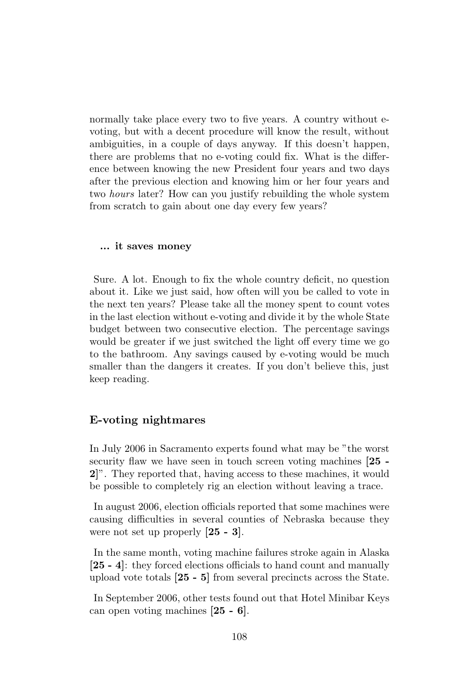normally take place every two to five years. A country without evoting, but with a decent procedure will know the result, without ambiguities, in a couple of days anyway. If this doesn't happen, there are problems that no e-voting could fix. What is the difference between knowing the new President four years and two days after the previous election and knowing him or her four years and two hours later? How can you justify rebuilding the whole system from scratch to gain about one day every few years?

#### ... it saves money

Sure. A lot. Enough to fix the whole country deficit, no question about it. Like we just said, how often will you be called to vote in the next ten years? Please take all the money spent to count votes in the last election without e-voting and divide it by the whole State budget between two consecutive election. The percentage savings would be greater if we just switched the light off every time we go to the bathroom. Any savings caused by e-voting would be much smaller than the dangers it creates. If you don't believe this, just keep reading.

### E-voting nightmares

In July 2006 in Sacramento experts found what may be "the worst security flaw we have seen in touch screen voting machines  $[25 -$ 2]". They reported that, having access to these machines, it would be possible to completely rig an election without leaving a trace.

In august 2006, election officials reported that some machines were causing difficulties in several counties of Nebraska because they were not set up properly [25 - 3].

In the same month, voting machine failures stroke again in Alaska [25 - 4]: they forced elections officials to hand count and manually upload vote totals [25 - 5] from several precincts across the State.

In September 2006, other tests found out that Hotel Minibar Keys can open voting machines [25 - 6].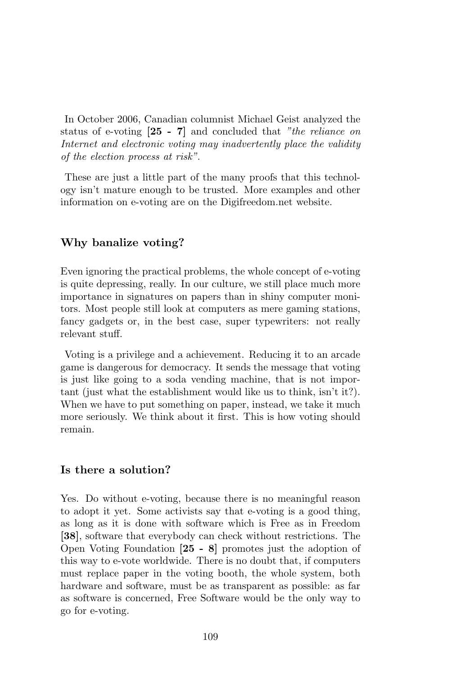In October 2006, Canadian columnist Michael Geist analyzed the status of e-voting [25 - 7] and concluded that "the reliance on Internet and electronic voting may inadvertently place the validity of the election process at risk".

These are just a little part of the many proofs that this technology isn't mature enough to be trusted. More examples and other information on e-voting are on the Digifreedom.net website.

## Why banalize voting?

Even ignoring the practical problems, the whole concept of e-voting is quite depressing, really. In our culture, we still place much more importance in signatures on papers than in shiny computer monitors. Most people still look at computers as mere gaming stations, fancy gadgets or, in the best case, super typewriters: not really relevant stuff.

Voting is a privilege and a achievement. Reducing it to an arcade game is dangerous for democracy. It sends the message that voting is just like going to a soda vending machine, that is not important (just what the establishment would like us to think, isn't it?). When we have to put something on paper, instead, we take it much more seriously. We think about it first. This is how voting should remain.

### Is there a solution?

Yes. Do without e-voting, because there is no meaningful reason to adopt it yet. Some activists say that e-voting is a good thing, as long as it is done with software which is Free as in Freedom [38], software that everybody can check without restrictions. The Open Voting Foundation [25 - 8] promotes just the adoption of this way to e-vote worldwide. There is no doubt that, if computers must replace paper in the voting booth, the whole system, both hardware and software, must be as transparent as possible: as far as software is concerned, Free Software would be the only way to go for e-voting.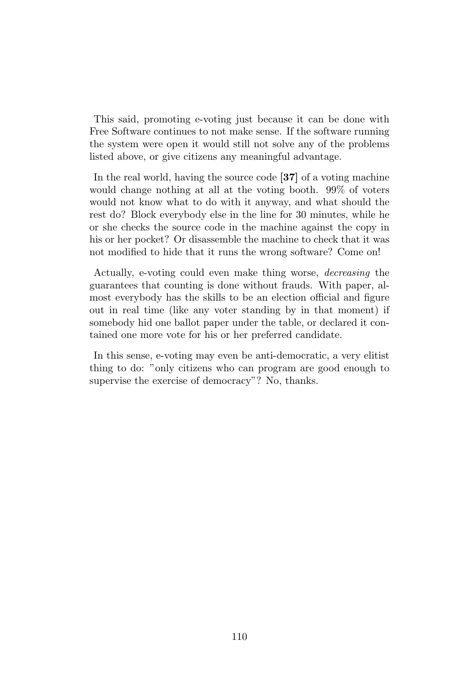This said, promoting e-voting just because it can be done with Free Software continues to not make sense. If the software running the system were open it would still not solve any of the problems listed above, or give citizens any meaningful advantage.

In the real world, having the source code [37] of a voting machine would change nothing at all at the voting booth. 99% of voters would not know what to do with it anyway, and what should the rest do? Block everybody else in the line for 30 minutes, while he or she checks the source code in the machine against the copy in his or her pocket? Or disassemble the machine to check that it was not modified to hide that it runs the wrong software? Come on!

Actually, e-voting could even make thing worse, decreasing the guarantees that counting is done without frauds. With paper, almost everybody has the skills to be an election official and figure out in real time (like any voter standing by in that moment) if somebody hid one ballot paper under the table, or declared it contained one more vote for his or her preferred candidate.

In this sense, e-voting may even be anti-democratic, a very elitist thing to do: "only citizens who can program are good enough to supervise the exercise of democracy"? No, thanks.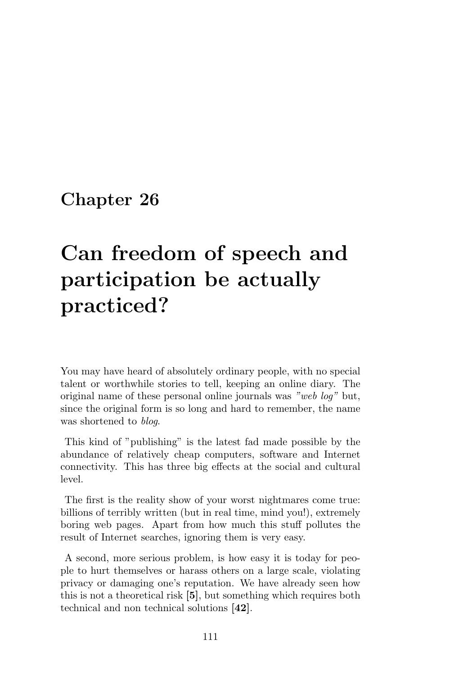# Can freedom of speech and participation be actually practiced?

You may have heard of absolutely ordinary people, with no special talent or worthwhile stories to tell, keeping an online diary. The original name of these personal online journals was "web log" but, since the original form is so long and hard to remember, the name was shortened to *blog*.

This kind of "publishing" is the latest fad made possible by the abundance of relatively cheap computers, software and Internet connectivity. This has three big effects at the social and cultural level.

The first is the reality show of your worst nightmares come true: billions of terribly written (but in real time, mind you!), extremely boring web pages. Apart from how much this stuff pollutes the result of Internet searches, ignoring them is very easy.

A second, more serious problem, is how easy it is today for people to hurt themselves or harass others on a large scale, violating privacy or damaging one's reputation. We have already seen how this is not a theoretical risk [5], but something which requires both technical and non technical solutions [42].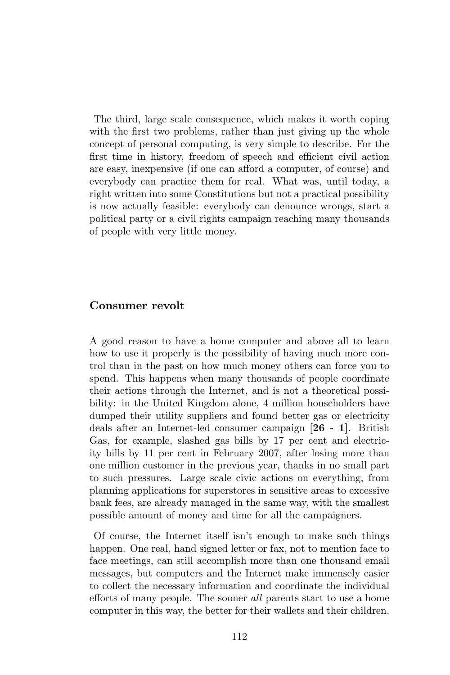The third, large scale consequence, which makes it worth coping with the first two problems, rather than just giving up the whole concept of personal computing, is very simple to describe. For the first time in history, freedom of speech and efficient civil action are easy, inexpensive (if one can afford a computer, of course) and everybody can practice them for real. What was, until today, a right written into some Constitutions but not a practical possibility is now actually feasible: everybody can denounce wrongs, start a political party or a civil rights campaign reaching many thousands of people with very little money.

#### Consumer revolt

A good reason to have a home computer and above all to learn how to use it properly is the possibility of having much more control than in the past on how much money others can force you to spend. This happens when many thousands of people coordinate their actions through the Internet, and is not a theoretical possibility: in the United Kingdom alone, 4 million householders have dumped their utility suppliers and found better gas or electricity deals after an Internet-led consumer campaign [26 - 1]. British Gas, for example, slashed gas bills by 17 per cent and electricity bills by 11 per cent in February 2007, after losing more than one million customer in the previous year, thanks in no small part to such pressures. Large scale civic actions on everything, from planning applications for superstores in sensitive areas to excessive bank fees, are already managed in the same way, with the smallest possible amount of money and time for all the campaigners.

Of course, the Internet itself isn't enough to make such things happen. One real, hand signed letter or fax, not to mention face to face meetings, can still accomplish more than one thousand email messages, but computers and the Internet make immensely easier to collect the necessary information and coordinate the individual efforts of many people. The sooner all parents start to use a home computer in this way, the better for their wallets and their children.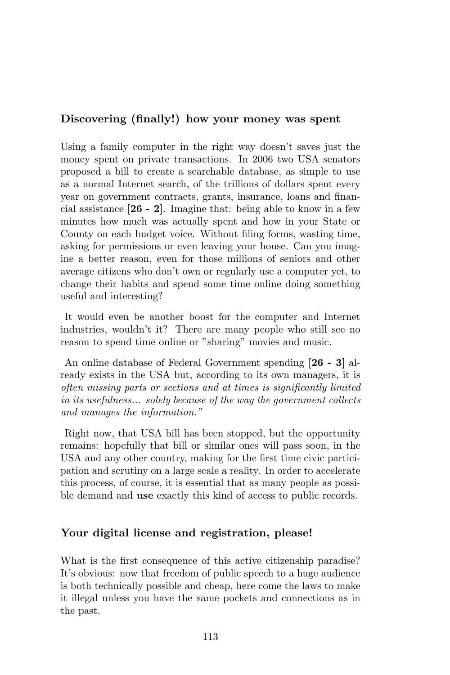## Discovering (finally!) how your money was spent

Using a family computer in the right way doesn't saves just the money spent on private transactions. In 2006 two USA senators proposed a bill to create a searchable database, as simple to use as a normal Internet search, of the trillions of dollars spent every year on government contracts, grants, insurance, loans and financial assistance [26 - 2]. Imagine that: being able to know in a few minutes how much was actually spent and how in your State or County on each budget voice. Without filing forms, wasting time, asking for permissions or even leaving your house. Can you imagine a better reason, even for those millions of seniors and other average citizens who don't own or regularly use a computer yet, to change their habits and spend some time online doing something useful and interesting?

It would even be another boost for the computer and Internet industries, wouldn't it? There are many people who still see no reason to spend time online or "sharing" movies and music.

An online database of Federal Government spending [26 - 3] already exists in the USA but, according to its own managers, it is often missing parts or sections and at times is significantly limited in its usefulness... solely because of the way the government collects and manages the information."

Right now, that USA bill has been stopped, but the opportunity remains: hopefully that bill or similar ones will pass soon, in the USA and any other country, making for the first time civic participation and scrutiny on a large scale a reality. In order to accelerate this process, of course, it is essential that as many people as possible demand and use exactly this kind of access to public records.

## Your digital license and registration, please!

What is the first consequence of this active citizenship paradise? It's obvious: now that freedom of public speech to a huge audience is both technically possible and cheap, here come the laws to make it illegal unless you have the same pockets and connections as in the past.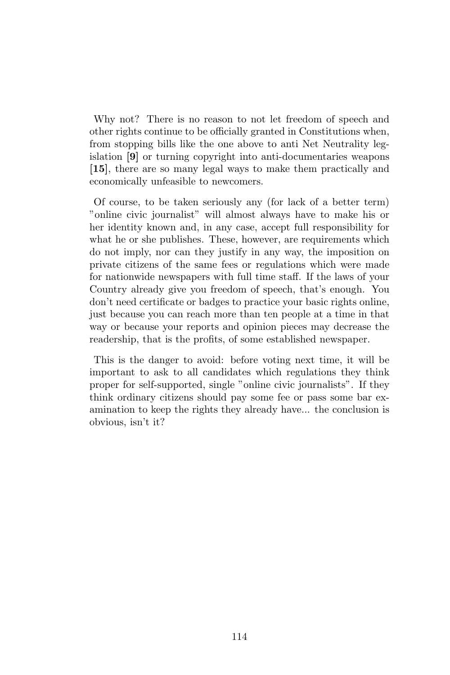Why not? There is no reason to not let freedom of speech and other rights continue to be officially granted in Constitutions when, from stopping bills like the one above to anti Net Neutrality legislation [9] or turning copyright into anti-documentaries weapons [15], there are so many legal ways to make them practically and economically unfeasible to newcomers.

Of course, to be taken seriously any (for lack of a better term) "online civic journalist" will almost always have to make his or her identity known and, in any case, accept full responsibility for what he or she publishes. These, however, are requirements which do not imply, nor can they justify in any way, the imposition on private citizens of the same fees or regulations which were made for nationwide newspapers with full time staff. If the laws of your Country already give you freedom of speech, that's enough. You don't need certificate or badges to practice your basic rights online, just because you can reach more than ten people at a time in that way or because your reports and opinion pieces may decrease the readership, that is the profits, of some established newspaper.

This is the danger to avoid: before voting next time, it will be important to ask to all candidates which regulations they think proper for self-supported, single "online civic journalists". If they think ordinary citizens should pay some fee or pass some bar examination to keep the rights they already have... the conclusion is obvious, isn't it?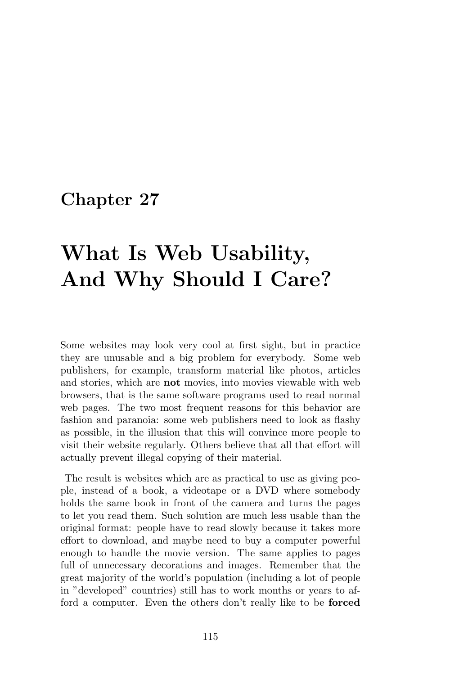# What Is Web Usability, And Why Should I Care?

Some websites may look very cool at first sight, but in practice they are unusable and a big problem for everybody. Some web publishers, for example, transform material like photos, articles and stories, which are not movies, into movies viewable with web browsers, that is the same software programs used to read normal web pages. The two most frequent reasons for this behavior are fashion and paranoia: some web publishers need to look as flashy as possible, in the illusion that this will convince more people to visit their website regularly. Others believe that all that effort will actually prevent illegal copying of their material.

The result is websites which are as practical to use as giving people, instead of a book, a videotape or a DVD where somebody holds the same book in front of the camera and turns the pages to let you read them. Such solution are much less usable than the original format: people have to read slowly because it takes more effort to download, and maybe need to buy a computer powerful enough to handle the movie version. The same applies to pages full of unnecessary decorations and images. Remember that the great majority of the world's population (including a lot of people in "developed" countries) still has to work months or years to afford a computer. Even the others don't really like to be forced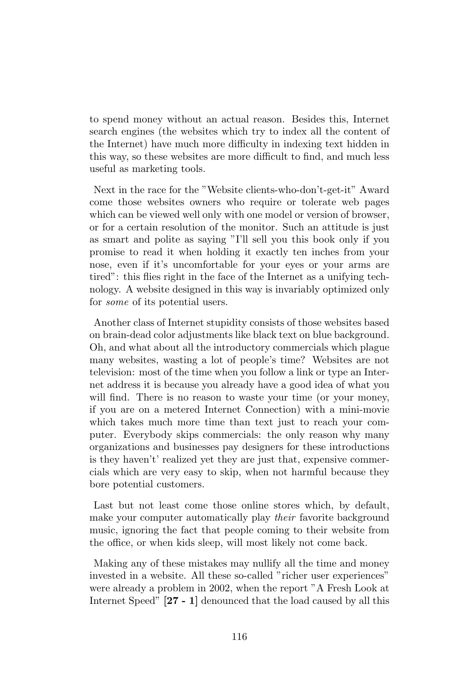to spend money without an actual reason. Besides this, Internet search engines (the websites which try to index all the content of the Internet) have much more difficulty in indexing text hidden in this way, so these websites are more difficult to find, and much less useful as marketing tools.

Next in the race for the "Website clients-who-don't-get-it" Award come those websites owners who require or tolerate web pages which can be viewed well only with one model or version of browser, or for a certain resolution of the monitor. Such an attitude is just as smart and polite as saying "I'll sell you this book only if you promise to read it when holding it exactly ten inches from your nose, even if it's uncomfortable for your eyes or your arms are tired": this flies right in the face of the Internet as a unifying technology. A website designed in this way is invariably optimized only for some of its potential users.

Another class of Internet stupidity consists of those websites based on brain-dead color adjustments like black text on blue background. Oh, and what about all the introductory commercials which plague many websites, wasting a lot of people's time? Websites are not television: most of the time when you follow a link or type an Internet address it is because you already have a good idea of what you will find. There is no reason to waste your time (or your money, if you are on a metered Internet Connection) with a mini-movie which takes much more time than text just to reach your computer. Everybody skips commercials: the only reason why many organizations and businesses pay designers for these introductions is they haven't' realized yet they are just that, expensive commercials which are very easy to skip, when not harmful because they bore potential customers.

Last but not least come those online stores which, by default, make your computer automatically play their favorite background music, ignoring the fact that people coming to their website from the office, or when kids sleep, will most likely not come back.

Making any of these mistakes may nullify all the time and money invested in a website. All these so-called "richer user experiences" were already a problem in 2002, when the report "A Fresh Look at Internet Speed" [27 - 1] denounced that the load caused by all this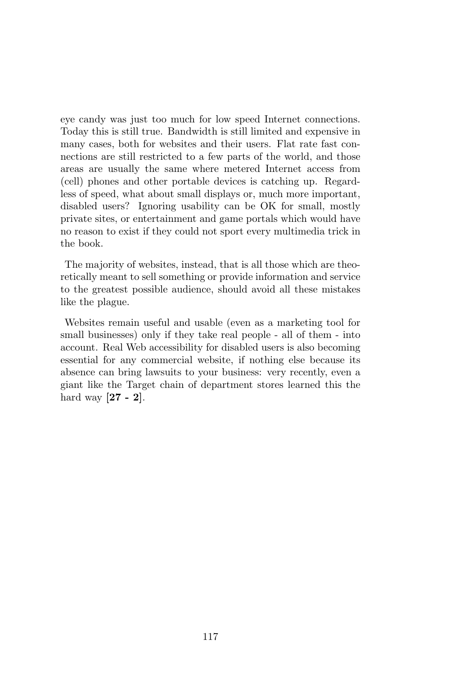eye candy was just too much for low speed Internet connections. Today this is still true. Bandwidth is still limited and expensive in many cases, both for websites and their users. Flat rate fast connections are still restricted to a few parts of the world, and those areas are usually the same where metered Internet access from (cell) phones and other portable devices is catching up. Regardless of speed, what about small displays or, much more important, disabled users? Ignoring usability can be OK for small, mostly private sites, or entertainment and game portals which would have no reason to exist if they could not sport every multimedia trick in the book.

The majority of websites, instead, that is all those which are theoretically meant to sell something or provide information and service to the greatest possible audience, should avoid all these mistakes like the plague.

Websites remain useful and usable (even as a marketing tool for small businesses) only if they take real people - all of them - into account. Real Web accessibility for disabled users is also becoming essential for any commercial website, if nothing else because its absence can bring lawsuits to your business: very recently, even a giant like the Target chain of department stores learned this the hard way  $[27 - 2]$ .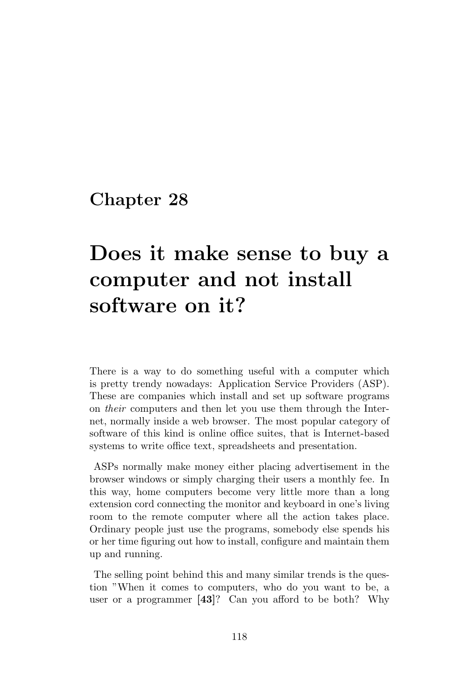# Does it make sense to buy a computer and not install software on it?

There is a way to do something useful with a computer which is pretty trendy nowadays: Application Service Providers (ASP). These are companies which install and set up software programs on their computers and then let you use them through the Internet, normally inside a web browser. The most popular category of software of this kind is online office suites, that is Internet-based systems to write office text, spreadsheets and presentation.

ASPs normally make money either placing advertisement in the browser windows or simply charging their users a monthly fee. In this way, home computers become very little more than a long extension cord connecting the monitor and keyboard in one's living room to the remote computer where all the action takes place. Ordinary people just use the programs, somebody else spends his or her time figuring out how to install, configure and maintain them up and running.

The selling point behind this and many similar trends is the question "When it comes to computers, who do you want to be, a user or a programmer [43]? Can you afford to be both? Why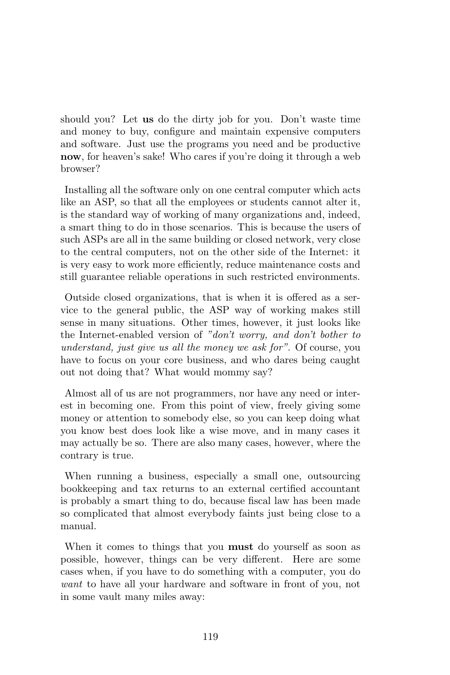should you? Let us do the dirty job for you. Don't waste time and money to buy, configure and maintain expensive computers and software. Just use the programs you need and be productive now, for heaven's sake! Who cares if you're doing it through a web browser?

Installing all the software only on one central computer which acts like an ASP, so that all the employees or students cannot alter it, is the standard way of working of many organizations and, indeed, a smart thing to do in those scenarios. This is because the users of such ASPs are all in the same building or closed network, very close to the central computers, not on the other side of the Internet: it is very easy to work more efficiently, reduce maintenance costs and still guarantee reliable operations in such restricted environments.

Outside closed organizations, that is when it is offered as a service to the general public, the ASP way of working makes still sense in many situations. Other times, however, it just looks like the Internet-enabled version of "don't worry, and don't bother to understand, just give us all the money we ask for". Of course, you have to focus on your core business, and who dares being caught out not doing that? What would mommy say?

Almost all of us are not programmers, nor have any need or interest in becoming one. From this point of view, freely giving some money or attention to somebody else, so you can keep doing what you know best does look like a wise move, and in many cases it may actually be so. There are also many cases, however, where the contrary is true.

When running a business, especially a small one, outsourcing bookkeeping and tax returns to an external certified accountant is probably a smart thing to do, because fiscal law has been made so complicated that almost everybody faints just being close to a manual.

When it comes to things that you must do yourself as soon as possible, however, things can be very different. Here are some cases when, if you have to do something with a computer, you do want to have all your hardware and software in front of you, not in some vault many miles away: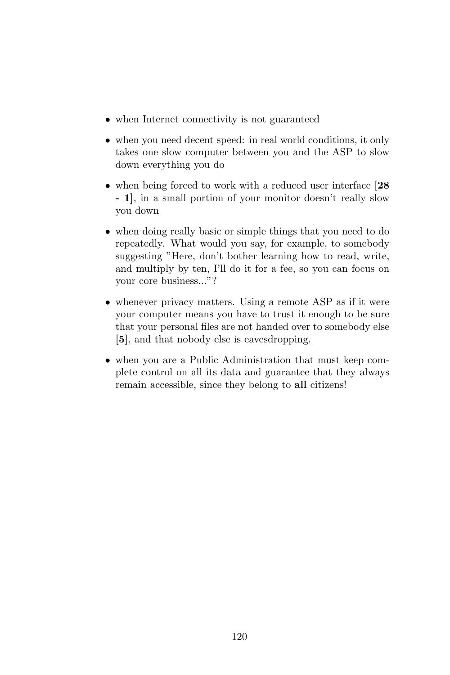- when Internet connectivity is not guaranteed
- when you need decent speed: in real world conditions, it only takes one slow computer between you and the ASP to slow down everything you do
- when being forced to work with a reduced user interface [28] - 1], in a small portion of your monitor doesn't really slow you down
- when doing really basic or simple things that you need to do repeatedly. What would you say, for example, to somebody suggesting "Here, don't bother learning how to read, write, and multiply by ten, I'll do it for a fee, so you can focus on your core business..."?
- whenever privacy matters. Using a remote ASP as if it were your computer means you have to trust it enough to be sure that your personal files are not handed over to somebody else [5], and that nobody else is eavesdropping.
- when you are a Public Administration that must keep complete control on all its data and guarantee that they always remain accessible, since they belong to all citizens!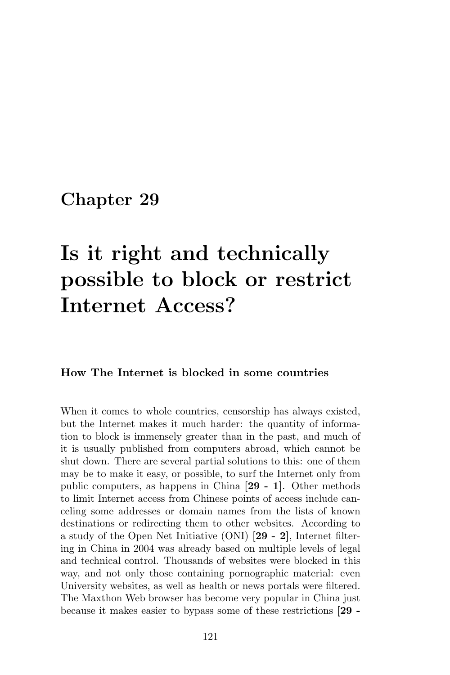# Is it right and technically possible to block or restrict Internet Access?

## How The Internet is blocked in some countries

When it comes to whole countries, censorship has always existed, but the Internet makes it much harder: the quantity of information to block is immensely greater than in the past, and much of it is usually published from computers abroad, which cannot be shut down. There are several partial solutions to this: one of them may be to make it easy, or possible, to surf the Internet only from public computers, as happens in China [29 - 1]. Other methods to limit Internet access from Chinese points of access include canceling some addresses or domain names from the lists of known destinations or redirecting them to other websites. According to a study of the Open Net Initiative (ONI) [29 - 2], Internet filtering in China in 2004 was already based on multiple levels of legal and technical control. Thousands of websites were blocked in this way, and not only those containing pornographic material: even University websites, as well as health or news portals were filtered. The Maxthon Web browser has become very popular in China just because it makes easier to bypass some of these restrictions [29 -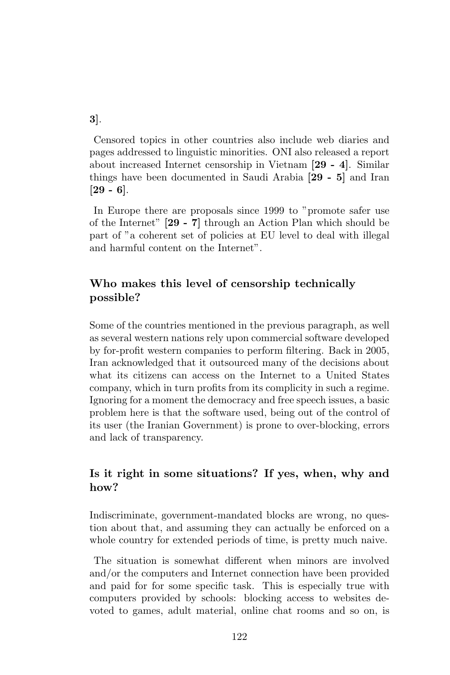3].

Censored topics in other countries also include web diaries and pages addressed to linguistic minorities. ONI also released a report about increased Internet censorship in Vietnam [29 - 4]. Similar things have been documented in Saudi Arabia [29 - 5] and Iran  $[29 - 6]$ .

In Europe there are proposals since 1999 to "promote safer use of the Internet" [29 - 7] through an Action Plan which should be part of "a coherent set of policies at EU level to deal with illegal and harmful content on the Internet".

# Who makes this level of censorship technically possible?

Some of the countries mentioned in the previous paragraph, as well as several western nations rely upon commercial software developed by for-profit western companies to perform filtering. Back in 2005, Iran acknowledged that it outsourced many of the decisions about what its citizens can access on the Internet to a United States company, which in turn profits from its complicity in such a regime. Ignoring for a moment the democracy and free speech issues, a basic problem here is that the software used, being out of the control of its user (the Iranian Government) is prone to over-blocking, errors and lack of transparency.

# Is it right in some situations? If yes, when, why and how?

Indiscriminate, government-mandated blocks are wrong, no question about that, and assuming they can actually be enforced on a whole country for extended periods of time, is pretty much naive.

The situation is somewhat different when minors are involved and/or the computers and Internet connection have been provided and paid for for some specific task. This is especially true with computers provided by schools: blocking access to websites devoted to games, adult material, online chat rooms and so on, is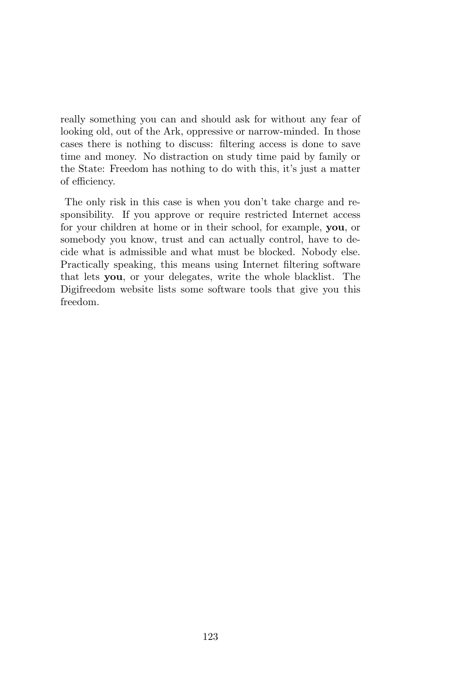really something you can and should ask for without any fear of looking old, out of the Ark, oppressive or narrow-minded. In those cases there is nothing to discuss: filtering access is done to save time and money. No distraction on study time paid by family or the State: Freedom has nothing to do with this, it's just a matter of efficiency.

The only risk in this case is when you don't take charge and responsibility. If you approve or require restricted Internet access for your children at home or in their school, for example, you, or somebody you know, trust and can actually control, have to decide what is admissible and what must be blocked. Nobody else. Practically speaking, this means using Internet filtering software that lets you, or your delegates, write the whole blacklist. The Digifreedom website lists some software tools that give you this freedom.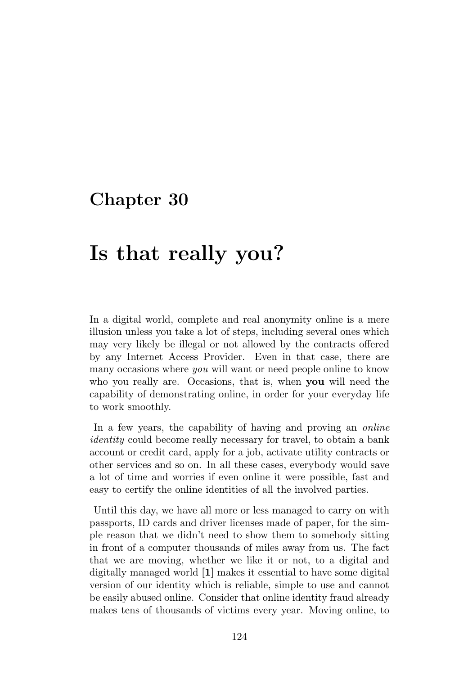# Is that really you?

In a digital world, complete and real anonymity online is a mere illusion unless you take a lot of steps, including several ones which may very likely be illegal or not allowed by the contracts offered by any Internet Access Provider. Even in that case, there are many occasions where you will want or need people online to know who you really are. Occasions, that is, when **you** will need the capability of demonstrating online, in order for your everyday life to work smoothly.

In a few years, the capability of having and proving an *online* identity could become really necessary for travel, to obtain a bank account or credit card, apply for a job, activate utility contracts or other services and so on. In all these cases, everybody would save a lot of time and worries if even online it were possible, fast and easy to certify the online identities of all the involved parties.

Until this day, we have all more or less managed to carry on with passports, ID cards and driver licenses made of paper, for the simple reason that we didn't need to show them to somebody sitting in front of a computer thousands of miles away from us. The fact that we are moving, whether we like it or not, to a digital and digitally managed world [1] makes it essential to have some digital version of our identity which is reliable, simple to use and cannot be easily abused online. Consider that online identity fraud already makes tens of thousands of victims every year. Moving online, to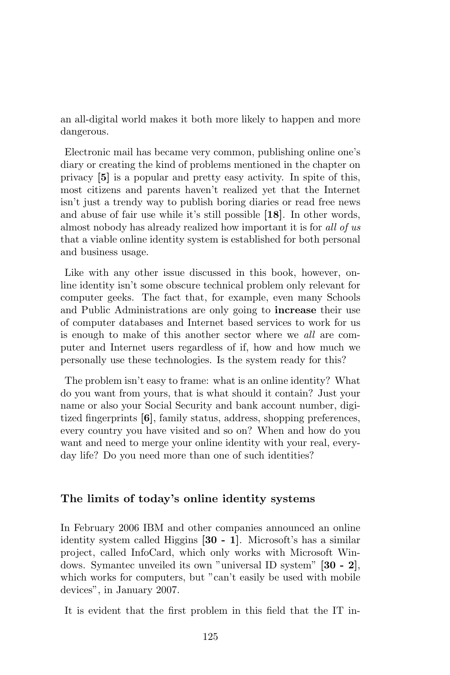an all-digital world makes it both more likely to happen and more dangerous.

Electronic mail has became very common, publishing online one's diary or creating the kind of problems mentioned in the chapter on privacy [5] is a popular and pretty easy activity. In spite of this, most citizens and parents haven't realized yet that the Internet isn't just a trendy way to publish boring diaries or read free news and abuse of fair use while it's still possible [18]. In other words, almost nobody has already realized how important it is for all of us that a viable online identity system is established for both personal and business usage.

Like with any other issue discussed in this book, however, online identity isn't some obscure technical problem only relevant for computer geeks. The fact that, for example, even many Schools and Public Administrations are only going to increase their use of computer databases and Internet based services to work for us is enough to make of this another sector where we all are computer and Internet users regardless of if, how and how much we personally use these technologies. Is the system ready for this?

The problem isn't easy to frame: what is an online identity? What do you want from yours, that is what should it contain? Just your name or also your Social Security and bank account number, digitized fingerprints [6], family status, address, shopping preferences, every country you have visited and so on? When and how do you want and need to merge your online identity with your real, everyday life? Do you need more than one of such identities?

### The limits of today's online identity systems

In February 2006 IBM and other companies announced an online identity system called Higgins [30 - 1]. Microsoft's has a similar project, called InfoCard, which only works with Microsoft Windows. Symantec unveiled its own "universal ID system" [30 - 2], which works for computers, but "can't easily be used with mobile devices", in January 2007.

It is evident that the first problem in this field that the IT in-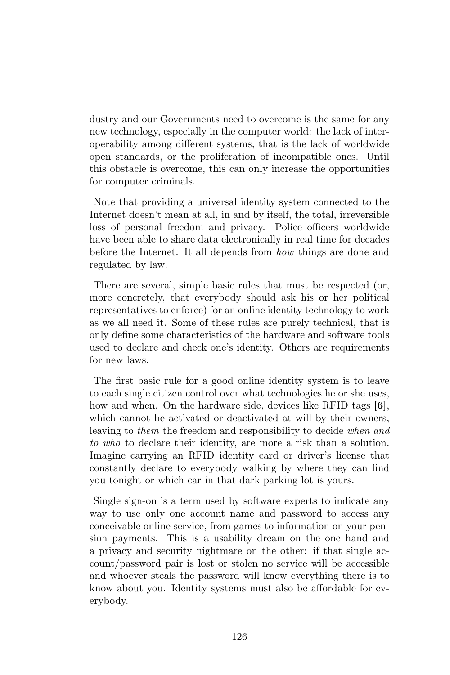dustry and our Governments need to overcome is the same for any new technology, especially in the computer world: the lack of interoperability among different systems, that is the lack of worldwide open standards, or the proliferation of incompatible ones. Until this obstacle is overcome, this can only increase the opportunities for computer criminals.

Note that providing a universal identity system connected to the Internet doesn't mean at all, in and by itself, the total, irreversible loss of personal freedom and privacy. Police officers worldwide have been able to share data electronically in real time for decades before the Internet. It all depends from how things are done and regulated by law.

There are several, simple basic rules that must be respected (or, more concretely, that everybody should ask his or her political representatives to enforce) for an online identity technology to work as we all need it. Some of these rules are purely technical, that is only define some characteristics of the hardware and software tools used to declare and check one's identity. Others are requirements for new laws.

The first basic rule for a good online identity system is to leave to each single citizen control over what technologies he or she uses, how and when. On the hardware side, devices like RFID tags [6], which cannot be activated or deactivated at will by their owners, leaving to them the freedom and responsibility to decide when and to who to declare their identity, are more a risk than a solution. Imagine carrying an RFID identity card or driver's license that constantly declare to everybody walking by where they can find you tonight or which car in that dark parking lot is yours.

Single sign-on is a term used by software experts to indicate any way to use only one account name and password to access any conceivable online service, from games to information on your pension payments. This is a usability dream on the one hand and a privacy and security nightmare on the other: if that single account/password pair is lost or stolen no service will be accessible and whoever steals the password will know everything there is to know about you. Identity systems must also be affordable for everybody.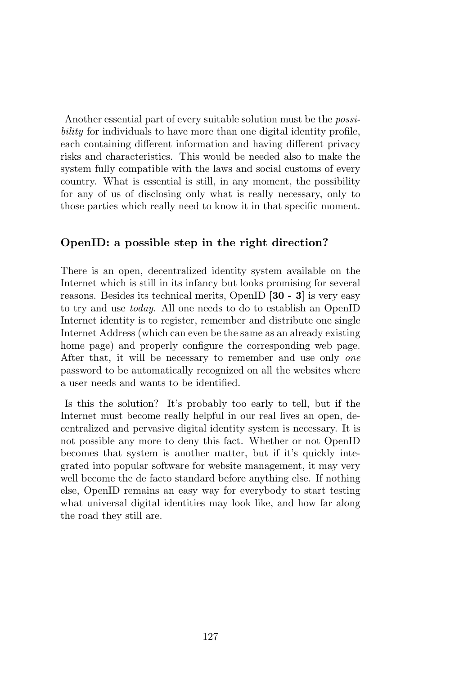Another essential part of every suitable solution must be the *possi*bility for individuals to have more than one digital identity profile, each containing different information and having different privacy risks and characteristics. This would be needed also to make the system fully compatible with the laws and social customs of every country. What is essential is still, in any moment, the possibility for any of us of disclosing only what is really necessary, only to those parties which really need to know it in that specific moment.

### OpenID: a possible step in the right direction?

There is an open, decentralized identity system available on the Internet which is still in its infancy but looks promising for several reasons. Besides its technical merits, OpenID [30 - 3] is very easy to try and use today. All one needs to do to establish an OpenID Internet identity is to register, remember and distribute one single Internet Address (which can even be the same as an already existing home page) and properly configure the corresponding web page. After that, it will be necessary to remember and use only one password to be automatically recognized on all the websites where a user needs and wants to be identified.

Is this the solution? It's probably too early to tell, but if the Internet must become really helpful in our real lives an open, decentralized and pervasive digital identity system is necessary. It is not possible any more to deny this fact. Whether or not OpenID becomes that system is another matter, but if it's quickly integrated into popular software for website management, it may very well become the de facto standard before anything else. If nothing else, OpenID remains an easy way for everybody to start testing what universal digital identities may look like, and how far along the road they still are.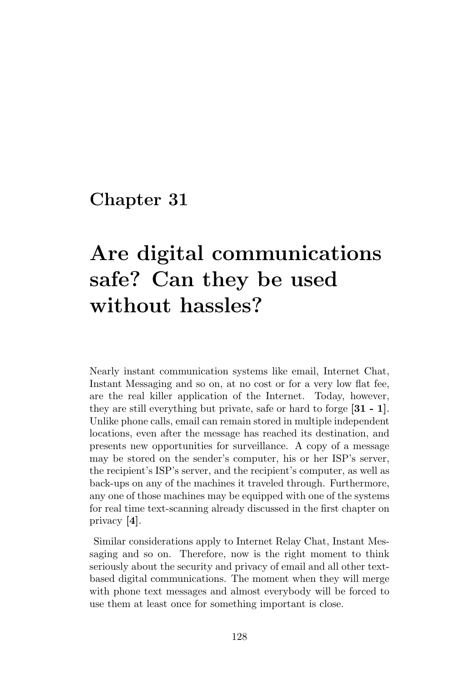# Are digital communications safe? Can they be used without hassles?

Nearly instant communication systems like email, Internet Chat, Instant Messaging and so on, at no cost or for a very low flat fee, are the real killer application of the Internet. Today, however, they are still everything but private, safe or hard to forge [31 - 1]. Unlike phone calls, email can remain stored in multiple independent locations, even after the message has reached its destination, and presents new opportunities for surveillance. A copy of a message may be stored on the sender's computer, his or her ISP's server, the recipient's ISP's server, and the recipient's computer, as well as back-ups on any of the machines it traveled through. Furthermore, any one of those machines may be equipped with one of the systems for real time text-scanning already discussed in the first chapter on privacy [4].

Similar considerations apply to Internet Relay Chat, Instant Messaging and so on. Therefore, now is the right moment to think seriously about the security and privacy of email and all other textbased digital communications. The moment when they will merge with phone text messages and almost everybody will be forced to use them at least once for something important is close.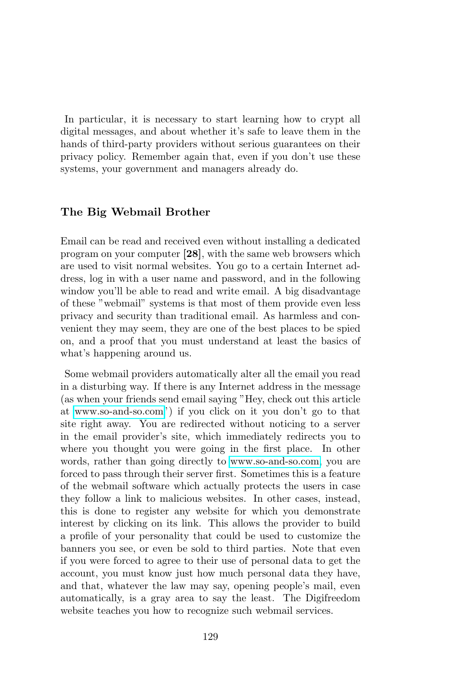In particular, it is necessary to start learning how to crypt all digital messages, and about whether it's safe to leave them in the hands of third-party providers without serious guarantees on their privacy policy. Remember again that, even if you don't use these systems, your government and managers already do.

## The Big Webmail Brother

Email can be read and received even without installing a dedicated program on your computer [28], with the same web browsers which are used to visit normal websites. You go to a certain Internet address, log in with a user name and password, and in the following window you'll be able to read and write email. A big disadvantage of these "webmail" systems is that most of them provide even less privacy and security than traditional email. As harmless and convenient they may seem, they are one of the best places to be spied on, and a proof that you must understand at least the basics of what's happening around us.

Some webmail providers automatically alter all the email you read in a disturbing way. If there is any Internet address in the message (as when your friends send email saying "Hey, check out this article at [www.so-and-so.com"](file:www.so-and-so.com)) if you click on it you don't go to that site right away. You are redirected without noticing to a server in the email provider's site, which immediately redirects you to where you thought you were going in the first place. In other words, rather than going directly to [www.so-and-so.com,](file:www.so-and-so.com) you are forced to pass through their server first. Sometimes this is a feature of the webmail software which actually protects the users in case they follow a link to malicious websites. In other cases, instead, this is done to register any website for which you demonstrate interest by clicking on its link. This allows the provider to build a profile of your personality that could be used to customize the banners you see, or even be sold to third parties. Note that even if you were forced to agree to their use of personal data to get the account, you must know just how much personal data they have, and that, whatever the law may say, opening people's mail, even automatically, is a gray area to say the least. The Digifreedom website teaches you how to recognize such webmail services.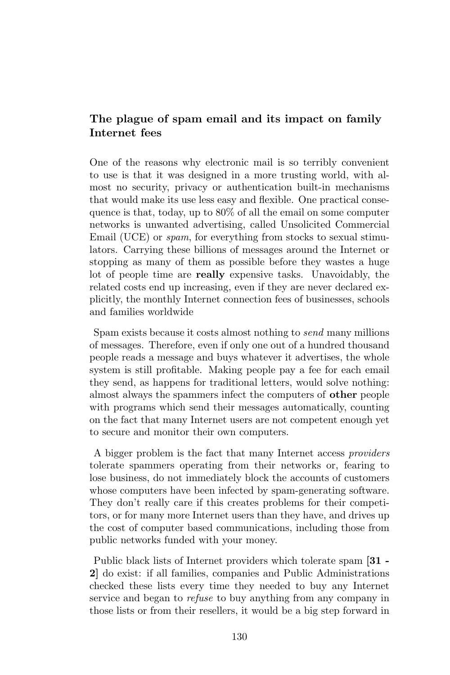## The plague of spam email and its impact on family Internet fees

One of the reasons why electronic mail is so terribly convenient to use is that it was designed in a more trusting world, with almost no security, privacy or authentication built-in mechanisms that would make its use less easy and flexible. One practical consequence is that, today, up to 80% of all the email on some computer networks is unwanted advertising, called Unsolicited Commercial Email (UCE) or *spam*, for everything from stocks to sexual stimulators. Carrying these billions of messages around the Internet or stopping as many of them as possible before they wastes a huge lot of people time are really expensive tasks. Unavoidably, the related costs end up increasing, even if they are never declared explicitly, the monthly Internet connection fees of businesses, schools and families worldwide

Spam exists because it costs almost nothing to send many millions of messages. Therefore, even if only one out of a hundred thousand people reads a message and buys whatever it advertises, the whole system is still profitable. Making people pay a fee for each email they send, as happens for traditional letters, would solve nothing: almost always the spammers infect the computers of other people with programs which send their messages automatically, counting on the fact that many Internet users are not competent enough yet to secure and monitor their own computers.

A bigger problem is the fact that many Internet access providers tolerate spammers operating from their networks or, fearing to lose business, do not immediately block the accounts of customers whose computers have been infected by spam-generating software. They don't really care if this creates problems for their competitors, or for many more Internet users than they have, and drives up the cost of computer based communications, including those from public networks funded with your money.

Public black lists of Internet providers which tolerate spam [31 - 2] do exist: if all families, companies and Public Administrations checked these lists every time they needed to buy any Internet service and began to *refuse* to buy anything from any company in those lists or from their resellers, it would be a big step forward in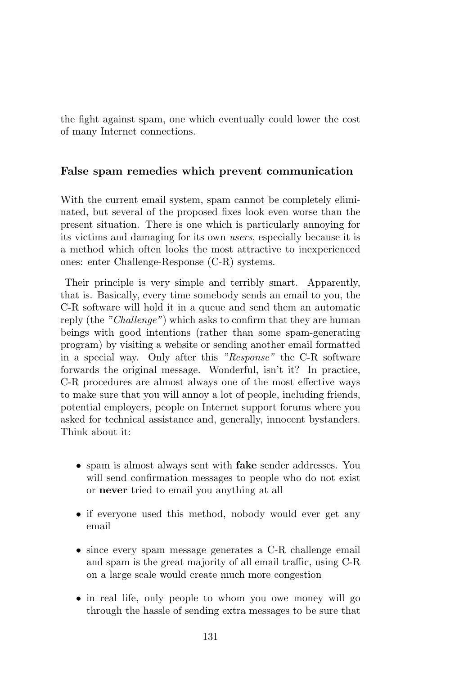the fight against spam, one which eventually could lower the cost of many Internet connections.

## False spam remedies which prevent communication

With the current email system, spam cannot be completely eliminated, but several of the proposed fixes look even worse than the present situation. There is one which is particularly annoying for its victims and damaging for its own users, especially because it is a method which often looks the most attractive to inexperienced ones: enter Challenge-Response (C-R) systems.

Their principle is very simple and terribly smart. Apparently, that is. Basically, every time somebody sends an email to you, the C-R software will hold it in a queue and send them an automatic reply (the "Challenge") which asks to confirm that they are human beings with good intentions (rather than some spam-generating program) by visiting a website or sending another email formatted in a special way. Only after this "Response" the C-R software forwards the original message. Wonderful, isn't it? In practice, C-R procedures are almost always one of the most effective ways to make sure that you will annoy a lot of people, including friends, potential employers, people on Internet support forums where you asked for technical assistance and, generally, innocent bystanders. Think about it:

- spam is almost always sent with **fake** sender addresses. You will send confirmation messages to people who do not exist or never tried to email you anything at all
- if everyone used this method, nobody would ever get any email
- since every spam message generates a C-R challenge email and spam is the great majority of all email traffic, using C-R on a large scale would create much more congestion
- in real life, only people to whom you owe money will go through the hassle of sending extra messages to be sure that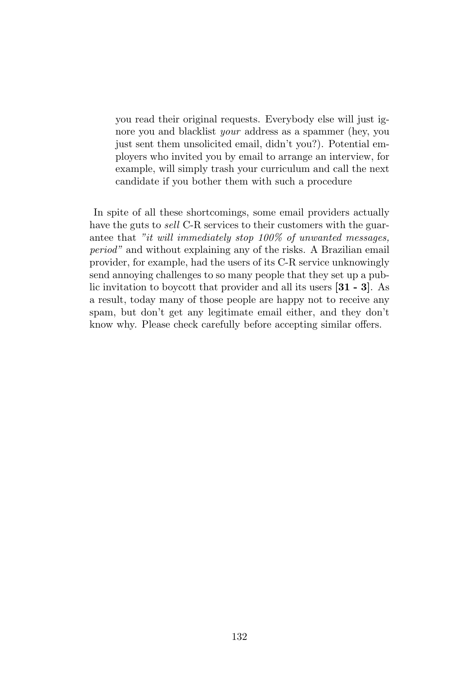you read their original requests. Everybody else will just ignore you and blacklist *your* address as a spammer (hey, you just sent them unsolicited email, didn't you?). Potential employers who invited you by email to arrange an interview, for example, will simply trash your curriculum and call the next candidate if you bother them with such a procedure

In spite of all these shortcomings, some email providers actually have the guts to *sell* C-R services to their customers with the guarantee that "it will immediately stop 100% of unwanted messages, period" and without explaining any of the risks. A Brazilian email provider, for example, had the users of its C-R service unknowingly send annoying challenges to so many people that they set up a public invitation to boycott that provider and all its users [31 - 3]. As a result, today many of those people are happy not to receive any spam, but don't get any legitimate email either, and they don't know why. Please check carefully before accepting similar offers.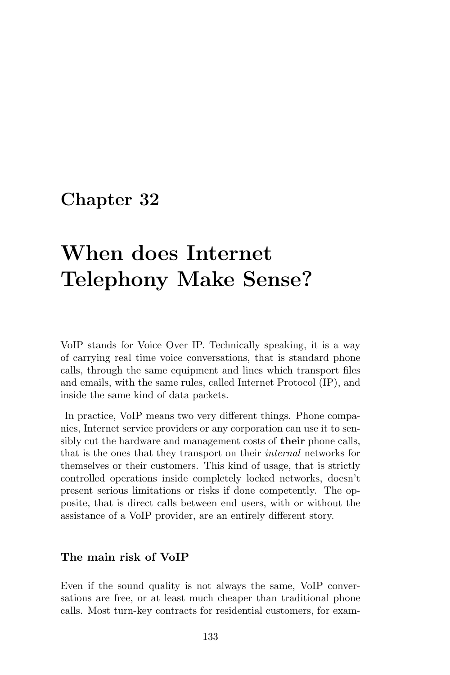# When does Internet Telephony Make Sense?

VoIP stands for Voice Over IP. Technically speaking, it is a way of carrying real time voice conversations, that is standard phone calls, through the same equipment and lines which transport files and emails, with the same rules, called Internet Protocol (IP), and inside the same kind of data packets.

In practice, VoIP means two very different things. Phone companies, Internet service providers or any corporation can use it to sensibly cut the hardware and management costs of **their** phone calls, that is the ones that they transport on their internal networks for themselves or their customers. This kind of usage, that is strictly controlled operations inside completely locked networks, doesn't present serious limitations or risks if done competently. The opposite, that is direct calls between end users, with or without the assistance of a VoIP provider, are an entirely different story.

### The main risk of VoIP

Even if the sound quality is not always the same, VoIP conversations are free, or at least much cheaper than traditional phone calls. Most turn-key contracts for residential customers, for exam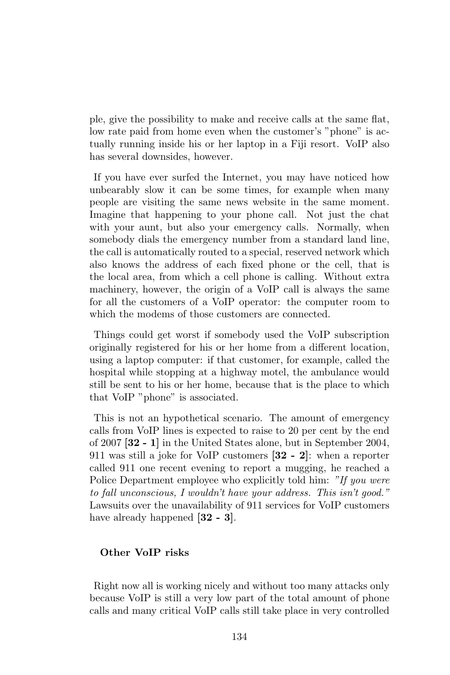ple, give the possibility to make and receive calls at the same flat, low rate paid from home even when the customer's "phone" is actually running inside his or her laptop in a Fiji resort. VoIP also has several downsides, however.

If you have ever surfed the Internet, you may have noticed how unbearably slow it can be some times, for example when many people are visiting the same news website in the same moment. Imagine that happening to your phone call. Not just the chat with your aunt, but also your emergency calls. Normally, when somebody dials the emergency number from a standard land line, the call is automatically routed to a special, reserved network which also knows the address of each fixed phone or the cell, that is the local area, from which a cell phone is calling. Without extra machinery, however, the origin of a VoIP call is always the same for all the customers of a VoIP operator: the computer room to which the modems of those customers are connected.

Things could get worst if somebody used the VoIP subscription originally registered for his or her home from a different location, using a laptop computer: if that customer, for example, called the hospital while stopping at a highway motel, the ambulance would still be sent to his or her home, because that is the place to which that VoIP "phone" is associated.

This is not an hypothetical scenario. The amount of emergency calls from VoIP lines is expected to raise to 20 per cent by the end of 2007 [32 - 1] in the United States alone, but in September 2004, 911 was still a joke for VoIP customers [32 - 2]: when a reporter called 911 one recent evening to report a mugging, he reached a Police Department employee who explicitly told him: "If you were to fall unconscious, I wouldn't have your address. This isn't good." Lawsuits over the unavailability of 911 services for VoIP customers have already happened [32 - 3].

### Other VoIP risks

Right now all is working nicely and without too many attacks only because VoIP is still a very low part of the total amount of phone calls and many critical VoIP calls still take place in very controlled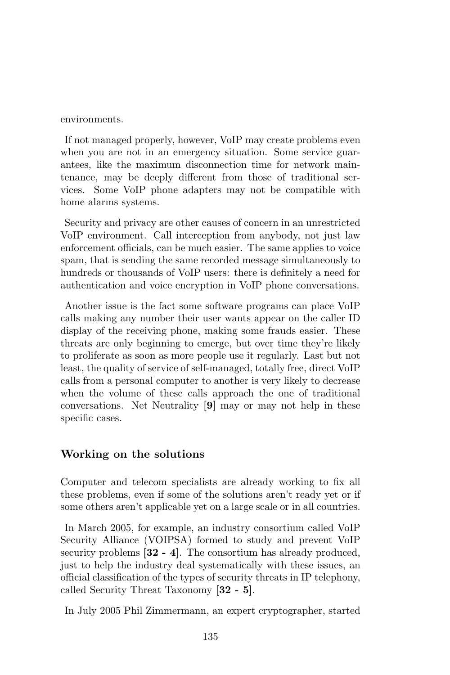environments.

If not managed properly, however, VoIP may create problems even when you are not in an emergency situation. Some service guarantees, like the maximum disconnection time for network maintenance, may be deeply different from those of traditional services. Some VoIP phone adapters may not be compatible with home alarms systems.

Security and privacy are other causes of concern in an unrestricted VoIP environment. Call interception from anybody, not just law enforcement officials, can be much easier. The same applies to voice spam, that is sending the same recorded message simultaneously to hundreds or thousands of VoIP users: there is definitely a need for authentication and voice encryption in VoIP phone conversations.

Another issue is the fact some software programs can place VoIP calls making any number their user wants appear on the caller ID display of the receiving phone, making some frauds easier. These threats are only beginning to emerge, but over time they're likely to proliferate as soon as more people use it regularly. Last but not least, the quality of service of self-managed, totally free, direct VoIP calls from a personal computer to another is very likely to decrease when the volume of these calls approach the one of traditional conversations. Net Neutrality [9] may or may not help in these specific cases.

### Working on the solutions

Computer and telecom specialists are already working to fix all these problems, even if some of the solutions aren't ready yet or if some others aren't applicable yet on a large scale or in all countries.

In March 2005, for example, an industry consortium called VoIP Security Alliance (VOIPSA) formed to study and prevent VoIP security problems  $[32 - 4]$ . The consortium has already produced, just to help the industry deal systematically with these issues, an official classification of the types of security threats in IP telephony, called Security Threat Taxonomy [32 - 5].

In July 2005 Phil Zimmermann, an expert cryptographer, started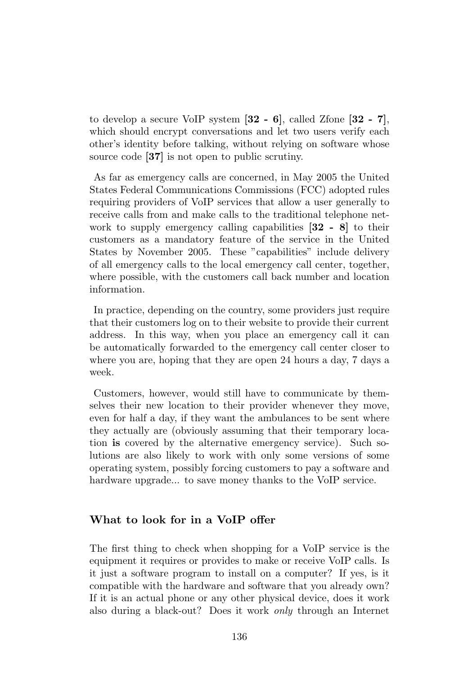to develop a secure VoIP system [32 - 6], called Zfone [32 - 7], which should encrypt conversations and let two users verify each other's identity before talking, without relying on software whose source code [37] is not open to public scrutiny.

As far as emergency calls are concerned, in May 2005 the United States Federal Communications Commissions (FCC) adopted rules requiring providers of VoIP services that allow a user generally to receive calls from and make calls to the traditional telephone network to supply emergency calling capabilities [32 - 8] to their customers as a mandatory feature of the service in the United States by November 2005. These "capabilities" include delivery of all emergency calls to the local emergency call center, together, where possible, with the customers call back number and location information.

In practice, depending on the country, some providers just require that their customers log on to their website to provide their current address. In this way, when you place an emergency call it can be automatically forwarded to the emergency call center closer to where you are, hoping that they are open 24 hours a day, 7 days a week.

Customers, however, would still have to communicate by themselves their new location to their provider whenever they move, even for half a day, if they want the ambulances to be sent where they actually are (obviously assuming that their temporary location is covered by the alternative emergency service). Such solutions are also likely to work with only some versions of some operating system, possibly forcing customers to pay a software and hardware upgrade... to save money thanks to the VoIP service.

### What to look for in a VoIP offer

The first thing to check when shopping for a VoIP service is the equipment it requires or provides to make or receive VoIP calls. Is it just a software program to install on a computer? If yes, is it compatible with the hardware and software that you already own? If it is an actual phone or any other physical device, does it work also during a black-out? Does it work only through an Internet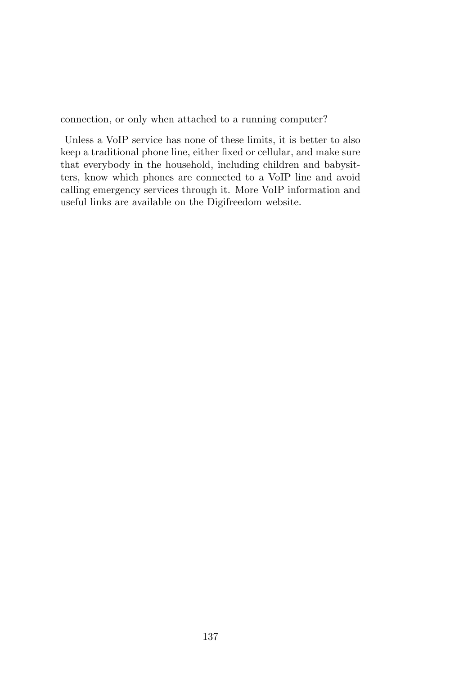connection, or only when attached to a running computer?

Unless a VoIP service has none of these limits, it is better to also keep a traditional phone line, either fixed or cellular, and make sure that everybody in the household, including children and babysitters, know which phones are connected to a VoIP line and avoid calling emergency services through it. More VoIP information and useful links are available on the Digifreedom website.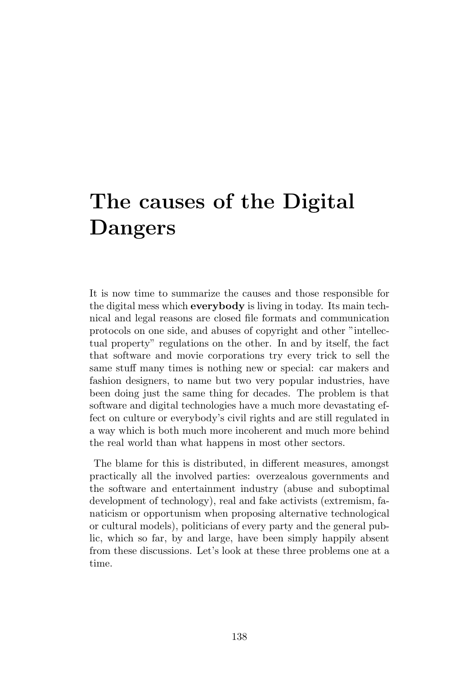# The causes of the Digital Dangers

It is now time to summarize the causes and those responsible for the digital mess which everybody is living in today. Its main technical and legal reasons are closed file formats and communication protocols on one side, and abuses of copyright and other "intellectual property" regulations on the other. In and by itself, the fact that software and movie corporations try every trick to sell the same stuff many times is nothing new or special: car makers and fashion designers, to name but two very popular industries, have been doing just the same thing for decades. The problem is that software and digital technologies have a much more devastating effect on culture or everybody's civil rights and are still regulated in a way which is both much more incoherent and much more behind the real world than what happens in most other sectors.

The blame for this is distributed, in different measures, amongst practically all the involved parties: overzealous governments and the software and entertainment industry (abuse and suboptimal development of technology), real and fake activists (extremism, fanaticism or opportunism when proposing alternative technological or cultural models), politicians of every party and the general public, which so far, by and large, have been simply happily absent from these discussions. Let's look at these three problems one at a time.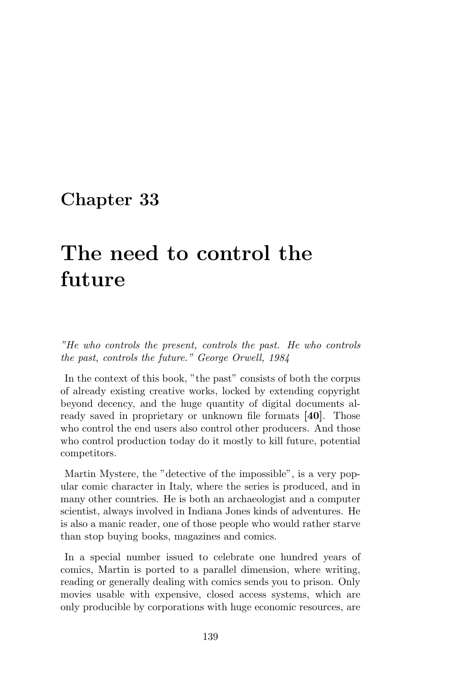# The need to control the future

"He who controls the present, controls the past. He who controls the past, controls the future." George Orwell, 1984

In the context of this book, "the past" consists of both the corpus of already existing creative works, locked by extending copyright beyond decency, and the huge quantity of digital documents already saved in proprietary or unknown file formats [40]. Those who control the end users also control other producers. And those who control production today do it mostly to kill future, potential competitors.

Martin Mystere, the "detective of the impossible", is a very popular comic character in Italy, where the series is produced, and in many other countries. He is both an archaeologist and a computer scientist, always involved in Indiana Jones kinds of adventures. He is also a manic reader, one of those people who would rather starve than stop buying books, magazines and comics.

In a special number issued to celebrate one hundred years of comics, Martin is ported to a parallel dimension, where writing, reading or generally dealing with comics sends you to prison. Only movies usable with expensive, closed access systems, which are only producible by corporations with huge economic resources, are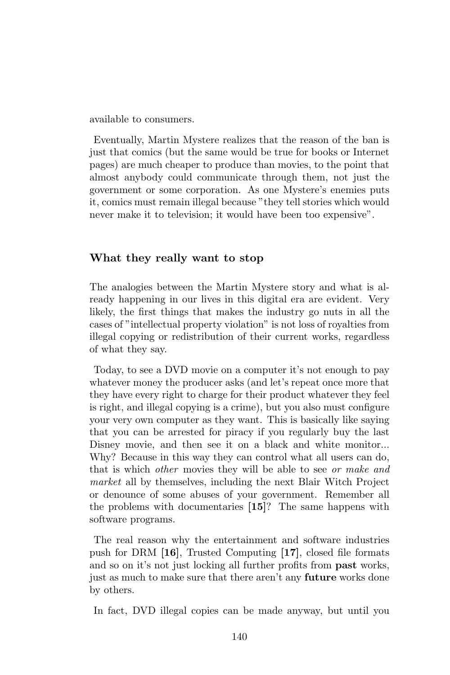available to consumers.

Eventually, Martin Mystere realizes that the reason of the ban is just that comics (but the same would be true for books or Internet pages) are much cheaper to produce than movies, to the point that almost anybody could communicate through them, not just the government or some corporation. As one Mystere's enemies puts it, comics must remain illegal because "they tell stories which would never make it to television; it would have been too expensive".

## What they really want to stop

The analogies between the Martin Mystere story and what is already happening in our lives in this digital era are evident. Very likely, the first things that makes the industry go nuts in all the cases of "intellectual property violation" is not loss of royalties from illegal copying or redistribution of their current works, regardless of what they say.

Today, to see a DVD movie on a computer it's not enough to pay whatever money the producer asks (and let's repeat once more that they have every right to charge for their product whatever they feel is right, and illegal copying is a crime), but you also must configure your very own computer as they want. This is basically like saying that you can be arrested for piracy if you regularly buy the last Disney movie, and then see it on a black and white monitor... Why? Because in this way they can control what all users can do, that is which other movies they will be able to see or make and market all by themselves, including the next Blair Witch Project or denounce of some abuses of your government. Remember all the problems with documentaries [15]? The same happens with software programs.

The real reason why the entertainment and software industries push for DRM [16], Trusted Computing [17], closed file formats and so on it's not just locking all further profits from past works, just as much to make sure that there aren't any **future** works done by others.

In fact, DVD illegal copies can be made anyway, but until you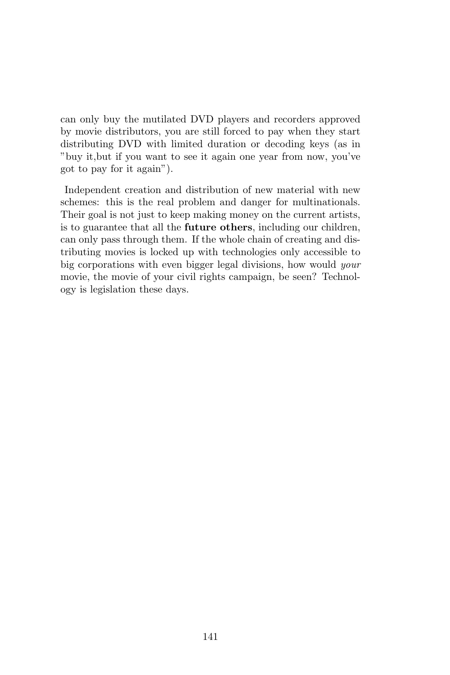can only buy the mutilated DVD players and recorders approved by movie distributors, you are still forced to pay when they start distributing DVD with limited duration or decoding keys (as in "buy it,but if you want to see it again one year from now, you've got to pay for it again").

Independent creation and distribution of new material with new schemes: this is the real problem and danger for multinationals. Their goal is not just to keep making money on the current artists, is to guarantee that all the future others, including our children, can only pass through them. If the whole chain of creating and distributing movies is locked up with technologies only accessible to big corporations with even bigger legal divisions, how would your movie, the movie of your civil rights campaign, be seen? Technology is legislation these days.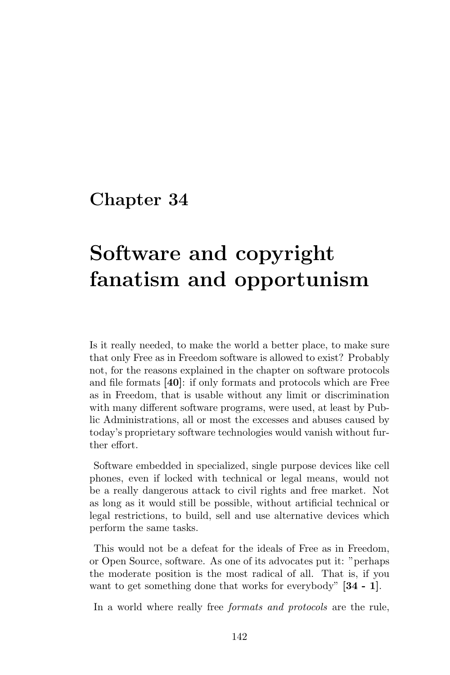# Software and copyright fanatism and opportunism

Is it really needed, to make the world a better place, to make sure that only Free as in Freedom software is allowed to exist? Probably not, for the reasons explained in the chapter on software protocols and file formats [40]: if only formats and protocols which are Free as in Freedom, that is usable without any limit or discrimination with many different software programs, were used, at least by Public Administrations, all or most the excesses and abuses caused by today's proprietary software technologies would vanish without further effort.

Software embedded in specialized, single purpose devices like cell phones, even if locked with technical or legal means, would not be a really dangerous attack to civil rights and free market. Not as long as it would still be possible, without artificial technical or legal restrictions, to build, sell and use alternative devices which perform the same tasks.

This would not be a defeat for the ideals of Free as in Freedom, or Open Source, software. As one of its advocates put it: "perhaps the moderate position is the most radical of all. That is, if you want to get something done that works for everybody" [34 - 1].

In a world where really free *formats and protocols* are the rule,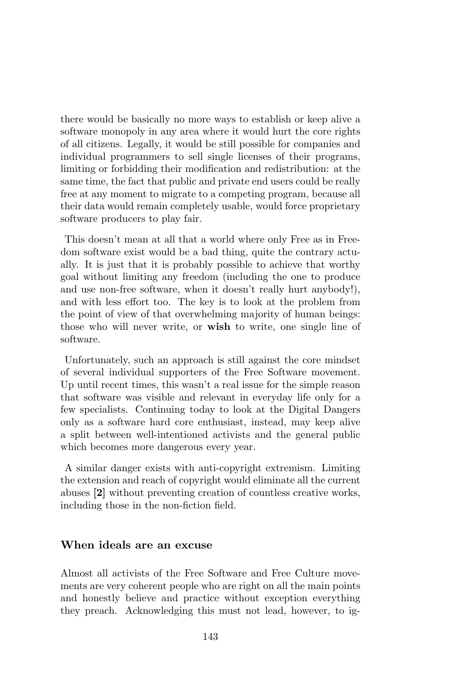there would be basically no more ways to establish or keep alive a software monopoly in any area where it would hurt the core rights of all citizens. Legally, it would be still possible for companies and individual programmers to sell single licenses of their programs, limiting or forbidding their modification and redistribution: at the same time, the fact that public and private end users could be really free at any moment to migrate to a competing program, because all their data would remain completely usable, would force proprietary software producers to play fair.

This doesn't mean at all that a world where only Free as in Freedom software exist would be a bad thing, quite the contrary actually. It is just that it is probably possible to achieve that worthy goal without limiting any freedom (including the one to produce and use non-free software, when it doesn't really hurt anybody!), and with less effort too. The key is to look at the problem from the point of view of that overwhelming majority of human beings: those who will never write, or wish to write, one single line of software.

Unfortunately, such an approach is still against the core mindset of several individual supporters of the Free Software movement. Up until recent times, this wasn't a real issue for the simple reason that software was visible and relevant in everyday life only for a few specialists. Continuing today to look at the Digital Dangers only as a software hard core enthusiast, instead, may keep alive a split between well-intentioned activists and the general public which becomes more dangerous every year.

A similar danger exists with anti-copyright extremism. Limiting the extension and reach of copyright would eliminate all the current abuses [2] without preventing creation of countless creative works, including those in the non-fiction field.

#### When ideals are an excuse

Almost all activists of the Free Software and Free Culture movements are very coherent people who are right on all the main points and honestly believe and practice without exception everything they preach. Acknowledging this must not lead, however, to ig-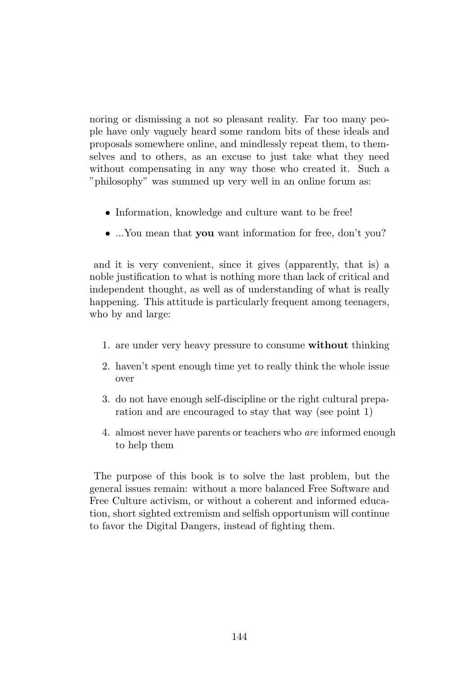noring or dismissing a not so pleasant reality. Far too many people have only vaguely heard some random bits of these ideals and proposals somewhere online, and mindlessly repeat them, to themselves and to others, as an excuse to just take what they need without compensating in any way those who created it. Such a "philosophy" was summed up very well in an online forum as:

- Information, knowledge and culture want to be free!
- ...You mean that you want information for free, don't you?

and it is very convenient, since it gives (apparently, that is) a noble justification to what is nothing more than lack of critical and independent thought, as well as of understanding of what is really happening. This attitude is particularly frequent among teenagers, who by and large:

- 1. are under very heavy pressure to consume without thinking
- 2. haven't spent enough time yet to really think the whole issue over
- 3. do not have enough self-discipline or the right cultural preparation and are encouraged to stay that way (see point 1)
- 4. almost never have parents or teachers who are informed enough to help them

The purpose of this book is to solve the last problem, but the general issues remain: without a more balanced Free Software and Free Culture activism, or without a coherent and informed education, short sighted extremism and selfish opportunism will continue to favor the Digital Dangers, instead of fighting them.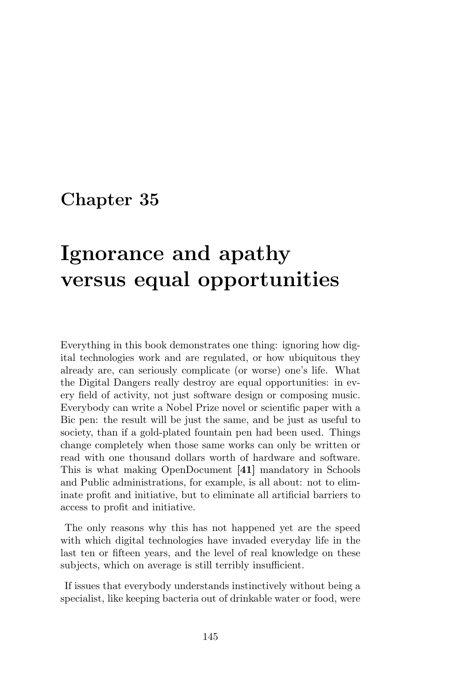# Ignorance and apathy versus equal opportunities

Everything in this book demonstrates one thing: ignoring how digital technologies work and are regulated, or how ubiquitous they already are, can seriously complicate (or worse) one's life. What the Digital Dangers really destroy are equal opportunities: in every field of activity, not just software design or composing music. Everybody can write a Nobel Prize novel or scientific paper with a Bic pen: the result will be just the same, and be just as useful to society, than if a gold-plated fountain pen had been used. Things change completely when those same works can only be written or read with one thousand dollars worth of hardware and software. This is what making OpenDocument [41] mandatory in Schools and Public administrations, for example, is all about: not to eliminate profit and initiative, but to eliminate all artificial barriers to access to profit and initiative.

The only reasons why this has not happened yet are the speed with which digital technologies have invaded everyday life in the last ten or fifteen years, and the level of real knowledge on these subjects, which on average is still terribly insufficient.

If issues that everybody understands instinctively without being a specialist, like keeping bacteria out of drinkable water or food, were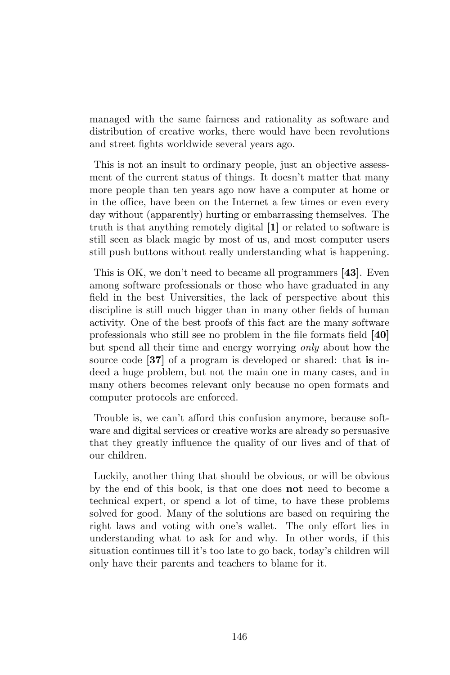managed with the same fairness and rationality as software and distribution of creative works, there would have been revolutions and street fights worldwide several years ago.

This is not an insult to ordinary people, just an objective assessment of the current status of things. It doesn't matter that many more people than ten years ago now have a computer at home or in the office, have been on the Internet a few times or even every day without (apparently) hurting or embarrassing themselves. The truth is that anything remotely digital [1] or related to software is still seen as black magic by most of us, and most computer users still push buttons without really understanding what is happening.

This is OK, we don't need to became all programmers [43]. Even among software professionals or those who have graduated in any field in the best Universities, the lack of perspective about this discipline is still much bigger than in many other fields of human activity. One of the best proofs of this fact are the many software professionals who still see no problem in the file formats field [40] but spend all their time and energy worrying only about how the source code [37] of a program is developed or shared: that is indeed a huge problem, but not the main one in many cases, and in many others becomes relevant only because no open formats and computer protocols are enforced.

Trouble is, we can't afford this confusion anymore, because software and digital services or creative works are already so persuasive that they greatly influence the quality of our lives and of that of our children.

Luckily, another thing that should be obvious, or will be obvious by the end of this book, is that one does not need to become a technical expert, or spend a lot of time, to have these problems solved for good. Many of the solutions are based on requiring the right laws and voting with one's wallet. The only effort lies in understanding what to ask for and why. In other words, if this situation continues till it's too late to go back, today's children will only have their parents and teachers to blame for it.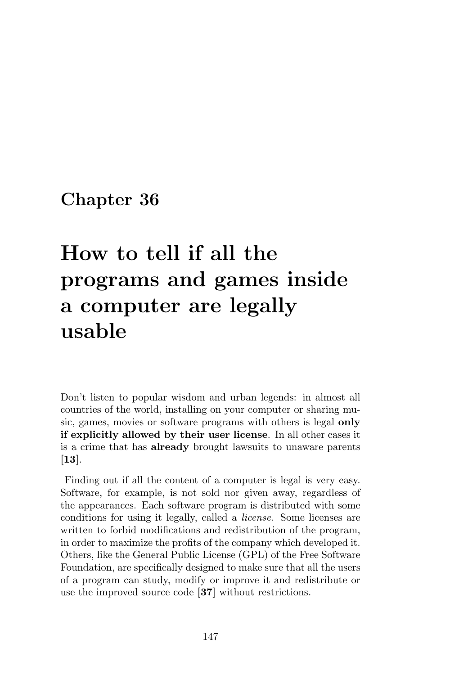# How to tell if all the programs and games inside a computer are legally usable

Don't listen to popular wisdom and urban legends: in almost all countries of the world, installing on your computer or sharing music, games, movies or software programs with others is legal only if explicitly allowed by their user license. In all other cases it is a crime that has already brought lawsuits to unaware parents [13].

Finding out if all the content of a computer is legal is very easy. Software, for example, is not sold nor given away, regardless of the appearances. Each software program is distributed with some conditions for using it legally, called a license. Some licenses are written to forbid modifications and redistribution of the program, in order to maximize the profits of the company which developed it. Others, like the General Public License (GPL) of the Free Software Foundation, are specifically designed to make sure that all the users of a program can study, modify or improve it and redistribute or use the improved source code [37] without restrictions.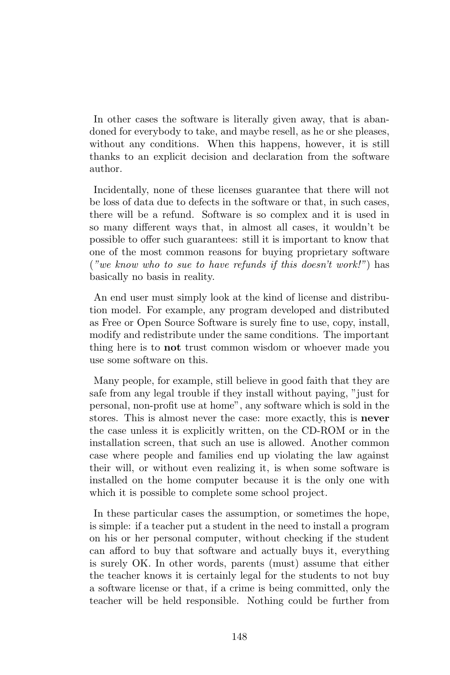In other cases the software is literally given away, that is abandoned for everybody to take, and maybe resell, as he or she pleases, without any conditions. When this happens, however, it is still thanks to an explicit decision and declaration from the software author.

Incidentally, none of these licenses guarantee that there will not be loss of data due to defects in the software or that, in such cases, there will be a refund. Software is so complex and it is used in so many different ways that, in almost all cases, it wouldn't be possible to offer such guarantees: still it is important to know that one of the most common reasons for buying proprietary software ("we know who to sue to have refunds if this doesn't work!") has basically no basis in reality.

An end user must simply look at the kind of license and distribution model. For example, any program developed and distributed as Free or Open Source Software is surely fine to use, copy, install, modify and redistribute under the same conditions. The important thing here is to not trust common wisdom or whoever made you use some software on this.

Many people, for example, still believe in good faith that they are safe from any legal trouble if they install without paying, "just for personal, non-profit use at home", any software which is sold in the stores. This is almost never the case: more exactly, this is never the case unless it is explicitly written, on the CD-ROM or in the installation screen, that such an use is allowed. Another common case where people and families end up violating the law against their will, or without even realizing it, is when some software is installed on the home computer because it is the only one with which it is possible to complete some school project.

In these particular cases the assumption, or sometimes the hope, is simple: if a teacher put a student in the need to install a program on his or her personal computer, without checking if the student can afford to buy that software and actually buys it, everything is surely OK. In other words, parents (must) assume that either the teacher knows it is certainly legal for the students to not buy a software license or that, if a crime is being committed, only the teacher will be held responsible. Nothing could be further from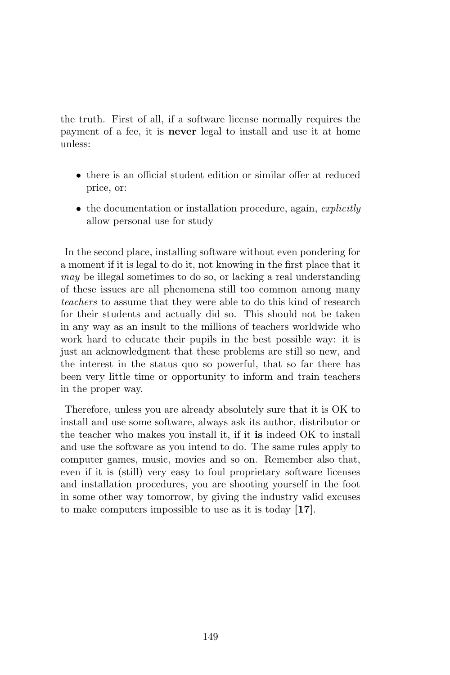the truth. First of all, if a software license normally requires the payment of a fee, it is never legal to install and use it at home unless:

- there is an official student edition or similar offer at reduced price, or:
- the documentation or installation procedure, again, explicitly allow personal use for study

In the second place, installing software without even pondering for a moment if it is legal to do it, not knowing in the first place that it may be illegal sometimes to do so, or lacking a real understanding of these issues are all phenomena still too common among many teachers to assume that they were able to do this kind of research for their students and actually did so. This should not be taken in any way as an insult to the millions of teachers worldwide who work hard to educate their pupils in the best possible way: it is just an acknowledgment that these problems are still so new, and the interest in the status quo so powerful, that so far there has been very little time or opportunity to inform and train teachers in the proper way.

Therefore, unless you are already absolutely sure that it is OK to install and use some software, always ask its author, distributor or the teacher who makes you install it, if it is indeed OK to install and use the software as you intend to do. The same rules apply to computer games, music, movies and so on. Remember also that, even if it is (still) very easy to foul proprietary software licenses and installation procedures, you are shooting yourself in the foot in some other way tomorrow, by giving the industry valid excuses to make computers impossible to use as it is today [17].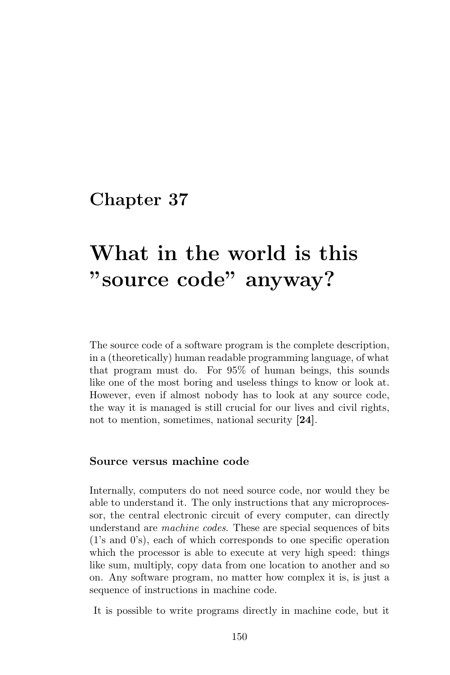# What in the world is this "source code" anyway?

The source code of a software program is the complete description, in a (theoretically) human readable programming language, of what that program must do. For 95% of human beings, this sounds like one of the most boring and useless things to know or look at. However, even if almost nobody has to look at any source code, the way it is managed is still crucial for our lives and civil rights, not to mention, sometimes, national security [24].

#### Source versus machine code

Internally, computers do not need source code, nor would they be able to understand it. The only instructions that any microprocessor, the central electronic circuit of every computer, can directly understand are machine codes. These are special sequences of bits (1's and 0's), each of which corresponds to one specific operation which the processor is able to execute at very high speed: things like sum, multiply, copy data from one location to another and so on. Any software program, no matter how complex it is, is just a sequence of instructions in machine code.

It is possible to write programs directly in machine code, but it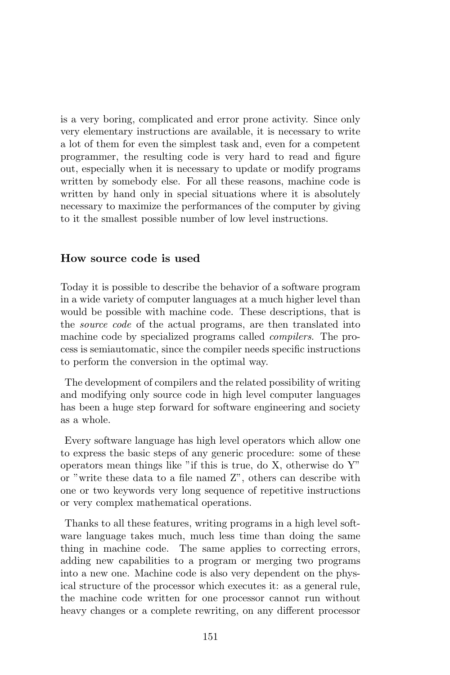is a very boring, complicated and error prone activity. Since only very elementary instructions are available, it is necessary to write a lot of them for even the simplest task and, even for a competent programmer, the resulting code is very hard to read and figure out, especially when it is necessary to update or modify programs written by somebody else. For all these reasons, machine code is written by hand only in special situations where it is absolutely necessary to maximize the performances of the computer by giving to it the smallest possible number of low level instructions.

#### How source code is used

Today it is possible to describe the behavior of a software program in a wide variety of computer languages at a much higher level than would be possible with machine code. These descriptions, that is the source code of the actual programs, are then translated into machine code by specialized programs called compilers. The process is semiautomatic, since the compiler needs specific instructions to perform the conversion in the optimal way.

The development of compilers and the related possibility of writing and modifying only source code in high level computer languages has been a huge step forward for software engineering and society as a whole.

Every software language has high level operators which allow one to express the basic steps of any generic procedure: some of these operators mean things like "if this is true, do X, otherwise do Y" or "write these data to a file named Z", others can describe with one or two keywords very long sequence of repetitive instructions or very complex mathematical operations.

Thanks to all these features, writing programs in a high level software language takes much, much less time than doing the same thing in machine code. The same applies to correcting errors, adding new capabilities to a program or merging two programs into a new one. Machine code is also very dependent on the physical structure of the processor which executes it: as a general rule, the machine code written for one processor cannot run without heavy changes or a complete rewriting, on any different processor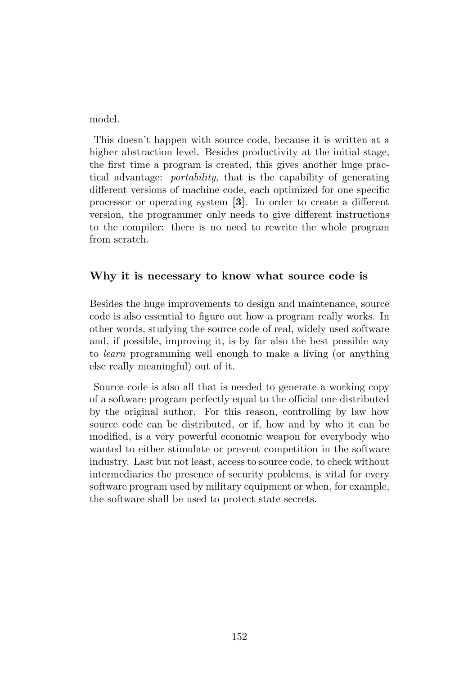model.

This doesn't happen with source code, because it is written at a higher abstraction level. Besides productivity at the initial stage, the first time a program is created, this gives another huge practical advantage: portability, that is the capability of generating different versions of machine code, each optimized for one specific processor or operating system [3]. In order to create a different version, the programmer only needs to give different instructions to the compiler: there is no need to rewrite the whole program from scratch.

#### Why it is necessary to know what source code is

Besides the huge improvements to design and maintenance, source code is also essential to figure out how a program really works. In other words, studying the source code of real, widely used software and, if possible, improving it, is by far also the best possible way to learn programming well enough to make a living (or anything else really meaningful) out of it.

Source code is also all that is needed to generate a working copy of a software program perfectly equal to the official one distributed by the original author. For this reason, controlling by law how source code can be distributed, or if, how and by who it can be modified, is a very powerful economic weapon for everybody who wanted to either stimulate or prevent competition in the software industry. Last but not least, access to source code, to check without intermediaries the presence of security problems, is vital for every software program used by military equipment or when, for example, the software shall be used to protect state secrets.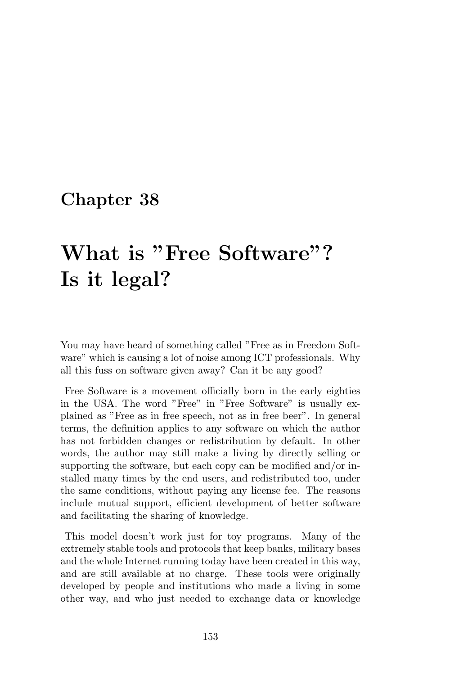# What is "Free Software"? Is it legal?

You may have heard of something called "Free as in Freedom Software" which is causing a lot of noise among ICT professionals. Why all this fuss on software given away? Can it be any good?

Free Software is a movement officially born in the early eighties in the USA. The word "Free" in "Free Software" is usually explained as "Free as in free speech, not as in free beer". In general terms, the definition applies to any software on which the author has not forbidden changes or redistribution by default. In other words, the author may still make a living by directly selling or supporting the software, but each copy can be modified and/or installed many times by the end users, and redistributed too, under the same conditions, without paying any license fee. The reasons include mutual support, efficient development of better software and facilitating the sharing of knowledge.

This model doesn't work just for toy programs. Many of the extremely stable tools and protocols that keep banks, military bases and the whole Internet running today have been created in this way, and are still available at no charge. These tools were originally developed by people and institutions who made a living in some other way, and who just needed to exchange data or knowledge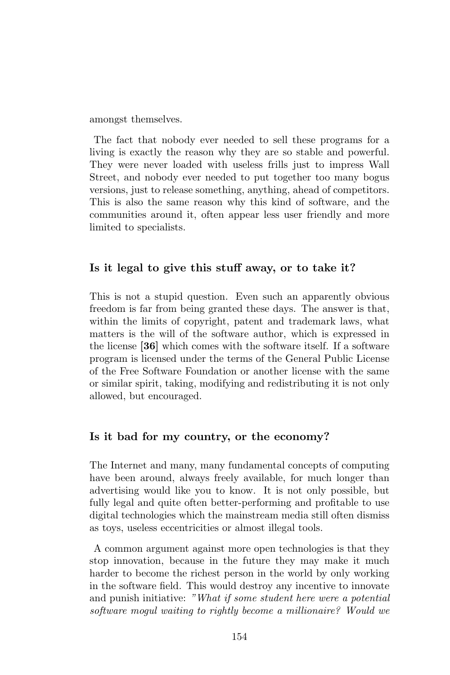amongst themselves.

The fact that nobody ever needed to sell these programs for a living is exactly the reason why they are so stable and powerful. They were never loaded with useless frills just to impress Wall Street, and nobody ever needed to put together too many bogus versions, just to release something, anything, ahead of competitors. This is also the same reason why this kind of software, and the communities around it, often appear less user friendly and more limited to specialists.

#### Is it legal to give this stuff away, or to take it?

This is not a stupid question. Even such an apparently obvious freedom is far from being granted these days. The answer is that, within the limits of copyright, patent and trademark laws, what matters is the will of the software author, which is expressed in the license [36] which comes with the software itself. If a software program is licensed under the terms of the General Public License of the Free Software Foundation or another license with the same or similar spirit, taking, modifying and redistributing it is not only allowed, but encouraged.

#### Is it bad for my country, or the economy?

The Internet and many, many fundamental concepts of computing have been around, always freely available, for much longer than advertising would like you to know. It is not only possible, but fully legal and quite often better-performing and profitable to use digital technologies which the mainstream media still often dismiss as toys, useless eccentricities or almost illegal tools.

A common argument against more open technologies is that they stop innovation, because in the future they may make it much harder to become the richest person in the world by only working in the software field. This would destroy any incentive to innovate and punish initiative: "What if some student here were a potential software mogul waiting to rightly become a millionaire? Would we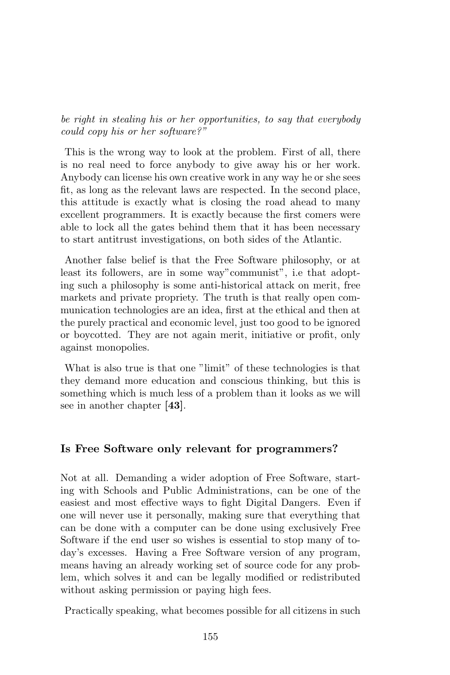be right in stealing his or her opportunities, to say that everybody could copy his or her software?"

This is the wrong way to look at the problem. First of all, there is no real need to force anybody to give away his or her work. Anybody can license his own creative work in any way he or she sees fit, as long as the relevant laws are respected. In the second place, this attitude is exactly what is closing the road ahead to many excellent programmers. It is exactly because the first comers were able to lock all the gates behind them that it has been necessary to start antitrust investigations, on both sides of the Atlantic.

Another false belief is that the Free Software philosophy, or at least its followers, are in some way"communist", i.e that adopting such a philosophy is some anti-historical attack on merit, free markets and private propriety. The truth is that really open communication technologies are an idea, first at the ethical and then at the purely practical and economic level, just too good to be ignored or boycotted. They are not again merit, initiative or profit, only against monopolies.

What is also true is that one "limit" of these technologies is that they demand more education and conscious thinking, but this is something which is much less of a problem than it looks as we will see in another chapter [43].

#### Is Free Software only relevant for programmers?

Not at all. Demanding a wider adoption of Free Software, starting with Schools and Public Administrations, can be one of the easiest and most effective ways to fight Digital Dangers. Even if one will never use it personally, making sure that everything that can be done with a computer can be done using exclusively Free Software if the end user so wishes is essential to stop many of today's excesses. Having a Free Software version of any program, means having an already working set of source code for any problem, which solves it and can be legally modified or redistributed without asking permission or paying high fees.

Practically speaking, what becomes possible for all citizens in such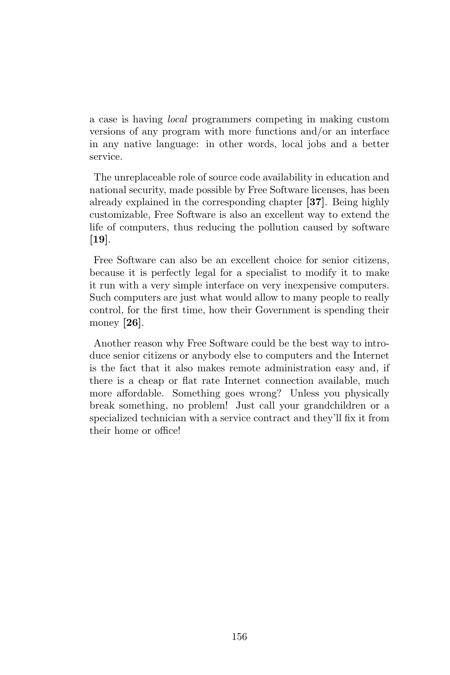a case is having local programmers competing in making custom versions of any program with more functions and/or an interface in any native language: in other words, local jobs and a better service.

The unreplaceable role of source code availability in education and national security, made possible by Free Software licenses, has been already explained in the corresponding chapter [37]. Being highly customizable, Free Software is also an excellent way to extend the life of computers, thus reducing the pollution caused by software [19].

Free Software can also be an excellent choice for senior citizens, because it is perfectly legal for a specialist to modify it to make it run with a very simple interface on very inexpensive computers. Such computers are just what would allow to many people to really control, for the first time, how their Government is spending their money [26].

Another reason why Free Software could be the best way to introduce senior citizens or anybody else to computers and the Internet is the fact that it also makes remote administration easy and, if there is a cheap or flat rate Internet connection available, much more affordable. Something goes wrong? Unless you physically break something, no problem! Just call your grandchildren or a specialized technician with a service contract and they'll fix it from their home or office!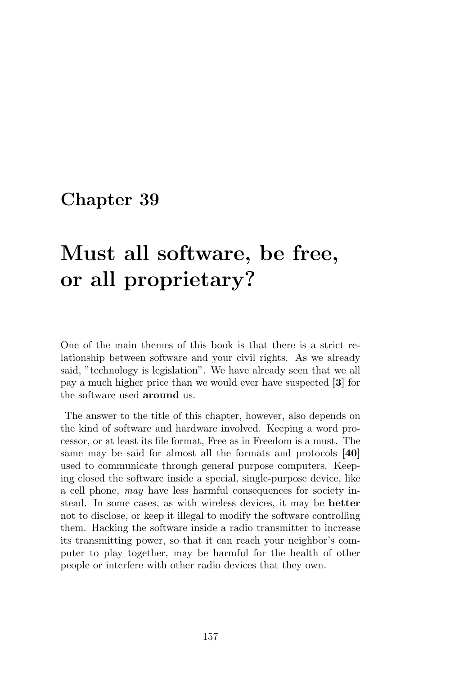# Must all software, be free, or all proprietary?

One of the main themes of this book is that there is a strict relationship between software and your civil rights. As we already said, "technology is legislation". We have already seen that we all pay a much higher price than we would ever have suspected [3] for the software used around us.

The answer to the title of this chapter, however, also depends on the kind of software and hardware involved. Keeping a word processor, or at least its file format, Free as in Freedom is a must. The same may be said for almost all the formats and protocols [40] used to communicate through general purpose computers. Keeping closed the software inside a special, single-purpose device, like a cell phone, may have less harmful consequences for society instead. In some cases, as with wireless devices, it may be better not to disclose, or keep it illegal to modify the software controlling them. Hacking the software inside a radio transmitter to increase its transmitting power, so that it can reach your neighbor's computer to play together, may be harmful for the health of other people or interfere with other radio devices that they own.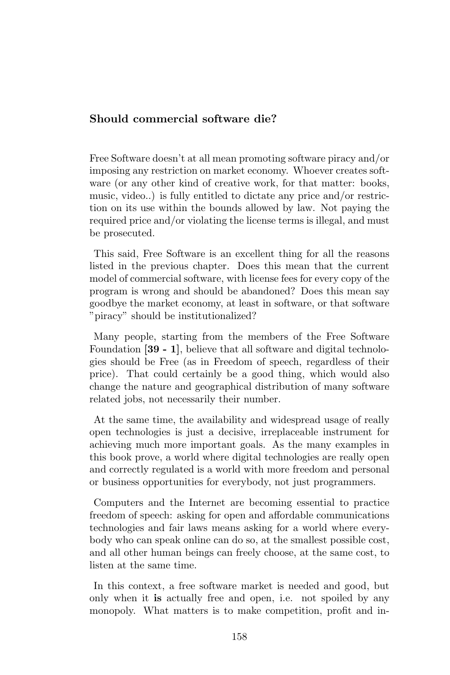#### Should commercial software die?

Free Software doesn't at all mean promoting software piracy and/or imposing any restriction on market economy. Whoever creates software (or any other kind of creative work, for that matter: books, music, video..) is fully entitled to dictate any price and/or restriction on its use within the bounds allowed by law. Not paying the required price and/or violating the license terms is illegal, and must be prosecuted.

This said, Free Software is an excellent thing for all the reasons listed in the previous chapter. Does this mean that the current model of commercial software, with license fees for every copy of the program is wrong and should be abandoned? Does this mean say goodbye the market economy, at least in software, or that software "piracy" should be institutionalized?

Many people, starting from the members of the Free Software Foundation [39 - 1], believe that all software and digital technologies should be Free (as in Freedom of speech, regardless of their price). That could certainly be a good thing, which would also change the nature and geographical distribution of many software related jobs, not necessarily their number.

At the same time, the availability and widespread usage of really open technologies is just a decisive, irreplaceable instrument for achieving much more important goals. As the many examples in this book prove, a world where digital technologies are really open and correctly regulated is a world with more freedom and personal or business opportunities for everybody, not just programmers.

Computers and the Internet are becoming essential to practice freedom of speech: asking for open and affordable communications technologies and fair laws means asking for a world where everybody who can speak online can do so, at the smallest possible cost, and all other human beings can freely choose, at the same cost, to listen at the same time.

In this context, a free software market is needed and good, but only when it is actually free and open, i.e. not spoiled by any monopoly. What matters is to make competition, profit and in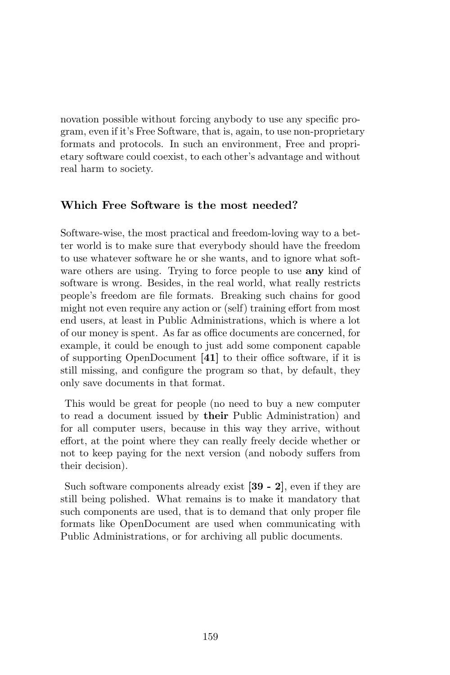novation possible without forcing anybody to use any specific program, even if it's Free Software, that is, again, to use non-proprietary formats and protocols. In such an environment, Free and proprietary software could coexist, to each other's advantage and without real harm to society.

#### Which Free Software is the most needed?

Software-wise, the most practical and freedom-loving way to a better world is to make sure that everybody should have the freedom to use whatever software he or she wants, and to ignore what software others are using. Trying to force people to use **any** kind of software is wrong. Besides, in the real world, what really restricts people's freedom are file formats. Breaking such chains for good might not even require any action or (self) training effort from most end users, at least in Public Administrations, which is where a lot of our money is spent. As far as office documents are concerned, for example, it could be enough to just add some component capable of supporting OpenDocument [41] to their office software, if it is still missing, and configure the program so that, by default, they only save documents in that format.

This would be great for people (no need to buy a new computer to read a document issued by their Public Administration) and for all computer users, because in this way they arrive, without effort, at the point where they can really freely decide whether or not to keep paying for the next version (and nobody suffers from their decision).

Such software components already exist [39 - 2], even if they are still being polished. What remains is to make it mandatory that such components are used, that is to demand that only proper file formats like OpenDocument are used when communicating with Public Administrations, or for archiving all public documents.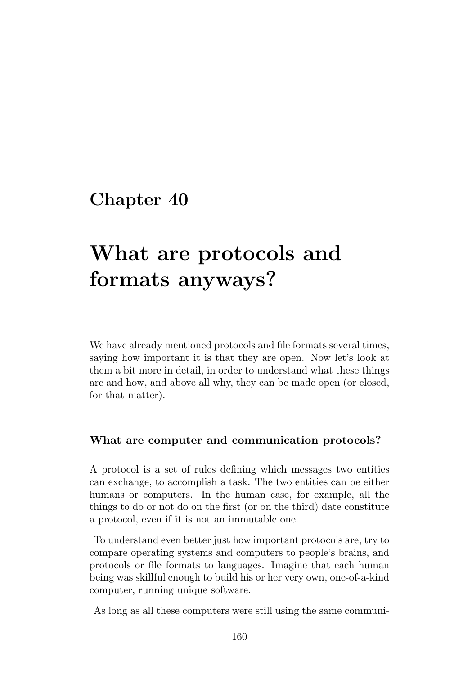# What are protocols and formats anyways?

We have already mentioned protocols and file formats several times, saying how important it is that they are open. Now let's look at them a bit more in detail, in order to understand what these things are and how, and above all why, they can be made open (or closed, for that matter).

#### What are computer and communication protocols?

A protocol is a set of rules defining which messages two entities can exchange, to accomplish a task. The two entities can be either humans or computers. In the human case, for example, all the things to do or not do on the first (or on the third) date constitute a protocol, even if it is not an immutable one.

To understand even better just how important protocols are, try to compare operating systems and computers to people's brains, and protocols or file formats to languages. Imagine that each human being was skillful enough to build his or her very own, one-of-a-kind computer, running unique software.

As long as all these computers were still using the same communi-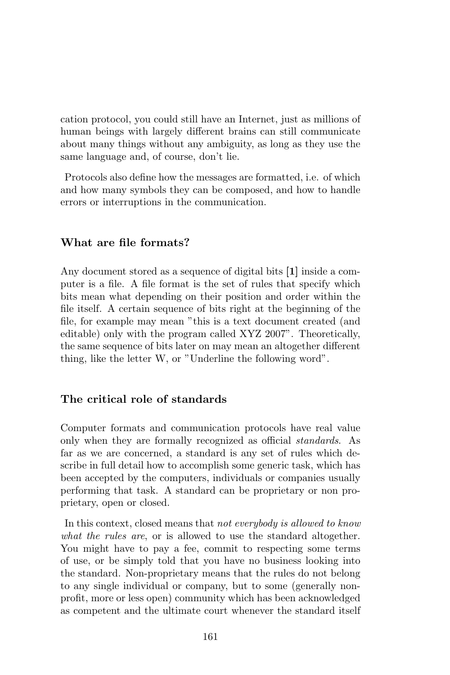cation protocol, you could still have an Internet, just as millions of human beings with largely different brains can still communicate about many things without any ambiguity, as long as they use the same language and, of course, don't lie.

Protocols also define how the messages are formatted, i.e. of which and how many symbols they can be composed, and how to handle errors or interruptions in the communication.

#### What are file formats?

Any document stored as a sequence of digital bits [1] inside a computer is a file. A file format is the set of rules that specify which bits mean what depending on their position and order within the file itself. A certain sequence of bits right at the beginning of the file, for example may mean "this is a text document created (and editable) only with the program called XYZ 2007". Theoretically, the same sequence of bits later on may mean an altogether different thing, like the letter W, or "Underline the following word".

#### The critical role of standards

Computer formats and communication protocols have real value only when they are formally recognized as official standards. As far as we are concerned, a standard is any set of rules which describe in full detail how to accomplish some generic task, which has been accepted by the computers, individuals or companies usually performing that task. A standard can be proprietary or non proprietary, open or closed.

In this context, closed means that not everybody is allowed to know what the rules are, or is allowed to use the standard altogether. You might have to pay a fee, commit to respecting some terms of use, or be simply told that you have no business looking into the standard. Non-proprietary means that the rules do not belong to any single individual or company, but to some (generally nonprofit, more or less open) community which has been acknowledged as competent and the ultimate court whenever the standard itself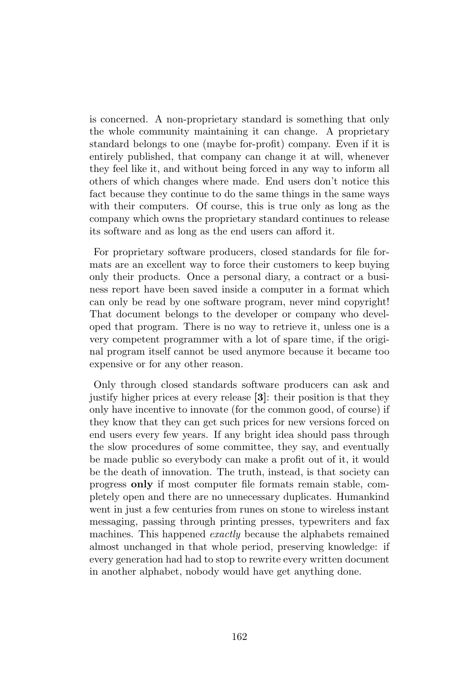is concerned. A non-proprietary standard is something that only the whole community maintaining it can change. A proprietary standard belongs to one (maybe for-profit) company. Even if it is entirely published, that company can change it at will, whenever they feel like it, and without being forced in any way to inform all others of which changes where made. End users don't notice this fact because they continue to do the same things in the same ways with their computers. Of course, this is true only as long as the company which owns the proprietary standard continues to release its software and as long as the end users can afford it.

For proprietary software producers, closed standards for file formats are an excellent way to force their customers to keep buying only their products. Once a personal diary, a contract or a business report have been saved inside a computer in a format which can only be read by one software program, never mind copyright! That document belongs to the developer or company who developed that program. There is no way to retrieve it, unless one is a very competent programmer with a lot of spare time, if the original program itself cannot be used anymore because it became too expensive or for any other reason.

Only through closed standards software producers can ask and justify higher prices at every release [3]: their position is that they only have incentive to innovate (for the common good, of course) if they know that they can get such prices for new versions forced on end users every few years. If any bright idea should pass through the slow procedures of some committee, they say, and eventually be made public so everybody can make a profit out of it, it would be the death of innovation. The truth, instead, is that society can progress only if most computer file formats remain stable, completely open and there are no unnecessary duplicates. Humankind went in just a few centuries from runes on stone to wireless instant messaging, passing through printing presses, typewriters and fax machines. This happened *exactly* because the alphabets remained almost unchanged in that whole period, preserving knowledge: if every generation had had to stop to rewrite every written document in another alphabet, nobody would have get anything done.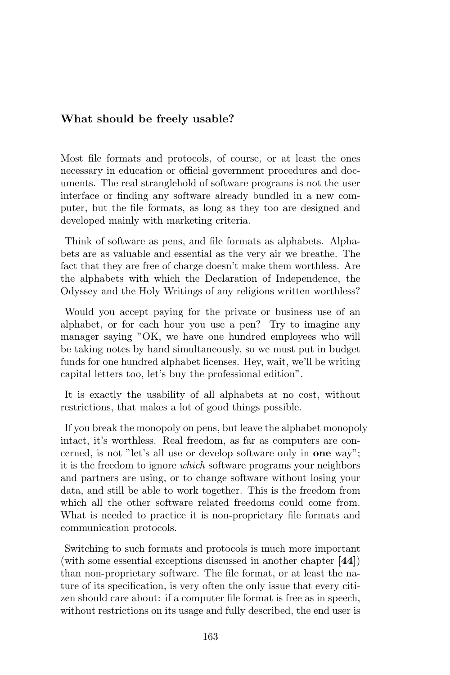#### What should be freely usable?

Most file formats and protocols, of course, or at least the ones necessary in education or official government procedures and documents. The real stranglehold of software programs is not the user interface or finding any software already bundled in a new computer, but the file formats, as long as they too are designed and developed mainly with marketing criteria.

Think of software as pens, and file formats as alphabets. Alphabets are as valuable and essential as the very air we breathe. The fact that they are free of charge doesn't make them worthless. Are the alphabets with which the Declaration of Independence, the Odyssey and the Holy Writings of any religions written worthless?

Would you accept paying for the private or business use of an alphabet, or for each hour you use a pen? Try to imagine any manager saying "OK, we have one hundred employees who will be taking notes by hand simultaneously, so we must put in budget funds for one hundred alphabet licenses. Hey, wait, we'll be writing capital letters too, let's buy the professional edition".

It is exactly the usability of all alphabets at no cost, without restrictions, that makes a lot of good things possible.

If you break the monopoly on pens, but leave the alphabet monopoly intact, it's worthless. Real freedom, as far as computers are concerned, is not "let's all use or develop software only in one way"; it is the freedom to ignore which software programs your neighbors and partners are using, or to change software without losing your data, and still be able to work together. This is the freedom from which all the other software related freedoms could come from. What is needed to practice it is non-proprietary file formats and communication protocols.

Switching to such formats and protocols is much more important (with some essential exceptions discussed in another chapter [44]) than non-proprietary software. The file format, or at least the nature of its specification, is very often the only issue that every citizen should care about: if a computer file format is free as in speech, without restrictions on its usage and fully described, the end user is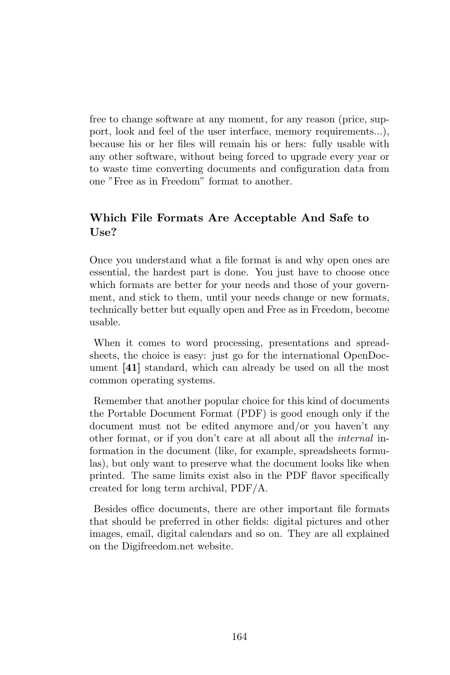free to change software at any moment, for any reason (price, support, look and feel of the user interface, memory requirements...), because his or her files will remain his or hers: fully usable with any other software, without being forced to upgrade every year or to waste time converting documents and configuration data from one "Free as in Freedom" format to another.

#### Which File Formats Are Acceptable And Safe to  $\text{Use}?$

Once you understand what a file format is and why open ones are essential, the hardest part is done. You just have to choose once which formats are better for your needs and those of your government, and stick to them, until your needs change or new formats, technically better but equally open and Free as in Freedom, become usable.

When it comes to word processing, presentations and spreadsheets, the choice is easy: just go for the international OpenDocument [41] standard, which can already be used on all the most common operating systems.

Remember that another popular choice for this kind of documents the Portable Document Format (PDF) is good enough only if the document must not be edited anymore and/or you haven't any other format, or if you don't care at all about all the internal information in the document (like, for example, spreadsheets formulas), but only want to preserve what the document looks like when printed. The same limits exist also in the PDF flavor specifically created for long term archival, PDF/A.

Besides office documents, there are other important file formats that should be preferred in other fields: digital pictures and other images, email, digital calendars and so on. They are all explained on the Digifreedom.net website.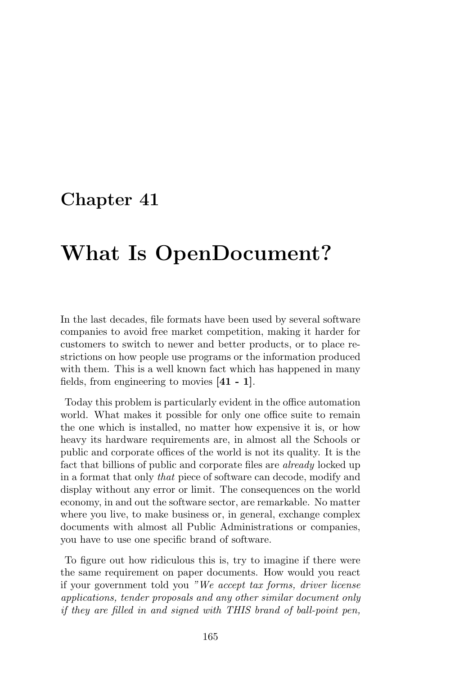## What Is OpenDocument?

In the last decades, file formats have been used by several software companies to avoid free market competition, making it harder for customers to switch to newer and better products, or to place restrictions on how people use programs or the information produced with them. This is a well known fact which has happened in many fields, from engineering to movies [41 - 1].

Today this problem is particularly evident in the office automation world. What makes it possible for only one office suite to remain the one which is installed, no matter how expensive it is, or how heavy its hardware requirements are, in almost all the Schools or public and corporate offices of the world is not its quality. It is the fact that billions of public and corporate files are already locked up in a format that only that piece of software can decode, modify and display without any error or limit. The consequences on the world economy, in and out the software sector, are remarkable. No matter where you live, to make business or, in general, exchange complex documents with almost all Public Administrations or companies, you have to use one specific brand of software.

To figure out how ridiculous this is, try to imagine if there were the same requirement on paper documents. How would you react if your government told you "We accept tax forms, driver license applications, tender proposals and any other similar document only if they are filled in and signed with THIS brand of ball-point pen,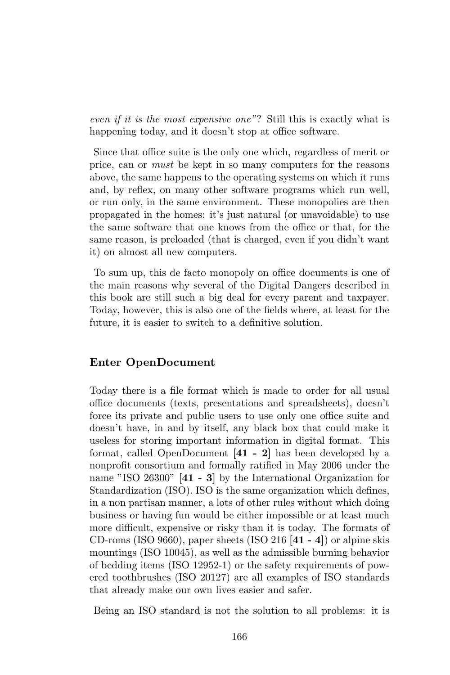even if it is the most expensive one"? Still this is exactly what is happening today, and it doesn't stop at office software.

Since that office suite is the only one which, regardless of merit or price, can or must be kept in so many computers for the reasons above, the same happens to the operating systems on which it runs and, by reflex, on many other software programs which run well, or run only, in the same environment. These monopolies are then propagated in the homes: it's just natural (or unavoidable) to use the same software that one knows from the office or that, for the same reason, is preloaded (that is charged, even if you didn't want it) on almost all new computers.

To sum up, this de facto monopoly on office documents is one of the main reasons why several of the Digital Dangers described in this book are still such a big deal for every parent and taxpayer. Today, however, this is also one of the fields where, at least for the future, it is easier to switch to a definitive solution.

#### Enter OpenDocument

Today there is a file format which is made to order for all usual office documents (texts, presentations and spreadsheets), doesn't force its private and public users to use only one office suite and doesn't have, in and by itself, any black box that could make it useless for storing important information in digital format. This format, called OpenDocument [41 - 2] has been developed by a nonprofit consortium and formally ratified in May 2006 under the name "ISO 26300" [41 - 3] by the International Organization for Standardization (ISO). ISO is the same organization which defines, in a non partisan manner, a lots of other rules without which doing business or having fun would be either impossible or at least much more difficult, expensive or risky than it is today. The formats of CD-roms (ISO 9660), paper sheets (ISO 216  $[41 - 4]$ ) or alpine skis mountings (ISO 10045), as well as the admissible burning behavior of bedding items (ISO 12952-1) or the safety requirements of powered toothbrushes (ISO 20127) are all examples of ISO standards that already make our own lives easier and safer.

Being an ISO standard is not the solution to all problems: it is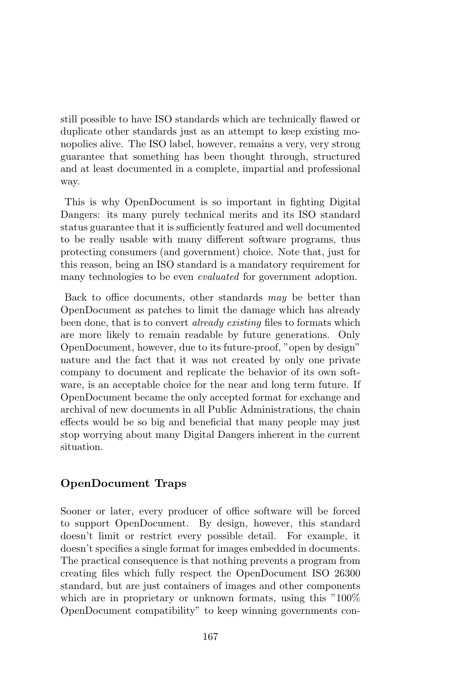still possible to have ISO standards which are technically flawed or duplicate other standards just as an attempt to keep existing monopolies alive. The ISO label, however, remains a very, very strong guarantee that something has been thought through, structured and at least documented in a complete, impartial and professional way.

This is why OpenDocument is so important in fighting Digital Dangers: its many purely technical merits and its ISO standard status guarantee that it is sufficiently featured and well documented to be really usable with many different software programs, thus protecting consumers (and government) choice. Note that, just for this reason, being an ISO standard is a mandatory requirement for many technologies to be even *evaluated* for government adoption.

Back to office documents, other standards may be better than OpenDocument as patches to limit the damage which has already been done, that is to convert already existing files to formats which are more likely to remain readable by future generations. Only OpenDocument, however, due to its future-proof, "open by design" nature and the fact that it was not created by only one private company to document and replicate the behavior of its own software, is an acceptable choice for the near and long term future. If OpenDocument became the only accepted format for exchange and archival of new documents in all Public Administrations, the chain effects would be so big and beneficial that many people may just stop worrying about many Digital Dangers inherent in the current situation.

#### OpenDocument Traps

Sooner or later, every producer of office software will be forced to support OpenDocument. By design, however, this standard doesn't limit or restrict every possible detail. For example, it doesn't specifies a single format for images embedded in documents. The practical consequence is that nothing prevents a program from creating files which fully respect the OpenDocument ISO 26300 standard, but are just containers of images and other components which are in proprietary or unknown formats, using this "100%" OpenDocument compatibility" to keep winning governments con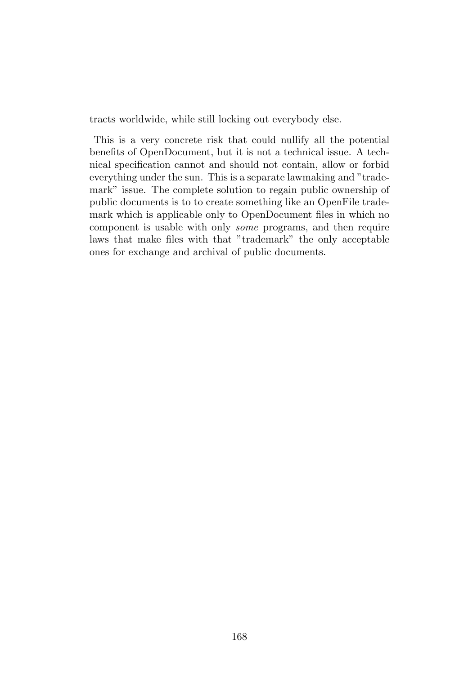tracts worldwide, while still locking out everybody else.

This is a very concrete risk that could nullify all the potential benefits of OpenDocument, but it is not a technical issue. A technical specification cannot and should not contain, allow or forbid everything under the sun. This is a separate lawmaking and "trademark" issue. The complete solution to regain public ownership of public documents is to to create something like an OpenFile trademark which is applicable only to OpenDocument files in which no component is usable with only some programs, and then require laws that make files with that "trademark" the only acceptable ones for exchange and archival of public documents.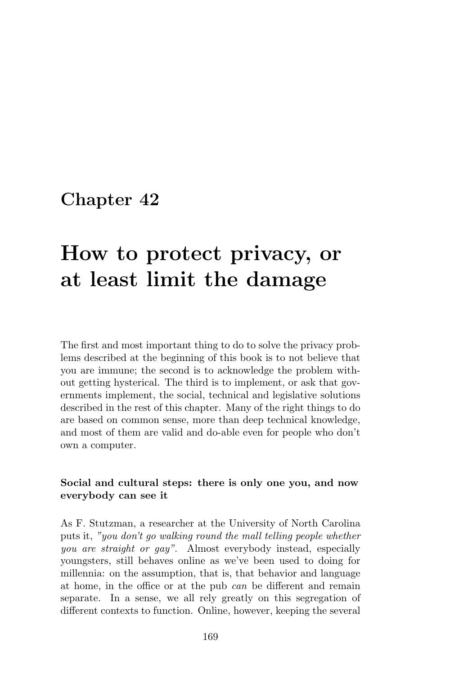# How to protect privacy, or at least limit the damage

The first and most important thing to do to solve the privacy problems described at the beginning of this book is to not believe that you are immune; the second is to acknowledge the problem without getting hysterical. The third is to implement, or ask that governments implement, the social, technical and legislative solutions described in the rest of this chapter. Many of the right things to do are based on common sense, more than deep technical knowledge, and most of them are valid and do-able even for people who don't own a computer.

#### Social and cultural steps: there is only one you, and now everybody can see it

As F. Stutzman, a researcher at the University of North Carolina puts it, "you don't go walking round the mall telling people whether you are straight or gay". Almost everybody instead, especially youngsters, still behaves online as we've been used to doing for millennia: on the assumption, that is, that behavior and language at home, in the office or at the pub can be different and remain separate. In a sense, we all rely greatly on this segregation of different contexts to function. Online, however, keeping the several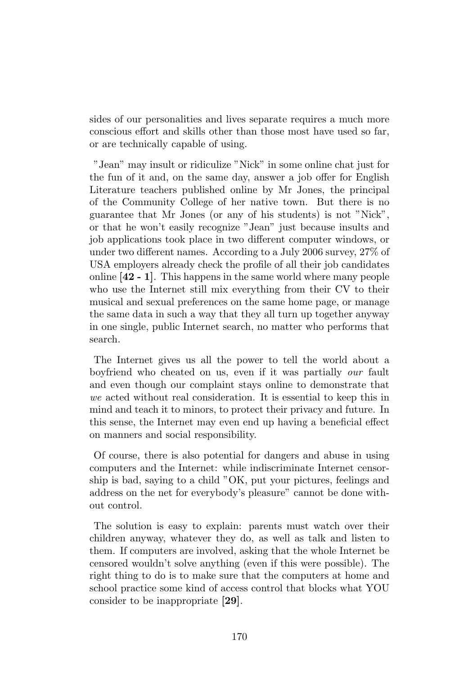sides of our personalities and lives separate requires a much more conscious effort and skills other than those most have used so far, or are technically capable of using.

"Jean" may insult or ridiculize "Nick" in some online chat just for the fun of it and, on the same day, answer a job offer for English Literature teachers published online by Mr Jones, the principal of the Community College of her native town. But there is no guarantee that Mr Jones (or any of his students) is not "Nick", or that he won't easily recognize "Jean" just because insults and job applications took place in two different computer windows, or under two different names. According to a July 2006 survey, 27% of USA employers already check the profile of all their job candidates online [42 - 1]. This happens in the same world where many people who use the Internet still mix everything from their CV to their musical and sexual preferences on the same home page, or manage the same data in such a way that they all turn up together anyway in one single, public Internet search, no matter who performs that search.

The Internet gives us all the power to tell the world about a boyfriend who cheated on us, even if it was partially our fault and even though our complaint stays online to demonstrate that we acted without real consideration. It is essential to keep this in mind and teach it to minors, to protect their privacy and future. In this sense, the Internet may even end up having a beneficial effect on manners and social responsibility.

Of course, there is also potential for dangers and abuse in using computers and the Internet: while indiscriminate Internet censorship is bad, saying to a child "OK, put your pictures, feelings and address on the net for everybody's pleasure" cannot be done without control.

The solution is easy to explain: parents must watch over their children anyway, whatever they do, as well as talk and listen to them. If computers are involved, asking that the whole Internet be censored wouldn't solve anything (even if this were possible). The right thing to do is to make sure that the computers at home and school practice some kind of access control that blocks what YOU consider to be inappropriate [29].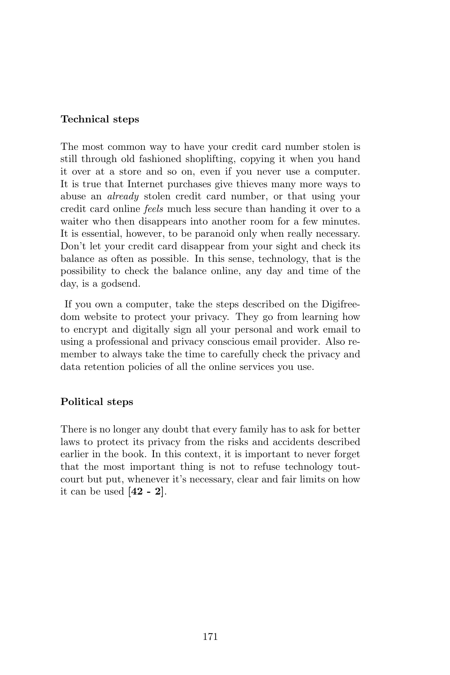#### Technical steps

The most common way to have your credit card number stolen is still through old fashioned shoplifting, copying it when you hand it over at a store and so on, even if you never use a computer. It is true that Internet purchases give thieves many more ways to abuse an already stolen credit card number, or that using your credit card online feels much less secure than handing it over to a waiter who then disappears into another room for a few minutes. It is essential, however, to be paranoid only when really necessary. Don't let your credit card disappear from your sight and check its balance as often as possible. In this sense, technology, that is the possibility to check the balance online, any day and time of the day, is a godsend.

If you own a computer, take the steps described on the Digifreedom website to protect your privacy. They go from learning how to encrypt and digitally sign all your personal and work email to using a professional and privacy conscious email provider. Also remember to always take the time to carefully check the privacy and data retention policies of all the online services you use.

#### Political steps

There is no longer any doubt that every family has to ask for better laws to protect its privacy from the risks and accidents described earlier in the book. In this context, it is important to never forget that the most important thing is not to refuse technology toutcourt but put, whenever it's necessary, clear and fair limits on how it can be used  $[42 - 2]$ .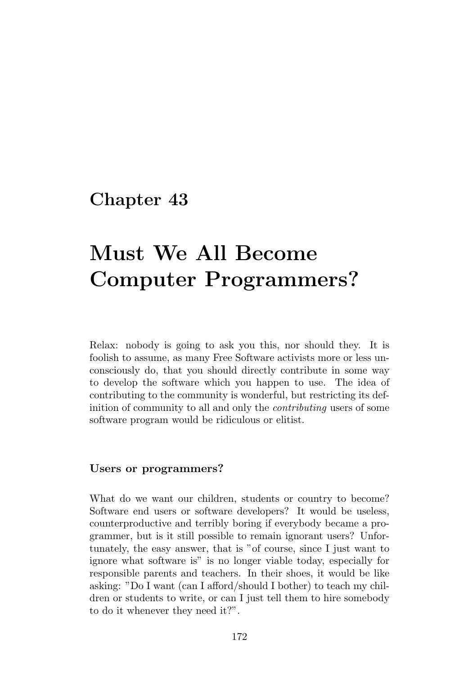# Must We All Become Computer Programmers?

Relax: nobody is going to ask you this, nor should they. It is foolish to assume, as many Free Software activists more or less unconsciously do, that you should directly contribute in some way to develop the software which you happen to use. The idea of contributing to the community is wonderful, but restricting its definition of community to all and only the *contributing* users of some software program would be ridiculous or elitist.

#### Users or programmers?

What do we want our children, students or country to become? Software end users or software developers? It would be useless, counterproductive and terribly boring if everybody became a programmer, but is it still possible to remain ignorant users? Unfortunately, the easy answer, that is "of course, since I just want to ignore what software is" is no longer viable today, especially for responsible parents and teachers. In their shoes, it would be like asking: "Do I want (can I afford/should I bother) to teach my children or students to write, or can I just tell them to hire somebody to do it whenever they need it?".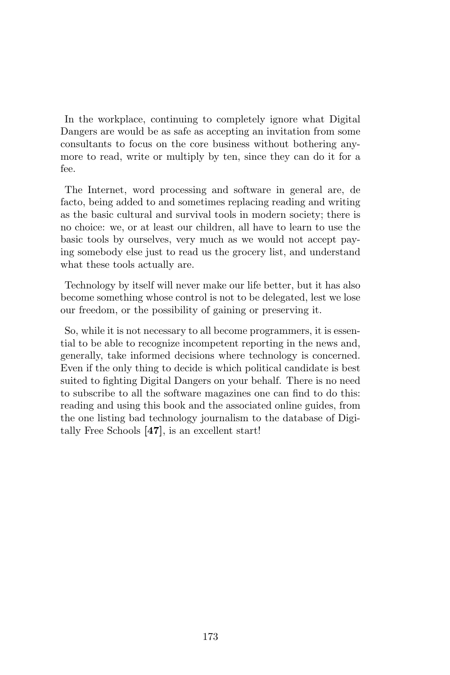In the workplace, continuing to completely ignore what Digital Dangers are would be as safe as accepting an invitation from some consultants to focus on the core business without bothering anymore to read, write or multiply by ten, since they can do it for a fee.

The Internet, word processing and software in general are, de facto, being added to and sometimes replacing reading and writing as the basic cultural and survival tools in modern society; there is no choice: we, or at least our children, all have to learn to use the basic tools by ourselves, very much as we would not accept paying somebody else just to read us the grocery list, and understand what these tools actually are.

Technology by itself will never make our life better, but it has also become something whose control is not to be delegated, lest we lose our freedom, or the possibility of gaining or preserving it.

So, while it is not necessary to all become programmers, it is essential to be able to recognize incompetent reporting in the news and, generally, take informed decisions where technology is concerned. Even if the only thing to decide is which political candidate is best suited to fighting Digital Dangers on your behalf. There is no need to subscribe to all the software magazines one can find to do this: reading and using this book and the associated online guides, from the one listing bad technology journalism to the database of Digitally Free Schools [47], is an excellent start!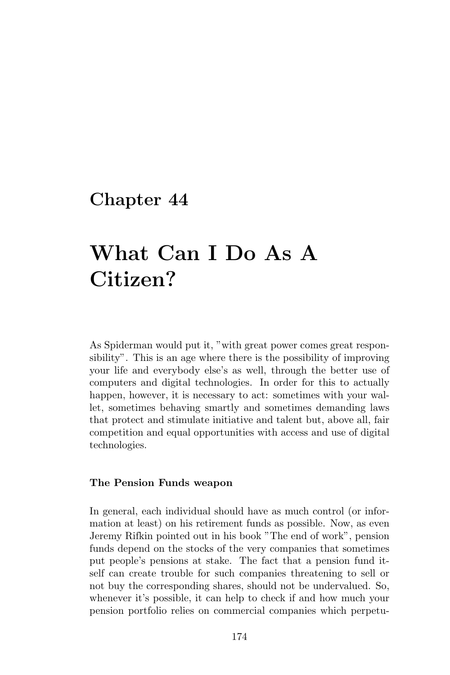# What Can I Do As A Citizen?

As Spiderman would put it, "with great power comes great responsibility". This is an age where there is the possibility of improving your life and everybody else's as well, through the better use of computers and digital technologies. In order for this to actually happen, however, it is necessary to act: sometimes with your wallet, sometimes behaving smartly and sometimes demanding laws that protect and stimulate initiative and talent but, above all, fair competition and equal opportunities with access and use of digital technologies.

#### The Pension Funds weapon

In general, each individual should have as much control (or information at least) on his retirement funds as possible. Now, as even Jeremy Rifkin pointed out in his book "The end of work", pension funds depend on the stocks of the very companies that sometimes put people's pensions at stake. The fact that a pension fund itself can create trouble for such companies threatening to sell or not buy the corresponding shares, should not be undervalued. So, whenever it's possible, it can help to check if and how much your pension portfolio relies on commercial companies which perpetu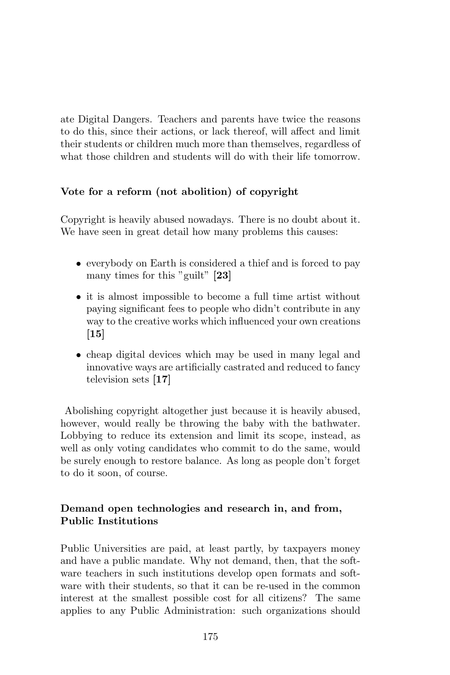ate Digital Dangers. Teachers and parents have twice the reasons to do this, since their actions, or lack thereof, will affect and limit their students or children much more than themselves, regardless of what those children and students will do with their life tomorrow.

#### Vote for a reform (not abolition) of copyright

Copyright is heavily abused nowadays. There is no doubt about it. We have seen in great detail how many problems this causes:

- everybody on Earth is considered a thief and is forced to pay many times for this "guilt" [23]
- it is almost impossible to become a full time artist without paying significant fees to people who didn't contribute in any way to the creative works which influenced your own creations [15]
- cheap digital devices which may be used in many legal and innovative ways are artificially castrated and reduced to fancy television sets [17]

Abolishing copyright altogether just because it is heavily abused, however, would really be throwing the baby with the bathwater. Lobbying to reduce its extension and limit its scope, instead, as well as only voting candidates who commit to do the same, would be surely enough to restore balance. As long as people don't forget to do it soon, of course.

#### Demand open technologies and research in, and from, Public Institutions

Public Universities are paid, at least partly, by taxpayers money and have a public mandate. Why not demand, then, that the software teachers in such institutions develop open formats and software with their students, so that it can be re-used in the common interest at the smallest possible cost for all citizens? The same applies to any Public Administration: such organizations should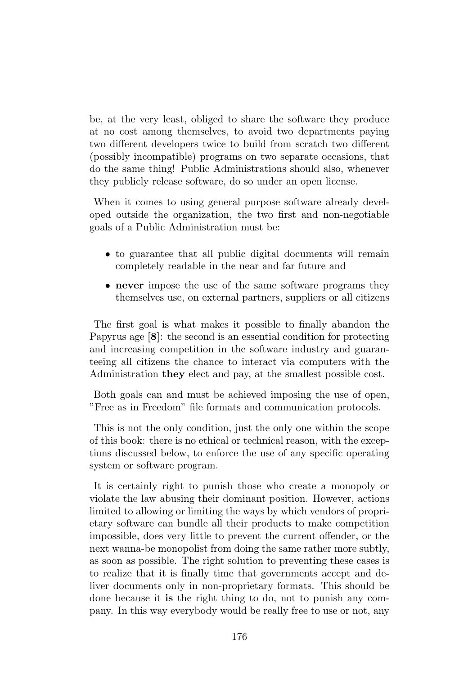be, at the very least, obliged to share the software they produce at no cost among themselves, to avoid two departments paying two different developers twice to build from scratch two different (possibly incompatible) programs on two separate occasions, that do the same thing! Public Administrations should also, whenever they publicly release software, do so under an open license.

When it comes to using general purpose software already developed outside the organization, the two first and non-negotiable goals of a Public Administration must be:

- to guarantee that all public digital documents will remain completely readable in the near and far future and
- never impose the use of the same software programs they themselves use, on external partners, suppliers or all citizens

The first goal is what makes it possible to finally abandon the Papyrus age [8]: the second is an essential condition for protecting and increasing competition in the software industry and guaranteeing all citizens the chance to interact via computers with the Administration they elect and pay, at the smallest possible cost.

Both goals can and must be achieved imposing the use of open, "Free as in Freedom" file formats and communication protocols.

This is not the only condition, just the only one within the scope of this book: there is no ethical or technical reason, with the exceptions discussed below, to enforce the use of any specific operating system or software program.

It is certainly right to punish those who create a monopoly or violate the law abusing their dominant position. However, actions limited to allowing or limiting the ways by which vendors of proprietary software can bundle all their products to make competition impossible, does very little to prevent the current offender, or the next wanna-be monopolist from doing the same rather more subtly, as soon as possible. The right solution to preventing these cases is to realize that it is finally time that governments accept and deliver documents only in non-proprietary formats. This should be done because it is the right thing to do, not to punish any company. In this way everybody would be really free to use or not, any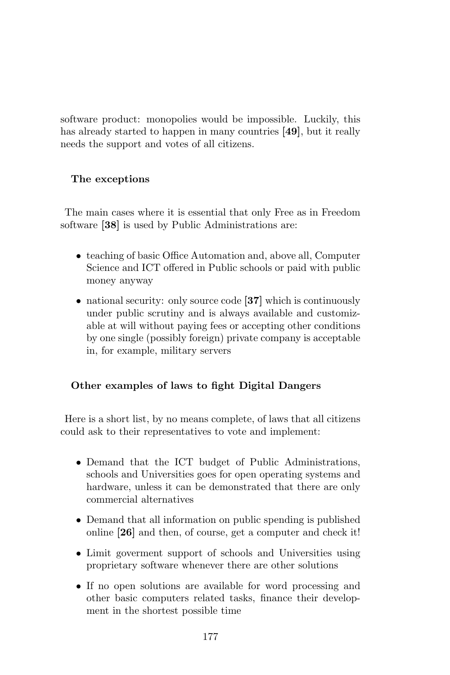software product: monopolies would be impossible. Luckily, this has already started to happen in many countries [49], but it really needs the support and votes of all citizens.

## The exceptions

The main cases where it is essential that only Free as in Freedom software [38] is used by Public Administrations are:

- teaching of basic Office Automation and, above all, Computer Science and ICT offered in Public schools or paid with public money anyway
- national security: only source code [37] which is continuously under public scrutiny and is always available and customizable at will without paying fees or accepting other conditions by one single (possibly foreign) private company is acceptable in, for example, military servers

## Other examples of laws to fight Digital Dangers

Here is a short list, by no means complete, of laws that all citizens could ask to their representatives to vote and implement:

- Demand that the ICT budget of Public Administrations, schools and Universities goes for open operating systems and hardware, unless it can be demonstrated that there are only commercial alternatives
- Demand that all information on public spending is published online [26] and then, of course, get a computer and check it!
- Limit goverment support of schools and Universities using proprietary software whenever there are other solutions
- If no open solutions are available for word processing and other basic computers related tasks, finance their development in the shortest possible time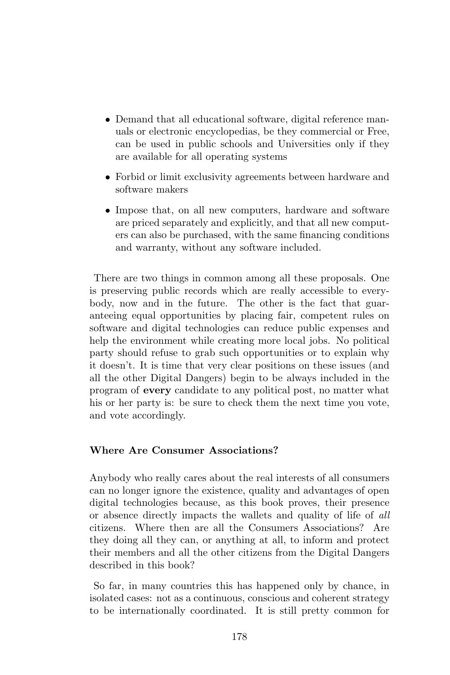- Demand that all educational software, digital reference manuals or electronic encyclopedias, be they commercial or Free, can be used in public schools and Universities only if they are available for all operating systems
- Forbid or limit exclusivity agreements between hardware and software makers
- Impose that, on all new computers, hardware and software are priced separately and explicitly, and that all new computers can also be purchased, with the same financing conditions and warranty, without any software included.

There are two things in common among all these proposals. One is preserving public records which are really accessible to everybody, now and in the future. The other is the fact that guaranteeing equal opportunities by placing fair, competent rules on software and digital technologies can reduce public expenses and help the environment while creating more local jobs. No political party should refuse to grab such opportunities or to explain why it doesn't. It is time that very clear positions on these issues (and all the other Digital Dangers) begin to be always included in the program of every candidate to any political post, no matter what his or her party is: be sure to check them the next time you vote, and vote accordingly.

## Where Are Consumer Associations?

Anybody who really cares about the real interests of all consumers can no longer ignore the existence, quality and advantages of open digital technologies because, as this book proves, their presence or absence directly impacts the wallets and quality of life of all citizens. Where then are all the Consumers Associations? Are they doing all they can, or anything at all, to inform and protect their members and all the other citizens from the Digital Dangers described in this book?

So far, in many countries this has happened only by chance, in isolated cases: not as a continuous, conscious and coherent strategy to be internationally coordinated. It is still pretty common for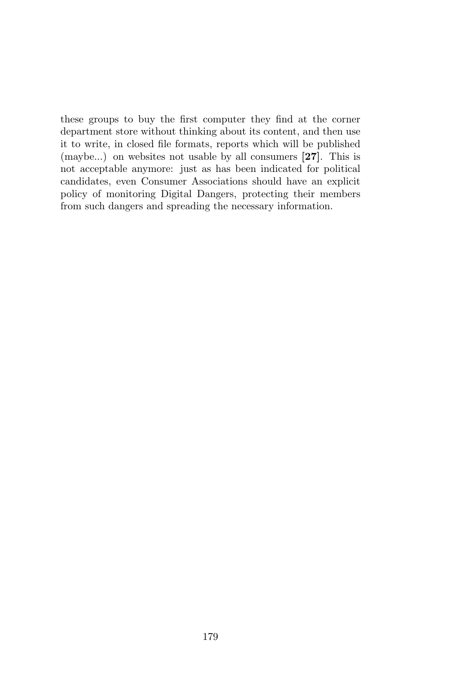these groups to buy the first computer they find at the corner department store without thinking about its content, and then use it to write, in closed file formats, reports which will be published (maybe...) on websites not usable by all consumers [27]. This is not acceptable anymore: just as has been indicated for political candidates, even Consumer Associations should have an explicit policy of monitoring Digital Dangers, protecting their members from such dangers and spreading the necessary information.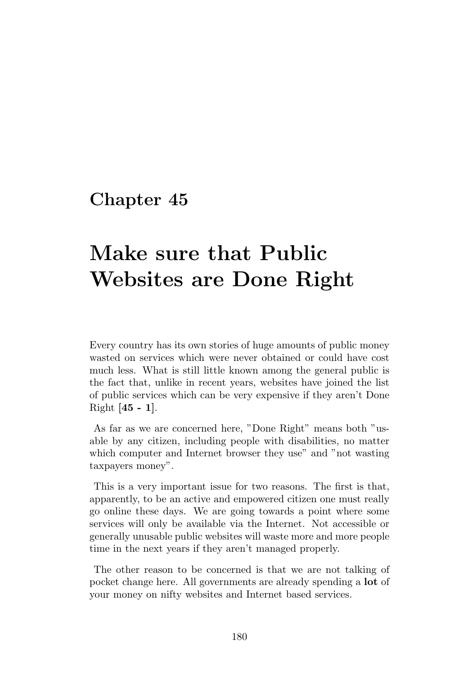# Make sure that Public Websites are Done Right

Every country has its own stories of huge amounts of public money wasted on services which were never obtained or could have cost much less. What is still little known among the general public is the fact that, unlike in recent years, websites have joined the list of public services which can be very expensive if they aren't Done Right [45 - 1].

As far as we are concerned here, "Done Right" means both "usable by any citizen, including people with disabilities, no matter which computer and Internet browser they use" and "not wasting taxpayers money".

This is a very important issue for two reasons. The first is that, apparently, to be an active and empowered citizen one must really go online these days. We are going towards a point where some services will only be available via the Internet. Not accessible or generally unusable public websites will waste more and more people time in the next years if they aren't managed properly.

The other reason to be concerned is that we are not talking of pocket change here. All governments are already spending a lot of your money on nifty websites and Internet based services.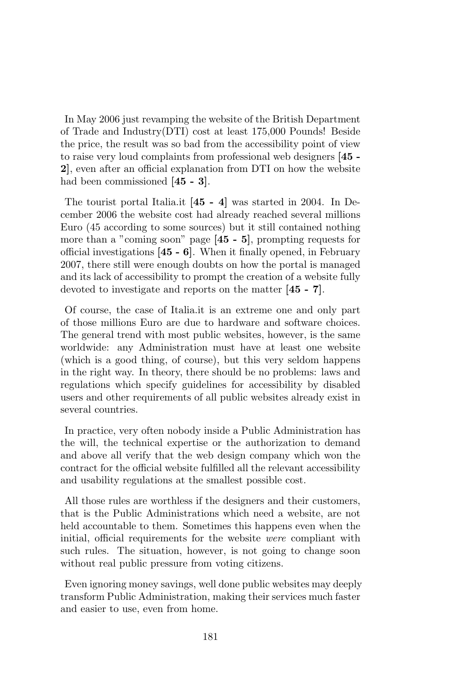In May 2006 just revamping the website of the British Department of Trade and Industry(DTI) cost at least 175,000 Pounds! Beside the price, the result was so bad from the accessibility point of view to raise very loud complaints from professional web designers [45 - 2], even after an official explanation from DTI on how the website had been commissioned [45 - 3].

The tourist portal Italia.it [45 - 4] was started in 2004. In December 2006 the website cost had already reached several millions Euro (45 according to some sources) but it still contained nothing more than a "coming soon" page [45 - 5], prompting requests for official investigations  $[45 - 6]$ . When it finally opened, in February 2007, there still were enough doubts on how the portal is managed and its lack of accessibility to prompt the creation of a website fully devoted to investigate and reports on the matter [45 - 7].

Of course, the case of Italia.it is an extreme one and only part of those millions Euro are due to hardware and software choices. The general trend with most public websites, however, is the same worldwide: any Administration must have at least one website (which is a good thing, of course), but this very seldom happens in the right way. In theory, there should be no problems: laws and regulations which specify guidelines for accessibility by disabled users and other requirements of all public websites already exist in several countries.

In practice, very often nobody inside a Public Administration has the will, the technical expertise or the authorization to demand and above all verify that the web design company which won the contract for the official website fulfilled all the relevant accessibility and usability regulations at the smallest possible cost.

All those rules are worthless if the designers and their customers, that is the Public Administrations which need a website, are not held accountable to them. Sometimes this happens even when the initial, official requirements for the website were compliant with such rules. The situation, however, is not going to change soon without real public pressure from voting citizens.

Even ignoring money savings, well done public websites may deeply transform Public Administration, making their services much faster and easier to use, even from home.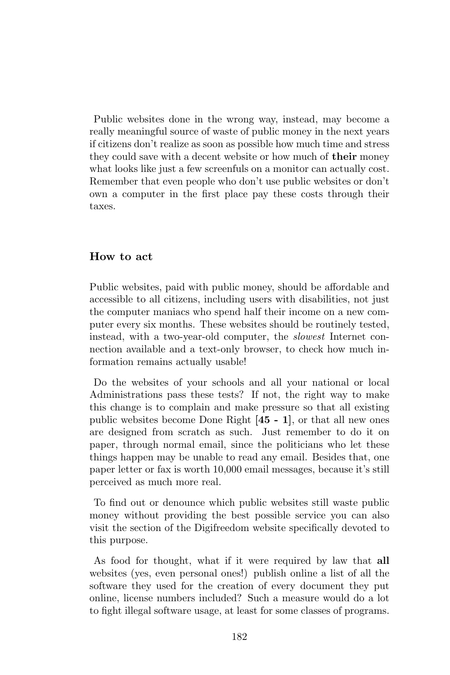Public websites done in the wrong way, instead, may become a really meaningful source of waste of public money in the next years if citizens don't realize as soon as possible how much time and stress they could save with a decent website or how much of their money what looks like just a few screenfuls on a monitor can actually cost. Remember that even people who don't use public websites or don't own a computer in the first place pay these costs through their taxes.

#### How to act

Public websites, paid with public money, should be affordable and accessible to all citizens, including users with disabilities, not just the computer maniacs who spend half their income on a new computer every six months. These websites should be routinely tested, instead, with a two-year-old computer, the slowest Internet connection available and a text-only browser, to check how much information remains actually usable!

Do the websites of your schools and all your national or local Administrations pass these tests? If not, the right way to make this change is to complain and make pressure so that all existing public websites become Done Right [45 - 1], or that all new ones are designed from scratch as such. Just remember to do it on paper, through normal email, since the politicians who let these things happen may be unable to read any email. Besides that, one paper letter or fax is worth 10,000 email messages, because it's still perceived as much more real.

To find out or denounce which public websites still waste public money without providing the best possible service you can also visit the section of the Digifreedom website specifically devoted to this purpose.

As food for thought, what if it were required by law that all websites (yes, even personal ones!) publish online a list of all the software they used for the creation of every document they put online, license numbers included? Such a measure would do a lot to fight illegal software usage, at least for some classes of programs.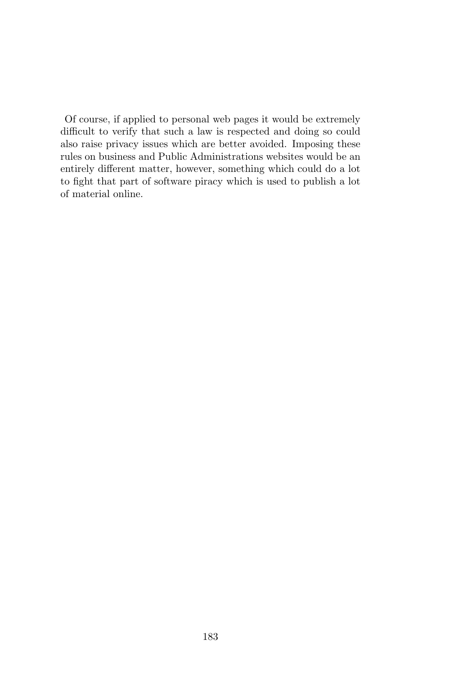Of course, if applied to personal web pages it would be extremely difficult to verify that such a law is respected and doing so could also raise privacy issues which are better avoided. Imposing these rules on business and Public Administrations websites would be an entirely different matter, however, something which could do a lot to fight that part of software piracy which is used to publish a lot of material online.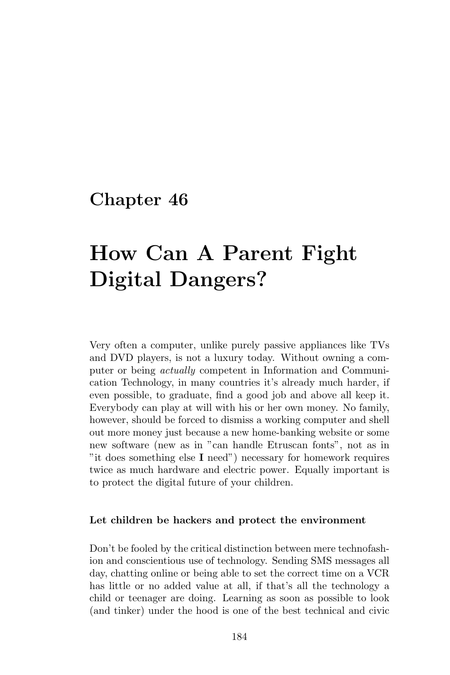# How Can A Parent Fight Digital Dangers?

Very often a computer, unlike purely passive appliances like TVs and DVD players, is not a luxury today. Without owning a computer or being actually competent in Information and Communication Technology, in many countries it's already much harder, if even possible, to graduate, find a good job and above all keep it. Everybody can play at will with his or her own money. No family, however, should be forced to dismiss a working computer and shell out more money just because a new home-banking website or some new software (new as in "can handle Etruscan fonts", not as in "it does something else I need") necessary for homework requires twice as much hardware and electric power. Equally important is to protect the digital future of your children.

#### Let children be hackers and protect the environment

Don't be fooled by the critical distinction between mere technofashion and conscientious use of technology. Sending SMS messages all day, chatting online or being able to set the correct time on a VCR has little or no added value at all, if that's all the technology a child or teenager are doing. Learning as soon as possible to look (and tinker) under the hood is one of the best technical and civic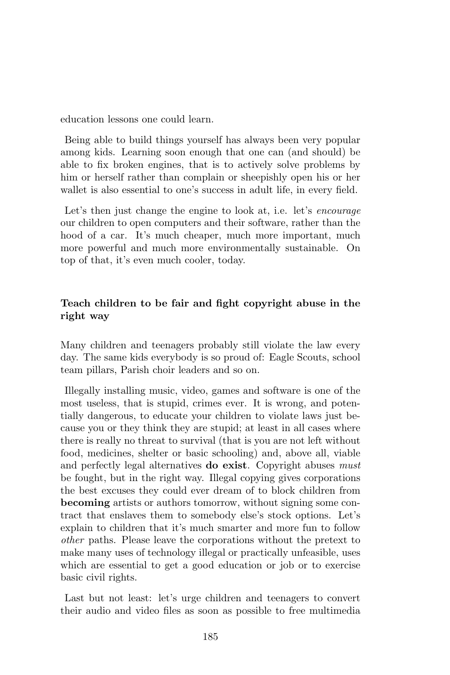education lessons one could learn.

Being able to build things yourself has always been very popular among kids. Learning soon enough that one can (and should) be able to fix broken engines, that is to actively solve problems by him or herself rather than complain or sheepishly open his or her wallet is also essential to one's success in adult life, in every field.

Let's then just change the engine to look at, i.e. let's *encourage* our children to open computers and their software, rather than the hood of a car. It's much cheaper, much more important, much more powerful and much more environmentally sustainable. On top of that, it's even much cooler, today.

# Teach children to be fair and fight copyright abuse in the right way

Many children and teenagers probably still violate the law every day. The same kids everybody is so proud of: Eagle Scouts, school team pillars, Parish choir leaders and so on.

Illegally installing music, video, games and software is one of the most useless, that is stupid, crimes ever. It is wrong, and potentially dangerous, to educate your children to violate laws just because you or they think they are stupid; at least in all cases where there is really no threat to survival (that is you are not left without food, medicines, shelter or basic schooling) and, above all, viable and perfectly legal alternatives **do exist**. Copyright abuses must be fought, but in the right way. Illegal copying gives corporations the best excuses they could ever dream of to block children from becoming artists or authors tomorrow, without signing some contract that enslaves them to somebody else's stock options. Let's explain to children that it's much smarter and more fun to follow other paths. Please leave the corporations without the pretext to make many uses of technology illegal or practically unfeasible, uses which are essential to get a good education or job or to exercise basic civil rights.

Last but not least: let's urge children and teenagers to convert their audio and video files as soon as possible to free multimedia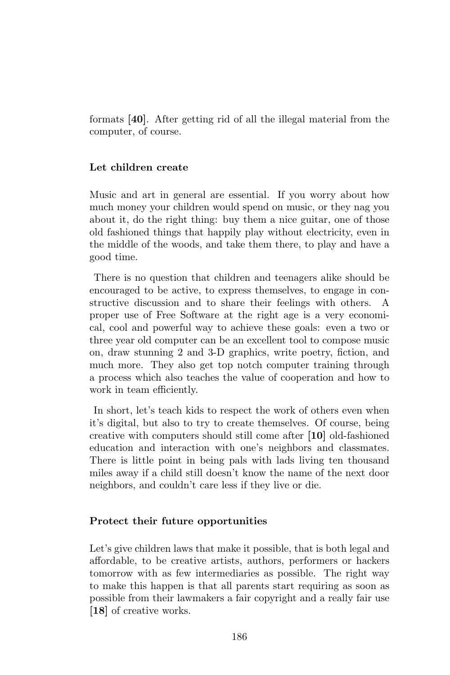formats [40]. After getting rid of all the illegal material from the computer, of course.

### Let children create

Music and art in general are essential. If you worry about how much money your children would spend on music, or they nag you about it, do the right thing: buy them a nice guitar, one of those old fashioned things that happily play without electricity, even in the middle of the woods, and take them there, to play and have a good time.

There is no question that children and teenagers alike should be encouraged to be active, to express themselves, to engage in constructive discussion and to share their feelings with others. A proper use of Free Software at the right age is a very economical, cool and powerful way to achieve these goals: even a two or three year old computer can be an excellent tool to compose music on, draw stunning 2 and 3-D graphics, write poetry, fiction, and much more. They also get top notch computer training through a process which also teaches the value of cooperation and how to work in team efficiently.

In short, let's teach kids to respect the work of others even when it's digital, but also to try to create themselves. Of course, being creative with computers should still come after [10] old-fashioned education and interaction with one's neighbors and classmates. There is little point in being pals with lads living ten thousand miles away if a child still doesn't know the name of the next door neighbors, and couldn't care less if they live or die.

#### Protect their future opportunities

Let's give children laws that make it possible, that is both legal and affordable, to be creative artists, authors, performers or hackers tomorrow with as few intermediaries as possible. The right way to make this happen is that all parents start requiring as soon as possible from their lawmakers a fair copyright and a really fair use [18] of creative works.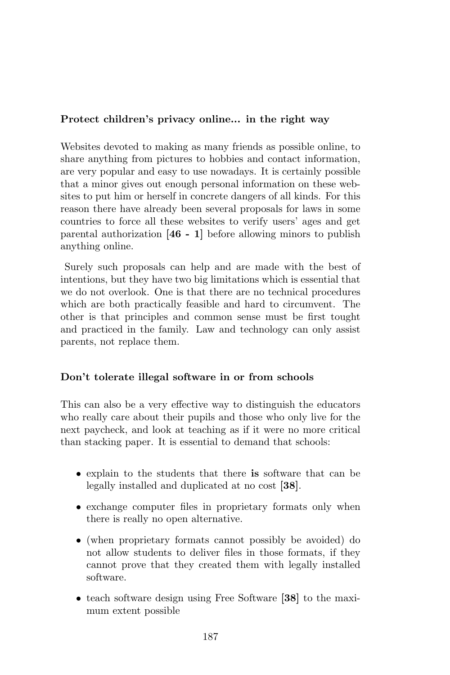### Protect children's privacy online... in the right way

Websites devoted to making as many friends as possible online, to share anything from pictures to hobbies and contact information, are very popular and easy to use nowadays. It is certainly possible that a minor gives out enough personal information on these websites to put him or herself in concrete dangers of all kinds. For this reason there have already been several proposals for laws in some countries to force all these websites to verify users' ages and get parental authorization [46 - 1] before allowing minors to publish anything online.

Surely such proposals can help and are made with the best of intentions, but they have two big limitations which is essential that we do not overlook. One is that there are no technical procedures which are both practically feasible and hard to circumvent. The other is that principles and common sense must be first tought and practiced in the family. Law and technology can only assist parents, not replace them.

## Don't tolerate illegal software in or from schools

This can also be a very effective way to distinguish the educators who really care about their pupils and those who only live for the next paycheck, and look at teaching as if it were no more critical than stacking paper. It is essential to demand that schools:

- explain to the students that there is software that can be legally installed and duplicated at no cost [38].
- exchange computer files in proprietary formats only when there is really no open alternative.
- (when proprietary formats cannot possibly be avoided) do not allow students to deliver files in those formats, if they cannot prove that they created them with legally installed software.
- teach software design using Free Software [38] to the maximum extent possible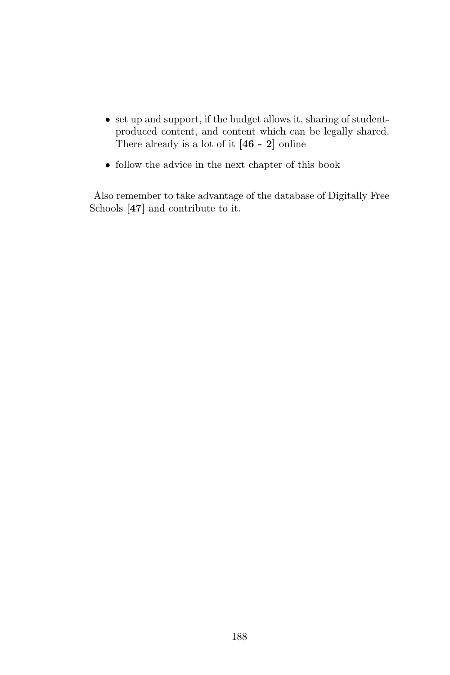- set up and support, if the budget allows it, sharing of studentproduced content, and content which can be legally shared. There already is a lot of it  $[46 - 2]$  online
- $\bullet\,$  follow the advice in the next chapter of this book

Also remember to take advantage of the database of Digitally Free Schools [47] and contribute to it.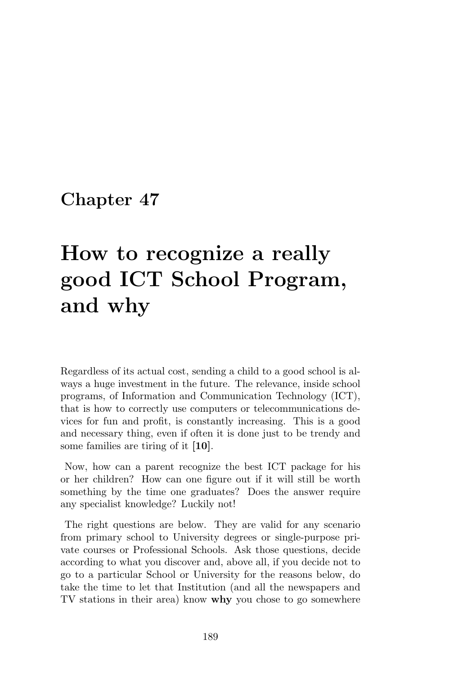# How to recognize a really good ICT School Program, and why

Regardless of its actual cost, sending a child to a good school is always a huge investment in the future. The relevance, inside school programs, of Information and Communication Technology (ICT), that is how to correctly use computers or telecommunications devices for fun and profit, is constantly increasing. This is a good and necessary thing, even if often it is done just to be trendy and some families are tiring of it [10].

Now, how can a parent recognize the best ICT package for his or her children? How can one figure out if it will still be worth something by the time one graduates? Does the answer require any specialist knowledge? Luckily not!

The right questions are below. They are valid for any scenario from primary school to University degrees or single-purpose private courses or Professional Schools. Ask those questions, decide according to what you discover and, above all, if you decide not to go to a particular School or University for the reasons below, do take the time to let that Institution (and all the newspapers and TV stations in their area) know why you chose to go somewhere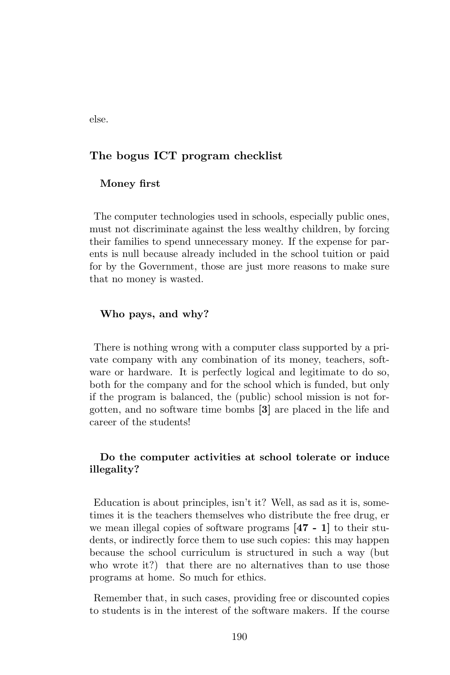else.

#### The bogus ICT program checklist

#### Money first

The computer technologies used in schools, especially public ones, must not discriminate against the less wealthy children, by forcing their families to spend unnecessary money. If the expense for parents is null because already included in the school tuition or paid for by the Government, those are just more reasons to make sure that no money is wasted.

#### Who pays, and why?

There is nothing wrong with a computer class supported by a private company with any combination of its money, teachers, software or hardware. It is perfectly logical and legitimate to do so, both for the company and for the school which is funded, but only if the program is balanced, the (public) school mission is not forgotten, and no software time bombs [3] are placed in the life and career of the students!

### Do the computer activities at school tolerate or induce illegality?

Education is about principles, isn't it? Well, as sad as it is, sometimes it is the teachers themselves who distribute the free drug, er we mean illegal copies of software programs [47 - 1] to their students, or indirectly force them to use such copies: this may happen because the school curriculum is structured in such a way (but who wrote it?) that there are no alternatives than to use those programs at home. So much for ethics.

Remember that, in such cases, providing free or discounted copies to students is in the interest of the software makers. If the course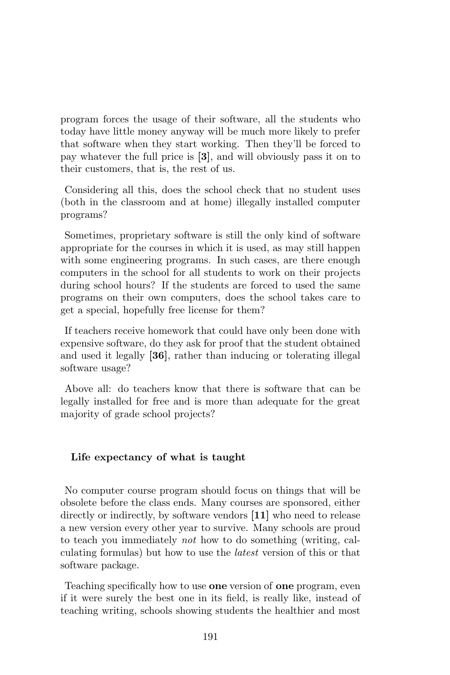program forces the usage of their software, all the students who today have little money anyway will be much more likely to prefer that software when they start working. Then they'll be forced to pay whatever the full price is [3], and will obviously pass it on to their customers, that is, the rest of us.

Considering all this, does the school check that no student uses (both in the classroom and at home) illegally installed computer programs?

Sometimes, proprietary software is still the only kind of software appropriate for the courses in which it is used, as may still happen with some engineering programs. In such cases, are there enough computers in the school for all students to work on their projects during school hours? If the students are forced to used the same programs on their own computers, does the school takes care to get a special, hopefully free license for them?

If teachers receive homework that could have only been done with expensive software, do they ask for proof that the student obtained and used it legally [36], rather than inducing or tolerating illegal software usage?

Above all: do teachers know that there is software that can be legally installed for free and is more than adequate for the great majority of grade school projects?

#### Life expectancy of what is taught

No computer course program should focus on things that will be obsolete before the class ends. Many courses are sponsored, either directly or indirectly, by software vendors [11] who need to release a new version every other year to survive. Many schools are proud to teach you immediately not how to do something (writing, calculating formulas) but how to use the latest version of this or that software package.

Teaching specifically how to use one version of one program, even if it were surely the best one in its field, is really like, instead of teaching writing, schools showing students the healthier and most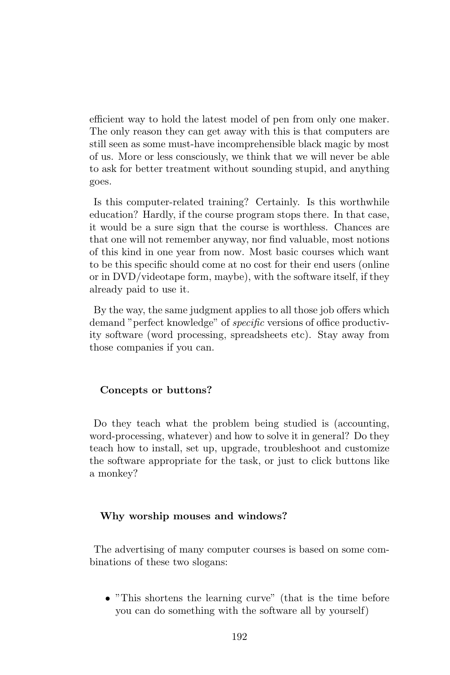efficient way to hold the latest model of pen from only one maker. The only reason they can get away with this is that computers are still seen as some must-have incomprehensible black magic by most of us. More or less consciously, we think that we will never be able to ask for better treatment without sounding stupid, and anything goes.

Is this computer-related training? Certainly. Is this worthwhile education? Hardly, if the course program stops there. In that case, it would be a sure sign that the course is worthless. Chances are that one will not remember anyway, nor find valuable, most notions of this kind in one year from now. Most basic courses which want to be this specific should come at no cost for their end users (online or in DVD/videotape form, maybe), with the software itself, if they already paid to use it.

By the way, the same judgment applies to all those job offers which demand "perfect knowledge" of specific versions of office productivity software (word processing, spreadsheets etc). Stay away from those companies if you can.

#### Concepts or buttons?

Do they teach what the problem being studied is (accounting, word-processing, whatever) and how to solve it in general? Do they teach how to install, set up, upgrade, troubleshoot and customize the software appropriate for the task, or just to click buttons like a monkey?

#### Why worship mouses and windows?

The advertising of many computer courses is based on some combinations of these two slogans:

• "This shortens the learning curve" (that is the time before you can do something with the software all by yourself)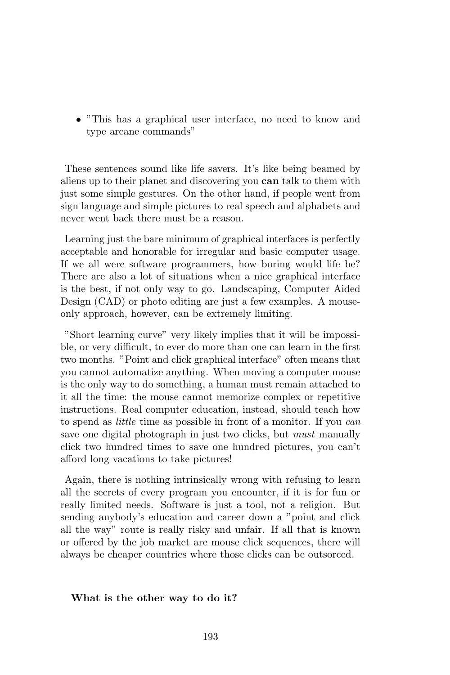• "This has a graphical user interface, no need to know and type arcane commands"

These sentences sound like life savers. It's like being beamed by aliens up to their planet and discovering you can talk to them with just some simple gestures. On the other hand, if people went from sign language and simple pictures to real speech and alphabets and never went back there must be a reason.

Learning just the bare minimum of graphical interfaces is perfectly acceptable and honorable for irregular and basic computer usage. If we all were software programmers, how boring would life be? There are also a lot of situations when a nice graphical interface is the best, if not only way to go. Landscaping, Computer Aided Design (CAD) or photo editing are just a few examples. A mouseonly approach, however, can be extremely limiting.

"Short learning curve" very likely implies that it will be impossible, or very difficult, to ever do more than one can learn in the first two months. "Point and click graphical interface" often means that you cannot automatize anything. When moving a computer mouse is the only way to do something, a human must remain attached to it all the time: the mouse cannot memorize complex or repetitive instructions. Real computer education, instead, should teach how to spend as little time as possible in front of a monitor. If you can save one digital photograph in just two clicks, but *must* manually click two hundred times to save one hundred pictures, you can't afford long vacations to take pictures!

Again, there is nothing intrinsically wrong with refusing to learn all the secrets of every program you encounter, if it is for fun or really limited needs. Software is just a tool, not a religion. But sending anybody's education and career down a "point and click all the way" route is really risky and unfair. If all that is known or offered by the job market are mouse click sequences, there will always be cheaper countries where those clicks can be outsorced.

#### What is the other way to do it?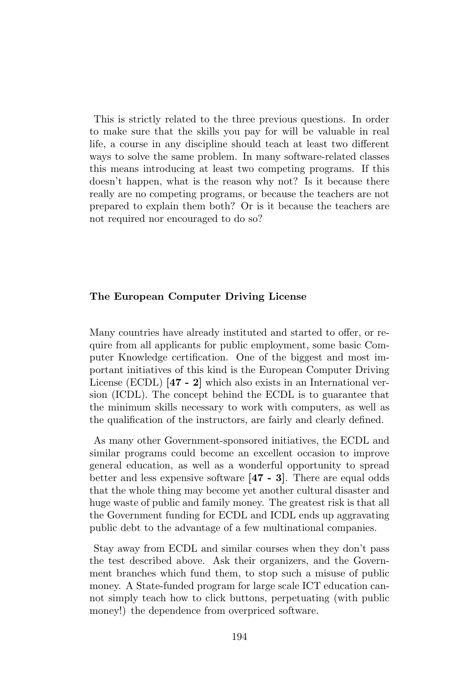This is strictly related to the three previous questions. In order to make sure that the skills you pay for will be valuable in real life, a course in any discipline should teach at least two different ways to solve the same problem. In many software-related classes this means introducing at least two competing programs. If this doesn't happen, what is the reason why not? Is it because there really are no competing programs, or because the teachers are not prepared to explain them both? Or is it because the teachers are not required nor encouraged to do so?

#### The European Computer Driving License

Many countries have already instituted and started to offer, or require from all applicants for public employment, some basic Computer Knowledge certification. One of the biggest and most important initiatives of this kind is the European Computer Driving License (ECDL) [47 - 2] which also exists in an International version (ICDL). The concept behind the ECDL is to guarantee that the minimum skills necessary to work with computers, as well as the qualification of the instructors, are fairly and clearly defined.

As many other Government-sponsored initiatives, the ECDL and similar programs could become an excellent occasion to improve general education, as well as a wonderful opportunity to spread better and less expensive software [47 - 3]. There are equal odds that the whole thing may become yet another cultural disaster and huge waste of public and family money. The greatest risk is that all the Government funding for ECDL and ICDL ends up aggravating public debt to the advantage of a few multinational companies.

Stay away from ECDL and similar courses when they don't pass the test described above. Ask their organizers, and the Government branches which fund them, to stop such a misuse of public money. A State-funded program for large scale ICT education cannot simply teach how to click buttons, perpetuating (with public money!) the dependence from overpriced software.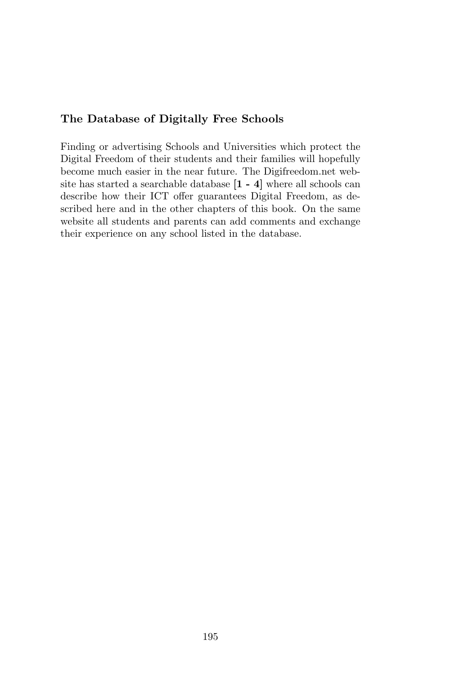## The Database of Digitally Free Schools

Finding or advertising Schools and Universities which protect the Digital Freedom of their students and their families will hopefully become much easier in the near future. The Digifreedom.net website has started a searchable database  $[1 - 4]$  where all schools can describe how their ICT offer guarantees Digital Freedom, as described here and in the other chapters of this book. On the same website all students and parents can add comments and exchange their experience on any school listed in the database.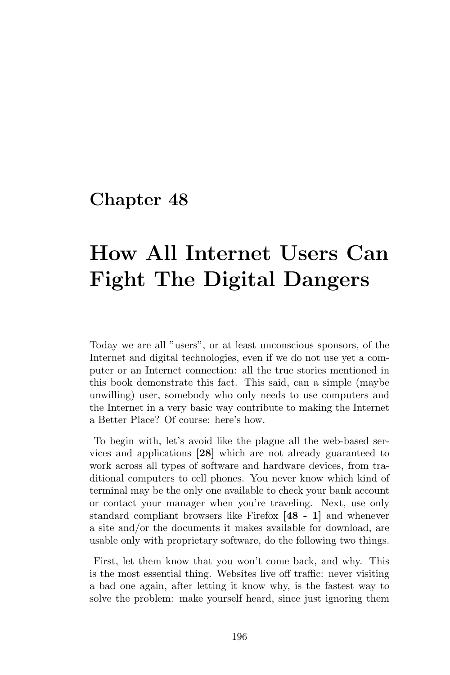# How All Internet Users Can Fight The Digital Dangers

Today we are all "users", or at least unconscious sponsors, of the Internet and digital technologies, even if we do not use yet a computer or an Internet connection: all the true stories mentioned in this book demonstrate this fact. This said, can a simple (maybe unwilling) user, somebody who only needs to use computers and the Internet in a very basic way contribute to making the Internet a Better Place? Of course: here's how.

To begin with, let's avoid like the plague all the web-based services and applications [28] which are not already guaranteed to work across all types of software and hardware devices, from traditional computers to cell phones. You never know which kind of terminal may be the only one available to check your bank account or contact your manager when you're traveling. Next, use only standard compliant browsers like Firefox [48 - 1] and whenever a site and/or the documents it makes available for download, are usable only with proprietary software, do the following two things.

First, let them know that you won't come back, and why. This is the most essential thing. Websites live off traffic: never visiting a bad one again, after letting it know why, is the fastest way to solve the problem: make yourself heard, since just ignoring them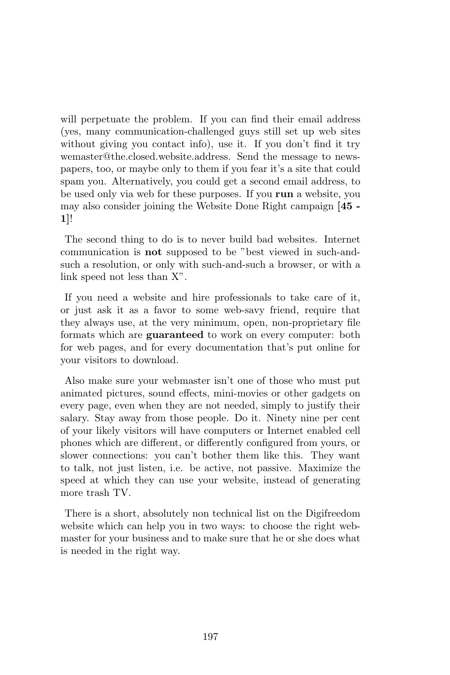will perpetuate the problem. If you can find their email address (yes, many communication-challenged guys still set up web sites without giving you contact info), use it. If you don't find it try wemaster@the.closed.website.address. Send the message to newspapers, too, or maybe only to them if you fear it's a site that could spam you. Alternatively, you could get a second email address, to be used only via web for these purposes. If you run a website, you may also consider joining the Website Done Right campaign [45 - 1]!

The second thing to do is to never build bad websites. Internet communication is not supposed to be "best viewed in such-andsuch a resolution, or only with such-and-such a browser, or with a link speed not less than X".

If you need a website and hire professionals to take care of it, or just ask it as a favor to some web-savy friend, require that they always use, at the very minimum, open, non-proprietary file formats which are guaranteed to work on every computer: both for web pages, and for every documentation that's put online for your visitors to download.

Also make sure your webmaster isn't one of those who must put animated pictures, sound effects, mini-movies or other gadgets on every page, even when they are not needed, simply to justify their salary. Stay away from those people. Do it. Ninety nine per cent of your likely visitors will have computers or Internet enabled cell phones which are different, or differently configured from yours, or slower connections: you can't bother them like this. They want to talk, not just listen, i.e. be active, not passive. Maximize the speed at which they can use your website, instead of generating more trash TV.

There is a short, absolutely non technical list on the Digifreedom website which can help you in two ways: to choose the right webmaster for your business and to make sure that he or she does what is needed in the right way.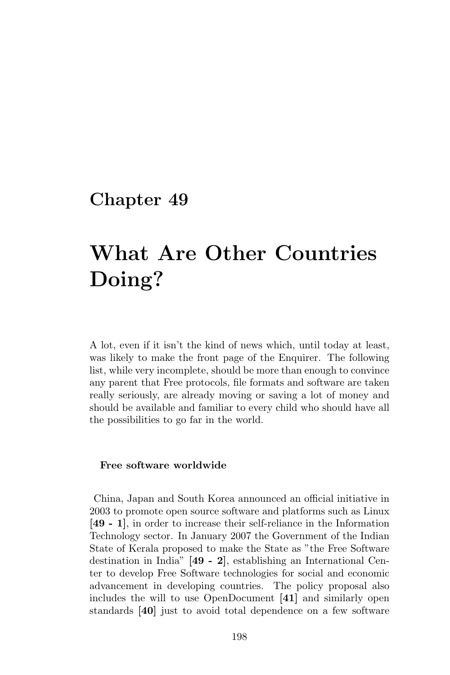# What Are Other Countries Doing?

A lot, even if it isn't the kind of news which, until today at least, was likely to make the front page of the Enquirer. The following list, while very incomplete, should be more than enough to convince any parent that Free protocols, file formats and software are taken really seriously, are already moving or saving a lot of money and should be available and familiar to every child who should have all the possibilities to go far in the world.

#### Free software worldwide

China, Japan and South Korea announced an official initiative in 2003 to promote open source software and platforms such as Linux [49 - 1], in order to increase their self-reliance in the Information Technology sector. In January 2007 the Government of the Indian State of Kerala proposed to make the State as "the Free Software destination in India" [49 - 2], establishing an International Center to develop Free Software technologies for social and economic advancement in developing countries. The policy proposal also includes the will to use OpenDocument [41] and similarly open standards [40] just to avoid total dependence on a few software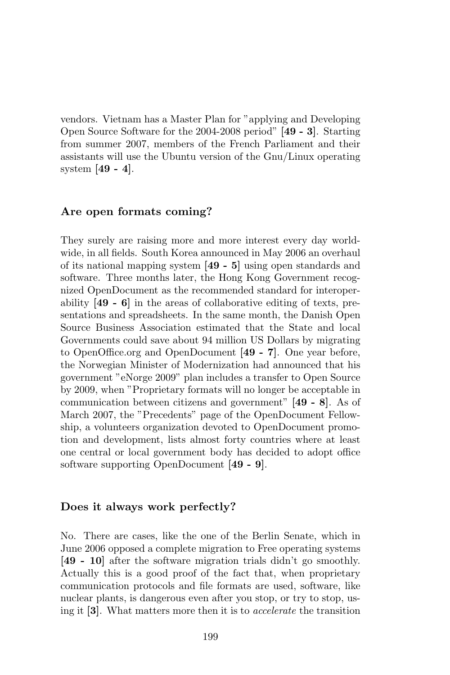vendors. Vietnam has a Master Plan for "applying and Developing Open Source Software for the 2004-2008 period" [49 - 3]. Starting from summer 2007, members of the French Parliament and their assistants will use the Ubuntu version of the Gnu/Linux operating system [49 - 4].

#### Are open formats coming?

They surely are raising more and more interest every day worldwide, in all fields. South Korea announced in May 2006 an overhaul of its national mapping system [49 - 5] using open standards and software. Three months later, the Hong Kong Government recognized OpenDocument as the recommended standard for interoperability [49 - 6] in the areas of collaborative editing of texts, presentations and spreadsheets. In the same month, the Danish Open Source Business Association estimated that the State and local Governments could save about 94 million US Dollars by migrating to OpenOffice.org and OpenDocument [49 - 7]. One year before, the Norwegian Minister of Modernization had announced that his government "eNorge 2009" plan includes a transfer to Open Source by 2009, when "Proprietary formats will no longer be acceptable in communication between citizens and government" [49 - 8]. As of March 2007, the "Precedents" page of the OpenDocument Fellowship, a volunteers organization devoted to OpenDocument promotion and development, lists almost forty countries where at least one central or local government body has decided to adopt office software supporting OpenDocument [49 - 9].

#### Does it always work perfectly?

No. There are cases, like the one of the Berlin Senate, which in June 2006 opposed a complete migration to Free operating systems [49 - 10] after the software migration trials didn't go smoothly. Actually this is a good proof of the fact that, when proprietary communication protocols and file formats are used, software, like nuclear plants, is dangerous even after you stop, or try to stop, using it [3]. What matters more then it is to accelerate the transition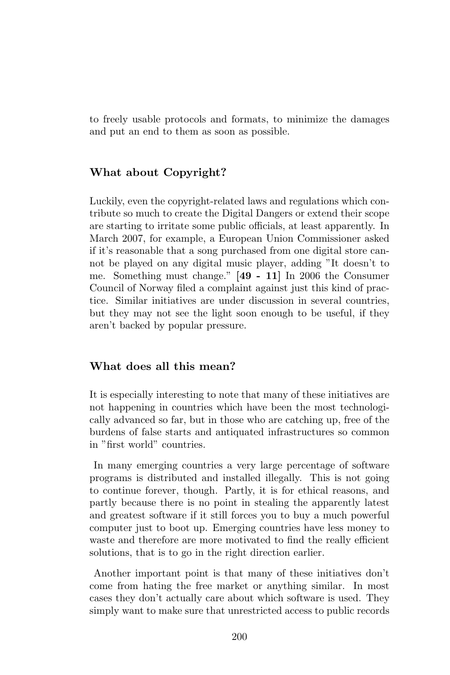to freely usable protocols and formats, to minimize the damages and put an end to them as soon as possible.

## What about Copyright?

Luckily, even the copyright-related laws and regulations which contribute so much to create the Digital Dangers or extend their scope are starting to irritate some public officials, at least apparently. In March 2007, for example, a European Union Commissioner asked if it's reasonable that a song purchased from one digital store cannot be played on any digital music player, adding "It doesn't to me. Something must change." [49 - 11] In 2006 the Consumer Council of Norway filed a complaint against just this kind of practice. Similar initiatives are under discussion in several countries, but they may not see the light soon enough to be useful, if they aren't backed by popular pressure.

## What does all this mean?

It is especially interesting to note that many of these initiatives are not happening in countries which have been the most technologically advanced so far, but in those who are catching up, free of the burdens of false starts and antiquated infrastructures so common in "first world" countries.

In many emerging countries a very large percentage of software programs is distributed and installed illegally. This is not going to continue forever, though. Partly, it is for ethical reasons, and partly because there is no point in stealing the apparently latest and greatest software if it still forces you to buy a much powerful computer just to boot up. Emerging countries have less money to waste and therefore are more motivated to find the really efficient solutions, that is to go in the right direction earlier.

Another important point is that many of these initiatives don't come from hating the free market or anything similar. In most cases they don't actually care about which software is used. They simply want to make sure that unrestricted access to public records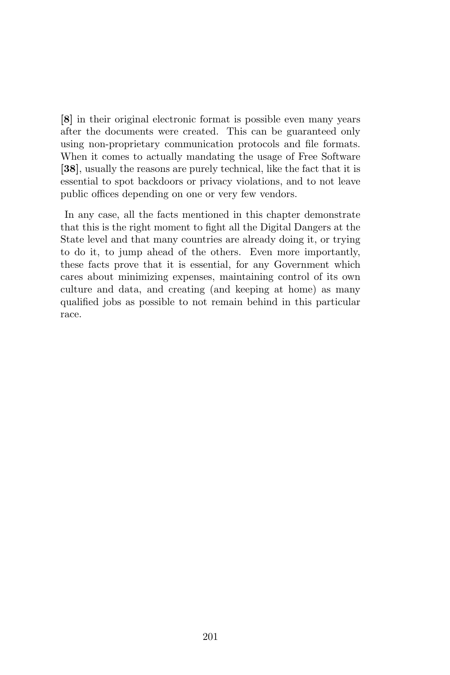[8] in their original electronic format is possible even many years after the documents were created. This can be guaranteed only using non-proprietary communication protocols and file formats. When it comes to actually mandating the usage of Free Software [38], usually the reasons are purely technical, like the fact that it is essential to spot backdoors or privacy violations, and to not leave public offices depending on one or very few vendors.

In any case, all the facts mentioned in this chapter demonstrate that this is the right moment to fight all the Digital Dangers at the State level and that many countries are already doing it, or trying to do it, to jump ahead of the others. Even more importantly, these facts prove that it is essential, for any Government which cares about minimizing expenses, maintaining control of its own culture and data, and creating (and keeping at home) as many qualified jobs as possible to not remain behind in this particular race.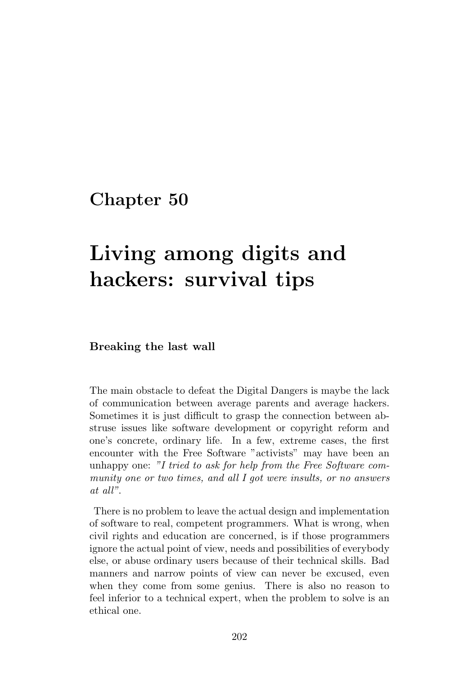# Living among digits and hackers: survival tips

#### Breaking the last wall

The main obstacle to defeat the Digital Dangers is maybe the lack of communication between average parents and average hackers. Sometimes it is just difficult to grasp the connection between abstruse issues like software development or copyright reform and one's concrete, ordinary life. In a few, extreme cases, the first encounter with the Free Software "activists" may have been an unhappy one: "I tried to ask for help from the Free Software community one or two times, and all I got were insults, or no answers at all".

There is no problem to leave the actual design and implementation of software to real, competent programmers. What is wrong, when civil rights and education are concerned, is if those programmers ignore the actual point of view, needs and possibilities of everybody else, or abuse ordinary users because of their technical skills. Bad manners and narrow points of view can never be excused, even when they come from some genius. There is also no reason to feel inferior to a technical expert, when the problem to solve is an ethical one.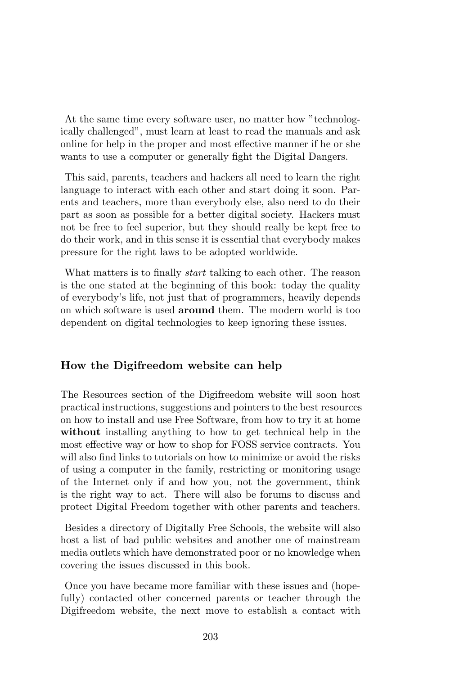At the same time every software user, no matter how "technologically challenged", must learn at least to read the manuals and ask online for help in the proper and most effective manner if he or she wants to use a computer or generally fight the Digital Dangers.

This said, parents, teachers and hackers all need to learn the right language to interact with each other and start doing it soon. Parents and teachers, more than everybody else, also need to do their part as soon as possible for a better digital society. Hackers must not be free to feel superior, but they should really be kept free to do their work, and in this sense it is essential that everybody makes pressure for the right laws to be adopted worldwide.

What matters is to finally *start* talking to each other. The reason is the one stated at the beginning of this book: today the quality of everybody's life, not just that of programmers, heavily depends on which software is used around them. The modern world is too dependent on digital technologies to keep ignoring these issues.

## How the Digifreedom website can help

The Resources section of the Digifreedom website will soon host practical instructions, suggestions and pointers to the best resources on how to install and use Free Software, from how to try it at home without installing anything to how to get technical help in the most effective way or how to shop for FOSS service contracts. You will also find links to tutorials on how to minimize or avoid the risks of using a computer in the family, restricting or monitoring usage of the Internet only if and how you, not the government, think is the right way to act. There will also be forums to discuss and protect Digital Freedom together with other parents and teachers.

Besides a directory of Digitally Free Schools, the website will also host a list of bad public websites and another one of mainstream media outlets which have demonstrated poor or no knowledge when covering the issues discussed in this book.

Once you have became more familiar with these issues and (hopefully) contacted other concerned parents or teacher through the Digifreedom website, the next move to establish a contact with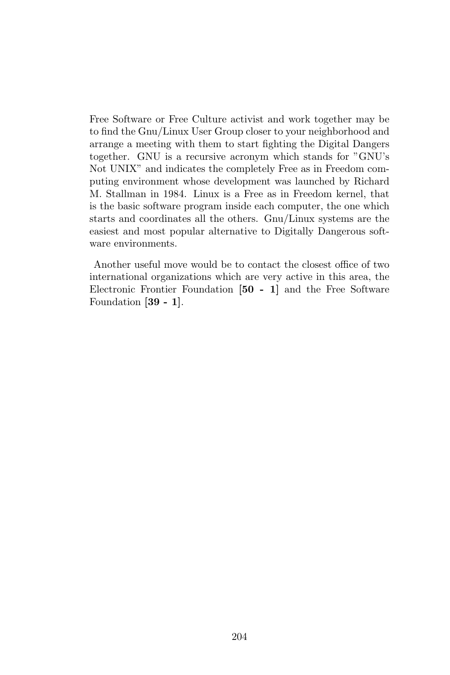Free Software or Free Culture activist and work together may be to find the Gnu/Linux User Group closer to your neighborhood and arrange a meeting with them to start fighting the Digital Dangers together. GNU is a recursive acronym which stands for "GNU's Not UNIX" and indicates the completely Free as in Freedom computing environment whose development was launched by Richard M. Stallman in 1984. Linux is a Free as in Freedom kernel, that is the basic software program inside each computer, the one which starts and coordinates all the others. Gnu/Linux systems are the easiest and most popular alternative to Digitally Dangerous software environments.

Another useful move would be to contact the closest office of two international organizations which are very active in this area, the Electronic Frontier Foundation [50 - 1] and the Free Software Foundation [39 - 1].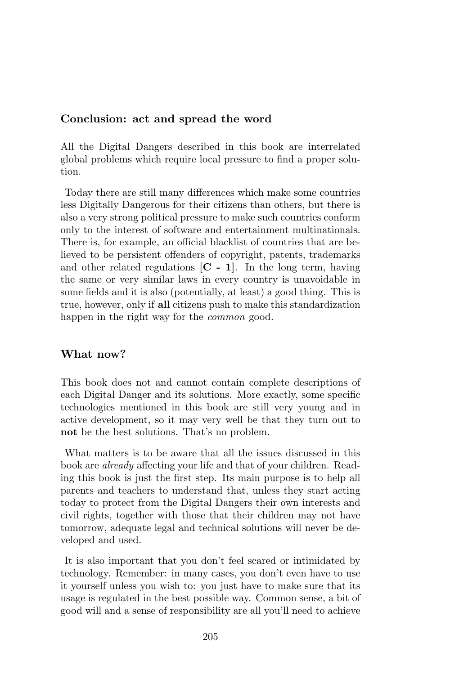#### Conclusion: act and spread the word

All the Digital Dangers described in this book are interrelated global problems which require local pressure to find a proper solution.

Today there are still many differences which make some countries less Digitally Dangerous for their citizens than others, but there is also a very strong political pressure to make such countries conform only to the interest of software and entertainment multinationals. There is, for example, an official blacklist of countries that are believed to be persistent offenders of copyright, patents, trademarks and other related regulations  $[C - 1]$ . In the long term, having the same or very similar laws in every country is unavoidable in some fields and it is also (potentially, at least) a good thing. This is true, however, only if all citizens push to make this standardization happen in the right way for the *common* good.

## What now?

This book does not and cannot contain complete descriptions of each Digital Danger and its solutions. More exactly, some specific technologies mentioned in this book are still very young and in active development, so it may very well be that they turn out to not be the best solutions. That's no problem.

What matters is to be aware that all the issues discussed in this book are already affecting your life and that of your children. Reading this book is just the first step. Its main purpose is to help all parents and teachers to understand that, unless they start acting today to protect from the Digital Dangers their own interests and civil rights, together with those that their children may not have tomorrow, adequate legal and technical solutions will never be developed and used.

It is also important that you don't feel scared or intimidated by technology. Remember: in many cases, you don't even have to use it yourself unless you wish to: you just have to make sure that its usage is regulated in the best possible way. Common sense, a bit of good will and a sense of responsibility are all you'll need to achieve